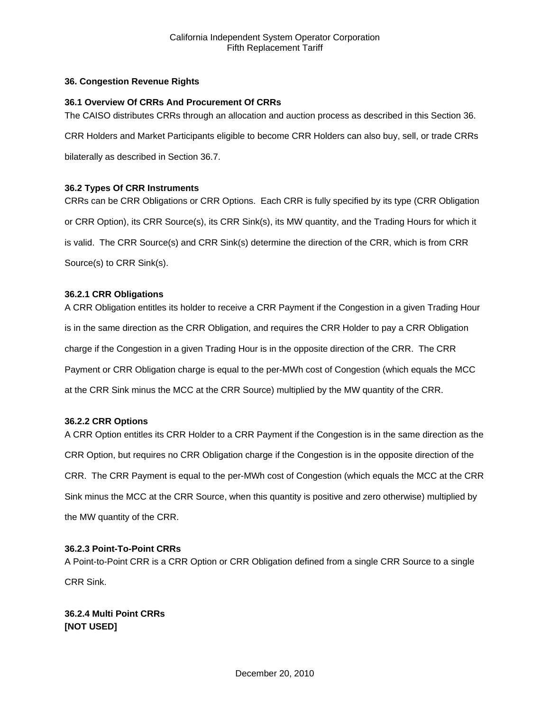# **36. Congestion Revenue Rights**

## **36.1 Overview Of CRRs And Procurement Of CRRs**

The CAISO distributes CRRs through an allocation and auction process as described in this Section 36.

CRR Holders and Market Participants eligible to become CRR Holders can also buy, sell, or trade CRRs

bilaterally as described in Section 36.7.

# **36.2 Types Of CRR Instruments**

CRRs can be CRR Obligations or CRR Options. Each CRR is fully specified by its type (CRR Obligation or CRR Option), its CRR Source(s), its CRR Sink(s), its MW quantity, and the Trading Hours for which it is valid. The CRR Source(s) and CRR Sink(s) determine the direction of the CRR, which is from CRR Source(s) to CRR Sink(s).

# **36.2.1 CRR Obligations**

A CRR Obligation entitles its holder to receive a CRR Payment if the Congestion in a given Trading Hour is in the same direction as the CRR Obligation, and requires the CRR Holder to pay a CRR Obligation charge if the Congestion in a given Trading Hour is in the opposite direction of the CRR. The CRR Payment or CRR Obligation charge is equal to the per-MWh cost of Congestion (which equals the MCC at the CRR Sink minus the MCC at the CRR Source) multiplied by the MW quantity of the CRR.

## **36.2.2 CRR Options**

A CRR Option entitles its CRR Holder to a CRR Payment if the Congestion is in the same direction as the CRR Option, but requires no CRR Obligation charge if the Congestion is in the opposite direction of the CRR. The CRR Payment is equal to the per-MWh cost of Congestion (which equals the MCC at the CRR Sink minus the MCC at the CRR Source, when this quantity is positive and zero otherwise) multiplied by the MW quantity of the CRR.

## **36.2.3 Point-To-Point CRRs**

A Point-to-Point CRR is a CRR Option or CRR Obligation defined from a single CRR Source to a single CRR Sink.

**36.2.4 Multi Point CRRs [NOT USED]**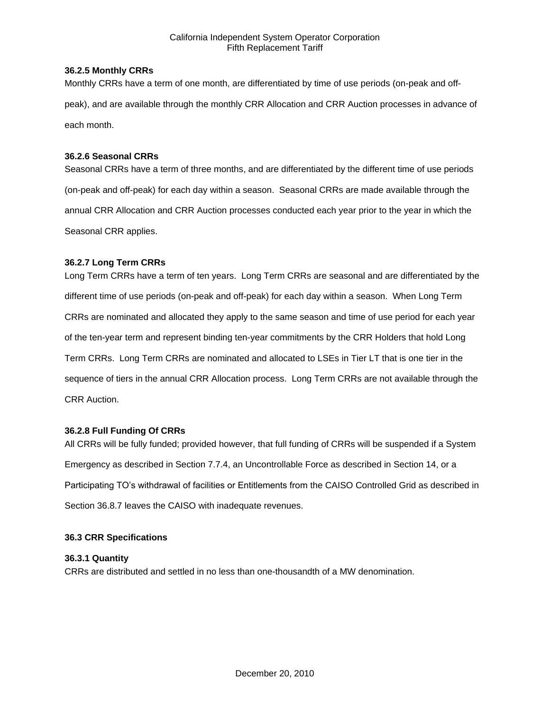# **36.2.5 Monthly CRRs**

Monthly CRRs have a term of one month, are differentiated by time of use periods (on-peak and offpeak), and are available through the monthly CRR Allocation and CRR Auction processes in advance of each month.

# **36.2.6 Seasonal CRRs**

Seasonal CRRs have a term of three months, and are differentiated by the different time of use periods (on-peak and off-peak) for each day within a season. Seasonal CRRs are made available through the annual CRR Allocation and CRR Auction processes conducted each year prior to the year in which the Seasonal CRR applies.

# **36.2.7 Long Term CRRs**

Long Term CRRs have a term of ten years. Long Term CRRs are seasonal and are differentiated by the different time of use periods (on-peak and off-peak) for each day within a season. When Long Term CRRs are nominated and allocated they apply to the same season and time of use period for each year of the ten-year term and represent binding ten-year commitments by the CRR Holders that hold Long Term CRRs. Long Term CRRs are nominated and allocated to LSEs in Tier LT that is one tier in the sequence of tiers in the annual CRR Allocation process. Long Term CRRs are not available through the CRR Auction.

## **36.2.8 Full Funding Of CRRs**

All CRRs will be fully funded; provided however, that full funding of CRRs will be suspended if a System Emergency as described in Section 7.7.4, an Uncontrollable Force as described in Section 14, or a Participating TO's withdrawal of facilities or Entitlements from the CAISO Controlled Grid as described in Section 36.8.7 leaves the CAISO with inadequate revenues.

## **36.3 CRR Specifications**

# **36.3.1 Quantity**

CRRs are distributed and settled in no less than one-thousandth of a MW denomination.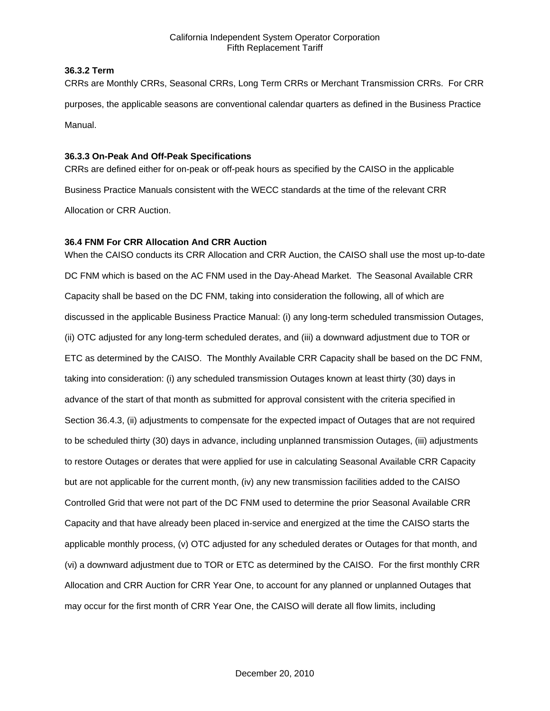# **36.3.2 Term**

CRRs are Monthly CRRs, Seasonal CRRs, Long Term CRRs or Merchant Transmission CRRs. For CRR purposes, the applicable seasons are conventional calendar quarters as defined in the Business Practice Manual.

# **36.3.3 On-Peak And Off-Peak Specifications**

CRRs are defined either for on-peak or off-peak hours as specified by the CAISO in the applicable Business Practice Manuals consistent with the WECC standards at the time of the relevant CRR Allocation or CRR Auction.

# **36.4 FNM For CRR Allocation And CRR Auction**

When the CAISO conducts its CRR Allocation and CRR Auction, the CAISO shall use the most up-to-date DC FNM which is based on the AC FNM used in the Day-Ahead Market. The Seasonal Available CRR Capacity shall be based on the DC FNM, taking into consideration the following, all of which are discussed in the applicable Business Practice Manual: (i) any long-term scheduled transmission Outages, (ii) OTC adjusted for any long-term scheduled derates, and (iii) a downward adjustment due to TOR or ETC as determined by the CAISO. The Monthly Available CRR Capacity shall be based on the DC FNM, taking into consideration: (i) any scheduled transmission Outages known at least thirty (30) days in advance of the start of that month as submitted for approval consistent with the criteria specified in Section 36.4.3, (ii) adjustments to compensate for the expected impact of Outages that are not required to be scheduled thirty (30) days in advance, including unplanned transmission Outages, (iii) adjustments to restore Outages or derates that were applied for use in calculating Seasonal Available CRR Capacity but are not applicable for the current month, (iv) any new transmission facilities added to the CAISO Controlled Grid that were not part of the DC FNM used to determine the prior Seasonal Available CRR Capacity and that have already been placed in-service and energized at the time the CAISO starts the applicable monthly process, (v) OTC adjusted for any scheduled derates or Outages for that month, and (vi) a downward adjustment due to TOR or ETC as determined by the CAISO. For the first monthly CRR Allocation and CRR Auction for CRR Year One, to account for any planned or unplanned Outages that may occur for the first month of CRR Year One, the CAISO will derate all flow limits, including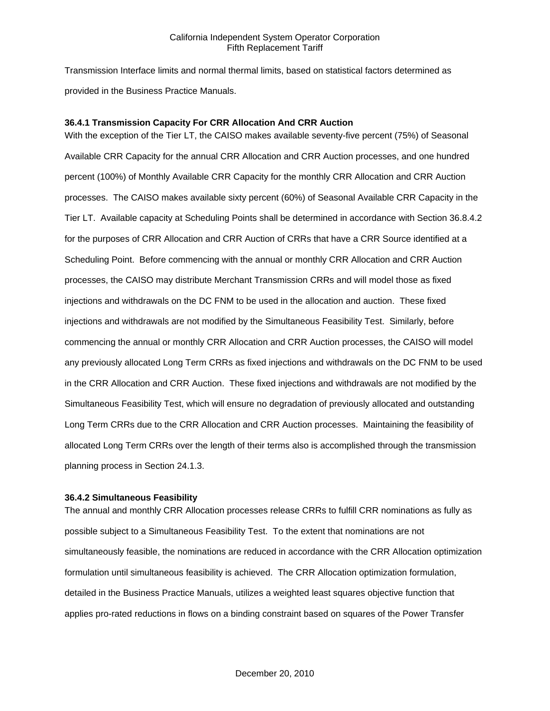Transmission Interface limits and normal thermal limits, based on statistical factors determined as provided in the Business Practice Manuals.

## **36.4.1 Transmission Capacity For CRR Allocation And CRR Auction**

With the exception of the Tier LT, the CAISO makes available seventy-five percent (75%) of Seasonal Available CRR Capacity for the annual CRR Allocation and CRR Auction processes, and one hundred percent (100%) of Monthly Available CRR Capacity for the monthly CRR Allocation and CRR Auction processes. The CAISO makes available sixty percent (60%) of Seasonal Available CRR Capacity in the Tier LT. Available capacity at Scheduling Points shall be determined in accordance with Section 36.8.4.2 for the purposes of CRR Allocation and CRR Auction of CRRs that have a CRR Source identified at a Scheduling Point. Before commencing with the annual or monthly CRR Allocation and CRR Auction processes, the CAISO may distribute Merchant Transmission CRRs and will model those as fixed injections and withdrawals on the DC FNM to be used in the allocation and auction. These fixed injections and withdrawals are not modified by the Simultaneous Feasibility Test. Similarly, before commencing the annual or monthly CRR Allocation and CRR Auction processes, the CAISO will model any previously allocated Long Term CRRs as fixed injections and withdrawals on the DC FNM to be used in the CRR Allocation and CRR Auction. These fixed injections and withdrawals are not modified by the Simultaneous Feasibility Test, which will ensure no degradation of previously allocated and outstanding Long Term CRRs due to the CRR Allocation and CRR Auction processes. Maintaining the feasibility of allocated Long Term CRRs over the length of their terms also is accomplished through the transmission planning process in Section 24.1.3.

#### **36.4.2 Simultaneous Feasibility**

The annual and monthly CRR Allocation processes release CRRs to fulfill CRR nominations as fully as possible subject to a Simultaneous Feasibility Test. To the extent that nominations are not simultaneously feasible, the nominations are reduced in accordance with the CRR Allocation optimization formulation until simultaneous feasibility is achieved. The CRR Allocation optimization formulation, detailed in the Business Practice Manuals, utilizes a weighted least squares objective function that applies pro-rated reductions in flows on a binding constraint based on squares of the Power Transfer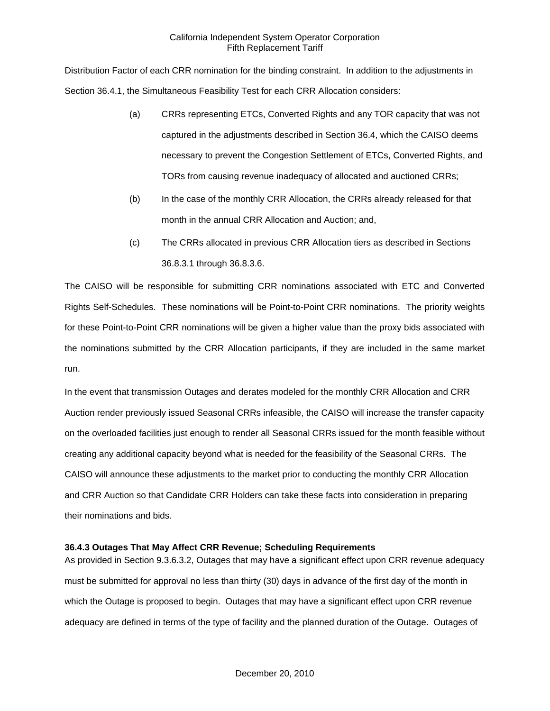Distribution Factor of each CRR nomination for the binding constraint. In addition to the adjustments in Section 36.4.1, the Simultaneous Feasibility Test for each CRR Allocation considers:

- (a) CRRs representing ETCs, Converted Rights and any TOR capacity that was not captured in the adjustments described in Section 36.4, which the CAISO deems necessary to prevent the Congestion Settlement of ETCs, Converted Rights, and TORs from causing revenue inadequacy of allocated and auctioned CRRs;
- (b) In the case of the monthly CRR Allocation, the CRRs already released for that month in the annual CRR Allocation and Auction; and,
- (c) The CRRs allocated in previous CRR Allocation tiers as described in Sections 36.8.3.1 through 36.8.3.6.

The CAISO will be responsible for submitting CRR nominations associated with ETC and Converted Rights Self-Schedules. These nominations will be Point-to-Point CRR nominations. The priority weights for these Point-to-Point CRR nominations will be given a higher value than the proxy bids associated with the nominations submitted by the CRR Allocation participants, if they are included in the same market run.

In the event that transmission Outages and derates modeled for the monthly CRR Allocation and CRR Auction render previously issued Seasonal CRRs infeasible, the CAISO will increase the transfer capacity on the overloaded facilities just enough to render all Seasonal CRRs issued for the month feasible without creating any additional capacity beyond what is needed for the feasibility of the Seasonal CRRs. The CAISO will announce these adjustments to the market prior to conducting the monthly CRR Allocation and CRR Auction so that Candidate CRR Holders can take these facts into consideration in preparing their nominations and bids.

# **36.4.3 Outages That May Affect CRR Revenue; Scheduling Requirements**

As provided in Section 9.3.6.3.2, Outages that may have a significant effect upon CRR revenue adequacy must be submitted for approval no less than thirty (30) days in advance of the first day of the month in which the Outage is proposed to begin. Outages that may have a significant effect upon CRR revenue adequacy are defined in terms of the type of facility and the planned duration of the Outage. Outages of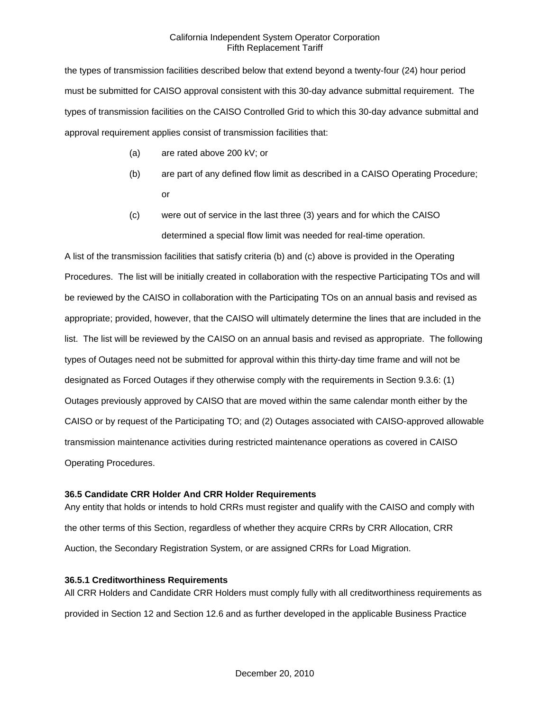the types of transmission facilities described below that extend beyond a twenty-four (24) hour period must be submitted for CAISO approval consistent with this 30-day advance submittal requirement. The types of transmission facilities on the CAISO Controlled Grid to which this 30-day advance submittal and approval requirement applies consist of transmission facilities that:

- (a) are rated above 200 kV; or
- (b) are part of any defined flow limit as described in a CAISO Operating Procedure; or
- (c) were out of service in the last three (3) years and for which the CAISO determined a special flow limit was needed for real-time operation.

A list of the transmission facilities that satisfy criteria (b) and (c) above is provided in the Operating Procedures. The list will be initially created in collaboration with the respective Participating TOs and will be reviewed by the CAISO in collaboration with the Participating TOs on an annual basis and revised as appropriate; provided, however, that the CAISO will ultimately determine the lines that are included in the list. The list will be reviewed by the CAISO on an annual basis and revised as appropriate. The following types of Outages need not be submitted for approval within this thirty-day time frame and will not be designated as Forced Outages if they otherwise comply with the requirements in Section 9.3.6: (1) Outages previously approved by CAISO that are moved within the same calendar month either by the CAISO or by request of the Participating TO; and (2) Outages associated with CAISO-approved allowable transmission maintenance activities during restricted maintenance operations as covered in CAISO Operating Procedures.

## **36.5 Candidate CRR Holder And CRR Holder Requirements**

Any entity that holds or intends to hold CRRs must register and qualify with the CAISO and comply with the other terms of this Section, regardless of whether they acquire CRRs by CRR Allocation, CRR Auction, the Secondary Registration System, or are assigned CRRs for Load Migration.

## **36.5.1 Creditworthiness Requirements**

All CRR Holders and Candidate CRR Holders must comply fully with all creditworthiness requirements as provided in Section 12 and Section 12.6 and as further developed in the applicable Business Practice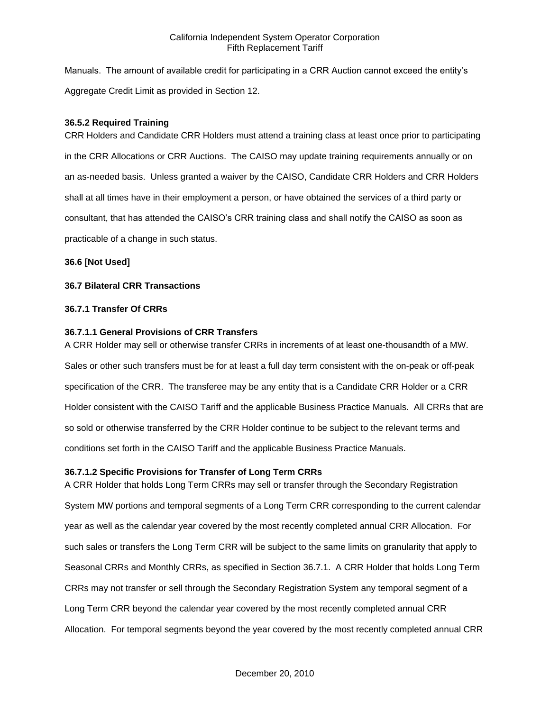Manuals. The amount of available credit for participating in a CRR Auction cannot exceed the entity's Aggregate Credit Limit as provided in Section 12.

# **36.5.2 Required Training**

CRR Holders and Candidate CRR Holders must attend a training class at least once prior to participating in the CRR Allocations or CRR Auctions. The CAISO may update training requirements annually or on an as-needed basis. Unless granted a waiver by the CAISO, Candidate CRR Holders and CRR Holders shall at all times have in their employment a person, or have obtained the services of a third party or consultant, that has attended the CAISO's CRR training class and shall notify the CAISO as soon as practicable of a change in such status.

# **36.6 [Not Used]**

# **36.7 Bilateral CRR Transactions**

# **36.7.1 Transfer Of CRRs**

# **36.7.1.1 General Provisions of CRR Transfers**

A CRR Holder may sell or otherwise transfer CRRs in increments of at least one-thousandth of a MW. Sales or other such transfers must be for at least a full day term consistent with the on-peak or off-peak specification of the CRR. The transferee may be any entity that is a Candidate CRR Holder or a CRR Holder consistent with the CAISO Tariff and the applicable Business Practice Manuals. All CRRs that are so sold or otherwise transferred by the CRR Holder continue to be subject to the relevant terms and conditions set forth in the CAISO Tariff and the applicable Business Practice Manuals.

# **36.7.1.2 Specific Provisions for Transfer of Long Term CRRs**

A CRR Holder that holds Long Term CRRs may sell or transfer through the Secondary Registration System MW portions and temporal segments of a Long Term CRR corresponding to the current calendar year as well as the calendar year covered by the most recently completed annual CRR Allocation. For such sales or transfers the Long Term CRR will be subject to the same limits on granularity that apply to Seasonal CRRs and Monthly CRRs, as specified in Section 36.7.1. A CRR Holder that holds Long Term CRRs may not transfer or sell through the Secondary Registration System any temporal segment of a Long Term CRR beyond the calendar year covered by the most recently completed annual CRR Allocation. For temporal segments beyond the year covered by the most recently completed annual CRR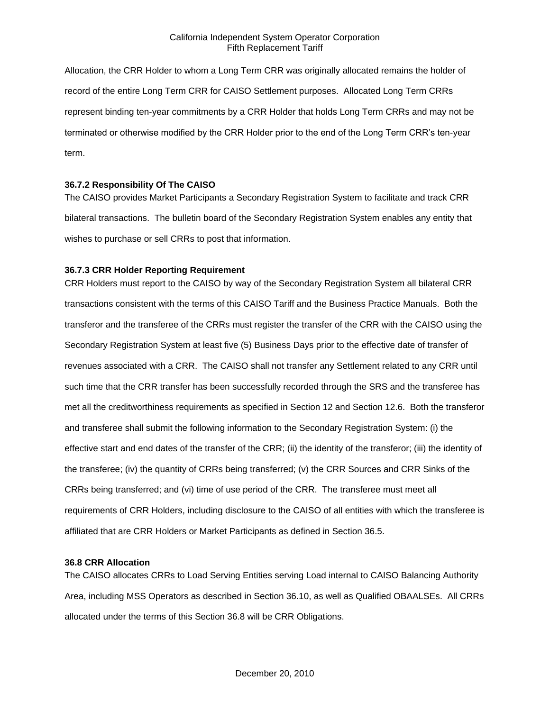Allocation, the CRR Holder to whom a Long Term CRR was originally allocated remains the holder of record of the entire Long Term CRR for CAISO Settlement purposes. Allocated Long Term CRRs represent binding ten-year commitments by a CRR Holder that holds Long Term CRRs and may not be terminated or otherwise modified by the CRR Holder prior to the end of the Long Term CRR's ten-year term.

# **36.7.2 Responsibility Of The CAISO**

The CAISO provides Market Participants a Secondary Registration System to facilitate and track CRR bilateral transactions. The bulletin board of the Secondary Registration System enables any entity that wishes to purchase or sell CRRs to post that information.

## **36.7.3 CRR Holder Reporting Requirement**

CRR Holders must report to the CAISO by way of the Secondary Registration System all bilateral CRR transactions consistent with the terms of this CAISO Tariff and the Business Practice Manuals. Both the transferor and the transferee of the CRRs must register the transfer of the CRR with the CAISO using the Secondary Registration System at least five (5) Business Days prior to the effective date of transfer of revenues associated with a CRR. The CAISO shall not transfer any Settlement related to any CRR until such time that the CRR transfer has been successfully recorded through the SRS and the transferee has met all the creditworthiness requirements as specified in Section 12 and Section 12.6. Both the transferor and transferee shall submit the following information to the Secondary Registration System: (i) the effective start and end dates of the transfer of the CRR; (ii) the identity of the transferor; (iii) the identity of the transferee; (iv) the quantity of CRRs being transferred; (v) the CRR Sources and CRR Sinks of the CRRs being transferred; and (vi) time of use period of the CRR. The transferee must meet all requirements of CRR Holders, including disclosure to the CAISO of all entities with which the transferee is affiliated that are CRR Holders or Market Participants as defined in Section 36.5.

## **36.8 CRR Allocation**

The CAISO allocates CRRs to Load Serving Entities serving Load internal to CAISO Balancing Authority Area, including MSS Operators as described in Section 36.10, as well as Qualified OBAALSEs. All CRRs allocated under the terms of this Section 36.8 will be CRR Obligations.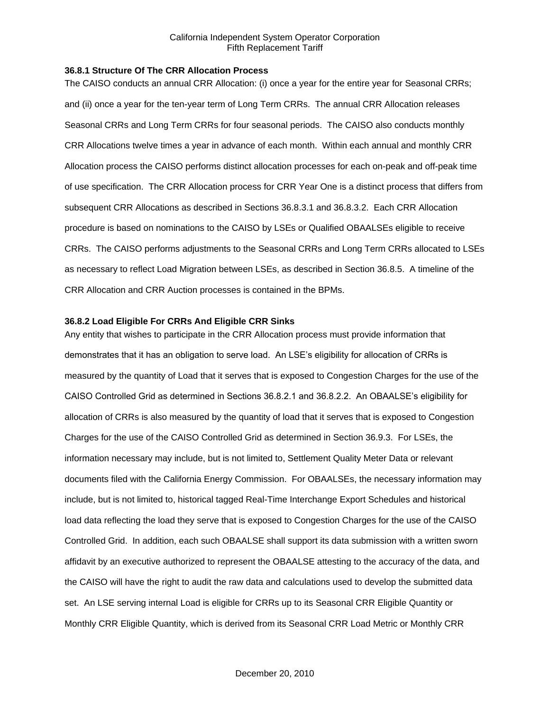#### **36.8.1 Structure Of The CRR Allocation Process**

The CAISO conducts an annual CRR Allocation: (i) once a year for the entire year for Seasonal CRRs; and (ii) once a year for the ten-year term of Long Term CRRs. The annual CRR Allocation releases Seasonal CRRs and Long Term CRRs for four seasonal periods. The CAISO also conducts monthly CRR Allocations twelve times a year in advance of each month. Within each annual and monthly CRR Allocation process the CAISO performs distinct allocation processes for each on-peak and off-peak time of use specification. The CRR Allocation process for CRR Year One is a distinct process that differs from subsequent CRR Allocations as described in Sections 36.8.3.1 and 36.8.3.2. Each CRR Allocation procedure is based on nominations to the CAISO by LSEs or Qualified OBAALSEs eligible to receive CRRs. The CAISO performs adjustments to the Seasonal CRRs and Long Term CRRs allocated to LSEs as necessary to reflect Load Migration between LSEs, as described in Section 36.8.5. A timeline of the CRR Allocation and CRR Auction processes is contained in the BPMs.

## **36.8.2 Load Eligible For CRRs And Eligible CRR Sinks**

Any entity that wishes to participate in the CRR Allocation process must provide information that demonstrates that it has an obligation to serve load. An LSE's eligibility for allocation of CRRs is measured by the quantity of Load that it serves that is exposed to Congestion Charges for the use of the CAISO Controlled Grid as determined in Sections 36.8.2.1 and 36.8.2.2. An OBAALSE's eligibility for allocation of CRRs is also measured by the quantity of load that it serves that is exposed to Congestion Charges for the use of the CAISO Controlled Grid as determined in Section 36.9.3. For LSEs, the information necessary may include, but is not limited to, Settlement Quality Meter Data or relevant documents filed with the California Energy Commission. For OBAALSEs, the necessary information may include, but is not limited to, historical tagged Real-Time Interchange Export Schedules and historical load data reflecting the load they serve that is exposed to Congestion Charges for the use of the CAISO Controlled Grid. In addition, each such OBAALSE shall support its data submission with a written sworn affidavit by an executive authorized to represent the OBAALSE attesting to the accuracy of the data, and the CAISO will have the right to audit the raw data and calculations used to develop the submitted data set. An LSE serving internal Load is eligible for CRRs up to its Seasonal CRR Eligible Quantity or Monthly CRR Eligible Quantity, which is derived from its Seasonal CRR Load Metric or Monthly CRR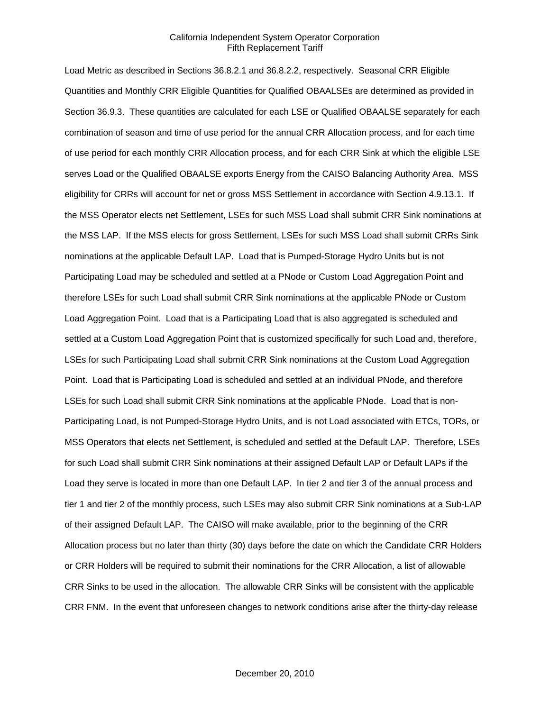Load Metric as described in Sections 36.8.2.1 and 36.8.2.2, respectively. Seasonal CRR Eligible Quantities and Monthly CRR Eligible Quantities for Qualified OBAALSEs are determined as provided in Section 36.9.3. These quantities are calculated for each LSE or Qualified OBAALSE separately for each combination of season and time of use period for the annual CRR Allocation process, and for each time of use period for each monthly CRR Allocation process, and for each CRR Sink at which the eligible LSE serves Load or the Qualified OBAALSE exports Energy from the CAISO Balancing Authority Area. MSS eligibility for CRRs will account for net or gross MSS Settlement in accordance with Section 4.9.13.1. If the MSS Operator elects net Settlement, LSEs for such MSS Load shall submit CRR Sink nominations at the MSS LAP. If the MSS elects for gross Settlement, LSEs for such MSS Load shall submit CRRs Sink nominations at the applicable Default LAP. Load that is Pumped-Storage Hydro Units but is not Participating Load may be scheduled and settled at a PNode or Custom Load Aggregation Point and therefore LSEs for such Load shall submit CRR Sink nominations at the applicable PNode or Custom Load Aggregation Point. Load that is a Participating Load that is also aggregated is scheduled and settled at a Custom Load Aggregation Point that is customized specifically for such Load and, therefore, LSEs for such Participating Load shall submit CRR Sink nominations at the Custom Load Aggregation Point. Load that is Participating Load is scheduled and settled at an individual PNode, and therefore LSEs for such Load shall submit CRR Sink nominations at the applicable PNode. Load that is non-Participating Load, is not Pumped-Storage Hydro Units, and is not Load associated with ETCs, TORs, or MSS Operators that elects net Settlement, is scheduled and settled at the Default LAP. Therefore, LSEs for such Load shall submit CRR Sink nominations at their assigned Default LAP or Default LAPs if the Load they serve is located in more than one Default LAP. In tier 2 and tier 3 of the annual process and tier 1 and tier 2 of the monthly process, such LSEs may also submit CRR Sink nominations at a Sub-LAP of their assigned Default LAP. The CAISO will make available, prior to the beginning of the CRR Allocation process but no later than thirty (30) days before the date on which the Candidate CRR Holders or CRR Holders will be required to submit their nominations for the CRR Allocation, a list of allowable CRR Sinks to be used in the allocation. The allowable CRR Sinks will be consistent with the applicable CRR FNM. In the event that unforeseen changes to network conditions arise after the thirty-day release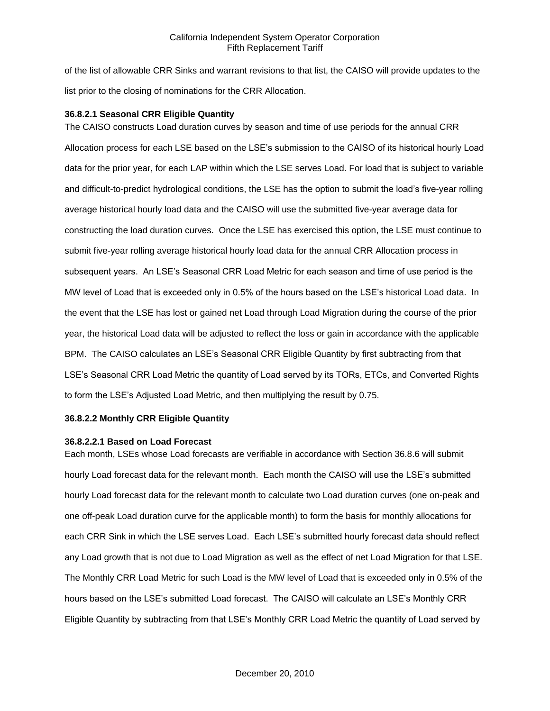of the list of allowable CRR Sinks and warrant revisions to that list, the CAISO will provide updates to the list prior to the closing of nominations for the CRR Allocation.

## **36.8.2.1 Seasonal CRR Eligible Quantity**

The CAISO constructs Load duration curves by season and time of use periods for the annual CRR Allocation process for each LSE based on the LSE's submission to the CAISO of its historical hourly Load data for the prior year, for each LAP within which the LSE serves Load. For load that is subject to variable and difficult-to-predict hydrological conditions, the LSE has the option to submit the load's five-year rolling average historical hourly load data and the CAISO will use the submitted five-year average data for constructing the load duration curves. Once the LSE has exercised this option, the LSE must continue to submit five-year rolling average historical hourly load data for the annual CRR Allocation process in subsequent years. An LSE's Seasonal CRR Load Metric for each season and time of use period is the MW level of Load that is exceeded only in 0.5% of the hours based on the LSE's historical Load data. In the event that the LSE has lost or gained net Load through Load Migration during the course of the prior year, the historical Load data will be adjusted to reflect the loss or gain in accordance with the applicable BPM. The CAISO calculates an LSE's Seasonal CRR Eligible Quantity by first subtracting from that LSE's Seasonal CRR Load Metric the quantity of Load served by its TORs, ETCs, and Converted Rights to form the LSE's Adjusted Load Metric, and then multiplying the result by 0.75.

#### **36.8.2.2 Monthly CRR Eligible Quantity**

#### **36.8.2.2.1 Based on Load Forecast**

Each month, LSEs whose Load forecasts are verifiable in accordance with Section 36.8.6 will submit hourly Load forecast data for the relevant month. Each month the CAISO will use the LSE's submitted hourly Load forecast data for the relevant month to calculate two Load duration curves (one on-peak and one off-peak Load duration curve for the applicable month) to form the basis for monthly allocations for each CRR Sink in which the LSE serves Load. Each LSE's submitted hourly forecast data should reflect any Load growth that is not due to Load Migration as well as the effect of net Load Migration for that LSE. The Monthly CRR Load Metric for such Load is the MW level of Load that is exceeded only in 0.5% of the hours based on the LSE's submitted Load forecast. The CAISO will calculate an LSE's Monthly CRR Eligible Quantity by subtracting from that LSE's Monthly CRR Load Metric the quantity of Load served by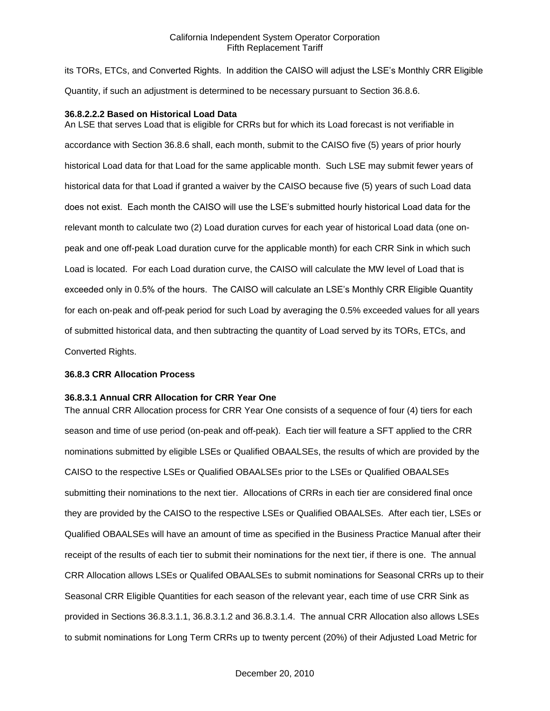its TORs, ETCs, and Converted Rights. In addition the CAISO will adjust the LSE's Monthly CRR Eligible Quantity, if such an adjustment is determined to be necessary pursuant to Section 36.8.6.

## **36.8.2.2.2 Based on Historical Load Data**

An LSE that serves Load that is eligible for CRRs but for which its Load forecast is not verifiable in accordance with Section 36.8.6 shall, each month, submit to the CAISO five (5) years of prior hourly historical Load data for that Load for the same applicable month. Such LSE may submit fewer years of historical data for that Load if granted a waiver by the CAISO because five (5) years of such Load data does not exist. Each month the CAISO will use the LSE's submitted hourly historical Load data for the relevant month to calculate two (2) Load duration curves for each year of historical Load data (one onpeak and one off-peak Load duration curve for the applicable month) for each CRR Sink in which such Load is located. For each Load duration curve, the CAISO will calculate the MW level of Load that is exceeded only in 0.5% of the hours. The CAISO will calculate an LSE's Monthly CRR Eligible Quantity for each on-peak and off-peak period for such Load by averaging the 0.5% exceeded values for all years of submitted historical data, and then subtracting the quantity of Load served by its TORs, ETCs, and Converted Rights.

#### **36.8.3 CRR Allocation Process**

#### **36.8.3.1 Annual CRR Allocation for CRR Year One**

The annual CRR Allocation process for CRR Year One consists of a sequence of four (4) tiers for each season and time of use period (on-peak and off-peak). Each tier will feature a SFT applied to the CRR nominations submitted by eligible LSEs or Qualified OBAALSEs, the results of which are provided by the CAISO to the respective LSEs or Qualified OBAALSEs prior to the LSEs or Qualified OBAALSEs submitting their nominations to the next tier. Allocations of CRRs in each tier are considered final once they are provided by the CAISO to the respective LSEs or Qualified OBAALSEs. After each tier, LSEs or Qualified OBAALSEs will have an amount of time as specified in the Business Practice Manual after their receipt of the results of each tier to submit their nominations for the next tier, if there is one. The annual CRR Allocation allows LSEs or Qualifed OBAALSEs to submit nominations for Seasonal CRRs up to their Seasonal CRR Eligible Quantities for each season of the relevant year, each time of use CRR Sink as provided in Sections 36.8.3.1.1, 36.8.3.1.2 and 36.8.3.1.4. The annual CRR Allocation also allows LSEs to submit nominations for Long Term CRRs up to twenty percent (20%) of their Adjusted Load Metric for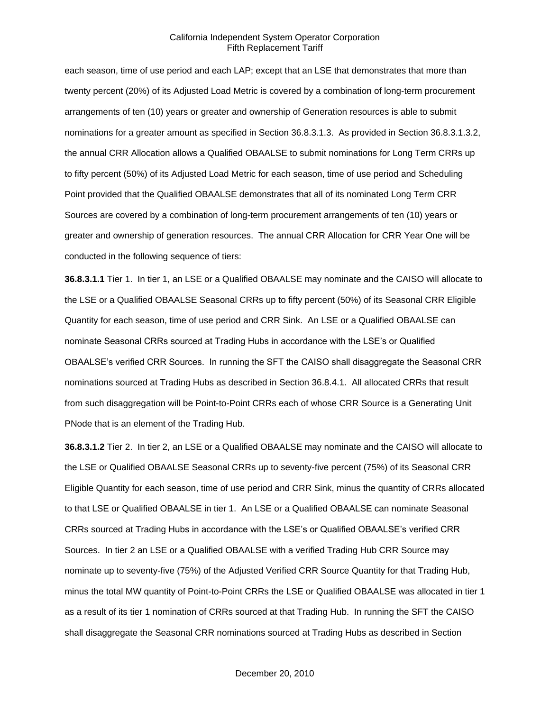each season, time of use period and each LAP; except that an LSE that demonstrates that more than twenty percent (20%) of its Adjusted Load Metric is covered by a combination of long-term procurement arrangements of ten (10) years or greater and ownership of Generation resources is able to submit nominations for a greater amount as specified in Section 36.8.3.1.3. As provided in Section 36.8.3.1.3.2, the annual CRR Allocation allows a Qualified OBAALSE to submit nominations for Long Term CRRs up to fifty percent (50%) of its Adjusted Load Metric for each season, time of use period and Scheduling Point provided that the Qualified OBAALSE demonstrates that all of its nominated Long Term CRR Sources are covered by a combination of long-term procurement arrangements of ten (10) years or greater and ownership of generation resources. The annual CRR Allocation for CRR Year One will be conducted in the following sequence of tiers:

**36.8.3.1.1** Tier 1. In tier 1, an LSE or a Qualified OBAALSE may nominate and the CAISO will allocate to the LSE or a Qualified OBAALSE Seasonal CRRs up to fifty percent (50%) of its Seasonal CRR Eligible Quantity for each season, time of use period and CRR Sink. An LSE or a Qualified OBAALSE can nominate Seasonal CRRs sourced at Trading Hubs in accordance with the LSE's or Qualified OBAALSE's verified CRR Sources. In running the SFT the CAISO shall disaggregate the Seasonal CRR nominations sourced at Trading Hubs as described in Section 36.8.4.1. All allocated CRRs that result from such disaggregation will be Point-to-Point CRRs each of whose CRR Source is a Generating Unit PNode that is an element of the Trading Hub.

**36.8.3.1.2** Tier 2. In tier 2, an LSE or a Qualified OBAALSE may nominate and the CAISO will allocate to the LSE or Qualified OBAALSE Seasonal CRRs up to seventy-five percent (75%) of its Seasonal CRR Eligible Quantity for each season, time of use period and CRR Sink, minus the quantity of CRRs allocated to that LSE or Qualified OBAALSE in tier 1. An LSE or a Qualified OBAALSE can nominate Seasonal CRRs sourced at Trading Hubs in accordance with the LSE's or Qualified OBAALSE's verified CRR Sources. In tier 2 an LSE or a Qualified OBAALSE with a verified Trading Hub CRR Source may nominate up to seventy-five (75%) of the Adjusted Verified CRR Source Quantity for that Trading Hub, minus the total MW quantity of Point-to-Point CRRs the LSE or Qualified OBAALSE was allocated in tier 1 as a result of its tier 1 nomination of CRRs sourced at that Trading Hub. In running the SFT the CAISO shall disaggregate the Seasonal CRR nominations sourced at Trading Hubs as described in Section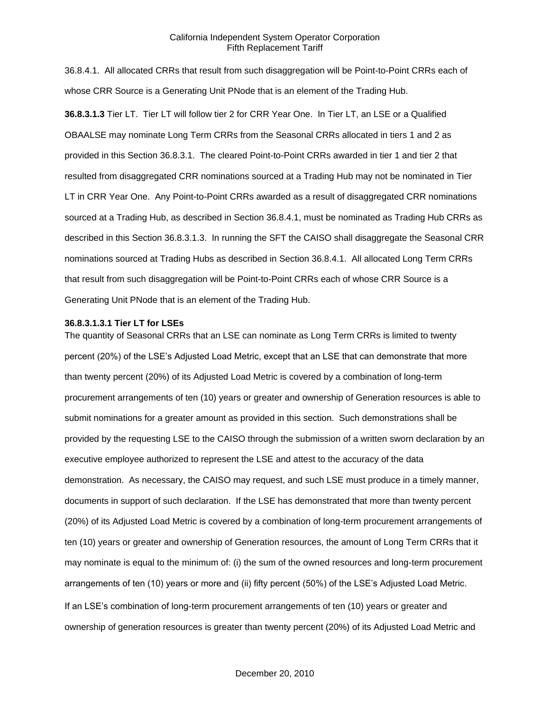36.8.4.1. All allocated CRRs that result from such disaggregation will be Point-to-Point CRRs each of whose CRR Source is a Generating Unit PNode that is an element of the Trading Hub. **36.8.3.1.3** Tier LT. Tier LT will follow tier 2 for CRR Year One. In Tier LT, an LSE or a Qualified OBAALSE may nominate Long Term CRRs from the Seasonal CRRs allocated in tiers 1 and 2 as provided in this Section 36.8.3.1. The cleared Point-to-Point CRRs awarded in tier 1 and tier 2 that resulted from disaggregated CRR nominations sourced at a Trading Hub may not be nominated in Tier LT in CRR Year One. Any Point-to-Point CRRs awarded as a result of disaggregated CRR nominations sourced at a Trading Hub, as described in Section 36.8.4.1, must be nominated as Trading Hub CRRs as described in this Section 36.8.3.1.3. In running the SFT the CAISO shall disaggregate the Seasonal CRR nominations sourced at Trading Hubs as described in Section 36.8.4.1. All allocated Long Term CRRs that result from such disaggregation will be Point-to-Point CRRs each of whose CRR Source is a Generating Unit PNode that is an element of the Trading Hub.

#### **36.8.3.1.3.1 Tier LT for LSEs**

The quantity of Seasonal CRRs that an LSE can nominate as Long Term CRRs is limited to twenty percent (20%) of the LSE's Adjusted Load Metric, except that an LSE that can demonstrate that more than twenty percent (20%) of its Adjusted Load Metric is covered by a combination of long-term procurement arrangements of ten (10) years or greater and ownership of Generation resources is able to submit nominations for a greater amount as provided in this section. Such demonstrations shall be provided by the requesting LSE to the CAISO through the submission of a written sworn declaration by an executive employee authorized to represent the LSE and attest to the accuracy of the data demonstration. As necessary, the CAISO may request, and such LSE must produce in a timely manner, documents in support of such declaration. If the LSE has demonstrated that more than twenty percent (20%) of its Adjusted Load Metric is covered by a combination of long-term procurement arrangements of ten (10) years or greater and ownership of Generation resources, the amount of Long Term CRRs that it may nominate is equal to the minimum of: (i) the sum of the owned resources and long-term procurement arrangements of ten (10) years or more and (ii) fifty percent (50%) of the LSE's Adjusted Load Metric. If an LSE's combination of long-term procurement arrangements of ten (10) years or greater and ownership of generation resources is greater than twenty percent (20%) of its Adjusted Load Metric and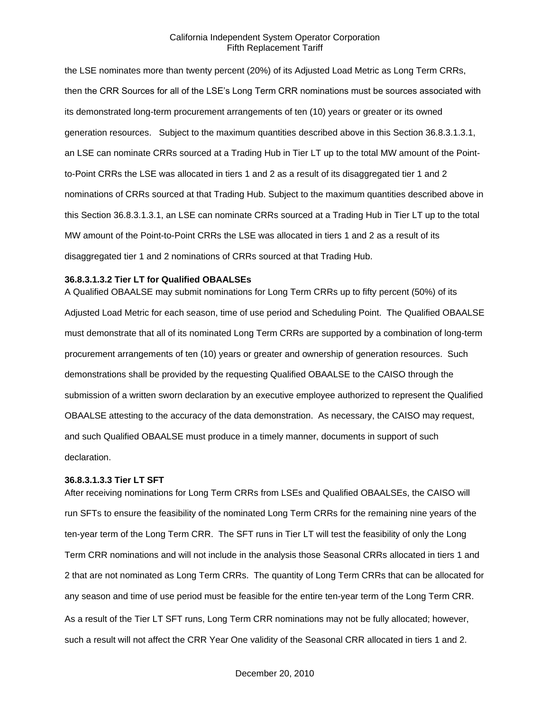the LSE nominates more than twenty percent (20%) of its Adjusted Load Metric as Long Term CRRs, then the CRR Sources for all of the LSE's Long Term CRR nominations must be sources associated with its demonstrated long-term procurement arrangements of ten (10) years or greater or its owned generation resources. Subject to the maximum quantities described above in this Section 36.8.3.1.3.1, an LSE can nominate CRRs sourced at a Trading Hub in Tier LT up to the total MW amount of the Pointto-Point CRRs the LSE was allocated in tiers 1 and 2 as a result of its disaggregated tier 1 and 2 nominations of CRRs sourced at that Trading Hub. Subject to the maximum quantities described above in this Section 36.8.3.1.3.1, an LSE can nominate CRRs sourced at a Trading Hub in Tier LT up to the total MW amount of the Point-to-Point CRRs the LSE was allocated in tiers 1 and 2 as a result of its disaggregated tier 1 and 2 nominations of CRRs sourced at that Trading Hub.

#### **36.8.3.1.3.2 Tier LT for Qualified OBAALSEs**

A Qualified OBAALSE may submit nominations for Long Term CRRs up to fifty percent (50%) of its Adjusted Load Metric for each season, time of use period and Scheduling Point. The Qualified OBAALSE must demonstrate that all of its nominated Long Term CRRs are supported by a combination of long-term procurement arrangements of ten (10) years or greater and ownership of generation resources. Such demonstrations shall be provided by the requesting Qualified OBAALSE to the CAISO through the submission of a written sworn declaration by an executive employee authorized to represent the Qualified OBAALSE attesting to the accuracy of the data demonstration. As necessary, the CAISO may request, and such Qualified OBAALSE must produce in a timely manner, documents in support of such declaration.

## **36.8.3.1.3.3 Tier LT SFT**

After receiving nominations for Long Term CRRs from LSEs and Qualified OBAALSEs, the CAISO will run SFTs to ensure the feasibility of the nominated Long Term CRRs for the remaining nine years of the ten-year term of the Long Term CRR. The SFT runs in Tier LT will test the feasibility of only the Long Term CRR nominations and will not include in the analysis those Seasonal CRRs allocated in tiers 1 and 2 that are not nominated as Long Term CRRs. The quantity of Long Term CRRs that can be allocated for any season and time of use period must be feasible for the entire ten-year term of the Long Term CRR. As a result of the Tier LT SFT runs, Long Term CRR nominations may not be fully allocated; however, such a result will not affect the CRR Year One validity of the Seasonal CRR allocated in tiers 1 and 2.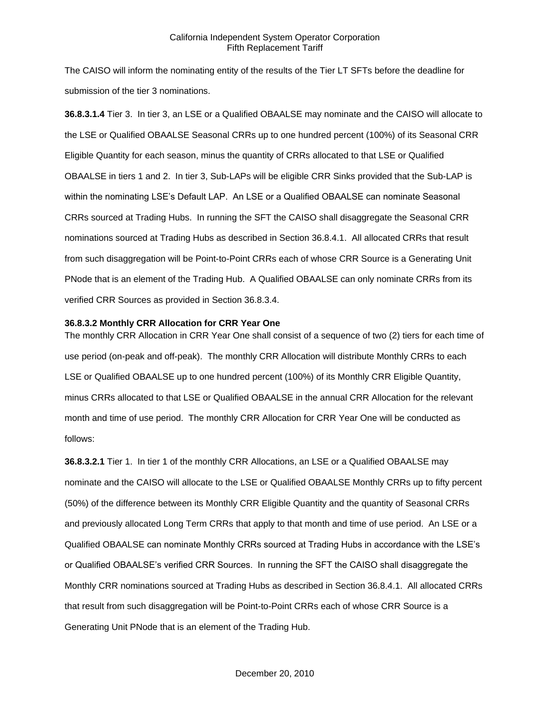The CAISO will inform the nominating entity of the results of the Tier LT SFTs before the deadline for submission of the tier 3 nominations.

**36.8.3.1.4** Tier 3. In tier 3, an LSE or a Qualified OBAALSE may nominate and the CAISO will allocate to the LSE or Qualified OBAALSE Seasonal CRRs up to one hundred percent (100%) of its Seasonal CRR Eligible Quantity for each season, minus the quantity of CRRs allocated to that LSE or Qualified OBAALSE in tiers 1 and 2. In tier 3, Sub-LAPs will be eligible CRR Sinks provided that the Sub-LAP is within the nominating LSE's Default LAP. An LSE or a Qualified OBAALSE can nominate Seasonal CRRs sourced at Trading Hubs. In running the SFT the CAISO shall disaggregate the Seasonal CRR nominations sourced at Trading Hubs as described in Section 36.8.4.1. All allocated CRRs that result from such disaggregation will be Point-to-Point CRRs each of whose CRR Source is a Generating Unit PNode that is an element of the Trading Hub. A Qualified OBAALSE can only nominate CRRs from its verified CRR Sources as provided in Section 36.8.3.4.

#### **36.8.3.2 Monthly CRR Allocation for CRR Year One**

The monthly CRR Allocation in CRR Year One shall consist of a sequence of two (2) tiers for each time of use period (on-peak and off-peak). The monthly CRR Allocation will distribute Monthly CRRs to each LSE or Qualified OBAALSE up to one hundred percent (100%) of its Monthly CRR Eligible Quantity, minus CRRs allocated to that LSE or Qualified OBAALSE in the annual CRR Allocation for the relevant month and time of use period. The monthly CRR Allocation for CRR Year One will be conducted as follows:

**36.8.3.2.1** Tier 1. In tier 1 of the monthly CRR Allocations, an LSE or a Qualified OBAALSE may nominate and the CAISO will allocate to the LSE or Qualified OBAALSE Monthly CRRs up to fifty percent (50%) of the difference between its Monthly CRR Eligible Quantity and the quantity of Seasonal CRRs and previously allocated Long Term CRRs that apply to that month and time of use period. An LSE or a Qualified OBAALSE can nominate Monthly CRRs sourced at Trading Hubs in accordance with the LSE's or Qualified OBAALSE's verified CRR Sources. In running the SFT the CAISO shall disaggregate the Monthly CRR nominations sourced at Trading Hubs as described in Section 36.8.4.1. All allocated CRRs that result from such disaggregation will be Point-to-Point CRRs each of whose CRR Source is a Generating Unit PNode that is an element of the Trading Hub.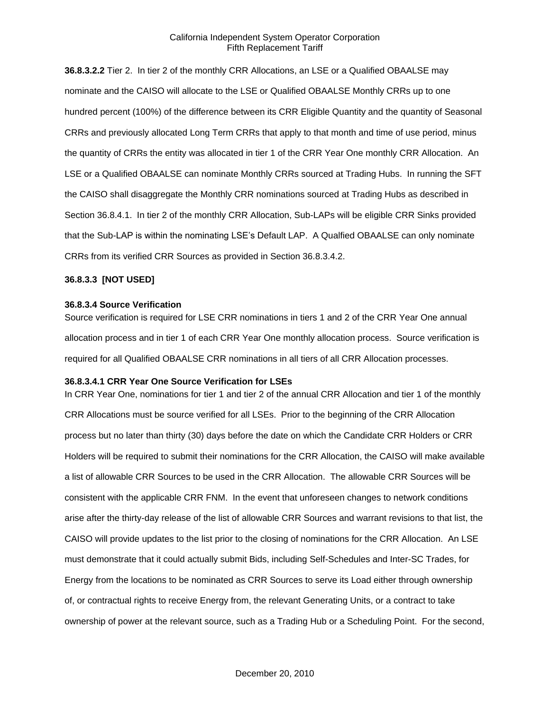**36.8.3.2.2** Tier 2. In tier 2 of the monthly CRR Allocations, an LSE or a Qualified OBAALSE may nominate and the CAISO will allocate to the LSE or Qualified OBAALSE Monthly CRRs up to one hundred percent (100%) of the difference between its CRR Eligible Quantity and the quantity of Seasonal CRRs and previously allocated Long Term CRRs that apply to that month and time of use period, minus the quantity of CRRs the entity was allocated in tier 1 of the CRR Year One monthly CRR Allocation. An LSE or a Qualified OBAALSE can nominate Monthly CRRs sourced at Trading Hubs. In running the SFT the CAISO shall disaggregate the Monthly CRR nominations sourced at Trading Hubs as described in Section 36.8.4.1. In tier 2 of the monthly CRR Allocation, Sub-LAPs will be eligible CRR Sinks provided that the Sub-LAP is within the nominating LSE's Default LAP. A Qualfied OBAALSE can only nominate CRRs from its verified CRR Sources as provided in Section 36.8.3.4.2.

## **36.8.3.3 [NOT USED]**

#### **36.8.3.4 Source Verification**

Source verification is required for LSE CRR nominations in tiers 1 and 2 of the CRR Year One annual allocation process and in tier 1 of each CRR Year One monthly allocation process. Source verification is required for all Qualified OBAALSE CRR nominations in all tiers of all CRR Allocation processes.

## **36.8.3.4.1 CRR Year One Source Verification for LSEs**

In CRR Year One, nominations for tier 1 and tier 2 of the annual CRR Allocation and tier 1 of the monthly CRR Allocations must be source verified for all LSEs. Prior to the beginning of the CRR Allocation process but no later than thirty (30) days before the date on which the Candidate CRR Holders or CRR Holders will be required to submit their nominations for the CRR Allocation, the CAISO will make available a list of allowable CRR Sources to be used in the CRR Allocation. The allowable CRR Sources will be consistent with the applicable CRR FNM. In the event that unforeseen changes to network conditions arise after the thirty-day release of the list of allowable CRR Sources and warrant revisions to that list, the CAISO will provide updates to the list prior to the closing of nominations for the CRR Allocation. An LSE must demonstrate that it could actually submit Bids, including Self-Schedules and Inter-SC Trades, for Energy from the locations to be nominated as CRR Sources to serve its Load either through ownership of, or contractual rights to receive Energy from, the relevant Generating Units, or a contract to take ownership of power at the relevant source, such as a Trading Hub or a Scheduling Point. For the second,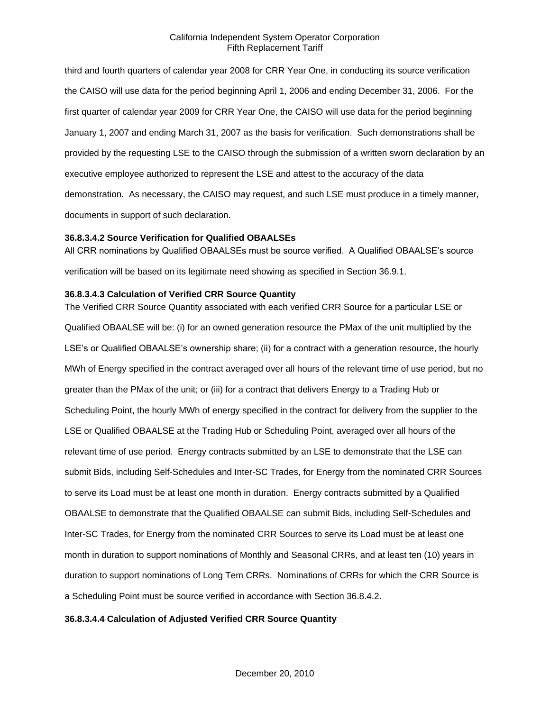third and fourth quarters of calendar year 2008 for CRR Year One, in conducting its source verification the CAISO will use data for the period beginning April 1, 2006 and ending December 31, 2006. For the first quarter of calendar year 2009 for CRR Year One, the CAISO will use data for the period beginning January 1, 2007 and ending March 31, 2007 as the basis for verification. Such demonstrations shall be provided by the requesting LSE to the CAISO through the submission of a written sworn declaration by an executive employee authorized to represent the LSE and attest to the accuracy of the data demonstration. As necessary, the CAISO may request, and such LSE must produce in a timely manner, documents in support of such declaration.

# **36.8.3.4.2 Source Verification for Qualified OBAALSEs**

All CRR nominations by Qualified OBAALSEs must be source verified. A Qualified OBAALSE's source verification will be based on its legitimate need showing as specified in Section 36.9.1.

#### **36.8.3.4.3 Calculation of Verified CRR Source Quantity**

The Verified CRR Source Quantity associated with each verified CRR Source for a particular LSE or Qualified OBAALSE will be: (i) for an owned generation resource the PMax of the unit multiplied by the LSE's or Qualified OBAALSE's ownership share; (ii) for a contract with a generation resource, the hourly MWh of Energy specified in the contract averaged over all hours of the relevant time of use period, but no greater than the PMax of the unit; or (iii) for a contract that delivers Energy to a Trading Hub or Scheduling Point, the hourly MWh of energy specified in the contract for delivery from the supplier to the LSE or Qualified OBAALSE at the Trading Hub or Scheduling Point, averaged over all hours of the relevant time of use period. Energy contracts submitted by an LSE to demonstrate that the LSE can submit Bids, including Self-Schedules and Inter-SC Trades, for Energy from the nominated CRR Sources to serve its Load must be at least one month in duration. Energy contracts submitted by a Qualified OBAALSE to demonstrate that the Qualified OBAALSE can submit Bids, including Self-Schedules and Inter-SC Trades, for Energy from the nominated CRR Sources to serve its Load must be at least one month in duration to support nominations of Monthly and Seasonal CRRs, and at least ten (10) years in duration to support nominations of Long Tem CRRs. Nominations of CRRs for which the CRR Source is a Scheduling Point must be source verified in accordance with Section 36.8.4.2.

## **36.8.3.4.4 Calculation of Adjusted Verified CRR Source Quantity**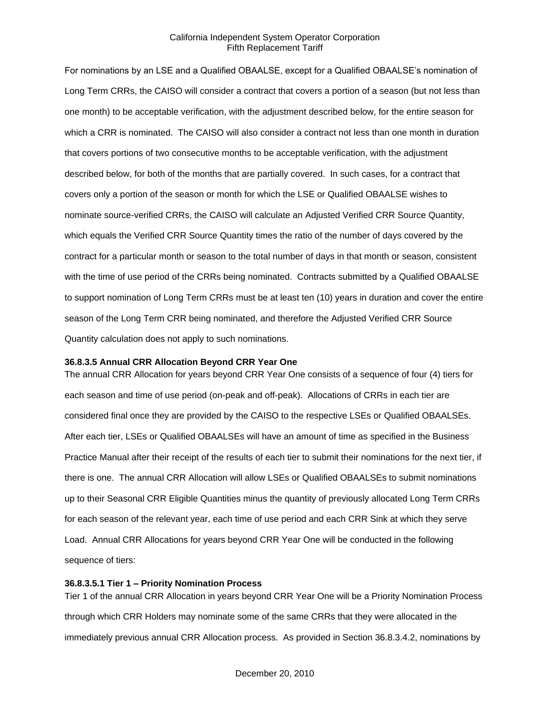For nominations by an LSE and a Qualified OBAALSE, except for a Qualified OBAALSE's nomination of Long Term CRRs, the CAISO will consider a contract that covers a portion of a season (but not less than one month) to be acceptable verification, with the adjustment described below, for the entire season for which a CRR is nominated. The CAISO will also consider a contract not less than one month in duration that covers portions of two consecutive months to be acceptable verification, with the adjustment described below, for both of the months that are partially covered. In such cases, for a contract that covers only a portion of the season or month for which the LSE or Qualified OBAALSE wishes to nominate source-verified CRRs, the CAISO will calculate an Adjusted Verified CRR Source Quantity, which equals the Verified CRR Source Quantity times the ratio of the number of days covered by the contract for a particular month or season to the total number of days in that month or season, consistent with the time of use period of the CRRs being nominated. Contracts submitted by a Qualified OBAALSE to support nomination of Long Term CRRs must be at least ten (10) years in duration and cover the entire season of the Long Term CRR being nominated, and therefore the Adjusted Verified CRR Source Quantity calculation does not apply to such nominations.

#### **36.8.3.5 Annual CRR Allocation Beyond CRR Year One**

The annual CRR Allocation for years beyond CRR Year One consists of a sequence of four (4) tiers for each season and time of use period (on-peak and off-peak). Allocations of CRRs in each tier are considered final once they are provided by the CAISO to the respective LSEs or Qualified OBAALSEs. After each tier, LSEs or Qualified OBAALSEs will have an amount of time as specified in the Business Practice Manual after their receipt of the results of each tier to submit their nominations for the next tier, if there is one. The annual CRR Allocation will allow LSEs or Qualified OBAALSEs to submit nominations up to their Seasonal CRR Eligible Quantities minus the quantity of previously allocated Long Term CRRs for each season of the relevant year, each time of use period and each CRR Sink at which they serve Load. Annual CRR Allocations for years beyond CRR Year One will be conducted in the following sequence of tiers:

#### **36.8.3.5.1 Tier 1 – Priority Nomination Process**

Tier 1 of the annual CRR Allocation in years beyond CRR Year One will be a Priority Nomination Process through which CRR Holders may nominate some of the same CRRs that they were allocated in the immediately previous annual CRR Allocation process. As provided in Section 36.8.3.4.2, nominations by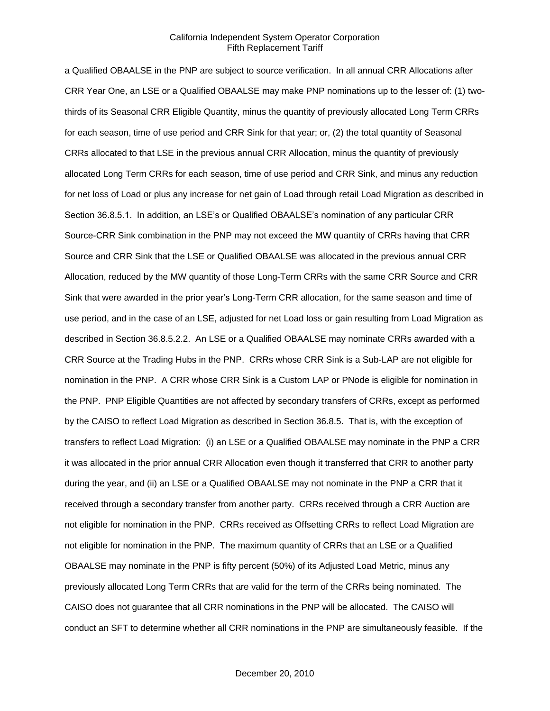a Qualified OBAALSE in the PNP are subject to source verification. In all annual CRR Allocations after CRR Year One, an LSE or a Qualified OBAALSE may make PNP nominations up to the lesser of: (1) twothirds of its Seasonal CRR Eligible Quantity, minus the quantity of previously allocated Long Term CRRs for each season, time of use period and CRR Sink for that year; or, (2) the total quantity of Seasonal CRRs allocated to that LSE in the previous annual CRR Allocation, minus the quantity of previously allocated Long Term CRRs for each season, time of use period and CRR Sink, and minus any reduction for net loss of Load or plus any increase for net gain of Load through retail Load Migration as described in Section 36.8.5.1. In addition, an LSE's or Qualified OBAALSE's nomination of any particular CRR Source-CRR Sink combination in the PNP may not exceed the MW quantity of CRRs having that CRR Source and CRR Sink that the LSE or Qualified OBAALSE was allocated in the previous annual CRR Allocation, reduced by the MW quantity of those Long-Term CRRs with the same CRR Source and CRR Sink that were awarded in the prior year's Long-Term CRR allocation, for the same season and time of use period, and in the case of an LSE, adjusted for net Load loss or gain resulting from Load Migration as described in Section 36.8.5.2.2. An LSE or a Qualified OBAALSE may nominate CRRs awarded with a CRR Source at the Trading Hubs in the PNP. CRRs whose CRR Sink is a Sub-LAP are not eligible for nomination in the PNP. A CRR whose CRR Sink is a Custom LAP or PNode is eligible for nomination in the PNP. PNP Eligible Quantities are not affected by secondary transfers of CRRs, except as performed by the CAISO to reflect Load Migration as described in Section 36.8.5. That is, with the exception of transfers to reflect Load Migration: (i) an LSE or a Qualified OBAALSE may nominate in the PNP a CRR it was allocated in the prior annual CRR Allocation even though it transferred that CRR to another party during the year, and (ii) an LSE or a Qualified OBAALSE may not nominate in the PNP a CRR that it received through a secondary transfer from another party. CRRs received through a CRR Auction are not eligible for nomination in the PNP. CRRs received as Offsetting CRRs to reflect Load Migration are not eligible for nomination in the PNP. The maximum quantity of CRRs that an LSE or a Qualified OBAALSE may nominate in the PNP is fifty percent (50%) of its Adjusted Load Metric, minus any previously allocated Long Term CRRs that are valid for the term of the CRRs being nominated. The CAISO does not guarantee that all CRR nominations in the PNP will be allocated. The CAISO will conduct an SFT to determine whether all CRR nominations in the PNP are simultaneously feasible. If the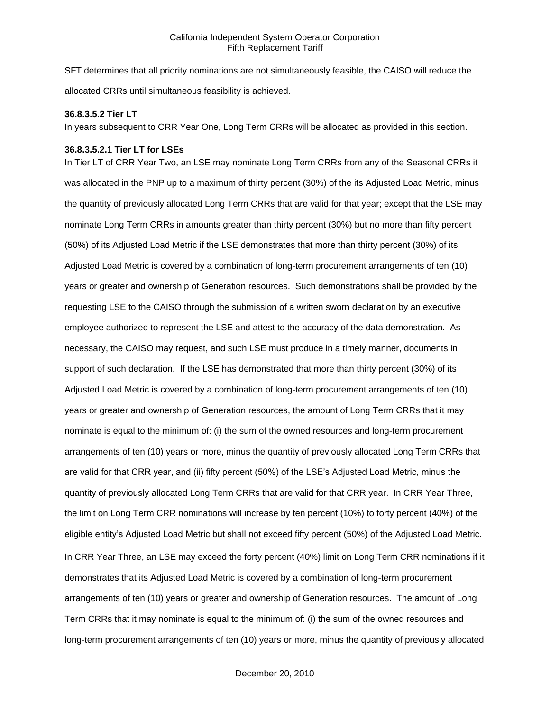SFT determines that all priority nominations are not simultaneously feasible, the CAISO will reduce the allocated CRRs until simultaneous feasibility is achieved.

#### **36.8.3.5.2 Tier LT**

In years subsequent to CRR Year One, Long Term CRRs will be allocated as provided in this section.

#### **36.8.3.5.2.1 Tier LT for LSEs**

In Tier LT of CRR Year Two, an LSE may nominate Long Term CRRs from any of the Seasonal CRRs it was allocated in the PNP up to a maximum of thirty percent (30%) of the its Adjusted Load Metric, minus the quantity of previously allocated Long Term CRRs that are valid for that year; except that the LSE may nominate Long Term CRRs in amounts greater than thirty percent (30%) but no more than fifty percent (50%) of its Adjusted Load Metric if the LSE demonstrates that more than thirty percent (30%) of its Adjusted Load Metric is covered by a combination of long-term procurement arrangements of ten (10) years or greater and ownership of Generation resources. Such demonstrations shall be provided by the requesting LSE to the CAISO through the submission of a written sworn declaration by an executive employee authorized to represent the LSE and attest to the accuracy of the data demonstration. As necessary, the CAISO may request, and such LSE must produce in a timely manner, documents in support of such declaration. If the LSE has demonstrated that more than thirty percent (30%) of its Adjusted Load Metric is covered by a combination of long-term procurement arrangements of ten (10) years or greater and ownership of Generation resources, the amount of Long Term CRRs that it may nominate is equal to the minimum of: (i) the sum of the owned resources and long-term procurement arrangements of ten (10) years or more, minus the quantity of previously allocated Long Term CRRs that are valid for that CRR year, and (ii) fifty percent (50%) of the LSE's Adjusted Load Metric, minus the quantity of previously allocated Long Term CRRs that are valid for that CRR year. In CRR Year Three, the limit on Long Term CRR nominations will increase by ten percent (10%) to forty percent (40%) of the eligible entity's Adjusted Load Metric but shall not exceed fifty percent (50%) of the Adjusted Load Metric. In CRR Year Three, an LSE may exceed the forty percent (40%) limit on Long Term CRR nominations if it demonstrates that its Adjusted Load Metric is covered by a combination of long-term procurement arrangements of ten (10) years or greater and ownership of Generation resources. The amount of Long Term CRRs that it may nominate is equal to the minimum of: (i) the sum of the owned resources and long-term procurement arrangements of ten (10) years or more, minus the quantity of previously allocated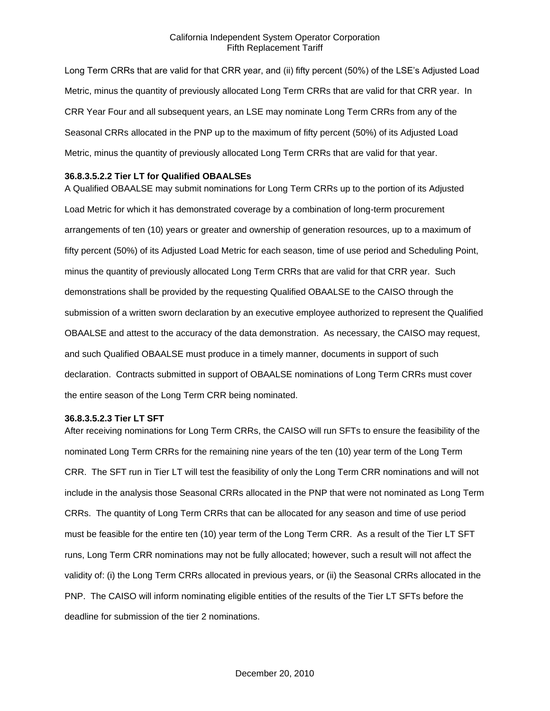Long Term CRRs that are valid for that CRR year, and (ii) fifty percent (50%) of the LSE's Adjusted Load Metric, minus the quantity of previously allocated Long Term CRRs that are valid for that CRR year. In CRR Year Four and all subsequent years, an LSE may nominate Long Term CRRs from any of the Seasonal CRRs allocated in the PNP up to the maximum of fifty percent (50%) of its Adjusted Load Metric, minus the quantity of previously allocated Long Term CRRs that are valid for that year.

#### **36.8.3.5.2.2 Tier LT for Qualified OBAALSEs**

A Qualified OBAALSE may submit nominations for Long Term CRRs up to the portion of its Adjusted Load Metric for which it has demonstrated coverage by a combination of long-term procurement arrangements of ten (10) years or greater and ownership of generation resources, up to a maximum of fifty percent (50%) of its Adjusted Load Metric for each season, time of use period and Scheduling Point, minus the quantity of previously allocated Long Term CRRs that are valid for that CRR year. Such demonstrations shall be provided by the requesting Qualified OBAALSE to the CAISO through the submission of a written sworn declaration by an executive employee authorized to represent the Qualified OBAALSE and attest to the accuracy of the data demonstration. As necessary, the CAISO may request, and such Qualified OBAALSE must produce in a timely manner, documents in support of such declaration. Contracts submitted in support of OBAALSE nominations of Long Term CRRs must cover the entire season of the Long Term CRR being nominated.

# **36.8.3.5.2.3 Tier LT SFT**

After receiving nominations for Long Term CRRs, the CAISO will run SFTs to ensure the feasibility of the nominated Long Term CRRs for the remaining nine years of the ten (10) year term of the Long Term CRR. The SFT run in Tier LT will test the feasibility of only the Long Term CRR nominations and will not include in the analysis those Seasonal CRRs allocated in the PNP that were not nominated as Long Term CRRs. The quantity of Long Term CRRs that can be allocated for any season and time of use period must be feasible for the entire ten (10) year term of the Long Term CRR. As a result of the Tier LT SFT runs, Long Term CRR nominations may not be fully allocated; however, such a result will not affect the validity of: (i) the Long Term CRRs allocated in previous years, or (ii) the Seasonal CRRs allocated in the PNP. The CAISO will inform nominating eligible entities of the results of the Tier LT SFTs before the deadline for submission of the tier 2 nominations.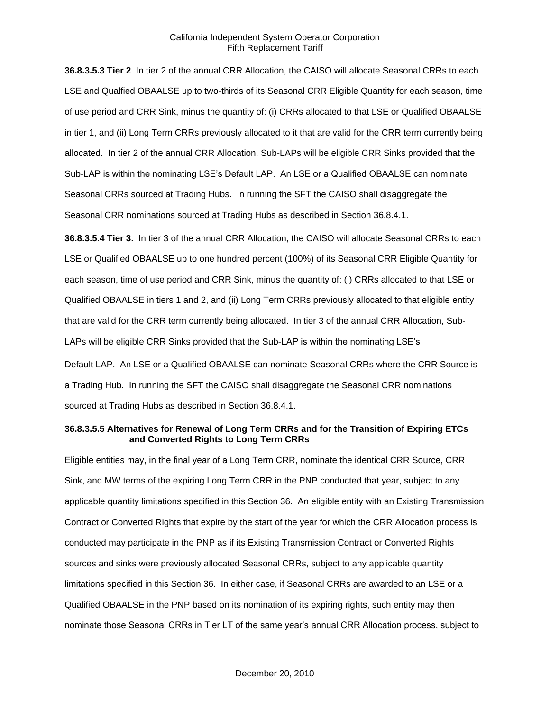**36.8.3.5.3 Tier 2** In tier 2 of the annual CRR Allocation, the CAISO will allocate Seasonal CRRs to each LSE and Qualfied OBAALSE up to two-thirds of its Seasonal CRR Eligible Quantity for each season, time of use period and CRR Sink, minus the quantity of: (i) CRRs allocated to that LSE or Qualified OBAALSE in tier 1, and (ii) Long Term CRRs previously allocated to it that are valid for the CRR term currently being allocated. In tier 2 of the annual CRR Allocation, Sub-LAPs will be eligible CRR Sinks provided that the Sub-LAP is within the nominating LSE's Default LAP. An LSE or a Qualified OBAALSE can nominate Seasonal CRRs sourced at Trading Hubs. In running the SFT the CAISO shall disaggregate the Seasonal CRR nominations sourced at Trading Hubs as described in Section 36.8.4.1.

**36.8.3.5.4 Tier 3.** In tier 3 of the annual CRR Allocation, the CAISO will allocate Seasonal CRRs to each LSE or Qualified OBAALSE up to one hundred percent (100%) of its Seasonal CRR Eligible Quantity for each season, time of use period and CRR Sink, minus the quantity of: (i) CRRs allocated to that LSE or Qualified OBAALSE in tiers 1 and 2, and (ii) Long Term CRRs previously allocated to that eligible entity that are valid for the CRR term currently being allocated. In tier 3 of the annual CRR Allocation, Sub-LAPs will be eligible CRR Sinks provided that the Sub-LAP is within the nominating LSE's

Default LAP. An LSE or a Qualified OBAALSE can nominate Seasonal CRRs where the CRR Source is a Trading Hub. In running the SFT the CAISO shall disaggregate the Seasonal CRR nominations sourced at Trading Hubs as described in Section 36.8.4.1.

#### **36.8.3.5.5 Alternatives for Renewal of Long Term CRRs and for the Transition of Expiring ETCs and Converted Rights to Long Term CRRs**

Eligible entities may, in the final year of a Long Term CRR, nominate the identical CRR Source, CRR Sink, and MW terms of the expiring Long Term CRR in the PNP conducted that year, subject to any applicable quantity limitations specified in this Section 36. An eligible entity with an Existing Transmission Contract or Converted Rights that expire by the start of the year for which the CRR Allocation process is conducted may participate in the PNP as if its Existing Transmission Contract or Converted Rights sources and sinks were previously allocated Seasonal CRRs, subject to any applicable quantity limitations specified in this Section 36. In either case, if Seasonal CRRs are awarded to an LSE or a Qualified OBAALSE in the PNP based on its nomination of its expiring rights, such entity may then nominate those Seasonal CRRs in Tier LT of the same year's annual CRR Allocation process, subject to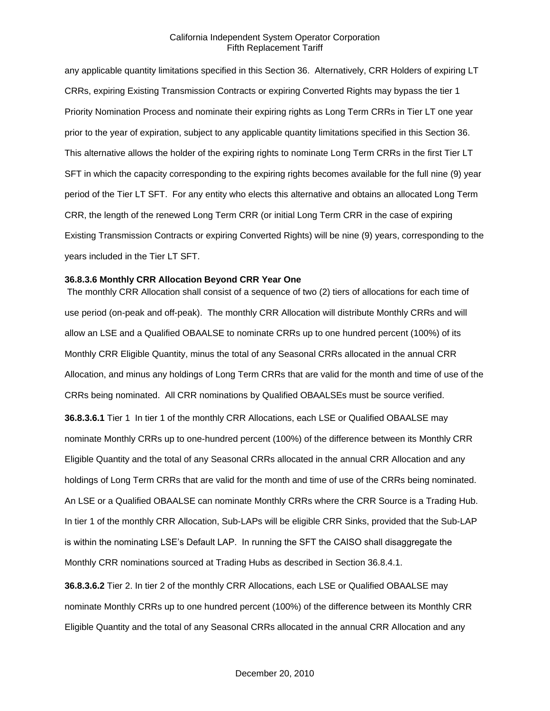any applicable quantity limitations specified in this Section 36. Alternatively, CRR Holders of expiring LT CRRs, expiring Existing Transmission Contracts or expiring Converted Rights may bypass the tier 1 Priority Nomination Process and nominate their expiring rights as Long Term CRRs in Tier LT one year prior to the year of expiration, subject to any applicable quantity limitations specified in this Section 36. This alternative allows the holder of the expiring rights to nominate Long Term CRRs in the first Tier LT SFT in which the capacity corresponding to the expiring rights becomes available for the full nine (9) year period of the Tier LT SFT. For any entity who elects this alternative and obtains an allocated Long Term CRR, the length of the renewed Long Term CRR (or initial Long Term CRR in the case of expiring Existing Transmission Contracts or expiring Converted Rights) will be nine (9) years, corresponding to the years included in the Tier LT SFT.

#### **36.8.3.6 Monthly CRR Allocation Beyond CRR Year One**

The monthly CRR Allocation shall consist of a sequence of two (2) tiers of allocations for each time of use period (on-peak and off-peak). The monthly CRR Allocation will distribute Monthly CRRs and will allow an LSE and a Qualified OBAALSE to nominate CRRs up to one hundred percent (100%) of its Monthly CRR Eligible Quantity, minus the total of any Seasonal CRRs allocated in the annual CRR Allocation, and minus any holdings of Long Term CRRs that are valid for the month and time of use of the CRRs being nominated. All CRR nominations by Qualified OBAALSEs must be source verified. **36.8.3.6.1** Tier 1 In tier 1 of the monthly CRR Allocations, each LSE or Qualified OBAALSE may nominate Monthly CRRs up to one-hundred percent (100%) of the difference between its Monthly CRR Eligible Quantity and the total of any Seasonal CRRs allocated in the annual CRR Allocation and any holdings of Long Term CRRs that are valid for the month and time of use of the CRRs being nominated. An LSE or a Qualified OBAALSE can nominate Monthly CRRs where the CRR Source is a Trading Hub. In tier 1 of the monthly CRR Allocation, Sub-LAPs will be eligible CRR Sinks, provided that the Sub-LAP is within the nominating LSE's Default LAP. In running the SFT the CAISO shall disaggregate the Monthly CRR nominations sourced at Trading Hubs as described in Section 36.8.4.1.

**36.8.3.6.2** Tier 2. In tier 2 of the monthly CRR Allocations, each LSE or Qualified OBAALSE may nominate Monthly CRRs up to one hundred percent (100%) of the difference between its Monthly CRR Eligible Quantity and the total of any Seasonal CRRs allocated in the annual CRR Allocation and any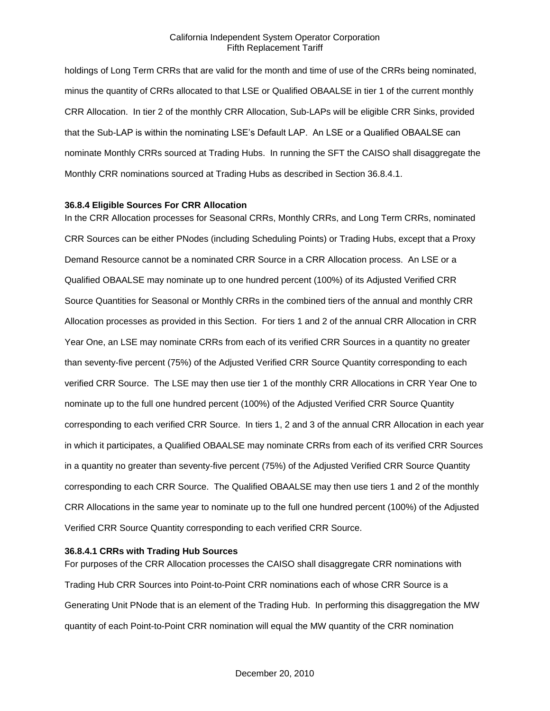holdings of Long Term CRRs that are valid for the month and time of use of the CRRs being nominated, minus the quantity of CRRs allocated to that LSE or Qualified OBAALSE in tier 1 of the current monthly CRR Allocation. In tier 2 of the monthly CRR Allocation, Sub-LAPs will be eligible CRR Sinks, provided that the Sub-LAP is within the nominating LSE's Default LAP. An LSE or a Qualified OBAALSE can nominate Monthly CRRs sourced at Trading Hubs. In running the SFT the CAISO shall disaggregate the Monthly CRR nominations sourced at Trading Hubs as described in Section 36.8.4.1.

#### **36.8.4 Eligible Sources For CRR Allocation**

In the CRR Allocation processes for Seasonal CRRs, Monthly CRRs, and Long Term CRRs, nominated CRR Sources can be either PNodes (including Scheduling Points) or Trading Hubs, except that a Proxy Demand Resource cannot be a nominated CRR Source in a CRR Allocation process. An LSE or a Qualified OBAALSE may nominate up to one hundred percent (100%) of its Adjusted Verified CRR Source Quantities for Seasonal or Monthly CRRs in the combined tiers of the annual and monthly CRR Allocation processes as provided in this Section. For tiers 1 and 2 of the annual CRR Allocation in CRR Year One, an LSE may nominate CRRs from each of its verified CRR Sources in a quantity no greater than seventy-five percent (75%) of the Adjusted Verified CRR Source Quantity corresponding to each verified CRR Source. The LSE may then use tier 1 of the monthly CRR Allocations in CRR Year One to nominate up to the full one hundred percent (100%) of the Adjusted Verified CRR Source Quantity corresponding to each verified CRR Source. In tiers 1, 2 and 3 of the annual CRR Allocation in each year in which it participates, a Qualified OBAALSE may nominate CRRs from each of its verified CRR Sources in a quantity no greater than seventy-five percent (75%) of the Adjusted Verified CRR Source Quantity corresponding to each CRR Source. The Qualified OBAALSE may then use tiers 1 and 2 of the monthly CRR Allocations in the same year to nominate up to the full one hundred percent (100%) of the Adjusted Verified CRR Source Quantity corresponding to each verified CRR Source.

#### **36.8.4.1 CRRs with Trading Hub Sources**

For purposes of the CRR Allocation processes the CAISO shall disaggregate CRR nominations with Trading Hub CRR Sources into Point-to-Point CRR nominations each of whose CRR Source is a Generating Unit PNode that is an element of the Trading Hub. In performing this disaggregation the MW quantity of each Point-to-Point CRR nomination will equal the MW quantity of the CRR nomination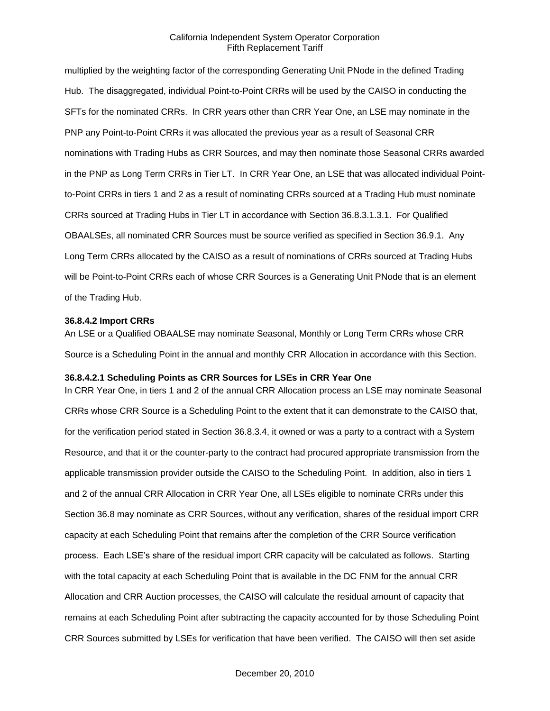multiplied by the weighting factor of the corresponding Generating Unit PNode in the defined Trading Hub. The disaggregated, individual Point-to-Point CRRs will be used by the CAISO in conducting the SFTs for the nominated CRRs. In CRR years other than CRR Year One, an LSE may nominate in the PNP any Point-to-Point CRRs it was allocated the previous year as a result of Seasonal CRR nominations with Trading Hubs as CRR Sources, and may then nominate those Seasonal CRRs awarded in the PNP as Long Term CRRs in Tier LT. In CRR Year One, an LSE that was allocated individual Pointto-Point CRRs in tiers 1 and 2 as a result of nominating CRRs sourced at a Trading Hub must nominate CRRs sourced at Trading Hubs in Tier LT in accordance with Section 36.8.3.1.3.1. For Qualified OBAALSEs, all nominated CRR Sources must be source verified as specified in Section 36.9.1. Any Long Term CRRs allocated by the CAISO as a result of nominations of CRRs sourced at Trading Hubs will be Point-to-Point CRRs each of whose CRR Sources is a Generating Unit PNode that is an element of the Trading Hub.

#### **36.8.4.2 Import CRRs**

An LSE or a Qualified OBAALSE may nominate Seasonal, Monthly or Long Term CRRs whose CRR Source is a Scheduling Point in the annual and monthly CRR Allocation in accordance with this Section.

#### **36.8.4.2.1 Scheduling Points as CRR Sources for LSEs in CRR Year One**

In CRR Year One, in tiers 1 and 2 of the annual CRR Allocation process an LSE may nominate Seasonal CRRs whose CRR Source is a Scheduling Point to the extent that it can demonstrate to the CAISO that, for the verification period stated in Section 36.8.3.4, it owned or was a party to a contract with a System Resource, and that it or the counter-party to the contract had procured appropriate transmission from the applicable transmission provider outside the CAISO to the Scheduling Point. In addition, also in tiers 1 and 2 of the annual CRR Allocation in CRR Year One, all LSEs eligible to nominate CRRs under this Section 36.8 may nominate as CRR Sources, without any verification, shares of the residual import CRR capacity at each Scheduling Point that remains after the completion of the CRR Source verification process. Each LSE's share of the residual import CRR capacity will be calculated as follows. Starting with the total capacity at each Scheduling Point that is available in the DC FNM for the annual CRR Allocation and CRR Auction processes, the CAISO will calculate the residual amount of capacity that remains at each Scheduling Point after subtracting the capacity accounted for by those Scheduling Point CRR Sources submitted by LSEs for verification that have been verified. The CAISO will then set aside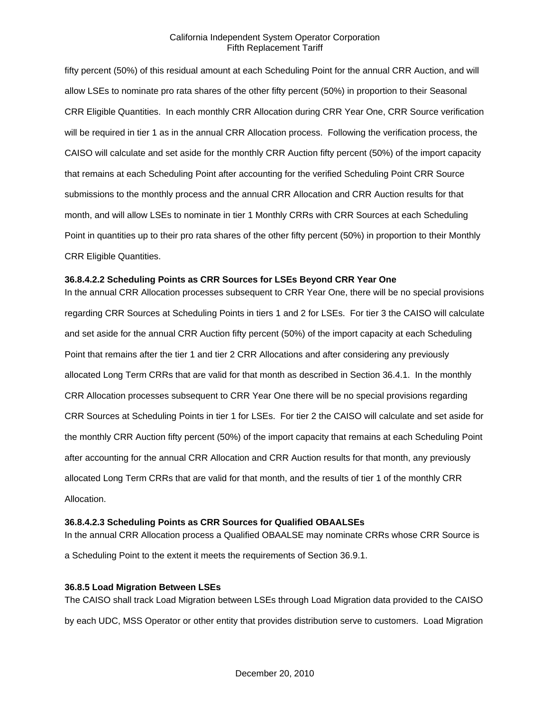fifty percent (50%) of this residual amount at each Scheduling Point for the annual CRR Auction, and will allow LSEs to nominate pro rata shares of the other fifty percent (50%) in proportion to their Seasonal CRR Eligible Quantities. In each monthly CRR Allocation during CRR Year One, CRR Source verification will be required in tier 1 as in the annual CRR Allocation process. Following the verification process, the CAISO will calculate and set aside for the monthly CRR Auction fifty percent (50%) of the import capacity that remains at each Scheduling Point after accounting for the verified Scheduling Point CRR Source submissions to the monthly process and the annual CRR Allocation and CRR Auction results for that month, and will allow LSEs to nominate in tier 1 Monthly CRRs with CRR Sources at each Scheduling Point in quantities up to their pro rata shares of the other fifty percent (50%) in proportion to their Monthly CRR Eligible Quantities.

## **36.8.4.2.2 Scheduling Points as CRR Sources for LSEs Beyond CRR Year One**

In the annual CRR Allocation processes subsequent to CRR Year One, there will be no special provisions regarding CRR Sources at Scheduling Points in tiers 1 and 2 for LSEs. For tier 3 the CAISO will calculate and set aside for the annual CRR Auction fifty percent (50%) of the import capacity at each Scheduling Point that remains after the tier 1 and tier 2 CRR Allocations and after considering any previously allocated Long Term CRRs that are valid for that month as described in Section 36.4.1. In the monthly CRR Allocation processes subsequent to CRR Year One there will be no special provisions regarding CRR Sources at Scheduling Points in tier 1 for LSEs. For tier 2 the CAISO will calculate and set aside for the monthly CRR Auction fifty percent (50%) of the import capacity that remains at each Scheduling Point after accounting for the annual CRR Allocation and CRR Auction results for that month, any previously allocated Long Term CRRs that are valid for that month, and the results of tier 1 of the monthly CRR Allocation.

## **36.8.4.2.3 Scheduling Points as CRR Sources for Qualified OBAALSEs**

In the annual CRR Allocation process a Qualified OBAALSE may nominate CRRs whose CRR Source is a Scheduling Point to the extent it meets the requirements of Section 36.9.1.

## **36.8.5 Load Migration Between LSEs**

The CAISO shall track Load Migration between LSEs through Load Migration data provided to the CAISO by each UDC, MSS Operator or other entity that provides distribution serve to customers. Load Migration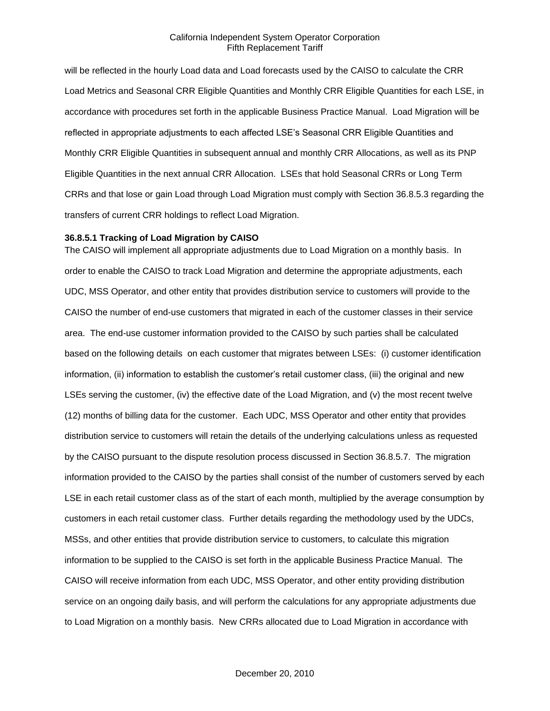will be reflected in the hourly Load data and Load forecasts used by the CAISO to calculate the CRR Load Metrics and Seasonal CRR Eligible Quantities and Monthly CRR Eligible Quantities for each LSE, in accordance with procedures set forth in the applicable Business Practice Manual. Load Migration will be reflected in appropriate adjustments to each affected LSE's Seasonal CRR Eligible Quantities and Monthly CRR Eligible Quantities in subsequent annual and monthly CRR Allocations, as well as its PNP Eligible Quantities in the next annual CRR Allocation. LSEs that hold Seasonal CRRs or Long Term CRRs and that lose or gain Load through Load Migration must comply with Section 36.8.5.3 regarding the transfers of current CRR holdings to reflect Load Migration.

#### **36.8.5.1 Tracking of Load Migration by CAISO**

The CAISO will implement all appropriate adjustments due to Load Migration on a monthly basis. In order to enable the CAISO to track Load Migration and determine the appropriate adjustments, each UDC, MSS Operator, and other entity that provides distribution service to customers will provide to the CAISO the number of end-use customers that migrated in each of the customer classes in their service area. The end-use customer information provided to the CAISO by such parties shall be calculated based on the following details on each customer that migrates between LSEs: (i) customer identification information, (ii) information to establish the customer's retail customer class, (iii) the original and new LSEs serving the customer, (iv) the effective date of the Load Migration, and (v) the most recent twelve (12) months of billing data for the customer. Each UDC, MSS Operator and other entity that provides distribution service to customers will retain the details of the underlying calculations unless as requested by the CAISO pursuant to the dispute resolution process discussed in Section 36.8.5.7. The migration information provided to the CAISO by the parties shall consist of the number of customers served by each LSE in each retail customer class as of the start of each month, multiplied by the average consumption by customers in each retail customer class. Further details regarding the methodology used by the UDCs, MSSs, and other entities that provide distribution service to customers, to calculate this migration information to be supplied to the CAISO is set forth in the applicable Business Practice Manual. The CAISO will receive information from each UDC, MSS Operator, and other entity providing distribution service on an ongoing daily basis, and will perform the calculations for any appropriate adjustments due to Load Migration on a monthly basis. New CRRs allocated due to Load Migration in accordance with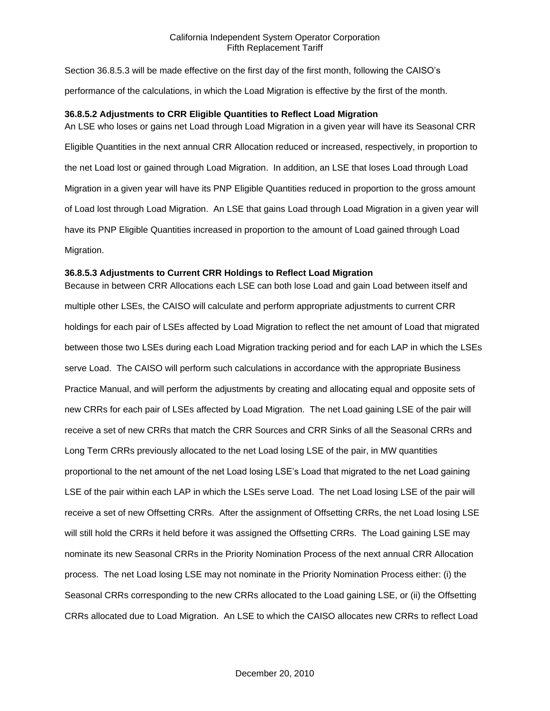Section 36.8.5.3 will be made effective on the first day of the first month, following the CAISO's performance of the calculations, in which the Load Migration is effective by the first of the month.

## **36.8.5.2 Adjustments to CRR Eligible Quantities to Reflect Load Migration**

An LSE who loses or gains net Load through Load Migration in a given year will have its Seasonal CRR Eligible Quantities in the next annual CRR Allocation reduced or increased, respectively, in proportion to the net Load lost or gained through Load Migration. In addition, an LSE that loses Load through Load Migration in a given year will have its PNP Eligible Quantities reduced in proportion to the gross amount of Load lost through Load Migration. An LSE that gains Load through Load Migration in a given year will have its PNP Eligible Quantities increased in proportion to the amount of Load gained through Load Migration.

## **36.8.5.3 Adjustments to Current CRR Holdings to Reflect Load Migration**

Because in between CRR Allocations each LSE can both lose Load and gain Load between itself and multiple other LSEs, the CAISO will calculate and perform appropriate adjustments to current CRR holdings for each pair of LSEs affected by Load Migration to reflect the net amount of Load that migrated between those two LSEs during each Load Migration tracking period and for each LAP in which the LSEs serve Load. The CAISO will perform such calculations in accordance with the appropriate Business Practice Manual, and will perform the adjustments by creating and allocating equal and opposite sets of new CRRs for each pair of LSEs affected by Load Migration. The net Load gaining LSE of the pair will receive a set of new CRRs that match the CRR Sources and CRR Sinks of all the Seasonal CRRs and Long Term CRRs previously allocated to the net Load losing LSE of the pair, in MW quantities proportional to the net amount of the net Load losing LSE's Load that migrated to the net Load gaining LSE of the pair within each LAP in which the LSEs serve Load. The net Load losing LSE of the pair will receive a set of new Offsetting CRRs. After the assignment of Offsetting CRRs, the net Load losing LSE will still hold the CRRs it held before it was assigned the Offsetting CRRs. The Load gaining LSE may nominate its new Seasonal CRRs in the Priority Nomination Process of the next annual CRR Allocation process. The net Load losing LSE may not nominate in the Priority Nomination Process either: (i) the Seasonal CRRs corresponding to the new CRRs allocated to the Load gaining LSE, or (ii) the Offsetting CRRs allocated due to Load Migration. An LSE to which the CAISO allocates new CRRs to reflect Load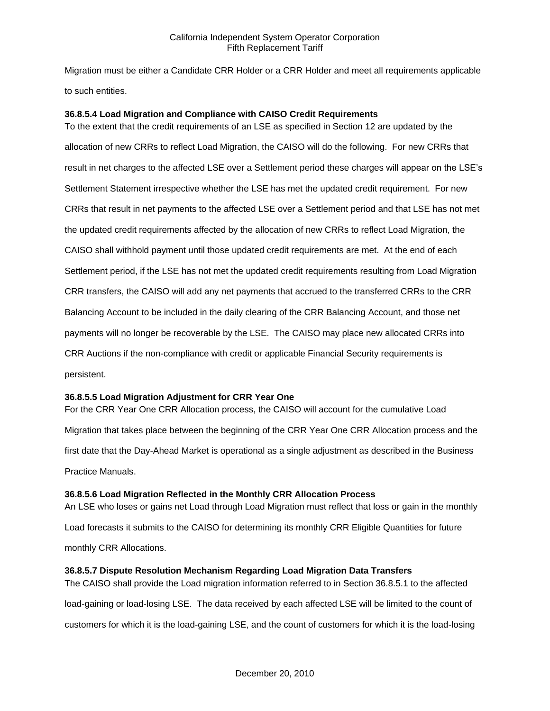Migration must be either a Candidate CRR Holder or a CRR Holder and meet all requirements applicable to such entities.

# **36.8.5.4 Load Migration and Compliance with CAISO Credit Requirements**

To the extent that the credit requirements of an LSE as specified in Section 12 are updated by the allocation of new CRRs to reflect Load Migration, the CAISO will do the following. For new CRRs that result in net charges to the affected LSE over a Settlement period these charges will appear on the LSE's Settlement Statement irrespective whether the LSE has met the updated credit requirement. For new CRRs that result in net payments to the affected LSE over a Settlement period and that LSE has not met the updated credit requirements affected by the allocation of new CRRs to reflect Load Migration, the CAISO shall withhold payment until those updated credit requirements are met. At the end of each Settlement period, if the LSE has not met the updated credit requirements resulting from Load Migration CRR transfers, the CAISO will add any net payments that accrued to the transferred CRRs to the CRR Balancing Account to be included in the daily clearing of the CRR Balancing Account, and those net payments will no longer be recoverable by the LSE. The CAISO may place new allocated CRRs into CRR Auctions if the non-compliance with credit or applicable Financial Security requirements is persistent.

## **36.8.5.5 Load Migration Adjustment for CRR Year One**

For the CRR Year One CRR Allocation process, the CAISO will account for the cumulative Load Migration that takes place between the beginning of the CRR Year One CRR Allocation process and the first date that the Day-Ahead Market is operational as a single adjustment as described in the Business Practice Manuals.

## **36.8.5.6 Load Migration Reflected in the Monthly CRR Allocation Process**

An LSE who loses or gains net Load through Load Migration must reflect that loss or gain in the monthly Load forecasts it submits to the CAISO for determining its monthly CRR Eligible Quantities for future monthly CRR Allocations.

## **36.8.5.7 Dispute Resolution Mechanism Regarding Load Migration Data Transfers**

The CAISO shall provide the Load migration information referred to in Section 36.8.5.1 to the affected load-gaining or load-losing LSE. The data received by each affected LSE will be limited to the count of customers for which it is the load-gaining LSE, and the count of customers for which it is the load-losing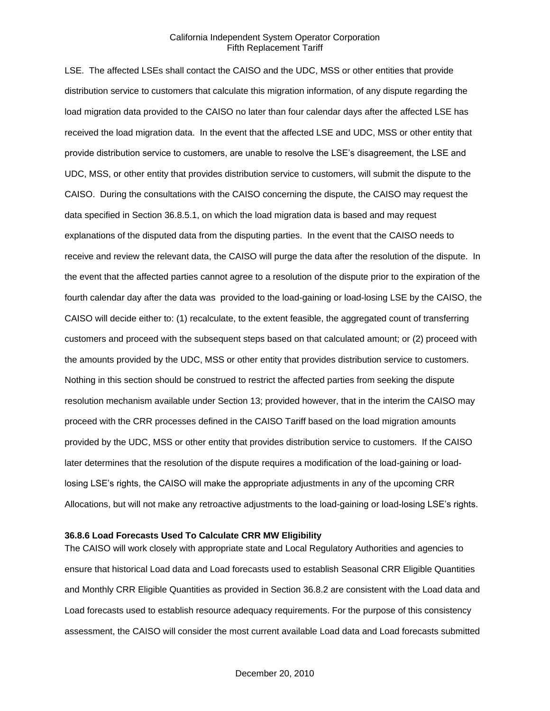LSE. The affected LSEs shall contact the CAISO and the UDC, MSS or other entities that provide distribution service to customers that calculate this migration information, of any dispute regarding the load migration data provided to the CAISO no later than four calendar days after the affected LSE has received the load migration data. In the event that the affected LSE and UDC, MSS or other entity that provide distribution service to customers, are unable to resolve the LSE's disagreement, the LSE and UDC, MSS, or other entity that provides distribution service to customers, will submit the dispute to the CAISO. During the consultations with the CAISO concerning the dispute, the CAISO may request the data specified in Section 36.8.5.1, on which the load migration data is based and may request explanations of the disputed data from the disputing parties. In the event that the CAISO needs to receive and review the relevant data, the CAISO will purge the data after the resolution of the dispute. In the event that the affected parties cannot agree to a resolution of the dispute prior to the expiration of the fourth calendar day after the data was provided to the load-gaining or load-losing LSE by the CAISO, the CAISO will decide either to: (1) recalculate, to the extent feasible, the aggregated count of transferring customers and proceed with the subsequent steps based on that calculated amount; or (2) proceed with the amounts provided by the UDC, MSS or other entity that provides distribution service to customers. Nothing in this section should be construed to restrict the affected parties from seeking the dispute resolution mechanism available under Section 13; provided however, that in the interim the CAISO may proceed with the CRR processes defined in the CAISO Tariff based on the load migration amounts provided by the UDC, MSS or other entity that provides distribution service to customers. If the CAISO later determines that the resolution of the dispute requires a modification of the load-gaining or loadlosing LSE's rights, the CAISO will make the appropriate adjustments in any of the upcoming CRR Allocations, but will not make any retroactive adjustments to the load-gaining or load-losing LSE's rights.

#### **36.8.6 Load Forecasts Used To Calculate CRR MW Eligibility**

The CAISO will work closely with appropriate state and Local Regulatory Authorities and agencies to ensure that historical Load data and Load forecasts used to establish Seasonal CRR Eligible Quantities and Monthly CRR Eligible Quantities as provided in Section 36.8.2 are consistent with the Load data and Load forecasts used to establish resource adequacy requirements. For the purpose of this consistency assessment, the CAISO will consider the most current available Load data and Load forecasts submitted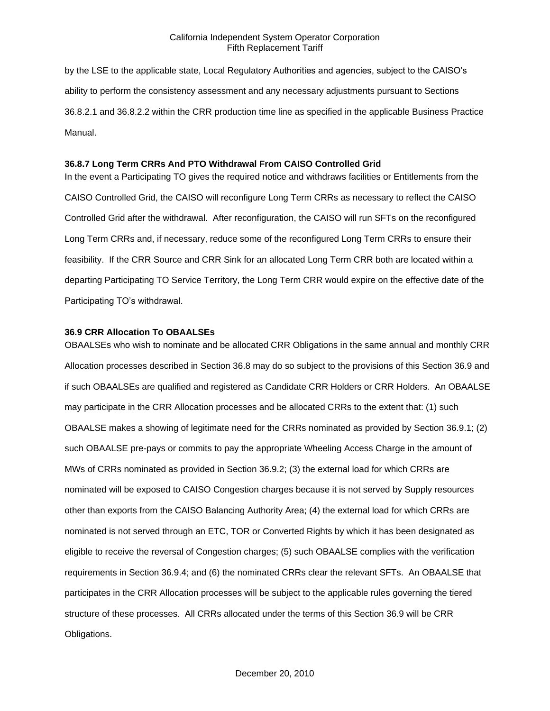by the LSE to the applicable state, Local Regulatory Authorities and agencies, subject to the CAISO's ability to perform the consistency assessment and any necessary adjustments pursuant to Sections 36.8.2.1 and 36.8.2.2 within the CRR production time line as specified in the applicable Business Practice Manual.

#### **36.8.7 Long Term CRRs And PTO Withdrawal From CAISO Controlled Grid**

In the event a Participating TO gives the required notice and withdraws facilities or Entitlements from the CAISO Controlled Grid, the CAISO will reconfigure Long Term CRRs as necessary to reflect the CAISO Controlled Grid after the withdrawal. After reconfiguration, the CAISO will run SFTs on the reconfigured Long Term CRRs and, if necessary, reduce some of the reconfigured Long Term CRRs to ensure their feasibility. If the CRR Source and CRR Sink for an allocated Long Term CRR both are located within a departing Participating TO Service Territory, the Long Term CRR would expire on the effective date of the Participating TO's withdrawal.

#### **36.9 CRR Allocation To OBAALSEs**

OBAALSEs who wish to nominate and be allocated CRR Obligations in the same annual and monthly CRR Allocation processes described in Section 36.8 may do so subject to the provisions of this Section 36.9 and if such OBAALSEs are qualified and registered as Candidate CRR Holders or CRR Holders. An OBAALSE may participate in the CRR Allocation processes and be allocated CRRs to the extent that: (1) such OBAALSE makes a showing of legitimate need for the CRRs nominated as provided by Section 36.9.1; (2) such OBAALSE pre-pays or commits to pay the appropriate Wheeling Access Charge in the amount of MWs of CRRs nominated as provided in Section 36.9.2; (3) the external load for which CRRs are nominated will be exposed to CAISO Congestion charges because it is not served by Supply resources other than exports from the CAISO Balancing Authority Area; (4) the external load for which CRRs are nominated is not served through an ETC, TOR or Converted Rights by which it has been designated as eligible to receive the reversal of Congestion charges; (5) such OBAALSE complies with the verification requirements in Section 36.9.4; and (6) the nominated CRRs clear the relevant SFTs. An OBAALSE that participates in the CRR Allocation processes will be subject to the applicable rules governing the tiered structure of these processes. All CRRs allocated under the terms of this Section 36.9 will be CRR Obligations.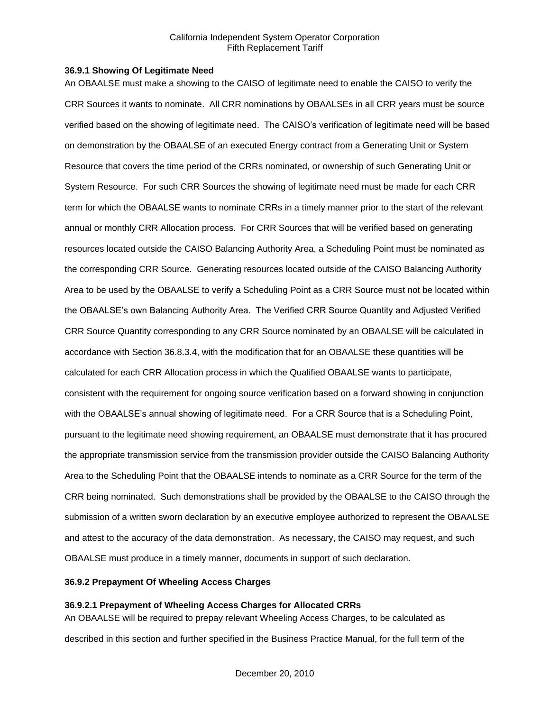#### **36.9.1 Showing Of Legitimate Need**

An OBAALSE must make a showing to the CAISO of legitimate need to enable the CAISO to verify the CRR Sources it wants to nominate. All CRR nominations by OBAALSEs in all CRR years must be source verified based on the showing of legitimate need. The CAISO's verification of legitimate need will be based on demonstration by the OBAALSE of an executed Energy contract from a Generating Unit or System Resource that covers the time period of the CRRs nominated, or ownership of such Generating Unit or System Resource. For such CRR Sources the showing of legitimate need must be made for each CRR term for which the OBAALSE wants to nominate CRRs in a timely manner prior to the start of the relevant annual or monthly CRR Allocation process. For CRR Sources that will be verified based on generating resources located outside the CAISO Balancing Authority Area, a Scheduling Point must be nominated as the corresponding CRR Source. Generating resources located outside of the CAISO Balancing Authority Area to be used by the OBAALSE to verify a Scheduling Point as a CRR Source must not be located within the OBAALSE's own Balancing Authority Area. The Verified CRR Source Quantity and Adjusted Verified CRR Source Quantity corresponding to any CRR Source nominated by an OBAALSE will be calculated in accordance with Section 36.8.3.4, with the modification that for an OBAALSE these quantities will be calculated for each CRR Allocation process in which the Qualified OBAALSE wants to participate, consistent with the requirement for ongoing source verification based on a forward showing in conjunction with the OBAALSE's annual showing of legitimate need. For a CRR Source that is a Scheduling Point, pursuant to the legitimate need showing requirement, an OBAALSE must demonstrate that it has procured the appropriate transmission service from the transmission provider outside the CAISO Balancing Authority Area to the Scheduling Point that the OBAALSE intends to nominate as a CRR Source for the term of the CRR being nominated. Such demonstrations shall be provided by the OBAALSE to the CAISO through the submission of a written sworn declaration by an executive employee authorized to represent the OBAALSE and attest to the accuracy of the data demonstration. As necessary, the CAISO may request, and such OBAALSE must produce in a timely manner, documents in support of such declaration.

# **36.9.2 Prepayment Of Wheeling Access Charges**

# **36.9.2.1 Prepayment of Wheeling Access Charges for Allocated CRRs**

An OBAALSE will be required to prepay relevant Wheeling Access Charges, to be calculated as described in this section and further specified in the Business Practice Manual, for the full term of the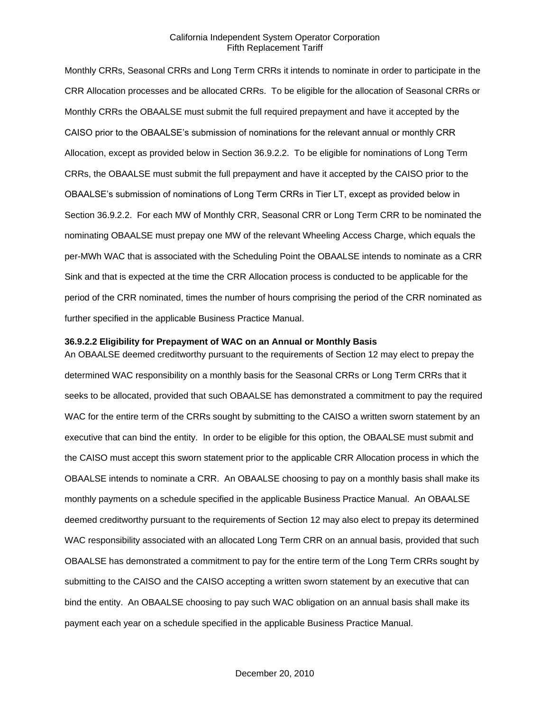Monthly CRRs, Seasonal CRRs and Long Term CRRs it intends to nominate in order to participate in the CRR Allocation processes and be allocated CRRs. To be eligible for the allocation of Seasonal CRRs or Monthly CRRs the OBAALSE must submit the full required prepayment and have it accepted by the CAISO prior to the OBAALSE's submission of nominations for the relevant annual or monthly CRR Allocation, except as provided below in Section 36.9.2.2. To be eligible for nominations of Long Term CRRs, the OBAALSE must submit the full prepayment and have it accepted by the CAISO prior to the OBAALSE's submission of nominations of Long Term CRRs in Tier LT, except as provided below in Section 36.9.2.2. For each MW of Monthly CRR, Seasonal CRR or Long Term CRR to be nominated the nominating OBAALSE must prepay one MW of the relevant Wheeling Access Charge, which equals the per-MWh WAC that is associated with the Scheduling Point the OBAALSE intends to nominate as a CRR Sink and that is expected at the time the CRR Allocation process is conducted to be applicable for the period of the CRR nominated, times the number of hours comprising the period of the CRR nominated as further specified in the applicable Business Practice Manual.

#### **36.9.2.2 Eligibility for Prepayment of WAC on an Annual or Monthly Basis**

An OBAALSE deemed creditworthy pursuant to the requirements of Section 12 may elect to prepay the determined WAC responsibility on a monthly basis for the Seasonal CRRs or Long Term CRRs that it seeks to be allocated, provided that such OBAALSE has demonstrated a commitment to pay the required WAC for the entire term of the CRRs sought by submitting to the CAISO a written sworn statement by an executive that can bind the entity. In order to be eligible for this option, the OBAALSE must submit and the CAISO must accept this sworn statement prior to the applicable CRR Allocation process in which the OBAALSE intends to nominate a CRR. An OBAALSE choosing to pay on a monthly basis shall make its monthly payments on a schedule specified in the applicable Business Practice Manual. An OBAALSE deemed creditworthy pursuant to the requirements of Section 12 may also elect to prepay its determined WAC responsibility associated with an allocated Long Term CRR on an annual basis, provided that such OBAALSE has demonstrated a commitment to pay for the entire term of the Long Term CRRs sought by submitting to the CAISO and the CAISO accepting a written sworn statement by an executive that can bind the entity. An OBAALSE choosing to pay such WAC obligation on an annual basis shall make its payment each year on a schedule specified in the applicable Business Practice Manual.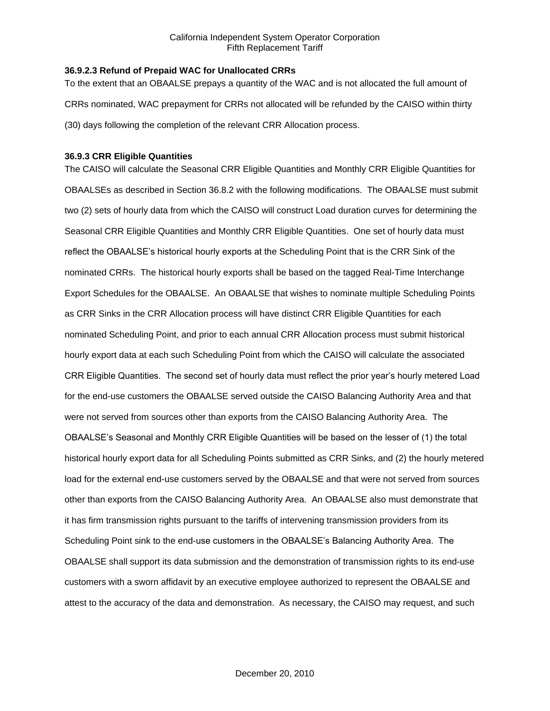## **36.9.2.3 Refund of Prepaid WAC for Unallocated CRRs**

To the extent that an OBAALSE prepays a quantity of the WAC and is not allocated the full amount of CRRs nominated, WAC prepayment for CRRs not allocated will be refunded by the CAISO within thirty (30) days following the completion of the relevant CRR Allocation process.

# **36.9.3 CRR Eligible Quantities**

The CAISO will calculate the Seasonal CRR Eligible Quantities and Monthly CRR Eligible Quantities for OBAALSEs as described in Section 36.8.2 with the following modifications. The OBAALSE must submit two (2) sets of hourly data from which the CAISO will construct Load duration curves for determining the Seasonal CRR Eligible Quantities and Monthly CRR Eligible Quantities. One set of hourly data must reflect the OBAALSE's historical hourly exports at the Scheduling Point that is the CRR Sink of the nominated CRRs. The historical hourly exports shall be based on the tagged Real-Time Interchange Export Schedules for the OBAALSE. An OBAALSE that wishes to nominate multiple Scheduling Points as CRR Sinks in the CRR Allocation process will have distinct CRR Eligible Quantities for each nominated Scheduling Point, and prior to each annual CRR Allocation process must submit historical hourly export data at each such Scheduling Point from which the CAISO will calculate the associated CRR Eligible Quantities. The second set of hourly data must reflect the prior year's hourly metered Load for the end-use customers the OBAALSE served outside the CAISO Balancing Authority Area and that were not served from sources other than exports from the CAISO Balancing Authority Area. The OBAALSE's Seasonal and Monthly CRR Eligible Quantities will be based on the lesser of (1) the total historical hourly export data for all Scheduling Points submitted as CRR Sinks, and (2) the hourly metered load for the external end-use customers served by the OBAALSE and that were not served from sources other than exports from the CAISO Balancing Authority Area. An OBAALSE also must demonstrate that it has firm transmission rights pursuant to the tariffs of intervening transmission providers from its Scheduling Point sink to the end-use customers in the OBAALSE's Balancing Authority Area. The OBAALSE shall support its data submission and the demonstration of transmission rights to its end-use customers with a sworn affidavit by an executive employee authorized to represent the OBAALSE and attest to the accuracy of the data and demonstration. As necessary, the CAISO may request, and such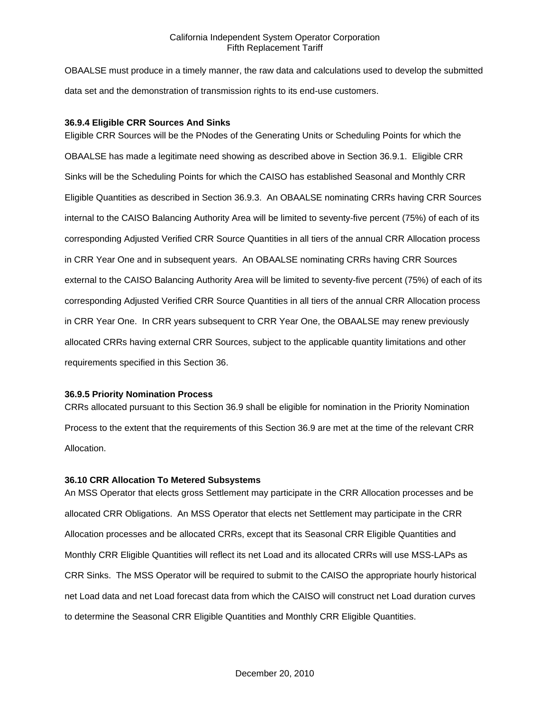OBAALSE must produce in a timely manner, the raw data and calculations used to develop the submitted data set and the demonstration of transmission rights to its end-use customers.

## **36.9.4 Eligible CRR Sources And Sinks**

Eligible CRR Sources will be the PNodes of the Generating Units or Scheduling Points for which the OBAALSE has made a legitimate need showing as described above in Section 36.9.1. Eligible CRR Sinks will be the Scheduling Points for which the CAISO has established Seasonal and Monthly CRR Eligible Quantities as described in Section 36.9.3. An OBAALSE nominating CRRs having CRR Sources internal to the CAISO Balancing Authority Area will be limited to seventy-five percent (75%) of each of its corresponding Adjusted Verified CRR Source Quantities in all tiers of the annual CRR Allocation process in CRR Year One and in subsequent years. An OBAALSE nominating CRRs having CRR Sources external to the CAISO Balancing Authority Area will be limited to seventy-five percent (75%) of each of its corresponding Adjusted Verified CRR Source Quantities in all tiers of the annual CRR Allocation process in CRR Year One. In CRR years subsequent to CRR Year One, the OBAALSE may renew previously allocated CRRs having external CRR Sources, subject to the applicable quantity limitations and other requirements specified in this Section 36.

#### **36.9.5 Priority Nomination Process**

CRRs allocated pursuant to this Section 36.9 shall be eligible for nomination in the Priority Nomination Process to the extent that the requirements of this Section 36.9 are met at the time of the relevant CRR Allocation.

#### **36.10 CRR Allocation To Metered Subsystems**

An MSS Operator that elects gross Settlement may participate in the CRR Allocation processes and be allocated CRR Obligations. An MSS Operator that elects net Settlement may participate in the CRR Allocation processes and be allocated CRRs, except that its Seasonal CRR Eligible Quantities and Monthly CRR Eligible Quantities will reflect its net Load and its allocated CRRs will use MSS-LAPs as CRR Sinks. The MSS Operator will be required to submit to the CAISO the appropriate hourly historical net Load data and net Load forecast data from which the CAISO will construct net Load duration curves to determine the Seasonal CRR Eligible Quantities and Monthly CRR Eligible Quantities.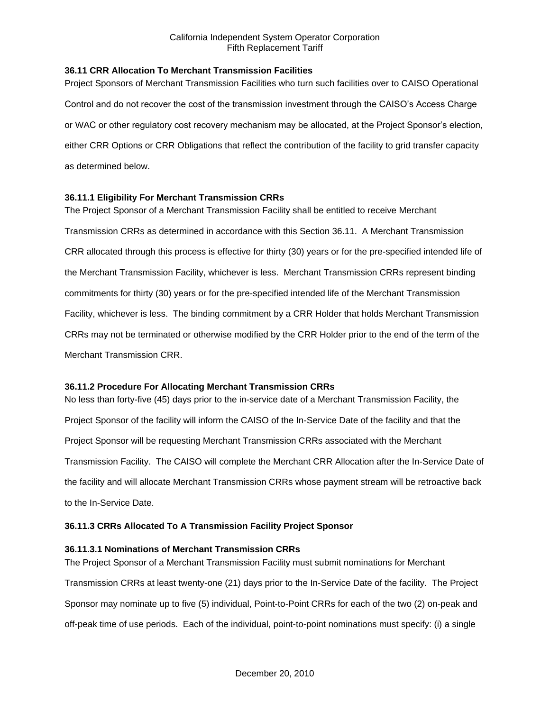## **36.11 CRR Allocation To Merchant Transmission Facilities**

Project Sponsors of Merchant Transmission Facilities who turn such facilities over to CAISO Operational Control and do not recover the cost of the transmission investment through the CAISO's Access Charge or WAC or other regulatory cost recovery mechanism may be allocated, at the Project Sponsor's election, either CRR Options or CRR Obligations that reflect the contribution of the facility to grid transfer capacity as determined below.

## **36.11.1 Eligibility For Merchant Transmission CRRs**

The Project Sponsor of a Merchant Transmission Facility shall be entitled to receive Merchant Transmission CRRs as determined in accordance with this Section 36.11. A Merchant Transmission CRR allocated through this process is effective for thirty (30) years or for the pre-specified intended life of the Merchant Transmission Facility, whichever is less. Merchant Transmission CRRs represent binding commitments for thirty (30) years or for the pre-specified intended life of the Merchant Transmission Facility, whichever is less. The binding commitment by a CRR Holder that holds Merchant Transmission CRRs may not be terminated or otherwise modified by the CRR Holder prior to the end of the term of the Merchant Transmission CRR.

### **36.11.2 Procedure For Allocating Merchant Transmission CRRs**

No less than forty-five (45) days prior to the in-service date of a Merchant Transmission Facility, the Project Sponsor of the facility will inform the CAISO of the In-Service Date of the facility and that the Project Sponsor will be requesting Merchant Transmission CRRs associated with the Merchant Transmission Facility. The CAISO will complete the Merchant CRR Allocation after the In-Service Date of the facility and will allocate Merchant Transmission CRRs whose payment stream will be retroactive back to the In-Service Date.

# **36.11.3 CRRs Allocated To A Transmission Facility Project Sponsor**

### **36.11.3.1 Nominations of Merchant Transmission CRRs**

The Project Sponsor of a Merchant Transmission Facility must submit nominations for Merchant Transmission CRRs at least twenty-one (21) days prior to the In-Service Date of the facility. The Project Sponsor may nominate up to five (5) individual, Point-to-Point CRRs for each of the two (2) on-peak and off-peak time of use periods. Each of the individual, point-to-point nominations must specify: (i) a single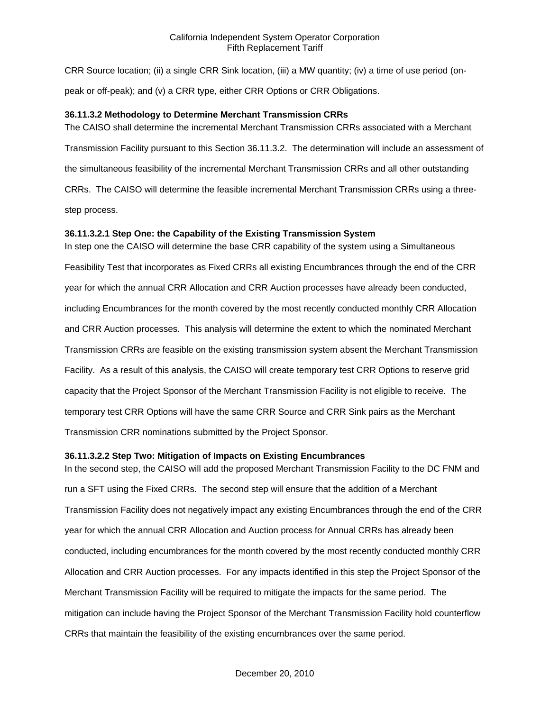CRR Source location; (ii) a single CRR Sink location, (iii) a MW quantity; (iv) a time of use period (onpeak or off-peak); and (v) a CRR type, either CRR Options or CRR Obligations.

### **36.11.3.2 Methodology to Determine Merchant Transmission CRRs**

The CAISO shall determine the incremental Merchant Transmission CRRs associated with a Merchant Transmission Facility pursuant to this Section 36.11.3.2. The determination will include an assessment of the simultaneous feasibility of the incremental Merchant Transmission CRRs and all other outstanding CRRs. The CAISO will determine the feasible incremental Merchant Transmission CRRs using a threestep process.

## **36.11.3.2.1 Step One: the Capability of the Existing Transmission System**

In step one the CAISO will determine the base CRR capability of the system using a Simultaneous Feasibility Test that incorporates as Fixed CRRs all existing Encumbrances through the end of the CRR year for which the annual CRR Allocation and CRR Auction processes have already been conducted, including Encumbrances for the month covered by the most recently conducted monthly CRR Allocation and CRR Auction processes. This analysis will determine the extent to which the nominated Merchant Transmission CRRs are feasible on the existing transmission system absent the Merchant Transmission Facility. As a result of this analysis, the CAISO will create temporary test CRR Options to reserve grid capacity that the Project Sponsor of the Merchant Transmission Facility is not eligible to receive. The temporary test CRR Options will have the same CRR Source and CRR Sink pairs as the Merchant Transmission CRR nominations submitted by the Project Sponsor.

### **36.11.3.2.2 Step Two: Mitigation of Impacts on Existing Encumbrances**

In the second step, the CAISO will add the proposed Merchant Transmission Facility to the DC FNM and run a SFT using the Fixed CRRs. The second step will ensure that the addition of a Merchant Transmission Facility does not negatively impact any existing Encumbrances through the end of the CRR year for which the annual CRR Allocation and Auction process for Annual CRRs has already been conducted, including encumbrances for the month covered by the most recently conducted monthly CRR Allocation and CRR Auction processes. For any impacts identified in this step the Project Sponsor of the Merchant Transmission Facility will be required to mitigate the impacts for the same period. The mitigation can include having the Project Sponsor of the Merchant Transmission Facility hold counterflow CRRs that maintain the feasibility of the existing encumbrances over the same period.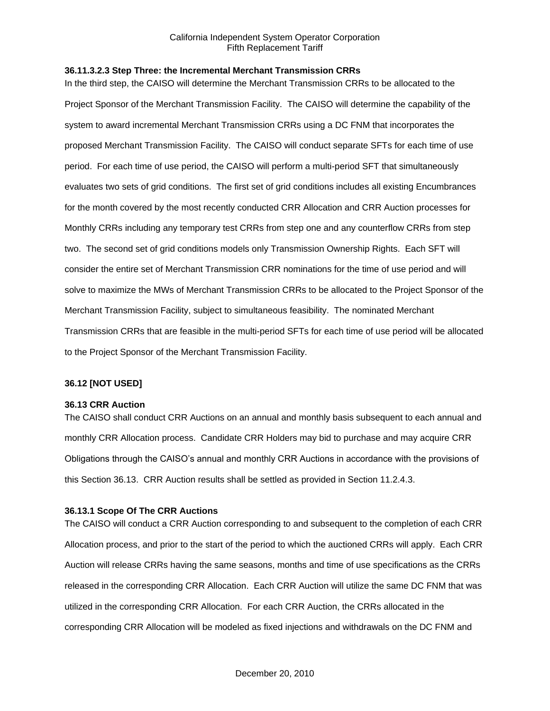#### **36.11.3.2.3 Step Three: the Incremental Merchant Transmission CRRs**

In the third step, the CAISO will determine the Merchant Transmission CRRs to be allocated to the Project Sponsor of the Merchant Transmission Facility. The CAISO will determine the capability of the system to award incremental Merchant Transmission CRRs using a DC FNM that incorporates the proposed Merchant Transmission Facility. The CAISO will conduct separate SFTs for each time of use period. For each time of use period, the CAISO will perform a multi-period SFT that simultaneously evaluates two sets of grid conditions. The first set of grid conditions includes all existing Encumbrances for the month covered by the most recently conducted CRR Allocation and CRR Auction processes for Monthly CRRs including any temporary test CRRs from step one and any counterflow CRRs from step two. The second set of grid conditions models only Transmission Ownership Rights. Each SFT will consider the entire set of Merchant Transmission CRR nominations for the time of use period and will solve to maximize the MWs of Merchant Transmission CRRs to be allocated to the Project Sponsor of the Merchant Transmission Facility, subject to simultaneous feasibility. The nominated Merchant Transmission CRRs that are feasible in the multi-period SFTs for each time of use period will be allocated to the Project Sponsor of the Merchant Transmission Facility.

### **36.12 [NOT USED]**

#### **36.13 CRR Auction**

The CAISO shall conduct CRR Auctions on an annual and monthly basis subsequent to each annual and monthly CRR Allocation process. Candidate CRR Holders may bid to purchase and may acquire CRR Obligations through the CAISO's annual and monthly CRR Auctions in accordance with the provisions of this Section 36.13. CRR Auction results shall be settled as provided in Section 11.2.4.3.

### **36.13.1 Scope Of The CRR Auctions**

The CAISO will conduct a CRR Auction corresponding to and subsequent to the completion of each CRR Allocation process, and prior to the start of the period to which the auctioned CRRs will apply. Each CRR Auction will release CRRs having the same seasons, months and time of use specifications as the CRRs released in the corresponding CRR Allocation. Each CRR Auction will utilize the same DC FNM that was utilized in the corresponding CRR Allocation. For each CRR Auction, the CRRs allocated in the corresponding CRR Allocation will be modeled as fixed injections and withdrawals on the DC FNM and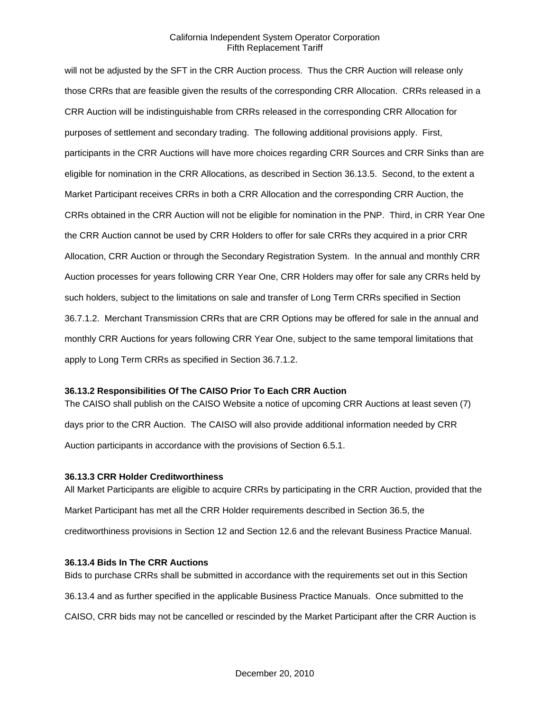will not be adjusted by the SFT in the CRR Auction process. Thus the CRR Auction will release only those CRRs that are feasible given the results of the corresponding CRR Allocation. CRRs released in a CRR Auction will be indistinguishable from CRRs released in the corresponding CRR Allocation for purposes of settlement and secondary trading. The following additional provisions apply. First, participants in the CRR Auctions will have more choices regarding CRR Sources and CRR Sinks than are eligible for nomination in the CRR Allocations, as described in Section 36.13.5. Second, to the extent a Market Participant receives CRRs in both a CRR Allocation and the corresponding CRR Auction, the CRRs obtained in the CRR Auction will not be eligible for nomination in the PNP. Third, in CRR Year One the CRR Auction cannot be used by CRR Holders to offer for sale CRRs they acquired in a prior CRR Allocation, CRR Auction or through the Secondary Registration System. In the annual and monthly CRR Auction processes for years following CRR Year One, CRR Holders may offer for sale any CRRs held by such holders, subject to the limitations on sale and transfer of Long Term CRRs specified in Section 36.7.1.2. Merchant Transmission CRRs that are CRR Options may be offered for sale in the annual and monthly CRR Auctions for years following CRR Year One, subject to the same temporal limitations that apply to Long Term CRRs as specified in Section 36.7.1.2.

### **36.13.2 Responsibilities Of The CAISO Prior To Each CRR Auction**

The CAISO shall publish on the CAISO Website a notice of upcoming CRR Auctions at least seven (7) days prior to the CRR Auction. The CAISO will also provide additional information needed by CRR Auction participants in accordance with the provisions of Section 6.5.1.

### **36.13.3 CRR Holder Creditworthiness**

All Market Participants are eligible to acquire CRRs by participating in the CRR Auction, provided that the Market Participant has met all the CRR Holder requirements described in Section 36.5, the creditworthiness provisions in Section 12 and Section 12.6 and the relevant Business Practice Manual.

### **36.13.4 Bids In The CRR Auctions**

Bids to purchase CRRs shall be submitted in accordance with the requirements set out in this Section 36.13.4 and as further specified in the applicable Business Practice Manuals. Once submitted to the CAISO, CRR bids may not be cancelled or rescinded by the Market Participant after the CRR Auction is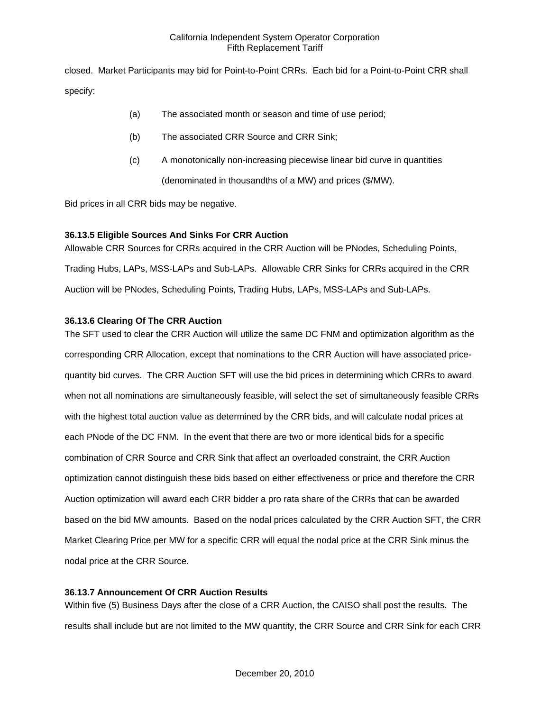closed. Market Participants may bid for Point-to-Point CRRs. Each bid for a Point-to-Point CRR shall specify:

- (a) The associated month or season and time of use period;
- (b) The associated CRR Source and CRR Sink;
- (c) A monotonically non-increasing piecewise linear bid curve in quantities

(denominated in thousandths of a MW) and prices (\$/MW).

Bid prices in all CRR bids may be negative.

# **36.13.5 Eligible Sources And Sinks For CRR Auction**

Allowable CRR Sources for CRRs acquired in the CRR Auction will be PNodes, Scheduling Points, Trading Hubs, LAPs, MSS-LAPs and Sub-LAPs. Allowable CRR Sinks for CRRs acquired in the CRR Auction will be PNodes, Scheduling Points, Trading Hubs, LAPs, MSS-LAPs and Sub-LAPs.

# **36.13.6 Clearing Of The CRR Auction**

The SFT used to clear the CRR Auction will utilize the same DC FNM and optimization algorithm as the corresponding CRR Allocation, except that nominations to the CRR Auction will have associated pricequantity bid curves. The CRR Auction SFT will use the bid prices in determining which CRRs to award when not all nominations are simultaneously feasible, will select the set of simultaneously feasible CRRs with the highest total auction value as determined by the CRR bids, and will calculate nodal prices at each PNode of the DC FNM. In the event that there are two or more identical bids for a specific combination of CRR Source and CRR Sink that affect an overloaded constraint, the CRR Auction optimization cannot distinguish these bids based on either effectiveness or price and therefore the CRR Auction optimization will award each CRR bidder a pro rata share of the CRRs that can be awarded based on the bid MW amounts. Based on the nodal prices calculated by the CRR Auction SFT, the CRR Market Clearing Price per MW for a specific CRR will equal the nodal price at the CRR Sink minus the nodal price at the CRR Source.

# **36.13.7 Announcement Of CRR Auction Results**

Within five (5) Business Days after the close of a CRR Auction, the CAISO shall post the results. The results shall include but are not limited to the MW quantity, the CRR Source and CRR Sink for each CRR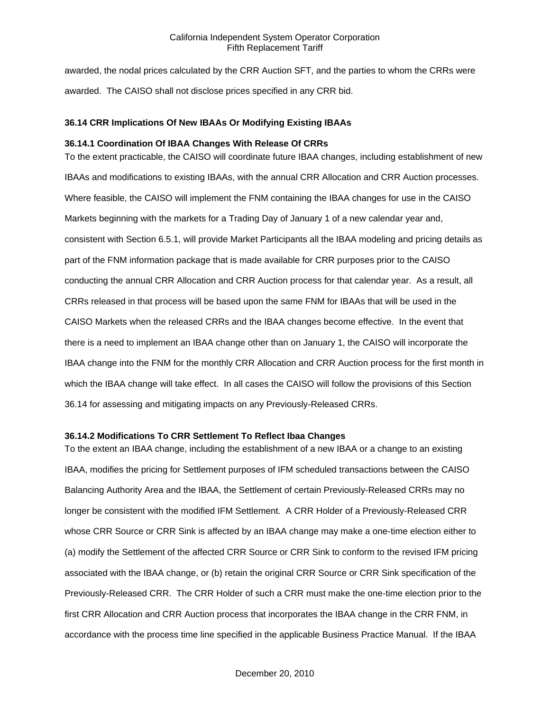awarded, the nodal prices calculated by the CRR Auction SFT, and the parties to whom the CRRs were awarded. The CAISO shall not disclose prices specified in any CRR bid.

### **36.14 CRR Implications Of New IBAAs Or Modifying Existing IBAAs**

### **36.14.1 Coordination Of IBAA Changes With Release Of CRRs**

To the extent practicable, the CAISO will coordinate future IBAA changes, including establishment of new IBAAs and modifications to existing IBAAs, with the annual CRR Allocation and CRR Auction processes. Where feasible, the CAISO will implement the FNM containing the IBAA changes for use in the CAISO Markets beginning with the markets for a Trading Day of January 1 of a new calendar year and, consistent with Section 6.5.1, will provide Market Participants all the IBAA modeling and pricing details as part of the FNM information package that is made available for CRR purposes prior to the CAISO conducting the annual CRR Allocation and CRR Auction process for that calendar year. As a result, all CRRs released in that process will be based upon the same FNM for IBAAs that will be used in the CAISO Markets when the released CRRs and the IBAA changes become effective. In the event that there is a need to implement an IBAA change other than on January 1, the CAISO will incorporate the IBAA change into the FNM for the monthly CRR Allocation and CRR Auction process for the first month in which the IBAA change will take effect. In all cases the CAISO will follow the provisions of this Section 36.14 for assessing and mitigating impacts on any Previously-Released CRRs.

### **36.14.2 Modifications To CRR Settlement To Reflect Ibaa Changes**

To the extent an IBAA change, including the establishment of a new IBAA or a change to an existing IBAA, modifies the pricing for Settlement purposes of IFM scheduled transactions between the CAISO Balancing Authority Area and the IBAA, the Settlement of certain Previously-Released CRRs may no longer be consistent with the modified IFM Settlement. A CRR Holder of a Previously-Released CRR whose CRR Source or CRR Sink is affected by an IBAA change may make a one-time election either to (a) modify the Settlement of the affected CRR Source or CRR Sink to conform to the revised IFM pricing associated with the IBAA change, or (b) retain the original CRR Source or CRR Sink specification of the Previously-Released CRR. The CRR Holder of such a CRR must make the one-time election prior to the first CRR Allocation and CRR Auction process that incorporates the IBAA change in the CRR FNM, in accordance with the process time line specified in the applicable Business Practice Manual. If the IBAA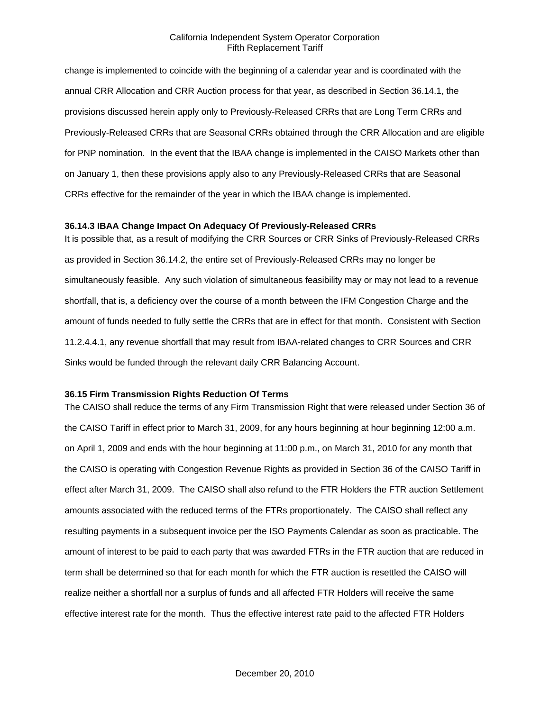change is implemented to coincide with the beginning of a calendar year and is coordinated with the annual CRR Allocation and CRR Auction process for that year, as described in Section 36.14.1, the provisions discussed herein apply only to Previously-Released CRRs that are Long Term CRRs and Previously-Released CRRs that are Seasonal CRRs obtained through the CRR Allocation and are eligible for PNP nomination. In the event that the IBAA change is implemented in the CAISO Markets other than on January 1, then these provisions apply also to any Previously-Released CRRs that are Seasonal CRRs effective for the remainder of the year in which the IBAA change is implemented.

#### **36.14.3 IBAA Change Impact On Adequacy Of Previously-Released CRRs**

It is possible that, as a result of modifying the CRR Sources or CRR Sinks of Previously-Released CRRs as provided in Section 36.14.2, the entire set of Previously-Released CRRs may no longer be simultaneously feasible. Any such violation of simultaneous feasibility may or may not lead to a revenue shortfall, that is, a deficiency over the course of a month between the IFM Congestion Charge and the amount of funds needed to fully settle the CRRs that are in effect for that month. Consistent with Section 11.2.4.4.1, any revenue shortfall that may result from IBAA-related changes to CRR Sources and CRR Sinks would be funded through the relevant daily CRR Balancing Account.

#### **36.15 Firm Transmission Rights Reduction Of Terms**

The CAISO shall reduce the terms of any Firm Transmission Right that were released under Section 36 of the CAISO Tariff in effect prior to March 31, 2009, for any hours beginning at hour beginning 12:00 a.m. on April 1, 2009 and ends with the hour beginning at 11:00 p.m., on March 31, 2010 for any month that the CAISO is operating with Congestion Revenue Rights as provided in Section 36 of the CAISO Tariff in effect after March 31, 2009. The CAISO shall also refund to the FTR Holders the FTR auction Settlement amounts associated with the reduced terms of the FTRs proportionately. The CAISO shall reflect any resulting payments in a subsequent invoice per the ISO Payments Calendar as soon as practicable. The amount of interest to be paid to each party that was awarded FTRs in the FTR auction that are reduced in term shall be determined so that for each month for which the FTR auction is resettled the CAISO will realize neither a shortfall nor a surplus of funds and all affected FTR Holders will receive the same effective interest rate for the month. Thus the effective interest rate paid to the affected FTR Holders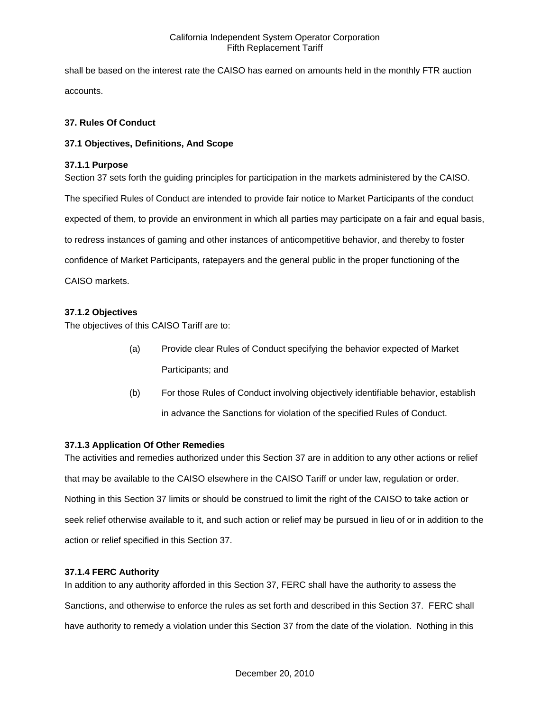shall be based on the interest rate the CAISO has earned on amounts held in the monthly FTR auction accounts.

## **37. Rules Of Conduct**

## **37.1 Objectives, Definitions, And Scope**

## **37.1.1 Purpose**

Section 37 sets forth the guiding principles for participation in the markets administered by the CAISO. The specified Rules of Conduct are intended to provide fair notice to Market Participants of the conduct expected of them, to provide an environment in which all parties may participate on a fair and equal basis, to redress instances of gaming and other instances of anticompetitive behavior, and thereby to foster confidence of Market Participants, ratepayers and the general public in the proper functioning of the CAISO markets.

# **37.1.2 Objectives**

The objectives of this CAISO Tariff are to:

- (a) Provide clear Rules of Conduct specifying the behavior expected of Market Participants; and
- (b) For those Rules of Conduct involving objectively identifiable behavior, establish in advance the Sanctions for violation of the specified Rules of Conduct.

### **37.1.3 Application Of Other Remedies**

The activities and remedies authorized under this Section 37 are in addition to any other actions or relief that may be available to the CAISO elsewhere in the CAISO Tariff or under law, regulation or order. Nothing in this Section 37 limits or should be construed to limit the right of the CAISO to take action or seek relief otherwise available to it, and such action or relief may be pursued in lieu of or in addition to the action or relief specified in this Section 37.

### **37.1.4 FERC Authority**

In addition to any authority afforded in this Section 37, FERC shall have the authority to assess the Sanctions, and otherwise to enforce the rules as set forth and described in this Section 37. FERC shall have authority to remedy a violation under this Section 37 from the date of the violation. Nothing in this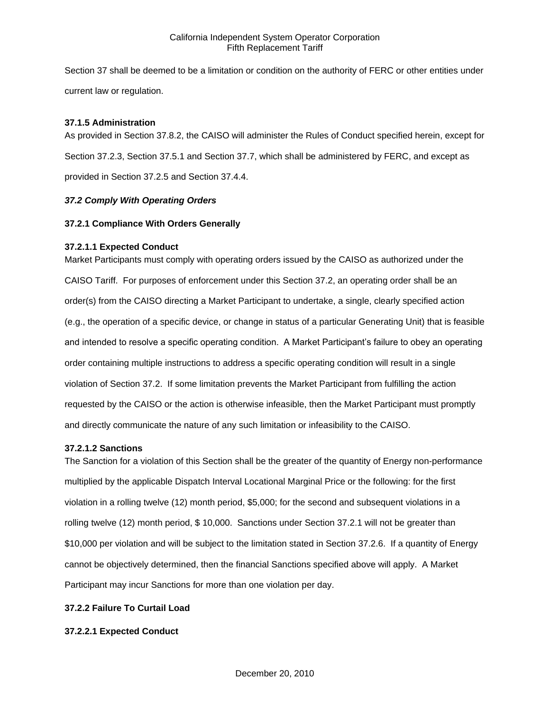Section 37 shall be deemed to be a limitation or condition on the authority of FERC or other entities under current law or regulation.

### **37.1.5 Administration**

As provided in Section 37.8.2, the CAISO will administer the Rules of Conduct specified herein, except for Section 37.2.3, Section 37.5.1 and Section 37.7, which shall be administered by FERC, and except as provided in Section 37.2.5 and Section 37.4.4.

# *37.2 Comply With Operating Orders*

## **37.2.1 Compliance With Orders Generally**

## **37.2.1.1 Expected Conduct**

Market Participants must comply with operating orders issued by the CAISO as authorized under the CAISO Tariff. For purposes of enforcement under this Section 37.2, an operating order shall be an order(s) from the CAISO directing a Market Participant to undertake, a single, clearly specified action (e.g., the operation of a specific device, or change in status of a particular Generating Unit) that is feasible and intended to resolve a specific operating condition. A Market Participant's failure to obey an operating order containing multiple instructions to address a specific operating condition will result in a single violation of Section 37.2. If some limitation prevents the Market Participant from fulfilling the action requested by the CAISO or the action is otherwise infeasible, then the Market Participant must promptly and directly communicate the nature of any such limitation or infeasibility to the CAISO.

### **37.2.1.2 Sanctions**

The Sanction for a violation of this Section shall be the greater of the quantity of Energy non-performance multiplied by the applicable Dispatch Interval Locational Marginal Price or the following: for the first violation in a rolling twelve (12) month period, \$5,000; for the second and subsequent violations in a rolling twelve (12) month period, \$ 10,000. Sanctions under Section 37.2.1 will not be greater than \$10,000 per violation and will be subject to the limitation stated in Section 37.2.6. If a quantity of Energy cannot be objectively determined, then the financial Sanctions specified above will apply. A Market Participant may incur Sanctions for more than one violation per day.

## **37.2.2 Failure To Curtail Load**

# **37.2.2.1 Expected Conduct**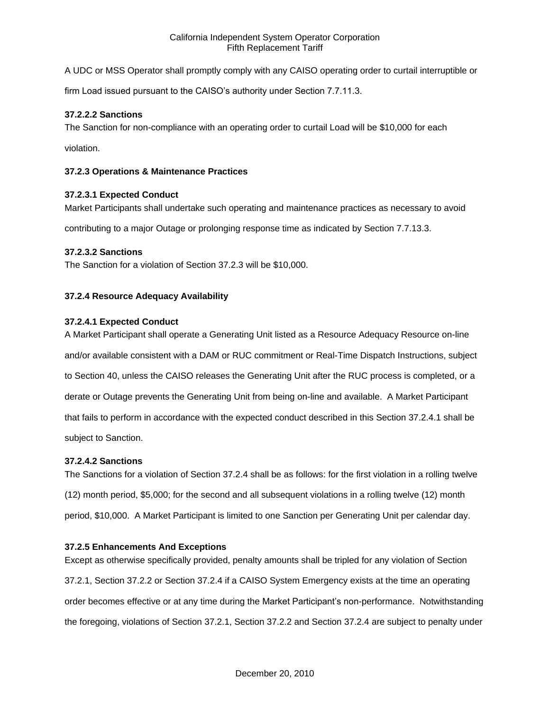A UDC or MSS Operator shall promptly comply with any CAISO operating order to curtail interruptible or

firm Load issued pursuant to the CAISO's authority under Section 7.7.11.3.

## **37.2.2.2 Sanctions**

The Sanction for non-compliance with an operating order to curtail Load will be \$10,000 for each

violation.

## **37.2.3 Operations & Maintenance Practices**

## **37.2.3.1 Expected Conduct**

Market Participants shall undertake such operating and maintenance practices as necessary to avoid

contributing to a major Outage or prolonging response time as indicated by Section 7.7.13.3.

# **37.2.3.2 Sanctions**

The Sanction for a violation of Section 37.2.3 will be \$10,000.

## **37.2.4 Resource Adequacy Availability**

### **37.2.4.1 Expected Conduct**

A Market Participant shall operate a Generating Unit listed as a Resource Adequacy Resource on-line and/or available consistent with a DAM or RUC commitment or Real-Time Dispatch Instructions, subject to Section 40, unless the CAISO releases the Generating Unit after the RUC process is completed, or a derate or Outage prevents the Generating Unit from being on-line and available. A Market Participant that fails to perform in accordance with the expected conduct described in this Section 37.2.4.1 shall be subject to Sanction.

### **37.2.4.2 Sanctions**

The Sanctions for a violation of Section 37.2.4 shall be as follows: for the first violation in a rolling twelve (12) month period, \$5,000; for the second and all subsequent violations in a rolling twelve (12) month period, \$10,000. A Market Participant is limited to one Sanction per Generating Unit per calendar day.

### **37.2.5 Enhancements And Exceptions**

Except as otherwise specifically provided, penalty amounts shall be tripled for any violation of Section 37.2.1, Section 37.2.2 or Section 37.2.4 if a CAISO System Emergency exists at the time an operating order becomes effective or at any time during the Market Participant's non-performance. Notwithstanding the foregoing, violations of Section 37.2.1, Section 37.2.2 and Section 37.2.4 are subject to penalty under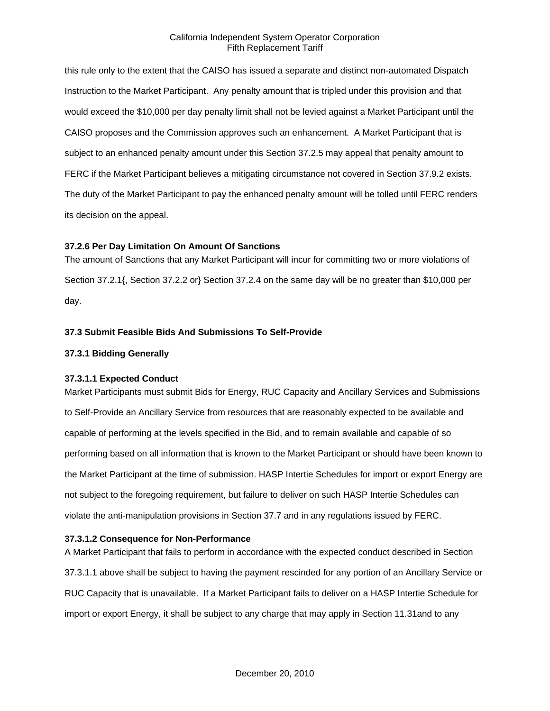this rule only to the extent that the CAISO has issued a separate and distinct non-automated Dispatch Instruction to the Market Participant. Any penalty amount that is tripled under this provision and that would exceed the \$10,000 per day penalty limit shall not be levied against a Market Participant until the CAISO proposes and the Commission approves such an enhancement. A Market Participant that is subject to an enhanced penalty amount under this Section 37.2.5 may appeal that penalty amount to FERC if the Market Participant believes a mitigating circumstance not covered in Section 37.9.2 exists. The duty of the Market Participant to pay the enhanced penalty amount will be tolled until FERC renders its decision on the appeal.

### **37.2.6 Per Day Limitation On Amount Of Sanctions**

The amount of Sanctions that any Market Participant will incur for committing two or more violations of Section 37.2.1{, Section 37.2.2 or} Section 37.2.4 on the same day will be no greater than \$10,000 per day.

## **37.3 Submit Feasible Bids And Submissions To Self-Provide**

## **37.3.1 Bidding Generally**

### **37.3.1.1 Expected Conduct**

Market Participants must submit Bids for Energy, RUC Capacity and Ancillary Services and Submissions to Self-Provide an Ancillary Service from resources that are reasonably expected to be available and capable of performing at the levels specified in the Bid, and to remain available and capable of so performing based on all information that is known to the Market Participant or should have been known to the Market Participant at the time of submission. HASP Intertie Schedules for import or export Energy are not subject to the foregoing requirement, but failure to deliver on such HASP Intertie Schedules can violate the anti-manipulation provisions in Section 37.7 and in any regulations issued by FERC.

### **37.3.1.2 Consequence for Non-Performance**

A Market Participant that fails to perform in accordance with the expected conduct described in Section 37.3.1.1 above shall be subject to having the payment rescinded for any portion of an Ancillary Service or RUC Capacity that is unavailable. If a Market Participant fails to deliver on a HASP Intertie Schedule for import or export Energy, it shall be subject to any charge that may apply in Section 11.31and to any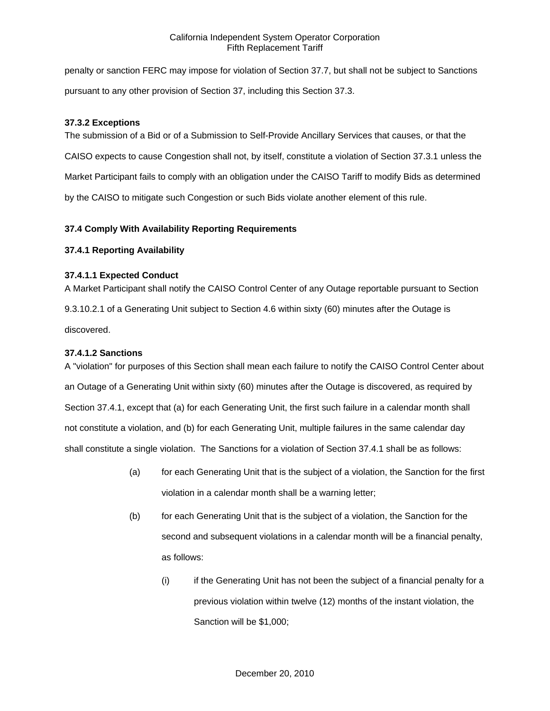penalty or sanction FERC may impose for violation of Section 37.7, but shall not be subject to Sanctions pursuant to any other provision of Section 37, including this Section 37.3.

## **37.3.2 Exceptions**

The submission of a Bid or of a Submission to Self-Provide Ancillary Services that causes, or that the CAISO expects to cause Congestion shall not, by itself, constitute a violation of Section 37.3.1 unless the Market Participant fails to comply with an obligation under the CAISO Tariff to modify Bids as determined by the CAISO to mitigate such Congestion or such Bids violate another element of this rule.

# **37.4 Comply With Availability Reporting Requirements**

## **37.4.1 Reporting Availability**

## **37.4.1.1 Expected Conduct**

A Market Participant shall notify the CAISO Control Center of any Outage reportable pursuant to Section 9.3.10.2.1 of a Generating Unit subject to Section 4.6 within sixty (60) minutes after the Outage is discovered.

## **37.4.1.2 Sanctions**

A "violation" for purposes of this Section shall mean each failure to notify the CAISO Control Center about an Outage of a Generating Unit within sixty (60) minutes after the Outage is discovered, as required by Section 37.4.1, except that (a) for each Generating Unit, the first such failure in a calendar month shall not constitute a violation, and (b) for each Generating Unit, multiple failures in the same calendar day shall constitute a single violation. The Sanctions for a violation of Section 37.4.1 shall be as follows:

- (a) for each Generating Unit that is the subject of a violation, the Sanction for the first violation in a calendar month shall be a warning letter;
- (b) for each Generating Unit that is the subject of a violation, the Sanction for the second and subsequent violations in a calendar month will be a financial penalty, as follows:
	- (i) if the Generating Unit has not been the subject of a financial penalty for a previous violation within twelve (12) months of the instant violation, the Sanction will be \$1,000;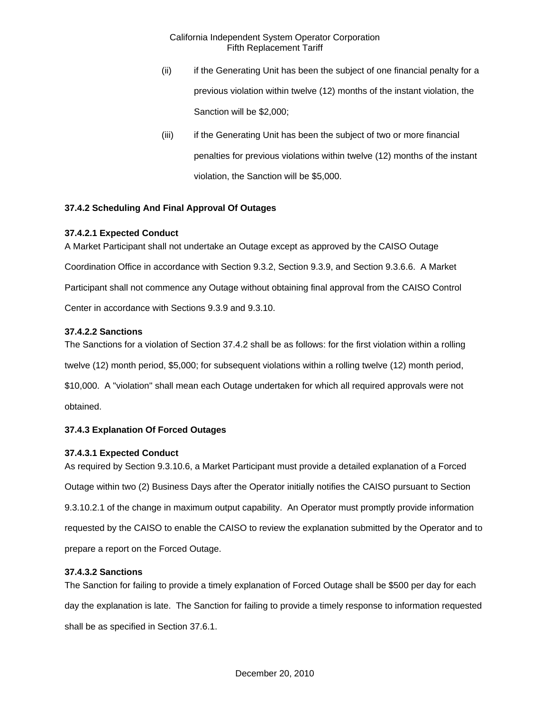- (ii) if the Generating Unit has been the subject of one financial penalty for a previous violation within twelve (12) months of the instant violation, the Sanction will be \$2,000;
- (iii) if the Generating Unit has been the subject of two or more financial penalties for previous violations within twelve (12) months of the instant violation, the Sanction will be \$5,000.

# **37.4.2 Scheduling And Final Approval Of Outages**

# **37.4.2.1 Expected Conduct**

A Market Participant shall not undertake an Outage except as approved by the CAISO Outage Coordination Office in accordance with Section 9.3.2, Section 9.3.9, and Section 9.3.6.6. A Market Participant shall not commence any Outage without obtaining final approval from the CAISO Control Center in accordance with Sections 9.3.9 and 9.3.10.

# **37.4.2.2 Sanctions**

The Sanctions for a violation of Section 37.4.2 shall be as follows: for the first violation within a rolling twelve (12) month period, \$5,000; for subsequent violations within a rolling twelve (12) month period, \$10,000. A "violation" shall mean each Outage undertaken for which all required approvals were not

obtained.

# **37.4.3 Explanation Of Forced Outages**

# **37.4.3.1 Expected Conduct**

As required by Section 9.3.10.6, a Market Participant must provide a detailed explanation of a Forced Outage within two (2) Business Days after the Operator initially notifies the CAISO pursuant to Section 9.3.10.2.1 of the change in maximum output capability. An Operator must promptly provide information requested by the CAISO to enable the CAISO to review the explanation submitted by the Operator and to prepare a report on the Forced Outage.

# **37.4.3.2 Sanctions**

The Sanction for failing to provide a timely explanation of Forced Outage shall be \$500 per day for each day the explanation is late. The Sanction for failing to provide a timely response to information requested shall be as specified in Section 37.6.1.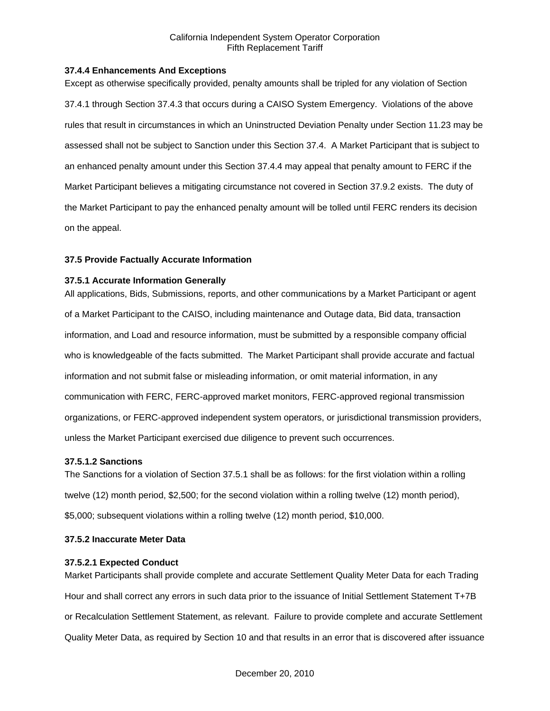## **37.4.4 Enhancements And Exceptions**

Except as otherwise specifically provided, penalty amounts shall be tripled for any violation of Section 37.4.1 through Section 37.4.3 that occurs during a CAISO System Emergency. Violations of the above rules that result in circumstances in which an Uninstructed Deviation Penalty under Section 11.23 may be assessed shall not be subject to Sanction under this Section 37.4. A Market Participant that is subject to an enhanced penalty amount under this Section 37.4.4 may appeal that penalty amount to FERC if the Market Participant believes a mitigating circumstance not covered in Section 37.9.2 exists. The duty of the Market Participant to pay the enhanced penalty amount will be tolled until FERC renders its decision on the appeal.

## **37.5 Provide Factually Accurate Information**

## **37.5.1 Accurate Information Generally**

All applications, Bids, Submissions, reports, and other communications by a Market Participant or agent of a Market Participant to the CAISO, including maintenance and Outage data, Bid data, transaction information, and Load and resource information, must be submitted by a responsible company official who is knowledgeable of the facts submitted. The Market Participant shall provide accurate and factual information and not submit false or misleading information, or omit material information, in any communication with FERC, FERC-approved market monitors, FERC-approved regional transmission organizations, or FERC-approved independent system operators, or jurisdictional transmission providers, unless the Market Participant exercised due diligence to prevent such occurrences.

### **37.5.1.2 Sanctions**

The Sanctions for a violation of Section 37.5.1 shall be as follows: for the first violation within a rolling twelve (12) month period, \$2,500; for the second violation within a rolling twelve (12) month period), \$5,000; subsequent violations within a rolling twelve (12) month period, \$10,000.

# **37.5.2 Inaccurate Meter Data**

### **37.5.2.1 Expected Conduct**

Market Participants shall provide complete and accurate Settlement Quality Meter Data for each Trading Hour and shall correct any errors in such data prior to the issuance of Initial Settlement Statement T+7B or Recalculation Settlement Statement, as relevant. Failure to provide complete and accurate Settlement Quality Meter Data, as required by Section 10 and that results in an error that is discovered after issuance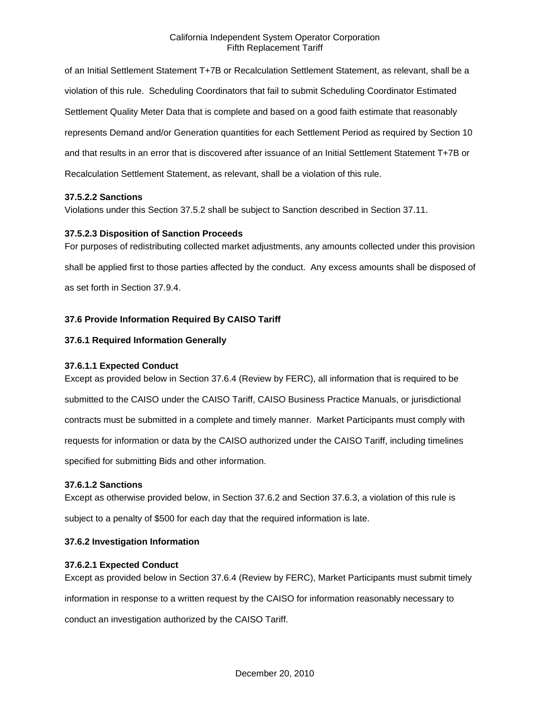of an Initial Settlement Statement T+7B or Recalculation Settlement Statement, as relevant, shall be a violation of this rule. Scheduling Coordinators that fail to submit Scheduling Coordinator Estimated Settlement Quality Meter Data that is complete and based on a good faith estimate that reasonably represents Demand and/or Generation quantities for each Settlement Period as required by Section 10 and that results in an error that is discovered after issuance of an Initial Settlement Statement T+7B or Recalculation Settlement Statement, as relevant, shall be a violation of this rule.

## **37.5.2.2 Sanctions**

Violations under this Section 37.5.2 shall be subject to Sanction described in Section 37.11.

## **37.5.2.3 Disposition of Sanction Proceeds**

For purposes of redistributing collected market adjustments, any amounts collected under this provision shall be applied first to those parties affected by the conduct. Any excess amounts shall be disposed of as set forth in Section 37.9.4.

# **37.6 Provide Information Required By CAISO Tariff**

## **37.6.1 Required Information Generally**

### **37.6.1.1 Expected Conduct**

Except as provided below in Section 37.6.4 (Review by FERC), all information that is required to be submitted to the CAISO under the CAISO Tariff, CAISO Business Practice Manuals, or jurisdictional contracts must be submitted in a complete and timely manner. Market Participants must comply with requests for information or data by the CAISO authorized under the CAISO Tariff, including timelines specified for submitting Bids and other information.

### **37.6.1.2 Sanctions**

Except as otherwise provided below, in Section 37.6.2 and Section 37.6.3, a violation of this rule is subject to a penalty of \$500 for each day that the required information is late.

### **37.6.2 Investigation Information**

### **37.6.2.1 Expected Conduct**

Except as provided below in Section 37.6.4 (Review by FERC), Market Participants must submit timely

information in response to a written request by the CAISO for information reasonably necessary to

conduct an investigation authorized by the CAISO Tariff.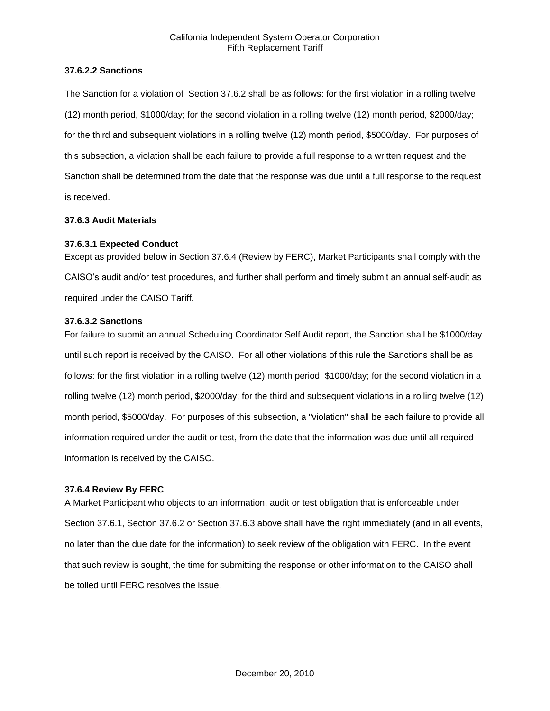### **37.6.2.2 Sanctions**

The Sanction for a violation of Section 37.6.2 shall be as follows: for the first violation in a rolling twelve (12) month period, \$1000/day; for the second violation in a rolling twelve (12) month period, \$2000/day; for the third and subsequent violations in a rolling twelve (12) month period, \$5000/day. For purposes of this subsection, a violation shall be each failure to provide a full response to a written request and the Sanction shall be determined from the date that the response was due until a full response to the request is received.

## **37.6.3 Audit Materials**

## **37.6.3.1 Expected Conduct**

Except as provided below in Section 37.6.4 (Review by FERC), Market Participants shall comply with the CAISO's audit and/or test procedures, and further shall perform and timely submit an annual self-audit as required under the CAISO Tariff.

## **37.6.3.2 Sanctions**

For failure to submit an annual Scheduling Coordinator Self Audit report, the Sanction shall be \$1000/day until such report is received by the CAISO. For all other violations of this rule the Sanctions shall be as follows: for the first violation in a rolling twelve (12) month period, \$1000/day; for the second violation in a rolling twelve (12) month period, \$2000/day; for the third and subsequent violations in a rolling twelve (12) month period, \$5000/day. For purposes of this subsection, a "violation" shall be each failure to provide all information required under the audit or test, from the date that the information was due until all required information is received by the CAISO.

### **37.6.4 Review By FERC**

A Market Participant who objects to an information, audit or test obligation that is enforceable under Section 37.6.1, Section 37.6.2 or Section 37.6.3 above shall have the right immediately (and in all events, no later than the due date for the information) to seek review of the obligation with FERC. In the event that such review is sought, the time for submitting the response or other information to the CAISO shall be tolled until FERC resolves the issue.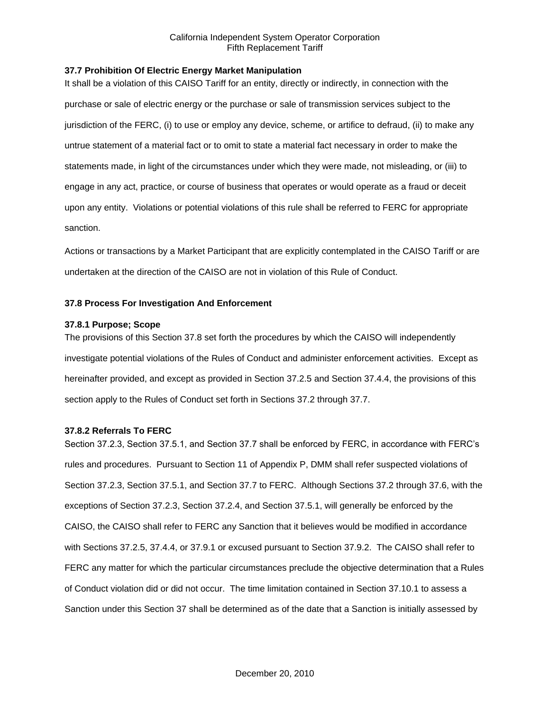## **37.7 Prohibition Of Electric Energy Market Manipulation**

It shall be a violation of this CAISO Tariff for an entity, directly or indirectly, in connection with the purchase or sale of electric energy or the purchase or sale of transmission services subject to the jurisdiction of the FERC, (i) to use or employ any device, scheme, or artifice to defraud, (ii) to make any untrue statement of a material fact or to omit to state a material fact necessary in order to make the statements made, in light of the circumstances under which they were made, not misleading, or (iii) to engage in any act, practice, or course of business that operates or would operate as a fraud or deceit upon any entity. Violations or potential violations of this rule shall be referred to FERC for appropriate sanction.

Actions or transactions by a Market Participant that are explicitly contemplated in the CAISO Tariff or are undertaken at the direction of the CAISO are not in violation of this Rule of Conduct.

## **37.8 Process For Investigation And Enforcement**

### **37.8.1 Purpose; Scope**

The provisions of this Section 37.8 set forth the procedures by which the CAISO will independently investigate potential violations of the Rules of Conduct and administer enforcement activities. Except as hereinafter provided, and except as provided in Section 37.2.5 and Section 37.4.4, the provisions of this section apply to the Rules of Conduct set forth in Sections 37.2 through 37.7.

### **37.8.2 Referrals To FERC**

Section 37.2.3, Section 37.5.1, and Section 37.7 shall be enforced by FERC, in accordance with FERC's rules and procedures. Pursuant to Section 11 of Appendix P, DMM shall refer suspected violations of Section 37.2.3, Section 37.5.1, and Section 37.7 to FERC. Although Sections 37.2 through 37.6, with the exceptions of Section 37.2.3, Section 37.2.4, and Section 37.5.1, will generally be enforced by the CAISO, the CAISO shall refer to FERC any Sanction that it believes would be modified in accordance with Sections 37.2.5, 37.4.4, or 37.9.1 or excused pursuant to Section 37.9.2. The CAISO shall refer to FERC any matter for which the particular circumstances preclude the objective determination that a Rules of Conduct violation did or did not occur. The time limitation contained in Section 37.10.1 to assess a Sanction under this Section 37 shall be determined as of the date that a Sanction is initially assessed by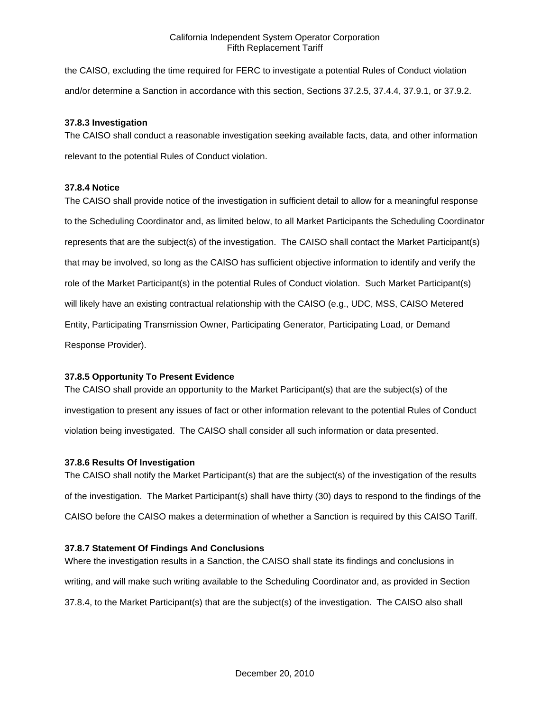the CAISO, excluding the time required for FERC to investigate a potential Rules of Conduct violation and/or determine a Sanction in accordance with this section, Sections 37.2.5, 37.4.4, 37.9.1, or 37.9.2.

## **37.8.3 Investigation**

The CAISO shall conduct a reasonable investigation seeking available facts, data, and other information relevant to the potential Rules of Conduct violation.

## **37.8.4 Notice**

The CAISO shall provide notice of the investigation in sufficient detail to allow for a meaningful response to the Scheduling Coordinator and, as limited below, to all Market Participants the Scheduling Coordinator represents that are the subject(s) of the investigation. The CAISO shall contact the Market Participant(s) that may be involved, so long as the CAISO has sufficient objective information to identify and verify the role of the Market Participant(s) in the potential Rules of Conduct violation. Such Market Participant(s) will likely have an existing contractual relationship with the CAISO (e.g., UDC, MSS, CAISO Metered Entity, Participating Transmission Owner, Participating Generator, Participating Load, or Demand Response Provider).

# **37.8.5 Opportunity To Present Evidence**

The CAISO shall provide an opportunity to the Market Participant(s) that are the subject(s) of the investigation to present any issues of fact or other information relevant to the potential Rules of Conduct violation being investigated. The CAISO shall consider all such information or data presented.

# **37.8.6 Results Of Investigation**

The CAISO shall notify the Market Participant(s) that are the subject(s) of the investigation of the results of the investigation. The Market Participant(s) shall have thirty (30) days to respond to the findings of the CAISO before the CAISO makes a determination of whether a Sanction is required by this CAISO Tariff.

# **37.8.7 Statement Of Findings And Conclusions**

Where the investigation results in a Sanction, the CAISO shall state its findings and conclusions in writing, and will make such writing available to the Scheduling Coordinator and, as provided in Section 37.8.4, to the Market Participant(s) that are the subject(s) of the investigation. The CAISO also shall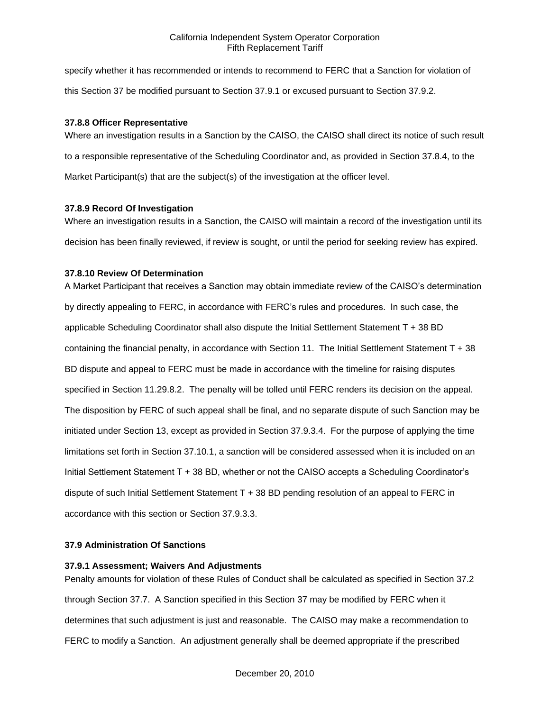specify whether it has recommended or intends to recommend to FERC that a Sanction for violation of this Section 37 be modified pursuant to Section 37.9.1 or excused pursuant to Section 37.9.2.

### **37.8.8 Officer Representative**

Where an investigation results in a Sanction by the CAISO, the CAISO shall direct its notice of such result to a responsible representative of the Scheduling Coordinator and, as provided in Section 37.8.4, to the Market Participant(s) that are the subject(s) of the investigation at the officer level.

## **37.8.9 Record Of Investigation**

Where an investigation results in a Sanction, the CAISO will maintain a record of the investigation until its decision has been finally reviewed, if review is sought, or until the period for seeking review has expired.

# **37.8.10 Review Of Determination**

A Market Participant that receives a Sanction may obtain immediate review of the CAISO's determination by directly appealing to FERC, in accordance with FERC's rules and procedures. In such case, the applicable Scheduling Coordinator shall also dispute the Initial Settlement Statement T + 38 BD containing the financial penalty, in accordance with Section 11. The Initial Settlement Statement T + 38 BD dispute and appeal to FERC must be made in accordance with the timeline for raising disputes specified in Section 11.29.8.2. The penalty will be tolled until FERC renders its decision on the appeal. The disposition by FERC of such appeal shall be final, and no separate dispute of such Sanction may be initiated under Section 13, except as provided in Section 37.9.3.4. For the purpose of applying the time limitations set forth in Section 37.10.1, a sanction will be considered assessed when it is included on an Initial Settlement Statement T + 38 BD, whether or not the CAISO accepts a Scheduling Coordinator's dispute of such Initial Settlement Statement T + 38 BD pending resolution of an appeal to FERC in accordance with this section or Section 37.9.3.3.

### **37.9 Administration Of Sanctions**

### **37.9.1 Assessment; Waivers And Adjustments**

Penalty amounts for violation of these Rules of Conduct shall be calculated as specified in Section 37.2 through Section 37.7. A Sanction specified in this Section 37 may be modified by FERC when it determines that such adjustment is just and reasonable. The CAISO may make a recommendation to FERC to modify a Sanction. An adjustment generally shall be deemed appropriate if the prescribed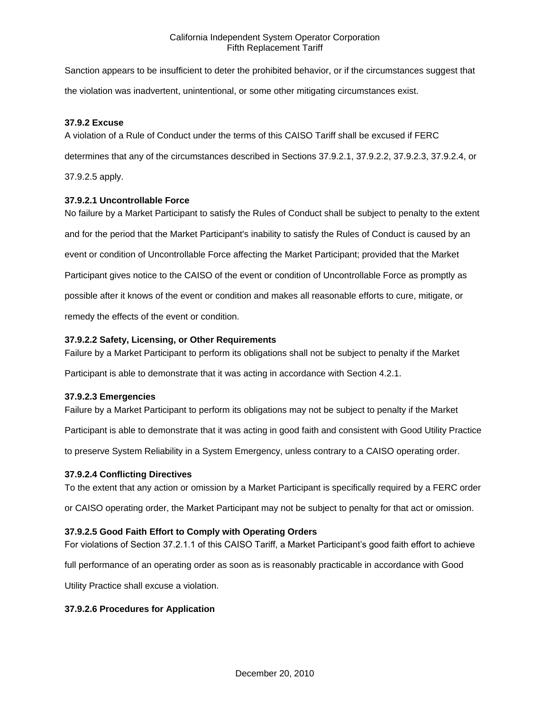Sanction appears to be insufficient to deter the prohibited behavior, or if the circumstances suggest that the violation was inadvertent, unintentional, or some other mitigating circumstances exist.

## **37.9.2 Excuse**

A violation of a Rule of Conduct under the terms of this CAISO Tariff shall be excused if FERC determines that any of the circumstances described in Sections 37.9.2.1, 37.9.2.2, 37.9.2.3, 37.9.2.4, or 37.9.2.5 apply.

## **37.9.2.1 Uncontrollable Force**

No failure by a Market Participant to satisfy the Rules of Conduct shall be subject to penalty to the extent and for the period that the Market Participant's inability to satisfy the Rules of Conduct is caused by an event or condition of Uncontrollable Force affecting the Market Participant; provided that the Market Participant gives notice to the CAISO of the event or condition of Uncontrollable Force as promptly as possible after it knows of the event or condition and makes all reasonable efforts to cure, mitigate, or remedy the effects of the event or condition.

## **37.9.2.2 Safety, Licensing, or Other Requirements**

Failure by a Market Participant to perform its obligations shall not be subject to penalty if the Market

Participant is able to demonstrate that it was acting in accordance with Section 4.2.1.

### **37.9.2.3 Emergencies**

Failure by a Market Participant to perform its obligations may not be subject to penalty if the Market

Participant is able to demonstrate that it was acting in good faith and consistent with Good Utility Practice

to preserve System Reliability in a System Emergency, unless contrary to a CAISO operating order.

### **37.9.2.4 Conflicting Directives**

To the extent that any action or omission by a Market Participant is specifically required by a FERC order

or CAISO operating order, the Market Participant may not be subject to penalty for that act or omission.

### **37.9.2.5 Good Faith Effort to Comply with Operating Orders**

For violations of Section 37.2.1.1 of this CAISO Tariff, a Market Participant's good faith effort to achieve

full performance of an operating order as soon as is reasonably practicable in accordance with Good

Utility Practice shall excuse a violation.

### **37.9.2.6 Procedures for Application**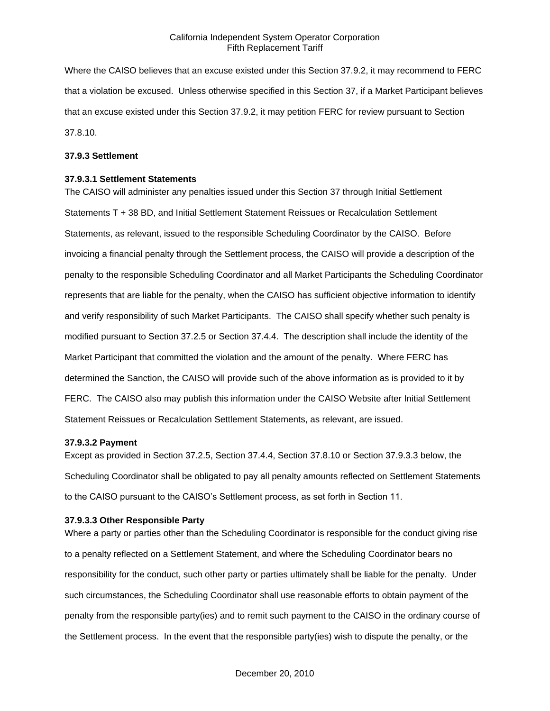Where the CAISO believes that an excuse existed under this Section 37.9.2, it may recommend to FERC that a violation be excused. Unless otherwise specified in this Section 37, if a Market Participant believes that an excuse existed under this Section 37.9.2, it may petition FERC for review pursuant to Section 37.8.10.

#### **37.9.3 Settlement**

#### **37.9.3.1 Settlement Statements**

The CAISO will administer any penalties issued under this Section 37 through Initial Settlement Statements T + 38 BD, and Initial Settlement Statement Reissues or Recalculation Settlement Statements, as relevant, issued to the responsible Scheduling Coordinator by the CAISO. Before invoicing a financial penalty through the Settlement process, the CAISO will provide a description of the penalty to the responsible Scheduling Coordinator and all Market Participants the Scheduling Coordinator represents that are liable for the penalty, when the CAISO has sufficient objective information to identify and verify responsibility of such Market Participants. The CAISO shall specify whether such penalty is modified pursuant to Section 37.2.5 or Section 37.4.4. The description shall include the identity of the Market Participant that committed the violation and the amount of the penalty. Where FERC has determined the Sanction, the CAISO will provide such of the above information as is provided to it by FERC. The CAISO also may publish this information under the CAISO Website after Initial Settlement Statement Reissues or Recalculation Settlement Statements, as relevant, are issued.

### **37.9.3.2 Payment**

Except as provided in Section 37.2.5, Section 37.4.4, Section 37.8.10 or Section 37.9.3.3 below, the Scheduling Coordinator shall be obligated to pay all penalty amounts reflected on Settlement Statements to the CAISO pursuant to the CAISO's Settlement process, as set forth in Section 11.

#### **37.9.3.3 Other Responsible Party**

Where a party or parties other than the Scheduling Coordinator is responsible for the conduct giving rise to a penalty reflected on a Settlement Statement, and where the Scheduling Coordinator bears no responsibility for the conduct, such other party or parties ultimately shall be liable for the penalty. Under such circumstances, the Scheduling Coordinator shall use reasonable efforts to obtain payment of the penalty from the responsible party(ies) and to remit such payment to the CAISO in the ordinary course of the Settlement process. In the event that the responsible party(ies) wish to dispute the penalty, or the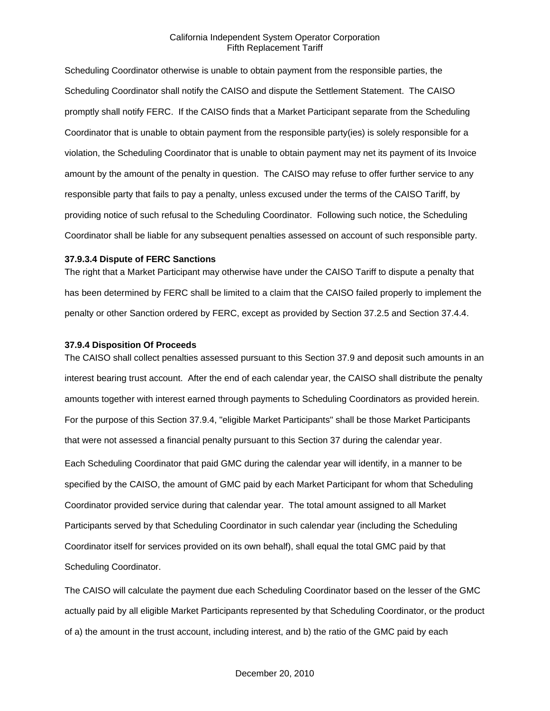Scheduling Coordinator otherwise is unable to obtain payment from the responsible parties, the Scheduling Coordinator shall notify the CAISO and dispute the Settlement Statement. The CAISO promptly shall notify FERC. If the CAISO finds that a Market Participant separate from the Scheduling Coordinator that is unable to obtain payment from the responsible party(ies) is solely responsible for a violation, the Scheduling Coordinator that is unable to obtain payment may net its payment of its Invoice amount by the amount of the penalty in question. The CAISO may refuse to offer further service to any responsible party that fails to pay a penalty, unless excused under the terms of the CAISO Tariff, by providing notice of such refusal to the Scheduling Coordinator. Following such notice, the Scheduling Coordinator shall be liable for any subsequent penalties assessed on account of such responsible party.

#### **37.9.3.4 Dispute of FERC Sanctions**

The right that a Market Participant may otherwise have under the CAISO Tariff to dispute a penalty that has been determined by FERC shall be limited to a claim that the CAISO failed properly to implement the penalty or other Sanction ordered by FERC, except as provided by Section 37.2.5 and Section 37.4.4.

## **37.9.4 Disposition Of Proceeds**

The CAISO shall collect penalties assessed pursuant to this Section 37.9 and deposit such amounts in an interest bearing trust account. After the end of each calendar year, the CAISO shall distribute the penalty amounts together with interest earned through payments to Scheduling Coordinators as provided herein. For the purpose of this Section 37.9.4, "eligible Market Participants" shall be those Market Participants that were not assessed a financial penalty pursuant to this Section 37 during the calendar year. Each Scheduling Coordinator that paid GMC during the calendar year will identify, in a manner to be specified by the CAISO, the amount of GMC paid by each Market Participant for whom that Scheduling Coordinator provided service during that calendar year. The total amount assigned to all Market Participants served by that Scheduling Coordinator in such calendar year (including the Scheduling Coordinator itself for services provided on its own behalf), shall equal the total GMC paid by that Scheduling Coordinator.

The CAISO will calculate the payment due each Scheduling Coordinator based on the lesser of the GMC actually paid by all eligible Market Participants represented by that Scheduling Coordinator, or the product of a) the amount in the trust account, including interest, and b) the ratio of the GMC paid by each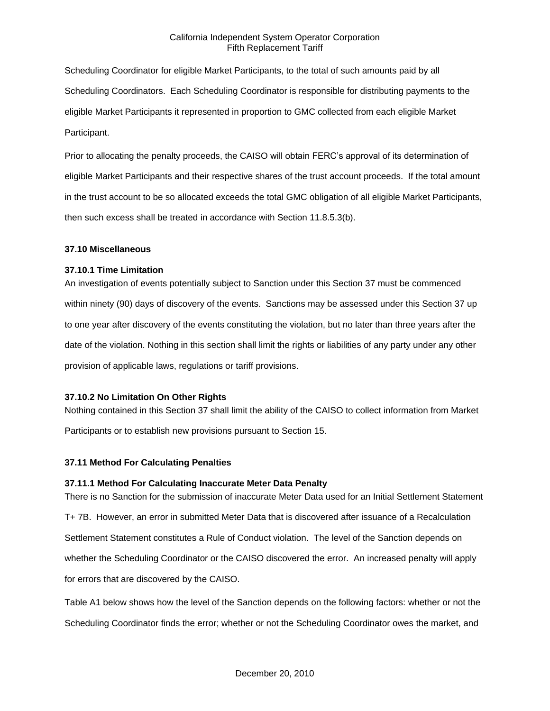Scheduling Coordinator for eligible Market Participants, to the total of such amounts paid by all Scheduling Coordinators. Each Scheduling Coordinator is responsible for distributing payments to the eligible Market Participants it represented in proportion to GMC collected from each eligible Market Participant.

Prior to allocating the penalty proceeds, the CAISO will obtain FERC's approval of its determination of eligible Market Participants and their respective shares of the trust account proceeds. If the total amount in the trust account to be so allocated exceeds the total GMC obligation of all eligible Market Participants, then such excess shall be treated in accordance with Section 11.8.5.3(b).

## **37.10 Miscellaneous**

## **37.10.1 Time Limitation**

An investigation of events potentially subject to Sanction under this Section 37 must be commenced within ninety (90) days of discovery of the events. Sanctions may be assessed under this Section 37 up to one year after discovery of the events constituting the violation, but no later than three years after the date of the violation. Nothing in this section shall limit the rights or liabilities of any party under any other provision of applicable laws, regulations or tariff provisions.

# **37.10.2 No Limitation On Other Rights**

Nothing contained in this Section 37 shall limit the ability of the CAISO to collect information from Market Participants or to establish new provisions pursuant to Section 15.

# **37.11 Method For Calculating Penalties**

# **37.11.1 Method For Calculating Inaccurate Meter Data Penalty**

There is no Sanction for the submission of inaccurate Meter Data used for an Initial Settlement Statement T+ 7B. However, an error in submitted Meter Data that is discovered after issuance of a Recalculation Settlement Statement constitutes a Rule of Conduct violation. The level of the Sanction depends on whether the Scheduling Coordinator or the CAISO discovered the error. An increased penalty will apply for errors that are discovered by the CAISO.

Table A1 below shows how the level of the Sanction depends on the following factors: whether or not the Scheduling Coordinator finds the error; whether or not the Scheduling Coordinator owes the market, and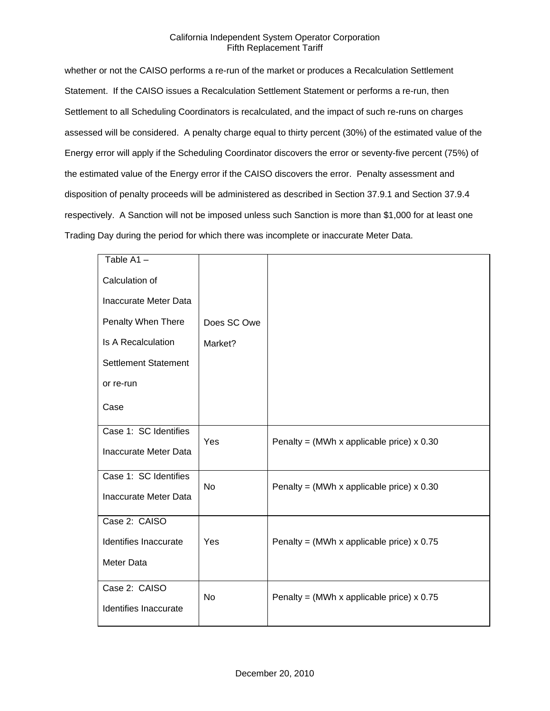whether or not the CAISO performs a re-run of the market or produces a Recalculation Settlement Statement. If the CAISO issues a Recalculation Settlement Statement or performs a re-run, then Settlement to all Scheduling Coordinators is recalculated, and the impact of such re-runs on charges assessed will be considered. A penalty charge equal to thirty percent (30%) of the estimated value of the Energy error will apply if the Scheduling Coordinator discovers the error or seventy-five percent (75%) of the estimated value of the Energy error if the CAISO discovers the error. Penalty assessment and disposition of penalty proceeds will be administered as described in Section 37.9.1 and Section 37.9.4 respectively. A Sanction will not be imposed unless such Sanction is more than \$1,000 for at least one Trading Day during the period for which there was incomplete or inaccurate Meter Data.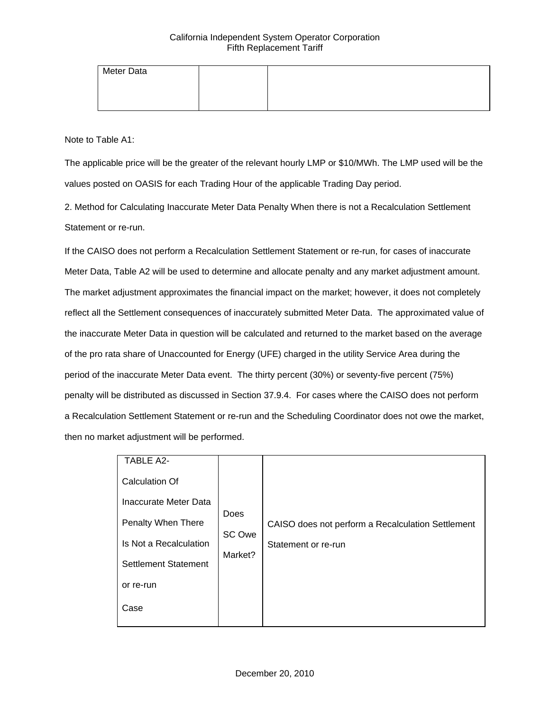| Meter Data |  |  |
|------------|--|--|
|            |  |  |
|            |  |  |

Note to Table A1:

The applicable price will be the greater of the relevant hourly LMP or \$10/MWh. The LMP used will be the values posted on OASIS for each Trading Hour of the applicable Trading Day period.

2. Method for Calculating Inaccurate Meter Data Penalty When there is not a Recalculation Settlement Statement or re-run.

If the CAISO does not perform a Recalculation Settlement Statement or re-run, for cases of inaccurate Meter Data, Table A2 will be used to determine and allocate penalty and any market adjustment amount. The market adjustment approximates the financial impact on the market; however, it does not completely reflect all the Settlement consequences of inaccurately submitted Meter Data. The approximated value of the inaccurate Meter Data in question will be calculated and returned to the market based on the average of the pro rata share of Unaccounted for Energy (UFE) charged in the utility Service Area during the period of the inaccurate Meter Data event. The thirty percent (30%) or seventy-five percent (75%) penalty will be distributed as discussed in Section 37.9.4. For cases where the CAISO does not perform a Recalculation Settlement Statement or re-run and the Scheduling Coordinator does not owe the market, then no market adjustment will be performed.

| <b>TABLE A2-</b>            |                           |  |                                                   |
|-----------------------------|---------------------------|--|---------------------------------------------------|
| <b>Calculation Of</b>       |                           |  |                                                   |
| Inaccurate Meter Data       | Does<br>SC Owe<br>Market? |  |                                                   |
| Penalty When There          |                           |  | CAISO does not perform a Recalculation Settlement |
| Is Not a Recalculation      |                           |  | Statement or re-run                               |
| <b>Settlement Statement</b> |                           |  |                                                   |
| or re-run                   |                           |  |                                                   |
| Case                        |                           |  |                                                   |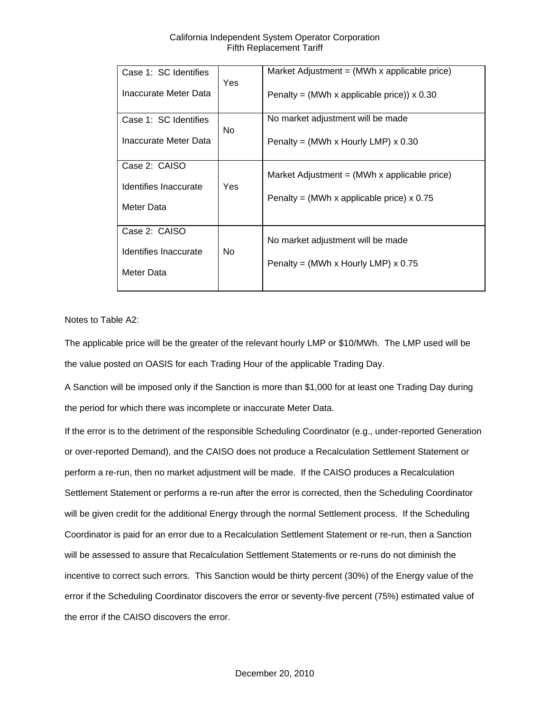| Case 1: SC Identifies | <b>Yes</b> | Market Adjustment = $(MWh \times \text{applicable price})$ |
|-----------------------|------------|------------------------------------------------------------|
| Inaccurate Meter Data |            | Penalty = (MWh x applicable price)) $\times$ 0.30          |
| Case 1: SC Identifies | <b>No</b>  | No market adjustment will be made                          |
| Inaccurate Meter Data |            | Penalty = (MWh x Hourly LMP) $\times$ 0.30                 |
| Case 2: CAISO         |            | Market Adjustment = $(MWh \times \text{applicable price})$ |
| Identifies Inaccurate | Yes        |                                                            |
| Meter Data            |            | Penalty = (MWh x applicable price) $x$ 0.75                |
| Case 2: CAISO         |            | No market adjustment will be made                          |
| Identifies Inaccurate | No.        |                                                            |
| Meter Data            |            | Penalty = (MWh x Hourly LMP) $\times$ 0.75                 |

Notes to Table A2:

The applicable price will be the greater of the relevant hourly LMP or \$10/MWh. The LMP used will be the value posted on OASIS for each Trading Hour of the applicable Trading Day.

A Sanction will be imposed only if the Sanction is more than \$1,000 for at least one Trading Day during the period for which there was incomplete or inaccurate Meter Data.

If the error is to the detriment of the responsible Scheduling Coordinator (e.g., under-reported Generation or over-reported Demand), and the CAISO does not produce a Recalculation Settlement Statement or perform a re-run, then no market adjustment will be made. If the CAISO produces a Recalculation Settlement Statement or performs a re-run after the error is corrected, then the Scheduling Coordinator will be given credit for the additional Energy through the normal Settlement process. If the Scheduling Coordinator is paid for an error due to a Recalculation Settlement Statement or re-run, then a Sanction will be assessed to assure that Recalculation Settlement Statements or re-runs do not diminish the incentive to correct such errors. This Sanction would be thirty percent (30%) of the Energy value of the error if the Scheduling Coordinator discovers the error or seventy-five percent (75%) estimated value of the error if the CAISO discovers the error.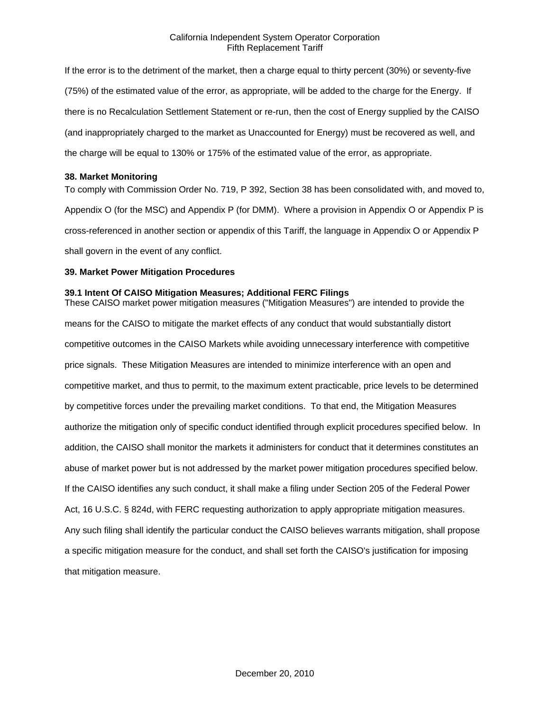If the error is to the detriment of the market, then a charge equal to thirty percent (30%) or seventy-five (75%) of the estimated value of the error, as appropriate, will be added to the charge for the Energy. If there is no Recalculation Settlement Statement or re-run, then the cost of Energy supplied by the CAISO (and inappropriately charged to the market as Unaccounted for Energy) must be recovered as well, and the charge will be equal to 130% or 175% of the estimated value of the error, as appropriate.

#### **38. Market Monitoring**

To comply with Commission Order No. 719, P 392, Section 38 has been consolidated with, and moved to, Appendix O (for the MSC) and Appendix P (for DMM). Where a provision in Appendix O or Appendix P is cross-referenced in another section or appendix of this Tariff, the language in Appendix O or Appendix P shall govern in the event of any conflict.

### **39. Market Power Mitigation Procedures**

### **39.1 Intent Of CAISO Mitigation Measures; Additional FERC Filings**

These CAISO market power mitigation measures ("Mitigation Measures") are intended to provide the means for the CAISO to mitigate the market effects of any conduct that would substantially distort competitive outcomes in the CAISO Markets while avoiding unnecessary interference with competitive price signals. These Mitigation Measures are intended to minimize interference with an open and competitive market, and thus to permit, to the maximum extent practicable, price levels to be determined by competitive forces under the prevailing market conditions. To that end, the Mitigation Measures authorize the mitigation only of specific conduct identified through explicit procedures specified below. In addition, the CAISO shall monitor the markets it administers for conduct that it determines constitutes an abuse of market power but is not addressed by the market power mitigation procedures specified below. If the CAISO identifies any such conduct, it shall make a filing under Section 205 of the Federal Power Act, 16 U.S.C. § 824d, with FERC requesting authorization to apply appropriate mitigation measures. Any such filing shall identify the particular conduct the CAISO believes warrants mitigation, shall propose a specific mitigation measure for the conduct, and shall set forth the CAISO's justification for imposing that mitigation measure.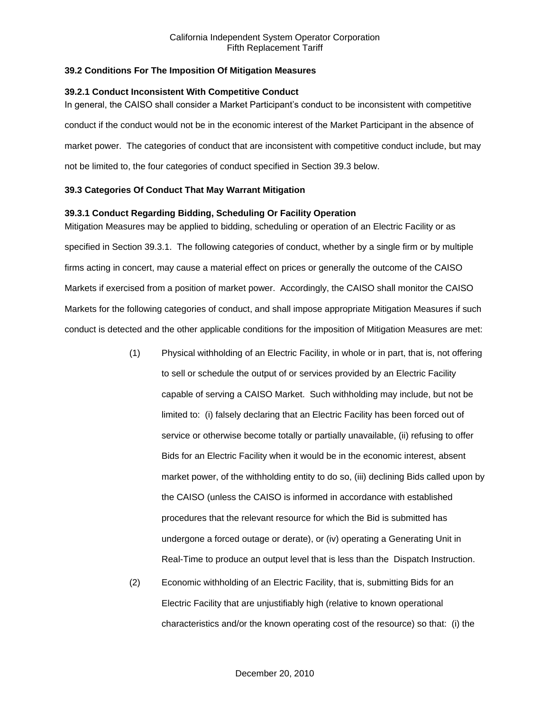## **39.2 Conditions For The Imposition Of Mitigation Measures**

### **39.2.1 Conduct Inconsistent With Competitive Conduct**

In general, the CAISO shall consider a Market Participant's conduct to be inconsistent with competitive conduct if the conduct would not be in the economic interest of the Market Participant in the absence of market power. The categories of conduct that are inconsistent with competitive conduct include, but may not be limited to, the four categories of conduct specified in Section 39.3 below.

## **39.3 Categories Of Conduct That May Warrant Mitigation**

## **39.3.1 Conduct Regarding Bidding, Scheduling Or Facility Operation**

Mitigation Measures may be applied to bidding, scheduling or operation of an Electric Facility or as specified in Section 39.3.1. The following categories of conduct, whether by a single firm or by multiple firms acting in concert, may cause a material effect on prices or generally the outcome of the CAISO Markets if exercised from a position of market power. Accordingly, the CAISO shall monitor the CAISO Markets for the following categories of conduct, and shall impose appropriate Mitigation Measures if such conduct is detected and the other applicable conditions for the imposition of Mitigation Measures are met:

- (1) Physical withholding of an Electric Facility, in whole or in part, that is, not offering to sell or schedule the output of or services provided by an Electric Facility capable of serving a CAISO Market. Such withholding may include, but not be limited to: (i) falsely declaring that an Electric Facility has been forced out of service or otherwise become totally or partially unavailable, (ii) refusing to offer Bids for an Electric Facility when it would be in the economic interest, absent market power, of the withholding entity to do so, (iii) declining Bids called upon by the CAISO (unless the CAISO is informed in accordance with established procedures that the relevant resource for which the Bid is submitted has undergone a forced outage or derate), or (iv) operating a Generating Unit in Real-Time to produce an output level that is less than the Dispatch Instruction.
- (2) Economic withholding of an Electric Facility, that is, submitting Bids for an Electric Facility that are unjustifiably high (relative to known operational characteristics and/or the known operating cost of the resource) so that: (i) the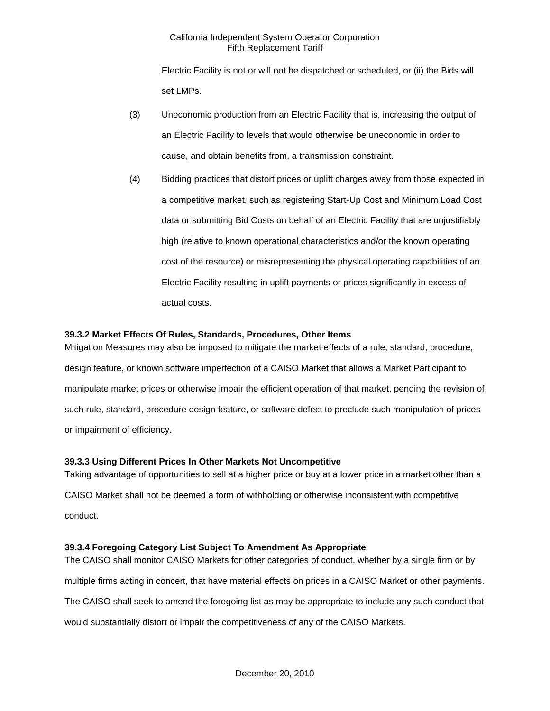Electric Facility is not or will not be dispatched or scheduled, or (ii) the Bids will set LMPs.

- (3) Uneconomic production from an Electric Facility that is, increasing the output of an Electric Facility to levels that would otherwise be uneconomic in order to cause, and obtain benefits from, a transmission constraint.
- (4) Bidding practices that distort prices or uplift charges away from those expected in a competitive market, such as registering Start-Up Cost and Minimum Load Cost data or submitting Bid Costs on behalf of an Electric Facility that are unjustifiably high (relative to known operational characteristics and/or the known operating cost of the resource) or misrepresenting the physical operating capabilities of an Electric Facility resulting in uplift payments or prices significantly in excess of actual costs.

# **39.3.2 Market Effects Of Rules, Standards, Procedures, Other Items**

Mitigation Measures may also be imposed to mitigate the market effects of a rule, standard, procedure, design feature, or known software imperfection of a CAISO Market that allows a Market Participant to manipulate market prices or otherwise impair the efficient operation of that market, pending the revision of such rule, standard, procedure design feature, or software defect to preclude such manipulation of prices or impairment of efficiency.

### **39.3.3 Using Different Prices In Other Markets Not Uncompetitive**

Taking advantage of opportunities to sell at a higher price or buy at a lower price in a market other than a CAISO Market shall not be deemed a form of withholding or otherwise inconsistent with competitive conduct.

### **39.3.4 Foregoing Category List Subject To Amendment As Appropriate**

The CAISO shall monitor CAISO Markets for other categories of conduct, whether by a single firm or by multiple firms acting in concert, that have material effects on prices in a CAISO Market or other payments. The CAISO shall seek to amend the foregoing list as may be appropriate to include any such conduct that would substantially distort or impair the competitiveness of any of the CAISO Markets.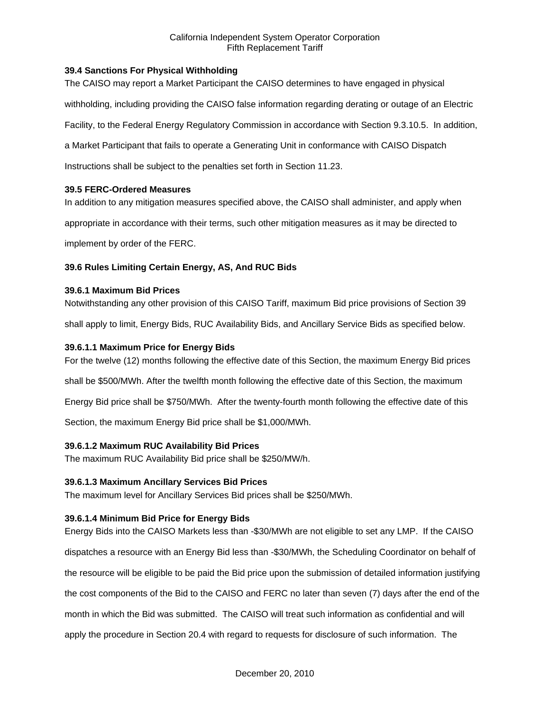# **39.4 Sanctions For Physical Withholding**

The CAISO may report a Market Participant the CAISO determines to have engaged in physical

withholding, including providing the CAISO false information regarding derating or outage of an Electric

Facility, to the Federal Energy Regulatory Commission in accordance with Section 9.3.10.5. In addition,

a Market Participant that fails to operate a Generating Unit in conformance with CAISO Dispatch

Instructions shall be subject to the penalties set forth in Section 11.23.

### **39.5 FERC-Ordered Measures**

In addition to any mitigation measures specified above, the CAISO shall administer, and apply when

appropriate in accordance with their terms, such other mitigation measures as it may be directed to

implement by order of the FERC.

## **39.6 Rules Limiting Certain Energy, AS, And RUC Bids**

### **39.6.1 Maximum Bid Prices**

Notwithstanding any other provision of this CAISO Tariff, maximum Bid price provisions of Section 39

shall apply to limit, Energy Bids, RUC Availability Bids, and Ancillary Service Bids as specified below.

## **39.6.1.1 Maximum Price for Energy Bids**

For the twelve (12) months following the effective date of this Section, the maximum Energy Bid prices

shall be \$500/MWh. After the twelfth month following the effective date of this Section, the maximum

Energy Bid price shall be \$750/MWh. After the twenty-fourth month following the effective date of this

Section, the maximum Energy Bid price shall be \$1,000/MWh.

# **39.6.1.2 Maximum RUC Availability Bid Prices**

The maximum RUC Availability Bid price shall be \$250/MW/h.

### **39.6.1.3 Maximum Ancillary Services Bid Prices**

The maximum level for Ancillary Services Bid prices shall be \$250/MWh.

### **39.6.1.4 Minimum Bid Price for Energy Bids**

Energy Bids into the CAISO Markets less than -\$30/MWh are not eligible to set any LMP. If the CAISO dispatches a resource with an Energy Bid less than -\$30/MWh, the Scheduling Coordinator on behalf of the resource will be eligible to be paid the Bid price upon the submission of detailed information justifying the cost components of the Bid to the CAISO and FERC no later than seven (7) days after the end of the month in which the Bid was submitted. The CAISO will treat such information as confidential and will apply the procedure in Section 20.4 with regard to requests for disclosure of such information. The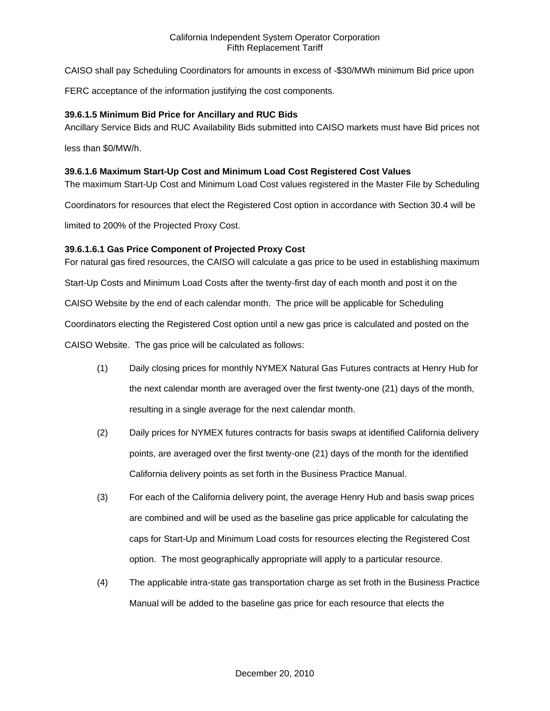CAISO shall pay Scheduling Coordinators for amounts in excess of -\$30/MWh minimum Bid price upon

FERC acceptance of the information justifying the cost components.

### **39.6.1.5 Minimum Bid Price for Ancillary and RUC Bids**

Ancillary Service Bids and RUC Availability Bids submitted into CAISO markets must have Bid prices not

less than \$0/MW/h.

### **39.6.1.6 Maximum Start-Up Cost and Minimum Load Cost Registered Cost Values**

The maximum Start-Up Cost and Minimum Load Cost values registered in the Master File by Scheduling

Coordinators for resources that elect the Registered Cost option in accordance with Section 30.4 will be

limited to 200% of the Projected Proxy Cost.

## **39.6.1.6.1 Gas Price Component of Projected Proxy Cost**

For natural gas fired resources, the CAISO will calculate a gas price to be used in establishing maximum

Start-Up Costs and Minimum Load Costs after the twenty-first day of each month and post it on the

CAISO Website by the end of each calendar month. The price will be applicable for Scheduling

Coordinators electing the Registered Cost option until a new gas price is calculated and posted on the

CAISO Website. The gas price will be calculated as follows:

- (1) Daily closing prices for monthly NYMEX Natural Gas Futures contracts at Henry Hub for the next calendar month are averaged over the first twenty-one (21) days of the month, resulting in a single average for the next calendar month.
- (2) Daily prices for NYMEX futures contracts for basis swaps at identified California delivery points, are averaged over the first twenty-one (21) days of the month for the identified California delivery points as set forth in the Business Practice Manual.
- (3) For each of the California delivery point, the average Henry Hub and basis swap prices are combined and will be used as the baseline gas price applicable for calculating the caps for Start-Up and Minimum Load costs for resources electing the Registered Cost option. The most geographically appropriate will apply to a particular resource.
- (4) The applicable intra-state gas transportation charge as set froth in the Business Practice Manual will be added to the baseline gas price for each resource that elects the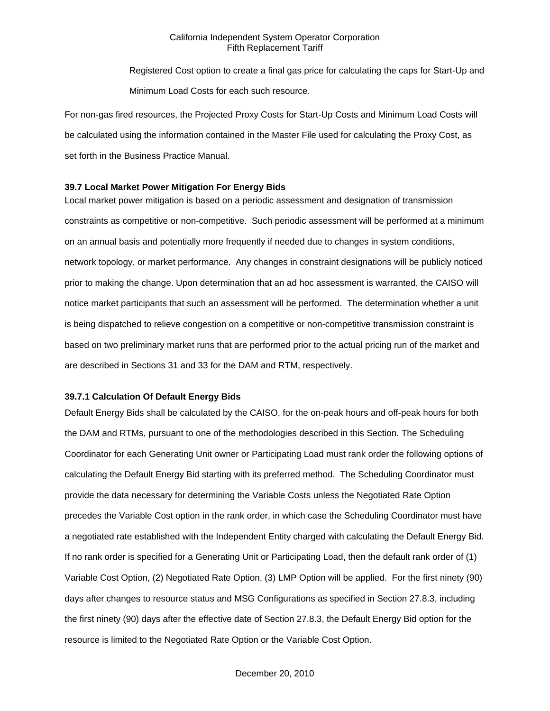Registered Cost option to create a final gas price for calculating the caps for Start-Up and Minimum Load Costs for each such resource.

For non-gas fired resources, the Projected Proxy Costs for Start-Up Costs and Minimum Load Costs will be calculated using the information contained in the Master File used for calculating the Proxy Cost, as set forth in the Business Practice Manual.

### **39.7 Local Market Power Mitigation For Energy Bids**

Local market power mitigation is based on a periodic assessment and designation of transmission constraints as competitive or non-competitive. Such periodic assessment will be performed at a minimum on an annual basis and potentially more frequently if needed due to changes in system conditions, network topology, or market performance. Any changes in constraint designations will be publicly noticed prior to making the change. Upon determination that an ad hoc assessment is warranted, the CAISO will notice market participants that such an assessment will be performed. The determination whether a unit is being dispatched to relieve congestion on a competitive or non-competitive transmission constraint is based on two preliminary market runs that are performed prior to the actual pricing run of the market and are described in Sections 31 and 33 for the DAM and RTM, respectively.

### **39.7.1 Calculation Of Default Energy Bids**

Default Energy Bids shall be calculated by the CAISO, for the on-peak hours and off-peak hours for both the DAM and RTMs, pursuant to one of the methodologies described in this Section. The Scheduling Coordinator for each Generating Unit owner or Participating Load must rank order the following options of calculating the Default Energy Bid starting with its preferred method. The Scheduling Coordinator must provide the data necessary for determining the Variable Costs unless the Negotiated Rate Option precedes the Variable Cost option in the rank order, in which case the Scheduling Coordinator must have a negotiated rate established with the Independent Entity charged with calculating the Default Energy Bid. If no rank order is specified for a Generating Unit or Participating Load, then the default rank order of (1) Variable Cost Option, (2) Negotiated Rate Option, (3) LMP Option will be applied. For the first ninety (90) days after changes to resource status and MSG Configurations as specified in Section 27.8.3, including the first ninety (90) days after the effective date of Section 27.8.3, the Default Energy Bid option for the resource is limited to the Negotiated Rate Option or the Variable Cost Option.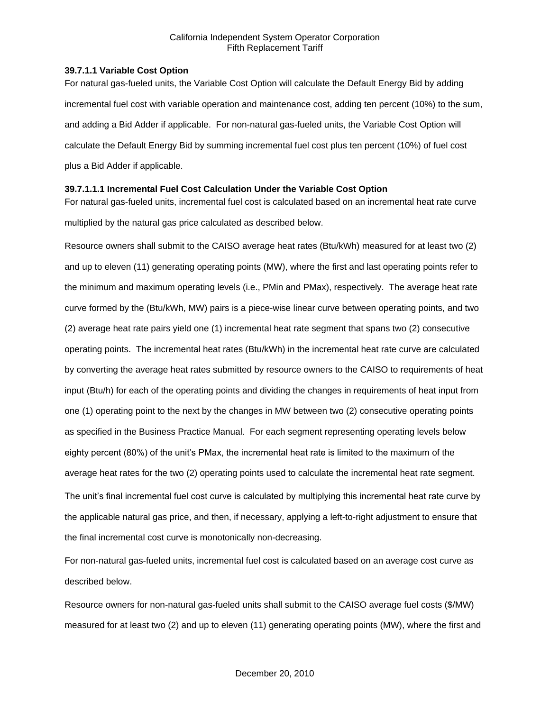### **39.7.1.1 Variable Cost Option**

For natural gas-fueled units, the Variable Cost Option will calculate the Default Energy Bid by adding incremental fuel cost with variable operation and maintenance cost, adding ten percent (10%) to the sum, and adding a Bid Adder if applicable. For non-natural gas-fueled units, the Variable Cost Option will calculate the Default Energy Bid by summing incremental fuel cost plus ten percent (10%) of fuel cost plus a Bid Adder if applicable.

# **39.7.1.1.1 Incremental Fuel Cost Calculation Under the Variable Cost Option**

For natural gas-fueled units, incremental fuel cost is calculated based on an incremental heat rate curve multiplied by the natural gas price calculated as described below.

Resource owners shall submit to the CAISO average heat rates (Btu/kWh) measured for at least two (2) and up to eleven (11) generating operating points (MW), where the first and last operating points refer to the minimum and maximum operating levels (i.e., PMin and PMax), respectively. The average heat rate curve formed by the (Btu/kWh, MW) pairs is a piece-wise linear curve between operating points, and two (2) average heat rate pairs yield one (1) incremental heat rate segment that spans two (2) consecutive operating points. The incremental heat rates (Btu/kWh) in the incremental heat rate curve are calculated by converting the average heat rates submitted by resource owners to the CAISO to requirements of heat input (Btu/h) for each of the operating points and dividing the changes in requirements of heat input from one (1) operating point to the next by the changes in MW between two (2) consecutive operating points as specified in the Business Practice Manual. For each segment representing operating levels below eighty percent (80%) of the unit's PMax, the incremental heat rate is limited to the maximum of the average heat rates for the two (2) operating points used to calculate the incremental heat rate segment. The unit's final incremental fuel cost curve is calculated by multiplying this incremental heat rate curve by the applicable natural gas price, and then, if necessary, applying a left-to-right adjustment to ensure that the final incremental cost curve is monotonically non-decreasing.

For non-natural gas-fueled units, incremental fuel cost is calculated based on an average cost curve as described below.

Resource owners for non-natural gas-fueled units shall submit to the CAISO average fuel costs (\$/MW) measured for at least two (2) and up to eleven (11) generating operating points (MW), where the first and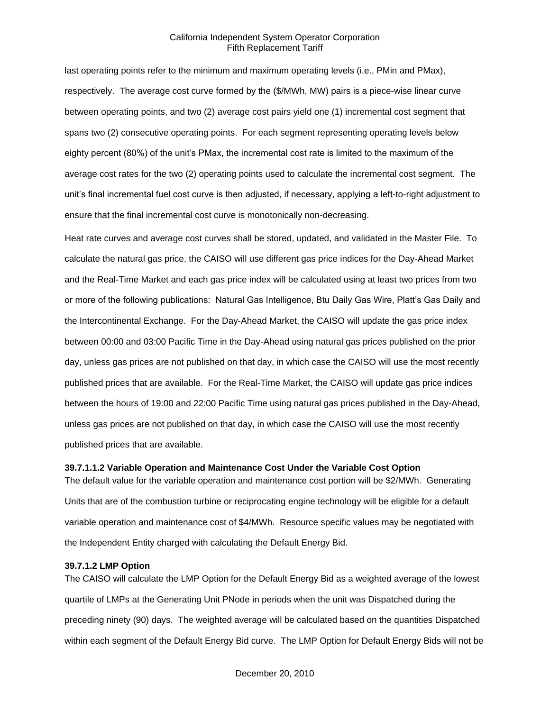last operating points refer to the minimum and maximum operating levels (i.e., PMin and PMax), respectively. The average cost curve formed by the (\$/MWh, MW) pairs is a piece-wise linear curve between operating points, and two (2) average cost pairs yield one (1) incremental cost segment that spans two (2) consecutive operating points. For each segment representing operating levels below eighty percent (80%) of the unit's PMax, the incremental cost rate is limited to the maximum of the average cost rates for the two (2) operating points used to calculate the incremental cost segment. The unit's final incremental fuel cost curve is then adjusted, if necessary, applying a left-to-right adjustment to ensure that the final incremental cost curve is monotonically non-decreasing.

Heat rate curves and average cost curves shall be stored, updated, and validated in the Master File. To calculate the natural gas price, the CAISO will use different gas price indices for the Day-Ahead Market and the Real-Time Market and each gas price index will be calculated using at least two prices from two or more of the following publications: Natural Gas Intelligence, Btu Daily Gas Wire, Platt's Gas Daily and the Intercontinental Exchange. For the Day-Ahead Market, the CAISO will update the gas price index between 00:00 and 03:00 Pacific Time in the Day-Ahead using natural gas prices published on the prior day, unless gas prices are not published on that day, in which case the CAISO will use the most recently published prices that are available. For the Real-Time Market, the CAISO will update gas price indices between the hours of 19:00 and 22:00 Pacific Time using natural gas prices published in the Day-Ahead, unless gas prices are not published on that day, in which case the CAISO will use the most recently published prices that are available.

#### **39.7.1.1.2 Variable Operation and Maintenance Cost Under the Variable Cost Option**

The default value for the variable operation and maintenance cost portion will be \$2/MWh. Generating Units that are of the combustion turbine or reciprocating engine technology will be eligible for a default variable operation and maintenance cost of \$4/MWh. Resource specific values may be negotiated with the Independent Entity charged with calculating the Default Energy Bid.

#### **39.7.1.2 LMP Option**

The CAISO will calculate the LMP Option for the Default Energy Bid as a weighted average of the lowest quartile of LMPs at the Generating Unit PNode in periods when the unit was Dispatched during the preceding ninety (90) days. The weighted average will be calculated based on the quantities Dispatched within each segment of the Default Energy Bid curve. The LMP Option for Default Energy Bids will not be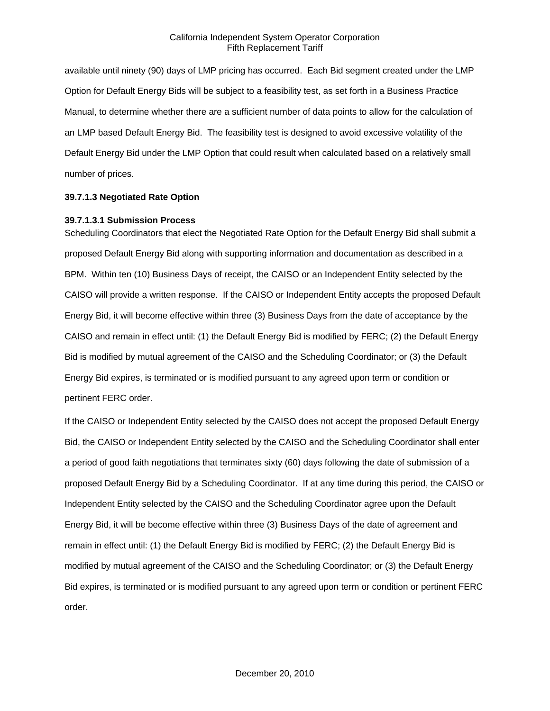available until ninety (90) days of LMP pricing has occurred. Each Bid segment created under the LMP Option for Default Energy Bids will be subject to a feasibility test, as set forth in a Business Practice Manual, to determine whether there are a sufficient number of data points to allow for the calculation of an LMP based Default Energy Bid. The feasibility test is designed to avoid excessive volatility of the Default Energy Bid under the LMP Option that could result when calculated based on a relatively small number of prices.

#### **39.7.1.3 Negotiated Rate Option**

#### **39.7.1.3.1 Submission Process**

Scheduling Coordinators that elect the Negotiated Rate Option for the Default Energy Bid shall submit a proposed Default Energy Bid along with supporting information and documentation as described in a BPM. Within ten (10) Business Days of receipt, the CAISO or an Independent Entity selected by the CAISO will provide a written response. If the CAISO or Independent Entity accepts the proposed Default Energy Bid, it will become effective within three (3) Business Days from the date of acceptance by the CAISO and remain in effect until: (1) the Default Energy Bid is modified by FERC; (2) the Default Energy Bid is modified by mutual agreement of the CAISO and the Scheduling Coordinator; or (3) the Default Energy Bid expires, is terminated or is modified pursuant to any agreed upon term or condition or pertinent FERC order.

If the CAISO or Independent Entity selected by the CAISO does not accept the proposed Default Energy Bid, the CAISO or Independent Entity selected by the CAISO and the Scheduling Coordinator shall enter a period of good faith negotiations that terminates sixty (60) days following the date of submission of a proposed Default Energy Bid by a Scheduling Coordinator. If at any time during this period, the CAISO or Independent Entity selected by the CAISO and the Scheduling Coordinator agree upon the Default Energy Bid, it will be become effective within three (3) Business Days of the date of agreement and remain in effect until: (1) the Default Energy Bid is modified by FERC; (2) the Default Energy Bid is modified by mutual agreement of the CAISO and the Scheduling Coordinator; or (3) the Default Energy Bid expires, is terminated or is modified pursuant to any agreed upon term or condition or pertinent FERC order.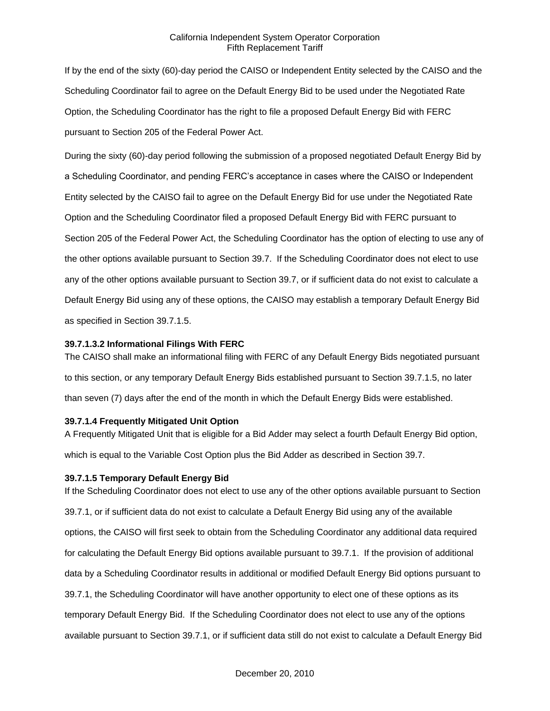If by the end of the sixty (60)-day period the CAISO or Independent Entity selected by the CAISO and the Scheduling Coordinator fail to agree on the Default Energy Bid to be used under the Negotiated Rate Option, the Scheduling Coordinator has the right to file a proposed Default Energy Bid with FERC pursuant to Section 205 of the Federal Power Act.

During the sixty (60)-day period following the submission of a proposed negotiated Default Energy Bid by a Scheduling Coordinator, and pending FERC's acceptance in cases where the CAISO or Independent Entity selected by the CAISO fail to agree on the Default Energy Bid for use under the Negotiated Rate Option and the Scheduling Coordinator filed a proposed Default Energy Bid with FERC pursuant to Section 205 of the Federal Power Act, the Scheduling Coordinator has the option of electing to use any of the other options available pursuant to Section 39.7. If the Scheduling Coordinator does not elect to use any of the other options available pursuant to Section 39.7, or if sufficient data do not exist to calculate a Default Energy Bid using any of these options, the CAISO may establish a temporary Default Energy Bid as specified in Section 39.7.1.5.

#### **39.7.1.3.2 Informational Filings With FERC**

The CAISO shall make an informational filing with FERC of any Default Energy Bids negotiated pursuant to this section, or any temporary Default Energy Bids established pursuant to Section 39.7.1.5, no later than seven (7) days after the end of the month in which the Default Energy Bids were established.

### **39.7.1.4 Frequently Mitigated Unit Option**

A Frequently Mitigated Unit that is eligible for a Bid Adder may select a fourth Default Energy Bid option, which is equal to the Variable Cost Option plus the Bid Adder as described in Section 39.7.

### **39.7.1.5 Temporary Default Energy Bid**

If the Scheduling Coordinator does not elect to use any of the other options available pursuant to Section 39.7.1, or if sufficient data do not exist to calculate a Default Energy Bid using any of the available options, the CAISO will first seek to obtain from the Scheduling Coordinator any additional data required for calculating the Default Energy Bid options available pursuant to 39.7.1. If the provision of additional data by a Scheduling Coordinator results in additional or modified Default Energy Bid options pursuant to 39.7.1, the Scheduling Coordinator will have another opportunity to elect one of these options as its temporary Default Energy Bid. If the Scheduling Coordinator does not elect to use any of the options available pursuant to Section 39.7.1, or if sufficient data still do not exist to calculate a Default Energy Bid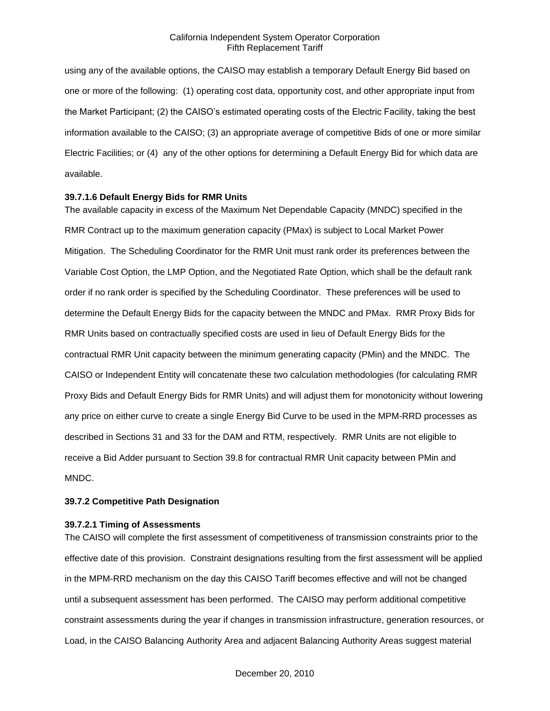using any of the available options, the CAISO may establish a temporary Default Energy Bid based on one or more of the following: (1) operating cost data, opportunity cost, and other appropriate input from the Market Participant; (2) the CAISO's estimated operating costs of the Electric Facility, taking the best information available to the CAISO; (3) an appropriate average of competitive Bids of one or more similar Electric Facilities; or (4) any of the other options for determining a Default Energy Bid for which data are available.

#### **39.7.1.6 Default Energy Bids for RMR Units**

The available capacity in excess of the Maximum Net Dependable Capacity (MNDC) specified in the RMR Contract up to the maximum generation capacity (PMax) is subject to Local Market Power Mitigation. The Scheduling Coordinator for the RMR Unit must rank order its preferences between the Variable Cost Option, the LMP Option, and the Negotiated Rate Option, which shall be the default rank order if no rank order is specified by the Scheduling Coordinator. These preferences will be used to determine the Default Energy Bids for the capacity between the MNDC and PMax. RMR Proxy Bids for RMR Units based on contractually specified costs are used in lieu of Default Energy Bids for the contractual RMR Unit capacity between the minimum generating capacity (PMin) and the MNDC. The CAISO or Independent Entity will concatenate these two calculation methodologies (for calculating RMR Proxy Bids and Default Energy Bids for RMR Units) and will adjust them for monotonicity without lowering any price on either curve to create a single Energy Bid Curve to be used in the MPM-RRD processes as described in Sections 31 and 33 for the DAM and RTM, respectively. RMR Units are not eligible to receive a Bid Adder pursuant to Section 39.8 for contractual RMR Unit capacity between PMin and MNDC.

#### **39.7.2 Competitive Path Designation**

#### **39.7.2.1 Timing of Assessments**

The CAISO will complete the first assessment of competitiveness of transmission constraints prior to the effective date of this provision. Constraint designations resulting from the first assessment will be applied in the MPM-RRD mechanism on the day this CAISO Tariff becomes effective and will not be changed until a subsequent assessment has been performed. The CAISO may perform additional competitive constraint assessments during the year if changes in transmission infrastructure, generation resources, or Load, in the CAISO Balancing Authority Area and adjacent Balancing Authority Areas suggest material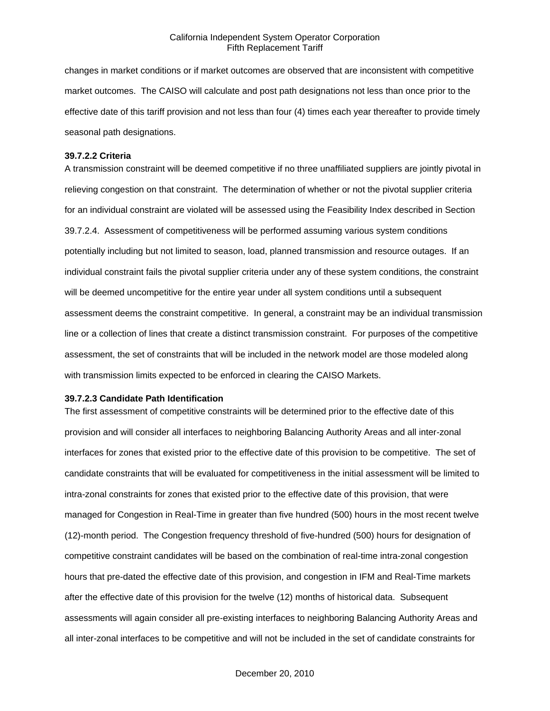changes in market conditions or if market outcomes are observed that are inconsistent with competitive market outcomes. The CAISO will calculate and post path designations not less than once prior to the effective date of this tariff provision and not less than four (4) times each year thereafter to provide timely seasonal path designations.

#### **39.7.2.2 Criteria**

A transmission constraint will be deemed competitive if no three unaffiliated suppliers are jointly pivotal in relieving congestion on that constraint. The determination of whether or not the pivotal supplier criteria for an individual constraint are violated will be assessed using the Feasibility Index described in Section 39.7.2.4. Assessment of competitiveness will be performed assuming various system conditions potentially including but not limited to season, load, planned transmission and resource outages. If an individual constraint fails the pivotal supplier criteria under any of these system conditions, the constraint will be deemed uncompetitive for the entire year under all system conditions until a subsequent assessment deems the constraint competitive. In general, a constraint may be an individual transmission line or a collection of lines that create a distinct transmission constraint. For purposes of the competitive assessment, the set of constraints that will be included in the network model are those modeled along with transmission limits expected to be enforced in clearing the CAISO Markets.

#### **39.7.2.3 Candidate Path Identification**

The first assessment of competitive constraints will be determined prior to the effective date of this provision and will consider all interfaces to neighboring Balancing Authority Areas and all inter-zonal interfaces for zones that existed prior to the effective date of this provision to be competitive. The set of candidate constraints that will be evaluated for competitiveness in the initial assessment will be limited to intra-zonal constraints for zones that existed prior to the effective date of this provision, that were managed for Congestion in Real-Time in greater than five hundred (500) hours in the most recent twelve (12)-month period. The Congestion frequency threshold of five-hundred (500) hours for designation of competitive constraint candidates will be based on the combination of real-time intra-zonal congestion hours that pre-dated the effective date of this provision, and congestion in IFM and Real-Time markets after the effective date of this provision for the twelve (12) months of historical data. Subsequent assessments will again consider all pre-existing interfaces to neighboring Balancing Authority Areas and all inter-zonal interfaces to be competitive and will not be included in the set of candidate constraints for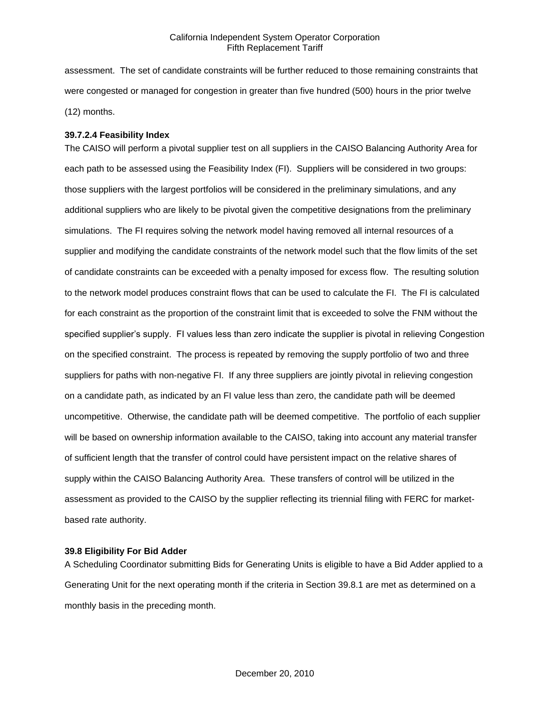assessment. The set of candidate constraints will be further reduced to those remaining constraints that were congested or managed for congestion in greater than five hundred (500) hours in the prior twelve (12) months.

### **39.7.2.4 Feasibility Index**

The CAISO will perform a pivotal supplier test on all suppliers in the CAISO Balancing Authority Area for each path to be assessed using the Feasibility Index (FI). Suppliers will be considered in two groups: those suppliers with the largest portfolios will be considered in the preliminary simulations, and any additional suppliers who are likely to be pivotal given the competitive designations from the preliminary simulations. The FI requires solving the network model having removed all internal resources of a supplier and modifying the candidate constraints of the network model such that the flow limits of the set of candidate constraints can be exceeded with a penalty imposed for excess flow. The resulting solution to the network model produces constraint flows that can be used to calculate the FI. The FI is calculated for each constraint as the proportion of the constraint limit that is exceeded to solve the FNM without the specified supplier's supply. FI values less than zero indicate the supplier is pivotal in relieving Congestion on the specified constraint. The process is repeated by removing the supply portfolio of two and three suppliers for paths with non-negative FI. If any three suppliers are jointly pivotal in relieving congestion on a candidate path, as indicated by an FI value less than zero, the candidate path will be deemed uncompetitive. Otherwise, the candidate path will be deemed competitive. The portfolio of each supplier will be based on ownership information available to the CAISO, taking into account any material transfer of sufficient length that the transfer of control could have persistent impact on the relative shares of supply within the CAISO Balancing Authority Area. These transfers of control will be utilized in the assessment as provided to the CAISO by the supplier reflecting its triennial filing with FERC for marketbased rate authority.

### **39.8 Eligibility For Bid Adder**

A Scheduling Coordinator submitting Bids for Generating Units is eligible to have a Bid Adder applied to a Generating Unit for the next operating month if the criteria in Section 39.8.1 are met as determined on a monthly basis in the preceding month.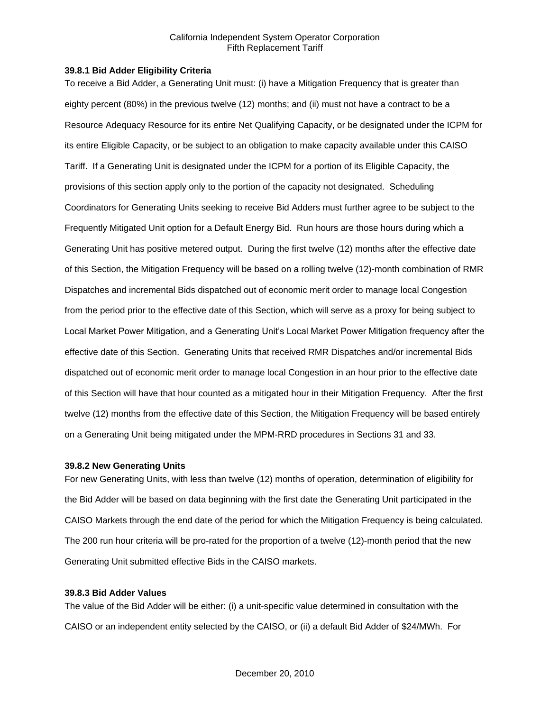### **39.8.1 Bid Adder Eligibility Criteria**

To receive a Bid Adder, a Generating Unit must: (i) have a Mitigation Frequency that is greater than eighty percent (80%) in the previous twelve (12) months; and (ii) must not have a contract to be a Resource Adequacy Resource for its entire Net Qualifying Capacity, or be designated under the ICPM for its entire Eligible Capacity, or be subject to an obligation to make capacity available under this CAISO Tariff. If a Generating Unit is designated under the ICPM for a portion of its Eligible Capacity, the provisions of this section apply only to the portion of the capacity not designated. Scheduling Coordinators for Generating Units seeking to receive Bid Adders must further agree to be subject to the Frequently Mitigated Unit option for a Default Energy Bid. Run hours are those hours during which a Generating Unit has positive metered output. During the first twelve (12) months after the effective date of this Section, the Mitigation Frequency will be based on a rolling twelve (12)-month combination of RMR Dispatches and incremental Bids dispatched out of economic merit order to manage local Congestion from the period prior to the effective date of this Section, which will serve as a proxy for being subject to Local Market Power Mitigation, and a Generating Unit's Local Market Power Mitigation frequency after the effective date of this Section. Generating Units that received RMR Dispatches and/or incremental Bids dispatched out of economic merit order to manage local Congestion in an hour prior to the effective date of this Section will have that hour counted as a mitigated hour in their Mitigation Frequency. After the first twelve (12) months from the effective date of this Section, the Mitigation Frequency will be based entirely on a Generating Unit being mitigated under the MPM-RRD procedures in Sections 31 and 33.

## **39.8.2 New Generating Units**

For new Generating Units, with less than twelve (12) months of operation, determination of eligibility for the Bid Adder will be based on data beginning with the first date the Generating Unit participated in the CAISO Markets through the end date of the period for which the Mitigation Frequency is being calculated. The 200 run hour criteria will be pro-rated for the proportion of a twelve (12)-month period that the new Generating Unit submitted effective Bids in the CAISO markets.

## **39.8.3 Bid Adder Values**

The value of the Bid Adder will be either: (i) a unit-specific value determined in consultation with the CAISO or an independent entity selected by the CAISO, or (ii) a default Bid Adder of \$24/MWh. For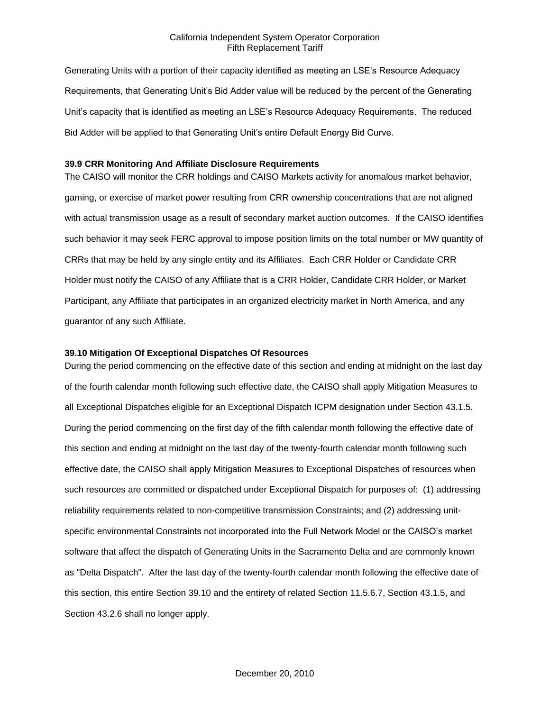Generating Units with a portion of their capacity identified as meeting an LSE's Resource Adequacy Requirements, that Generating Unit's Bid Adder value will be reduced by the percent of the Generating Unit's capacity that is identified as meeting an LSE's Resource Adequacy Requirements. The reduced Bid Adder will be applied to that Generating Unit's entire Default Energy Bid Curve.

### **39.9 CRR Monitoring And Affiliate Disclosure Requirements**

The CAISO will monitor the CRR holdings and CAISO Markets activity for anomalous market behavior, gaming, or exercise of market power resulting from CRR ownership concentrations that are not aligned with actual transmission usage as a result of secondary market auction outcomes. If the CAISO identifies such behavior it may seek FERC approval to impose position limits on the total number or MW quantity of CRRs that may be held by any single entity and its Affiliates. Each CRR Holder or Candidate CRR Holder must notify the CAISO of any Affiliate that is a CRR Holder, Candidate CRR Holder, or Market Participant, any Affiliate that participates in an organized electricity market in North America, and any guarantor of any such Affiliate.

### **39.10 Mitigation Of Exceptional Dispatches Of Resources**

During the period commencing on the effective date of this section and ending at midnight on the last day of the fourth calendar month following such effective date, the CAISO shall apply Mitigation Measures to all Exceptional Dispatches eligible for an Exceptional Dispatch ICPM designation under Section 43.1.5. During the period commencing on the first day of the fifth calendar month following the effective date of this section and ending at midnight on the last day of the twenty-fourth calendar month following such effective date, the CAISO shall apply Mitigation Measures to Exceptional Dispatches of resources when such resources are committed or dispatched under Exceptional Dispatch for purposes of: (1) addressing reliability requirements related to non-competitive transmission Constraints; and (2) addressing unitspecific environmental Constraints not incorporated into the Full Network Model or the CAISO's market software that affect the dispatch of Generating Units in the Sacramento Delta and are commonly known as "Delta Dispatch". After the last day of the twenty-fourth calendar month following the effective date of this section, this entire Section 39.10 and the entirety of related Section 11.5.6.7, Section 43.1.5, and Section 43.2.6 shall no longer apply.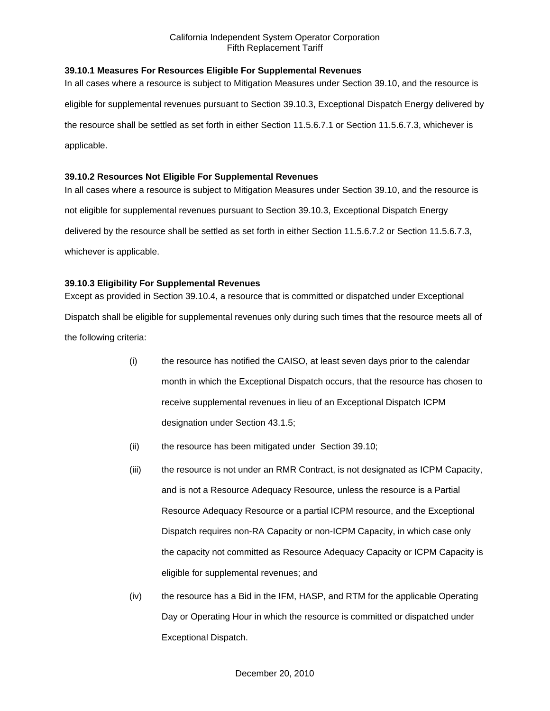# **39.10.1 Measures For Resources Eligible For Supplemental Revenues**

In all cases where a resource is subject to Mitigation Measures under Section 39.10, and the resource is eligible for supplemental revenues pursuant to Section 39.10.3, Exceptional Dispatch Energy delivered by the resource shall be settled as set forth in either Section 11.5.6.7.1 or Section 11.5.6.7.3, whichever is applicable.

# **39.10.2 Resources Not Eligible For Supplemental Revenues**

In all cases where a resource is subject to Mitigation Measures under Section 39.10, and the resource is not eligible for supplemental revenues pursuant to Section 39.10.3, Exceptional Dispatch Energy delivered by the resource shall be settled as set forth in either Section 11.5.6.7.2 or Section 11.5.6.7.3, whichever is applicable.

# **39.10.3 Eligibility For Supplemental Revenues**

Except as provided in Section 39.10.4, a resource that is committed or dispatched under Exceptional Dispatch shall be eligible for supplemental revenues only during such times that the resource meets all of the following criteria:

- (i) the resource has notified the CAISO, at least seven days prior to the calendar month in which the Exceptional Dispatch occurs, that the resource has chosen to receive supplemental revenues in lieu of an Exceptional Dispatch ICPM designation under Section 43.1.5;
- (ii) the resource has been mitigated under Section 39.10;
- (iii) the resource is not under an RMR Contract, is not designated as ICPM Capacity, and is not a Resource Adequacy Resource, unless the resource is a Partial Resource Adequacy Resource or a partial ICPM resource, and the Exceptional Dispatch requires non-RA Capacity or non-ICPM Capacity, in which case only the capacity not committed as Resource Adequacy Capacity or ICPM Capacity is eligible for supplemental revenues; and
- (iv) the resource has a Bid in the IFM, HASP, and RTM for the applicable Operating Day or Operating Hour in which the resource is committed or dispatched under Exceptional Dispatch.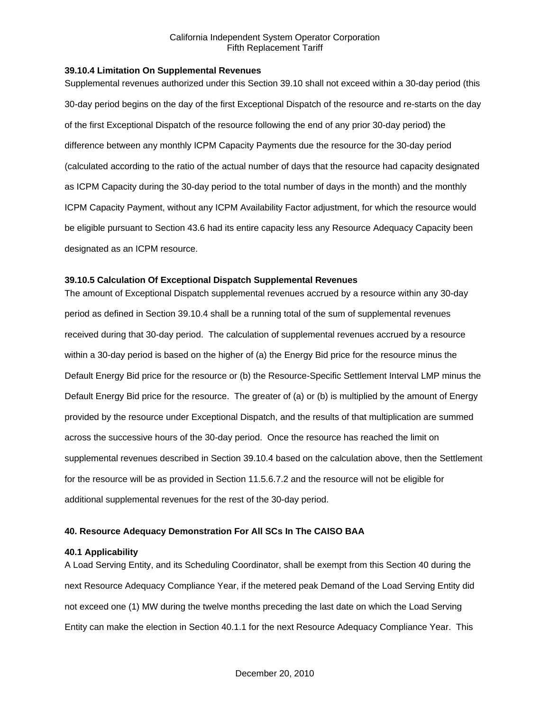### **39.10.4 Limitation On Supplemental Revenues**

Supplemental revenues authorized under this Section 39.10 shall not exceed within a 30-day period (this 30-day period begins on the day of the first Exceptional Dispatch of the resource and re-starts on the day of the first Exceptional Dispatch of the resource following the end of any prior 30-day period) the difference between any monthly ICPM Capacity Payments due the resource for the 30-day period (calculated according to the ratio of the actual number of days that the resource had capacity designated as ICPM Capacity during the 30-day period to the total number of days in the month) and the monthly ICPM Capacity Payment, without any ICPM Availability Factor adjustment, for which the resource would be eligible pursuant to Section 43.6 had its entire capacity less any Resource Adequacy Capacity been designated as an ICPM resource.

## **39.10.5 Calculation Of Exceptional Dispatch Supplemental Revenues**

The amount of Exceptional Dispatch supplemental revenues accrued by a resource within any 30-day period as defined in Section 39.10.4 shall be a running total of the sum of supplemental revenues received during that 30-day period. The calculation of supplemental revenues accrued by a resource within a 30-day period is based on the higher of (a) the Energy Bid price for the resource minus the Default Energy Bid price for the resource or (b) the Resource-Specific Settlement Interval LMP minus the Default Energy Bid price for the resource. The greater of (a) or (b) is multiplied by the amount of Energy provided by the resource under Exceptional Dispatch, and the results of that multiplication are summed across the successive hours of the 30-day period. Once the resource has reached the limit on supplemental revenues described in Section 39.10.4 based on the calculation above, then the Settlement for the resource will be as provided in Section 11.5.6.7.2 and the resource will not be eligible for additional supplemental revenues for the rest of the 30-day period.

## **40. Resource Adequacy Demonstration For All SCs In The CAISO BAA**

## **40.1 Applicability**

A Load Serving Entity, and its Scheduling Coordinator, shall be exempt from this Section 40 during the next Resource Adequacy Compliance Year, if the metered peak Demand of the Load Serving Entity did not exceed one (1) MW during the twelve months preceding the last date on which the Load Serving Entity can make the election in Section 40.1.1 for the next Resource Adequacy Compliance Year. This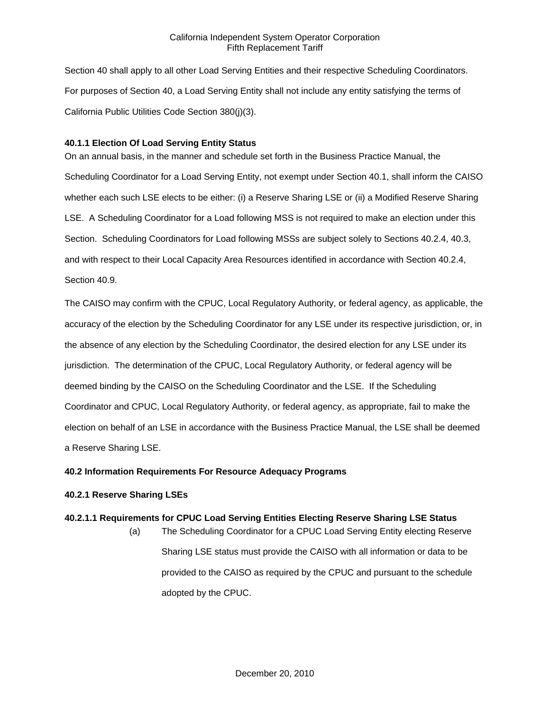Section 40 shall apply to all other Load Serving Entities and their respective Scheduling Coordinators. For purposes of Section 40, a Load Serving Entity shall not include any entity satisfying the terms of California Public Utilities Code Section 380(j)(3).

# **40.1.1 Election Of Load Serving Entity Status**

On an annual basis, in the manner and schedule set forth in the Business Practice Manual, the Scheduling Coordinator for a Load Serving Entity, not exempt under Section 40.1, shall inform the CAISO whether each such LSE elects to be either: (i) a Reserve Sharing LSE or (ii) a Modified Reserve Sharing LSE. A Scheduling Coordinator for a Load following MSS is not required to make an election under this Section. Scheduling Coordinators for Load following MSSs are subject solely to Sections 40.2.4, 40.3, and with respect to their Local Capacity Area Resources identified in accordance with Section 40.2.4, Section 40.9.

The CAISO may confirm with the CPUC, Local Regulatory Authority, or federal agency, as applicable, the accuracy of the election by the Scheduling Coordinator for any LSE under its respective jurisdiction, or, in the absence of any election by the Scheduling Coordinator, the desired election for any LSE under its jurisdiction. The determination of the CPUC, Local Regulatory Authority, or federal agency will be deemed binding by the CAISO on the Scheduling Coordinator and the LSE. If the Scheduling Coordinator and CPUC, Local Regulatory Authority, or federal agency, as appropriate, fail to make the election on behalf of an LSE in accordance with the Business Practice Manual, the LSE shall be deemed a Reserve Sharing LSE.

# **40.2 Information Requirements For Resource Adequacy Programs**

# **40.2.1 Reserve Sharing LSEs**

# **40.2.1.1 Requirements for CPUC Load Serving Entities Electing Reserve Sharing LSE Status**

(a) The Scheduling Coordinator for a CPUC Load Serving Entity electing Reserve Sharing LSE status must provide the CAISO with all information or data to be provided to the CAISO as required by the CPUC and pursuant to the schedule adopted by the CPUC.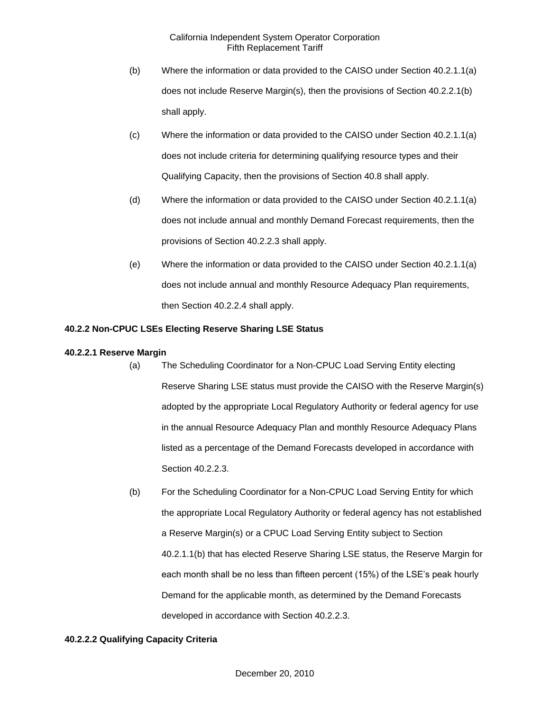- (b) Where the information or data provided to the CAISO under Section 40.2.1.1(a) does not include Reserve Margin(s), then the provisions of Section 40.2.2.1(b) shall apply.
- (c) Where the information or data provided to the CAISO under Section 40.2.1.1(a) does not include criteria for determining qualifying resource types and their Qualifying Capacity, then the provisions of Section 40.8 shall apply.
- (d) Where the information or data provided to the CAISO under Section 40.2.1.1(a) does not include annual and monthly Demand Forecast requirements, then the provisions of Section 40.2.2.3 shall apply.
- (e) Where the information or data provided to the CAISO under Section 40.2.1.1(a) does not include annual and monthly Resource Adequacy Plan requirements, then Section 40.2.2.4 shall apply.

# **40.2.2 Non-CPUC LSEs Electing Reserve Sharing LSE Status**

# **40.2.2.1 Reserve Margin**

- (a) The Scheduling Coordinator for a Non-CPUC Load Serving Entity electing Reserve Sharing LSE status must provide the CAISO with the Reserve Margin(s) adopted by the appropriate Local Regulatory Authority or federal agency for use in the annual Resource Adequacy Plan and monthly Resource Adequacy Plans listed as a percentage of the Demand Forecasts developed in accordance with Section 40.2.2.3.
	- (b) For the Scheduling Coordinator for a Non-CPUC Load Serving Entity for which the appropriate Local Regulatory Authority or federal agency has not established a Reserve Margin(s) or a CPUC Load Serving Entity subject to Section 40.2.1.1(b) that has elected Reserve Sharing LSE status, the Reserve Margin for each month shall be no less than fifteen percent (15%) of the LSE's peak hourly Demand for the applicable month, as determined by the Demand Forecasts developed in accordance with Section 40.2.2.3.

# **40.2.2.2 Qualifying Capacity Criteria**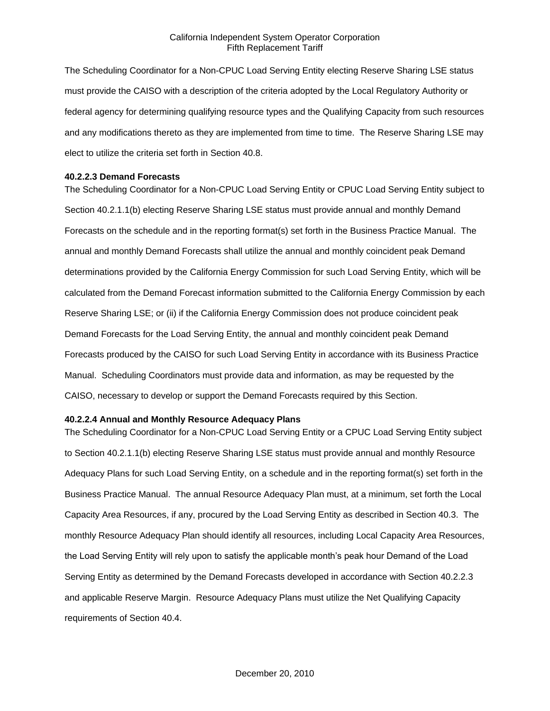The Scheduling Coordinator for a Non-CPUC Load Serving Entity electing Reserve Sharing LSE status must provide the CAISO with a description of the criteria adopted by the Local Regulatory Authority or federal agency for determining qualifying resource types and the Qualifying Capacity from such resources and any modifications thereto as they are implemented from time to time. The Reserve Sharing LSE may elect to utilize the criteria set forth in Section 40.8.

#### **40.2.2.3 Demand Forecasts**

The Scheduling Coordinator for a Non-CPUC Load Serving Entity or CPUC Load Serving Entity subject to Section 40.2.1.1(b) electing Reserve Sharing LSE status must provide annual and monthly Demand Forecasts on the schedule and in the reporting format(s) set forth in the Business Practice Manual. The annual and monthly Demand Forecasts shall utilize the annual and monthly coincident peak Demand determinations provided by the California Energy Commission for such Load Serving Entity, which will be calculated from the Demand Forecast information submitted to the California Energy Commission by each Reserve Sharing LSE; or (ii) if the California Energy Commission does not produce coincident peak Demand Forecasts for the Load Serving Entity, the annual and monthly coincident peak Demand Forecasts produced by the CAISO for such Load Serving Entity in accordance with its Business Practice Manual. Scheduling Coordinators must provide data and information, as may be requested by the CAISO, necessary to develop or support the Demand Forecasts required by this Section.

## **40.2.2.4 Annual and Monthly Resource Adequacy Plans**

The Scheduling Coordinator for a Non-CPUC Load Serving Entity or a CPUC Load Serving Entity subject to Section 40.2.1.1(b) electing Reserve Sharing LSE status must provide annual and monthly Resource Adequacy Plans for such Load Serving Entity, on a schedule and in the reporting format(s) set forth in the Business Practice Manual. The annual Resource Adequacy Plan must, at a minimum, set forth the Local Capacity Area Resources, if any, procured by the Load Serving Entity as described in Section 40.3. The monthly Resource Adequacy Plan should identify all resources, including Local Capacity Area Resources, the Load Serving Entity will rely upon to satisfy the applicable month's peak hour Demand of the Load Serving Entity as determined by the Demand Forecasts developed in accordance with Section 40.2.2.3 and applicable Reserve Margin. Resource Adequacy Plans must utilize the Net Qualifying Capacity requirements of Section 40.4.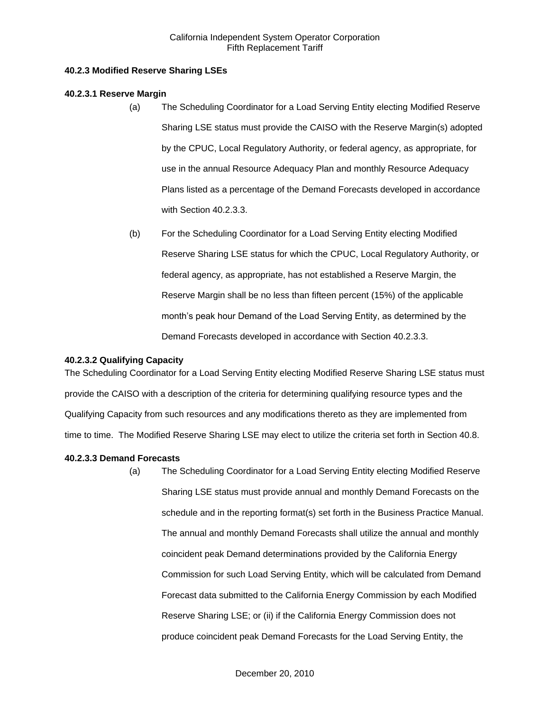# **40.2.3 Modified Reserve Sharing LSEs**

# **40.2.3.1 Reserve Margin**

- (a) The Scheduling Coordinator for a Load Serving Entity electing Modified Reserve Sharing LSE status must provide the CAISO with the Reserve Margin(s) adopted by the CPUC, Local Regulatory Authority, or federal agency, as appropriate, for use in the annual Resource Adequacy Plan and monthly Resource Adequacy Plans listed as a percentage of the Demand Forecasts developed in accordance with Section 40.2.3.3.
- (b) For the Scheduling Coordinator for a Load Serving Entity electing Modified Reserve Sharing LSE status for which the CPUC, Local Regulatory Authority, or federal agency, as appropriate, has not established a Reserve Margin, the Reserve Margin shall be no less than fifteen percent (15%) of the applicable month's peak hour Demand of the Load Serving Entity, as determined by the Demand Forecasts developed in accordance with Section 40.2.3.3.

# **40.2.3.2 Qualifying Capacity**

The Scheduling Coordinator for a Load Serving Entity electing Modified Reserve Sharing LSE status must provide the CAISO with a description of the criteria for determining qualifying resource types and the Qualifying Capacity from such resources and any modifications thereto as they are implemented from time to time. The Modified Reserve Sharing LSE may elect to utilize the criteria set forth in Section 40.8.

# **40.2.3.3 Demand Forecasts**

(a) The Scheduling Coordinator for a Load Serving Entity electing Modified Reserve Sharing LSE status must provide annual and monthly Demand Forecasts on the schedule and in the reporting format(s) set forth in the Business Practice Manual. The annual and monthly Demand Forecasts shall utilize the annual and monthly coincident peak Demand determinations provided by the California Energy Commission for such Load Serving Entity, which will be calculated from Demand Forecast data submitted to the California Energy Commission by each Modified Reserve Sharing LSE; or (ii) if the California Energy Commission does not produce coincident peak Demand Forecasts for the Load Serving Entity, the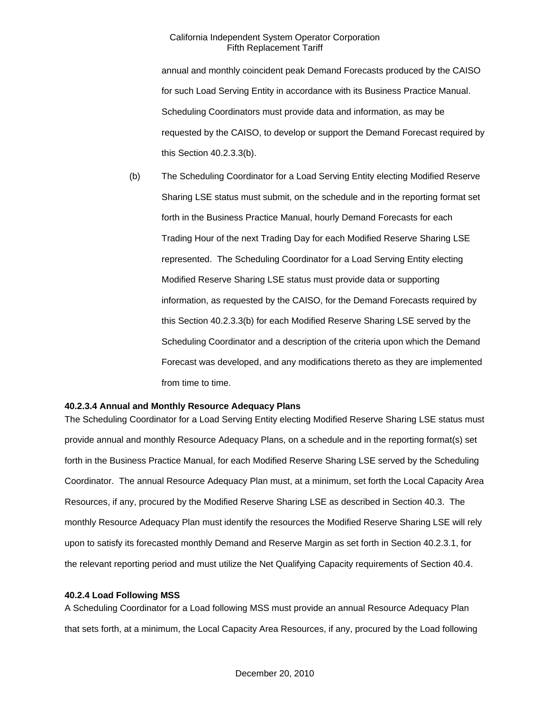annual and monthly coincident peak Demand Forecasts produced by the CAISO for such Load Serving Entity in accordance with its Business Practice Manual. Scheduling Coordinators must provide data and information, as may be requested by the CAISO, to develop or support the Demand Forecast required by this Section 40.2.3.3(b).

(b) The Scheduling Coordinator for a Load Serving Entity electing Modified Reserve Sharing LSE status must submit, on the schedule and in the reporting format set forth in the Business Practice Manual, hourly Demand Forecasts for each Trading Hour of the next Trading Day for each Modified Reserve Sharing LSE represented. The Scheduling Coordinator for a Load Serving Entity electing Modified Reserve Sharing LSE status must provide data or supporting information, as requested by the CAISO, for the Demand Forecasts required by this Section 40.2.3.3(b) for each Modified Reserve Sharing LSE served by the Scheduling Coordinator and a description of the criteria upon which the Demand Forecast was developed, and any modifications thereto as they are implemented from time to time.

## **40.2.3.4 Annual and Monthly Resource Adequacy Plans**

The Scheduling Coordinator for a Load Serving Entity electing Modified Reserve Sharing LSE status must provide annual and monthly Resource Adequacy Plans, on a schedule and in the reporting format(s) set forth in the Business Practice Manual, for each Modified Reserve Sharing LSE served by the Scheduling Coordinator. The annual Resource Adequacy Plan must, at a minimum, set forth the Local Capacity Area Resources, if any, procured by the Modified Reserve Sharing LSE as described in Section 40.3. The monthly Resource Adequacy Plan must identify the resources the Modified Reserve Sharing LSE will rely upon to satisfy its forecasted monthly Demand and Reserve Margin as set forth in Section 40.2.3.1, for the relevant reporting period and must utilize the Net Qualifying Capacity requirements of Section 40.4.

## **40.2.4 Load Following MSS**

A Scheduling Coordinator for a Load following MSS must provide an annual Resource Adequacy Plan that sets forth, at a minimum, the Local Capacity Area Resources, if any, procured by the Load following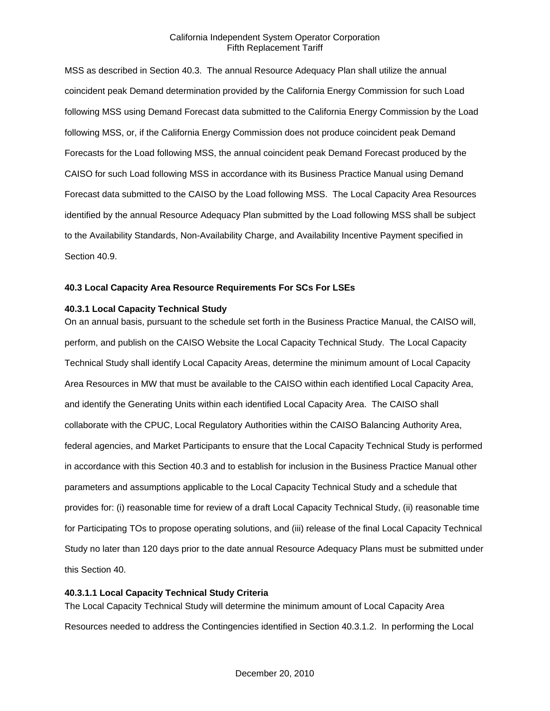MSS as described in Section 40.3. The annual Resource Adequacy Plan shall utilize the annual coincident peak Demand determination provided by the California Energy Commission for such Load following MSS using Demand Forecast data submitted to the California Energy Commission by the Load following MSS, or, if the California Energy Commission does not produce coincident peak Demand Forecasts for the Load following MSS, the annual coincident peak Demand Forecast produced by the CAISO for such Load following MSS in accordance with its Business Practice Manual using Demand Forecast data submitted to the CAISO by the Load following MSS. The Local Capacity Area Resources identified by the annual Resource Adequacy Plan submitted by the Load following MSS shall be subject to the Availability Standards, Non-Availability Charge, and Availability Incentive Payment specified in Section 40.9.

## **40.3 Local Capacity Area Resource Requirements For SCs For LSEs**

## **40.3.1 Local Capacity Technical Study**

On an annual basis, pursuant to the schedule set forth in the Business Practice Manual, the CAISO will, perform, and publish on the CAISO Website the Local Capacity Technical Study. The Local Capacity Technical Study shall identify Local Capacity Areas, determine the minimum amount of Local Capacity Area Resources in MW that must be available to the CAISO within each identified Local Capacity Area, and identify the Generating Units within each identified Local Capacity Area. The CAISO shall collaborate with the CPUC, Local Regulatory Authorities within the CAISO Balancing Authority Area, federal agencies, and Market Participants to ensure that the Local Capacity Technical Study is performed in accordance with this Section 40.3 and to establish for inclusion in the Business Practice Manual other parameters and assumptions applicable to the Local Capacity Technical Study and a schedule that provides for: (i) reasonable time for review of a draft Local Capacity Technical Study, (ii) reasonable time for Participating TOs to propose operating solutions, and (iii) release of the final Local Capacity Technical Study no later than 120 days prior to the date annual Resource Adequacy Plans must be submitted under this Section 40.

### **40.3.1.1 Local Capacity Technical Study Criteria**

The Local Capacity Technical Study will determine the minimum amount of Local Capacity Area Resources needed to address the Contingencies identified in Section 40.3.1.2. In performing the Local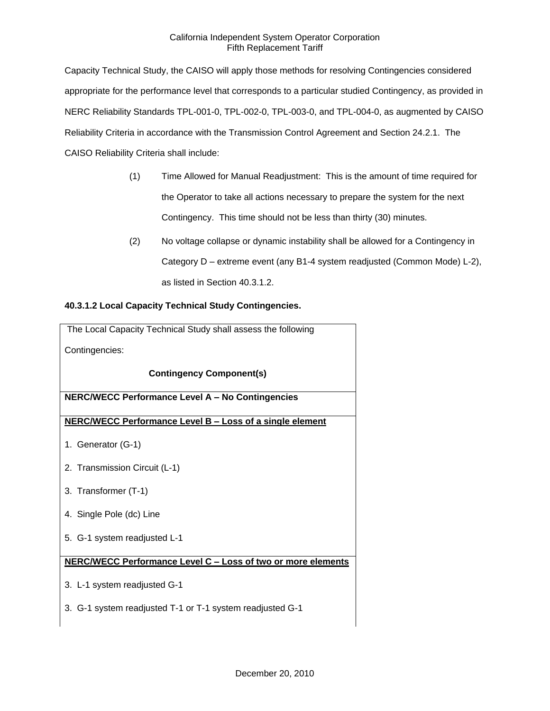Capacity Technical Study, the CAISO will apply those methods for resolving Contingencies considered appropriate for the performance level that corresponds to a particular studied Contingency, as provided in NERC Reliability Standards TPL-001-0, TPL-002-0, TPL-003-0, and TPL-004-0, as augmented by CAISO Reliability Criteria in accordance with the Transmission Control Agreement and Section 24.2.1. The CAISO Reliability Criteria shall include:

- (1) Time Allowed for Manual Readjustment: This is the amount of time required for the Operator to take all actions necessary to prepare the system for the next Contingency. This time should not be less than thirty (30) minutes.
- (2) No voltage collapse or dynamic instability shall be allowed for a Contingency in Category D – extreme event (any B1-4 system readjusted (Common Mode) L-2), as listed in Section 40.3.1.2.

# **40.3.1.2 Local Capacity Technical Study Contingencies.**

| The Local Capacity Technical Study shall assess the following |
|---------------------------------------------------------------|
| Contingencies:                                                |
| <b>Contingency Component(s)</b>                               |
| NERC/WECC Performance Level A - No Contingencies              |
| NERC/WECC Performance Level B - Loss of a single element      |
| 1. Generator (G-1)                                            |
| 2. Transmission Circuit (L-1)                                 |
| 3. Transformer (T-1)                                          |
| 4. Single Pole (dc) Line                                      |
| 5. G-1 system readjusted L-1                                  |
| NERC/WECC Performance Level C - Loss of two or more elements  |
| 3. L-1 system readjusted G-1                                  |
| 3. G-1 system readjusted T-1 or T-1 system readjusted G-1     |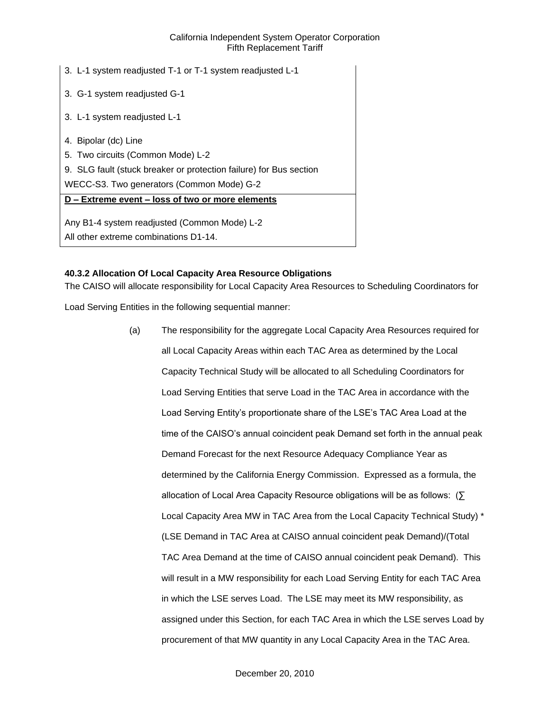| 3. L-1 system readjusted T-1 or T-1 system readjusted L-1          |
|--------------------------------------------------------------------|
| 3. G-1 system readjusted G-1                                       |
| 3. L-1 system readjusted L-1                                       |
| 4. Bipolar (dc) Line                                               |
| 5. Two circuits (Common Mode) L-2                                  |
| 9. SLG fault (stuck breaker or protection failure) for Bus section |
| WECC-S3. Two generators (Common Mode) G-2                          |
| D - Extreme event - loss of two or more elements                   |
| Any B1-4 system readjusted (Common Mode) L-2                       |
| All other extreme combinations D1-14.                              |

# **40.3.2 Allocation Of Local Capacity Area Resource Obligations**

The CAISO will allocate responsibility for Local Capacity Area Resources to Scheduling Coordinators for

Load Serving Entities in the following sequential manner:

(a) The responsibility for the aggregate Local Capacity Area Resources required for all Local Capacity Areas within each TAC Area as determined by the Local Capacity Technical Study will be allocated to all Scheduling Coordinators for Load Serving Entities that serve Load in the TAC Area in accordance with the Load Serving Entity's proportionate share of the LSE's TAC Area Load at the time of the CAISO's annual coincident peak Demand set forth in the annual peak Demand Forecast for the next Resource Adequacy Compliance Year as determined by the California Energy Commission. Expressed as a formula, the allocation of Local Area Capacity Resource obligations will be as follows: (∑ Local Capacity Area MW in TAC Area from the Local Capacity Technical Study) \* (LSE Demand in TAC Area at CAISO annual coincident peak Demand)/(Total TAC Area Demand at the time of CAISO annual coincident peak Demand). This will result in a MW responsibility for each Load Serving Entity for each TAC Area in which the LSE serves Load. The LSE may meet its MW responsibility, as assigned under this Section, for each TAC Area in which the LSE serves Load by procurement of that MW quantity in any Local Capacity Area in the TAC Area.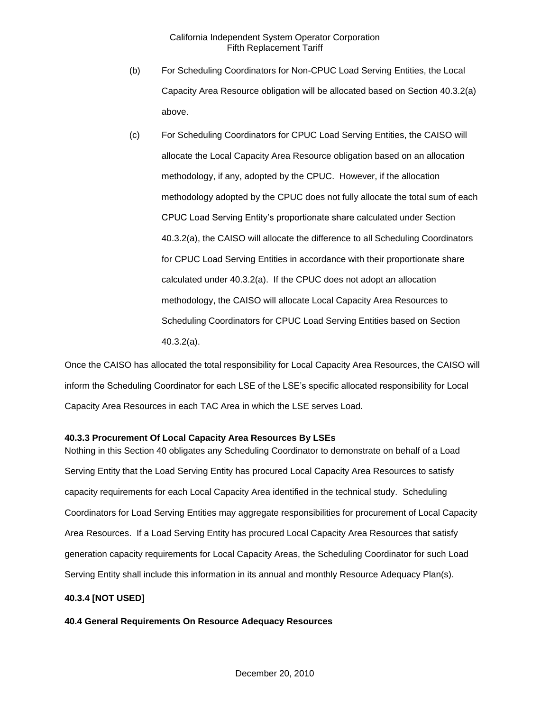- (b) For Scheduling Coordinators for Non-CPUC Load Serving Entities, the Local Capacity Area Resource obligation will be allocated based on Section 40.3.2(a) above.
- (c) For Scheduling Coordinators for CPUC Load Serving Entities, the CAISO will allocate the Local Capacity Area Resource obligation based on an allocation methodology, if any, adopted by the CPUC. However, if the allocation methodology adopted by the CPUC does not fully allocate the total sum of each CPUC Load Serving Entity's proportionate share calculated under Section 40.3.2(a), the CAISO will allocate the difference to all Scheduling Coordinators for CPUC Load Serving Entities in accordance with their proportionate share calculated under 40.3.2(a). If the CPUC does not adopt an allocation methodology, the CAISO will allocate Local Capacity Area Resources to Scheduling Coordinators for CPUC Load Serving Entities based on Section 40.3.2(a).

Once the CAISO has allocated the total responsibility for Local Capacity Area Resources, the CAISO will inform the Scheduling Coordinator for each LSE of the LSE's specific allocated responsibility for Local Capacity Area Resources in each TAC Area in which the LSE serves Load.

## **40.3.3 Procurement Of Local Capacity Area Resources By LSEs**

Nothing in this Section 40 obligates any Scheduling Coordinator to demonstrate on behalf of a Load Serving Entity that the Load Serving Entity has procured Local Capacity Area Resources to satisfy capacity requirements for each Local Capacity Area identified in the technical study. Scheduling Coordinators for Load Serving Entities may aggregate responsibilities for procurement of Local Capacity Area Resources. If a Load Serving Entity has procured Local Capacity Area Resources that satisfy generation capacity requirements for Local Capacity Areas, the Scheduling Coordinator for such Load Serving Entity shall include this information in its annual and monthly Resource Adequacy Plan(s).

### **40.3.4 [NOT USED]**

### **40.4 General Requirements On Resource Adequacy Resources**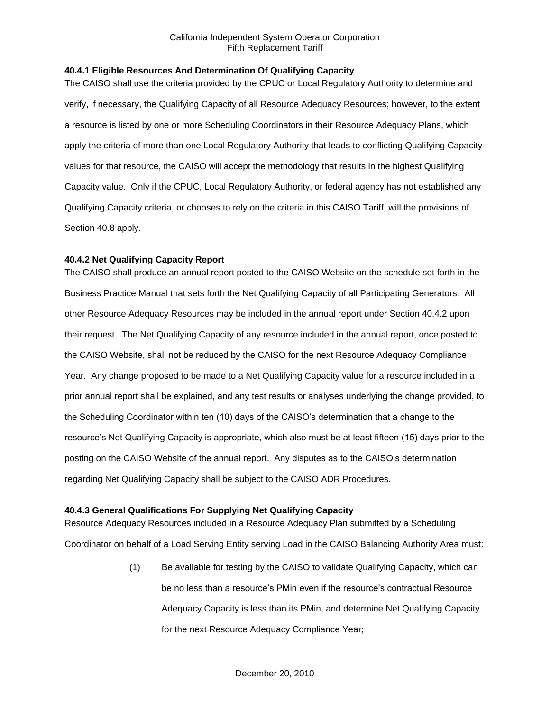# **40.4.1 Eligible Resources And Determination Of Qualifying Capacity**

The CAISO shall use the criteria provided by the CPUC or Local Regulatory Authority to determine and verify, if necessary, the Qualifying Capacity of all Resource Adequacy Resources; however, to the extent a resource is listed by one or more Scheduling Coordinators in their Resource Adequacy Plans, which apply the criteria of more than one Local Regulatory Authority that leads to conflicting Qualifying Capacity values for that resource, the CAISO will accept the methodology that results in the highest Qualifying Capacity value. Only if the CPUC, Local Regulatory Authority, or federal agency has not established any Qualifying Capacity criteria, or chooses to rely on the criteria in this CAISO Tariff, will the provisions of Section 40.8 apply.

# **40.4.2 Net Qualifying Capacity Report**

The CAISO shall produce an annual report posted to the CAISO Website on the schedule set forth in the Business Practice Manual that sets forth the Net Qualifying Capacity of all Participating Generators. All other Resource Adequacy Resources may be included in the annual report under Section 40.4.2 upon their request. The Net Qualifying Capacity of any resource included in the annual report, once posted to the CAISO Website, shall not be reduced by the CAISO for the next Resource Adequacy Compliance Year. Any change proposed to be made to a Net Qualifying Capacity value for a resource included in a prior annual report shall be explained, and any test results or analyses underlying the change provided, to the Scheduling Coordinator within ten (10) days of the CAISO's determination that a change to the resource's Net Qualifying Capacity is appropriate, which also must be at least fifteen (15) days prior to the posting on the CAISO Website of the annual report. Any disputes as to the CAISO's determination regarding Net Qualifying Capacity shall be subject to the CAISO ADR Procedures.

# **40.4.3 General Qualifications For Supplying Net Qualifying Capacity**

Resource Adequacy Resources included in a Resource Adequacy Plan submitted by a Scheduling Coordinator on behalf of a Load Serving Entity serving Load in the CAISO Balancing Authority Area must:

> (1) Be available for testing by the CAISO to validate Qualifying Capacity, which can be no less than a resource's PMin even if the resource's contractual Resource Adequacy Capacity is less than its PMin, and determine Net Qualifying Capacity for the next Resource Adequacy Compliance Year;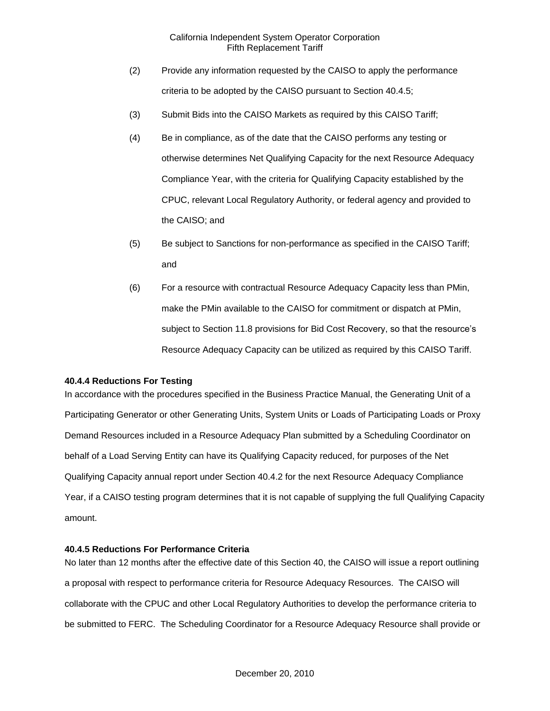- (2) Provide any information requested by the CAISO to apply the performance criteria to be adopted by the CAISO pursuant to Section 40.4.5;
- (3) Submit Bids into the CAISO Markets as required by this CAISO Tariff;
- (4) Be in compliance, as of the date that the CAISO performs any testing or otherwise determines Net Qualifying Capacity for the next Resource Adequacy Compliance Year, with the criteria for Qualifying Capacity established by the CPUC, relevant Local Regulatory Authority, or federal agency and provided to the CAISO; and
- (5) Be subject to Sanctions for non-performance as specified in the CAISO Tariff; and
- (6) For a resource with contractual Resource Adequacy Capacity less than PMin, make the PMin available to the CAISO for commitment or dispatch at PMin, subject to Section 11.8 provisions for Bid Cost Recovery, so that the resource's Resource Adequacy Capacity can be utilized as required by this CAISO Tariff.

#### **40.4.4 Reductions For Testing**

In accordance with the procedures specified in the Business Practice Manual, the Generating Unit of a Participating Generator or other Generating Units, System Units or Loads of Participating Loads or Proxy Demand Resources included in a Resource Adequacy Plan submitted by a Scheduling Coordinator on behalf of a Load Serving Entity can have its Qualifying Capacity reduced, for purposes of the Net Qualifying Capacity annual report under Section 40.4.2 for the next Resource Adequacy Compliance Year, if a CAISO testing program determines that it is not capable of supplying the full Qualifying Capacity amount.

### **40.4.5 Reductions For Performance Criteria**

No later than 12 months after the effective date of this Section 40, the CAISO will issue a report outlining a proposal with respect to performance criteria for Resource Adequacy Resources. The CAISO will collaborate with the CPUC and other Local Regulatory Authorities to develop the performance criteria to be submitted to FERC. The Scheduling Coordinator for a Resource Adequacy Resource shall provide or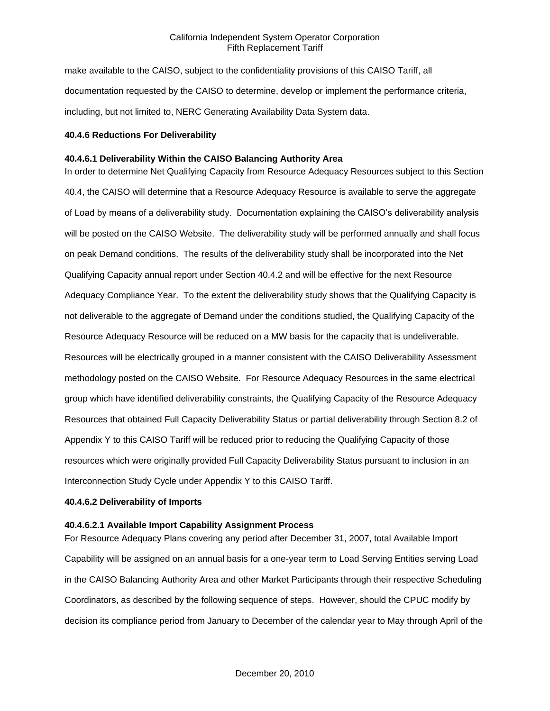make available to the CAISO, subject to the confidentiality provisions of this CAISO Tariff, all documentation requested by the CAISO to determine, develop or implement the performance criteria, including, but not limited to, NERC Generating Availability Data System data.

### **40.4.6 Reductions For Deliverability**

### **40.4.6.1 Deliverability Within the CAISO Balancing Authority Area**

In order to determine Net Qualifying Capacity from Resource Adequacy Resources subject to this Section 40.4, the CAISO will determine that a Resource Adequacy Resource is available to serve the aggregate of Load by means of a deliverability study. Documentation explaining the CAISO's deliverability analysis will be posted on the CAISO Website. The deliverability study will be performed annually and shall focus on peak Demand conditions. The results of the deliverability study shall be incorporated into the Net Qualifying Capacity annual report under Section 40.4.2 and will be effective for the next Resource Adequacy Compliance Year. To the extent the deliverability study shows that the Qualifying Capacity is not deliverable to the aggregate of Demand under the conditions studied, the Qualifying Capacity of the Resource Adequacy Resource will be reduced on a MW basis for the capacity that is undeliverable. Resources will be electrically grouped in a manner consistent with the CAISO Deliverability Assessment methodology posted on the CAISO Website. For Resource Adequacy Resources in the same electrical group which have identified deliverability constraints, the Qualifying Capacity of the Resource Adequacy Resources that obtained Full Capacity Deliverability Status or partial deliverability through Section 8.2 of Appendix Y to this CAISO Tariff will be reduced prior to reducing the Qualifying Capacity of those resources which were originally provided Full Capacity Deliverability Status pursuant to inclusion in an Interconnection Study Cycle under Appendix Y to this CAISO Tariff.

#### **40.4.6.2 Deliverability of Imports**

## **40.4.6.2.1 Available Import Capability Assignment Process**

For Resource Adequacy Plans covering any period after December 31, 2007, total Available Import Capability will be assigned on an annual basis for a one-year term to Load Serving Entities serving Load in the CAISO Balancing Authority Area and other Market Participants through their respective Scheduling Coordinators, as described by the following sequence of steps. However, should the CPUC modify by decision its compliance period from January to December of the calendar year to May through April of the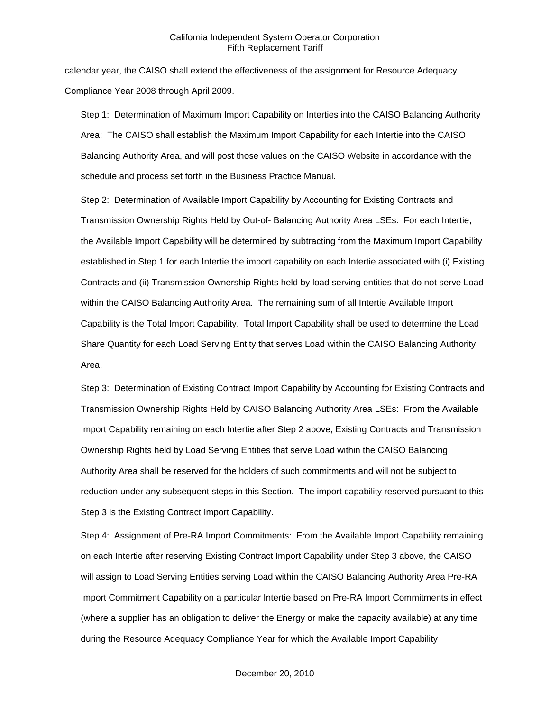calendar year, the CAISO shall extend the effectiveness of the assignment for Resource Adequacy Compliance Year 2008 through April 2009.

Step 1: Determination of Maximum Import Capability on Interties into the CAISO Balancing Authority Area: The CAISO shall establish the Maximum Import Capability for each Intertie into the CAISO Balancing Authority Area, and will post those values on the CAISO Website in accordance with the schedule and process set forth in the Business Practice Manual.

Step 2: Determination of Available Import Capability by Accounting for Existing Contracts and Transmission Ownership Rights Held by Out-of- Balancing Authority Area LSEs: For each Intertie, the Available Import Capability will be determined by subtracting from the Maximum Import Capability established in Step 1 for each Intertie the import capability on each Intertie associated with (i) Existing Contracts and (ii) Transmission Ownership Rights held by load serving entities that do not serve Load within the CAISO Balancing Authority Area. The remaining sum of all Intertie Available Import Capability is the Total Import Capability. Total Import Capability shall be used to determine the Load Share Quantity for each Load Serving Entity that serves Load within the CAISO Balancing Authority Area.

Step 3: Determination of Existing Contract Import Capability by Accounting for Existing Contracts and Transmission Ownership Rights Held by CAISO Balancing Authority Area LSEs: From the Available Import Capability remaining on each Intertie after Step 2 above, Existing Contracts and Transmission Ownership Rights held by Load Serving Entities that serve Load within the CAISO Balancing Authority Area shall be reserved for the holders of such commitments and will not be subject to reduction under any subsequent steps in this Section. The import capability reserved pursuant to this Step 3 is the Existing Contract Import Capability.

Step 4: Assignment of Pre-RA Import Commitments: From the Available Import Capability remaining on each Intertie after reserving Existing Contract Import Capability under Step 3 above, the CAISO will assign to Load Serving Entities serving Load within the CAISO Balancing Authority Area Pre-RA Import Commitment Capability on a particular Intertie based on Pre-RA Import Commitments in effect (where a supplier has an obligation to deliver the Energy or make the capacity available) at any time during the Resource Adequacy Compliance Year for which the Available Import Capability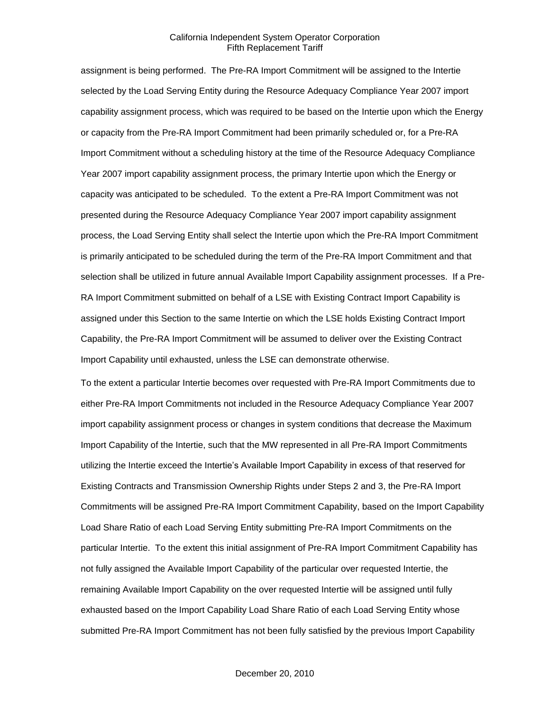assignment is being performed. The Pre-RA Import Commitment will be assigned to the Intertie selected by the Load Serving Entity during the Resource Adequacy Compliance Year 2007 import capability assignment process, which was required to be based on the Intertie upon which the Energy or capacity from the Pre-RA Import Commitment had been primarily scheduled or, for a Pre-RA Import Commitment without a scheduling history at the time of the Resource Adequacy Compliance Year 2007 import capability assignment process, the primary Intertie upon which the Energy or capacity was anticipated to be scheduled. To the extent a Pre-RA Import Commitment was not presented during the Resource Adequacy Compliance Year 2007 import capability assignment process, the Load Serving Entity shall select the Intertie upon which the Pre-RA Import Commitment is primarily anticipated to be scheduled during the term of the Pre-RA Import Commitment and that selection shall be utilized in future annual Available Import Capability assignment processes. If a Pre-RA Import Commitment submitted on behalf of a LSE with Existing Contract Import Capability is assigned under this Section to the same Intertie on which the LSE holds Existing Contract Import Capability, the Pre-RA Import Commitment will be assumed to deliver over the Existing Contract Import Capability until exhausted, unless the LSE can demonstrate otherwise.

To the extent a particular Intertie becomes over requested with Pre-RA Import Commitments due to either Pre-RA Import Commitments not included in the Resource Adequacy Compliance Year 2007 import capability assignment process or changes in system conditions that decrease the Maximum Import Capability of the Intertie, such that the MW represented in all Pre-RA Import Commitments utilizing the Intertie exceed the Intertie's Available Import Capability in excess of that reserved for Existing Contracts and Transmission Ownership Rights under Steps 2 and 3, the Pre-RA Import Commitments will be assigned Pre-RA Import Commitment Capability, based on the Import Capability Load Share Ratio of each Load Serving Entity submitting Pre-RA Import Commitments on the particular Intertie. To the extent this initial assignment of Pre-RA Import Commitment Capability has not fully assigned the Available Import Capability of the particular over requested Intertie, the remaining Available Import Capability on the over requested Intertie will be assigned until fully exhausted based on the Import Capability Load Share Ratio of each Load Serving Entity whose submitted Pre-RA Import Commitment has not been fully satisfied by the previous Import Capability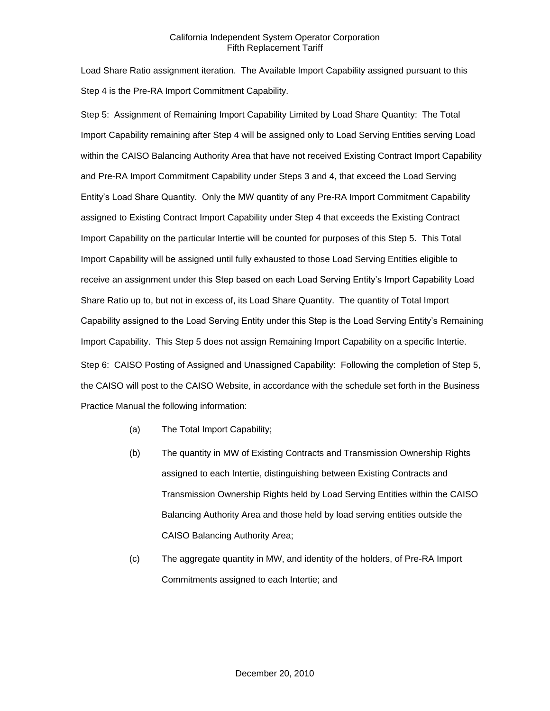Load Share Ratio assignment iteration. The Available Import Capability assigned pursuant to this Step 4 is the Pre-RA Import Commitment Capability.

Step 5: Assignment of Remaining Import Capability Limited by Load Share Quantity: The Total Import Capability remaining after Step 4 will be assigned only to Load Serving Entities serving Load within the CAISO Balancing Authority Area that have not received Existing Contract Import Capability and Pre-RA Import Commitment Capability under Steps 3 and 4, that exceed the Load Serving Entity's Load Share Quantity. Only the MW quantity of any Pre-RA Import Commitment Capability assigned to Existing Contract Import Capability under Step 4 that exceeds the Existing Contract Import Capability on the particular Intertie will be counted for purposes of this Step 5. This Total Import Capability will be assigned until fully exhausted to those Load Serving Entities eligible to receive an assignment under this Step based on each Load Serving Entity's Import Capability Load Share Ratio up to, but not in excess of, its Load Share Quantity. The quantity of Total Import Capability assigned to the Load Serving Entity under this Step is the Load Serving Entity's Remaining Import Capability. This Step 5 does not assign Remaining Import Capability on a specific Intertie. Step 6: CAISO Posting of Assigned and Unassigned Capability: Following the completion of Step 5, the CAISO will post to the CAISO Website, in accordance with the schedule set forth in the Business Practice Manual the following information:

- (a) The Total Import Capability;
- (b) The quantity in MW of Existing Contracts and Transmission Ownership Rights assigned to each Intertie, distinguishing between Existing Contracts and Transmission Ownership Rights held by Load Serving Entities within the CAISO Balancing Authority Area and those held by load serving entities outside the CAISO Balancing Authority Area;
- (c) The aggregate quantity in MW, and identity of the holders, of Pre-RA Import Commitments assigned to each Intertie; and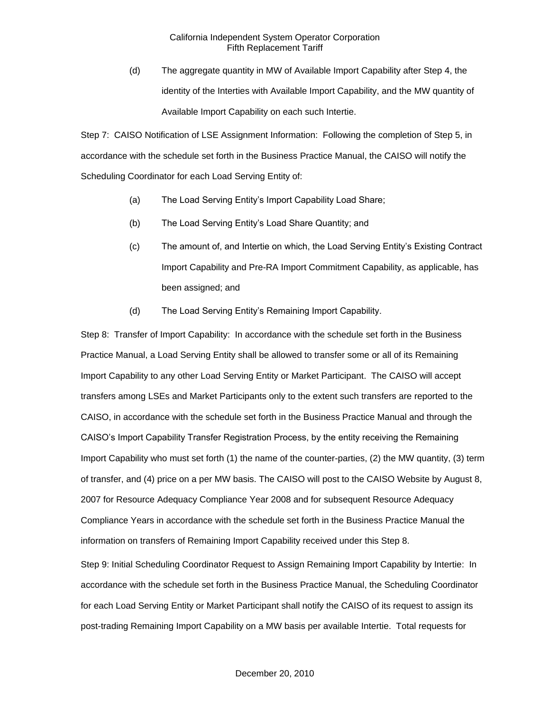(d) The aggregate quantity in MW of Available Import Capability after Step 4, the identity of the Interties with Available Import Capability, and the MW quantity of Available Import Capability on each such Intertie.

Step 7: CAISO Notification of LSE Assignment Information: Following the completion of Step 5, in accordance with the schedule set forth in the Business Practice Manual, the CAISO will notify the Scheduling Coordinator for each Load Serving Entity of:

- (a) The Load Serving Entity's Import Capability Load Share;
- (b) The Load Serving Entity's Load Share Quantity; and
- (c) The amount of, and Intertie on which, the Load Serving Entity's Existing Contract Import Capability and Pre-RA Import Commitment Capability, as applicable, has been assigned; and
- (d) The Load Serving Entity's Remaining Import Capability.

Step 8: Transfer of Import Capability: In accordance with the schedule set forth in the Business Practice Manual, a Load Serving Entity shall be allowed to transfer some or all of its Remaining Import Capability to any other Load Serving Entity or Market Participant. The CAISO will accept transfers among LSEs and Market Participants only to the extent such transfers are reported to the CAISO, in accordance with the schedule set forth in the Business Practice Manual and through the CAISO's Import Capability Transfer Registration Process, by the entity receiving the Remaining Import Capability who must set forth (1) the name of the counter-parties, (2) the MW quantity, (3) term of transfer, and (4) price on a per MW basis. The CAISO will post to the CAISO Website by August 8, 2007 for Resource Adequacy Compliance Year 2008 and for subsequent Resource Adequacy Compliance Years in accordance with the schedule set forth in the Business Practice Manual the information on transfers of Remaining Import Capability received under this Step 8.

Step 9: Initial Scheduling Coordinator Request to Assign Remaining Import Capability by Intertie: In accordance with the schedule set forth in the Business Practice Manual, the Scheduling Coordinator for each Load Serving Entity or Market Participant shall notify the CAISO of its request to assign its post-trading Remaining Import Capability on a MW basis per available Intertie. Total requests for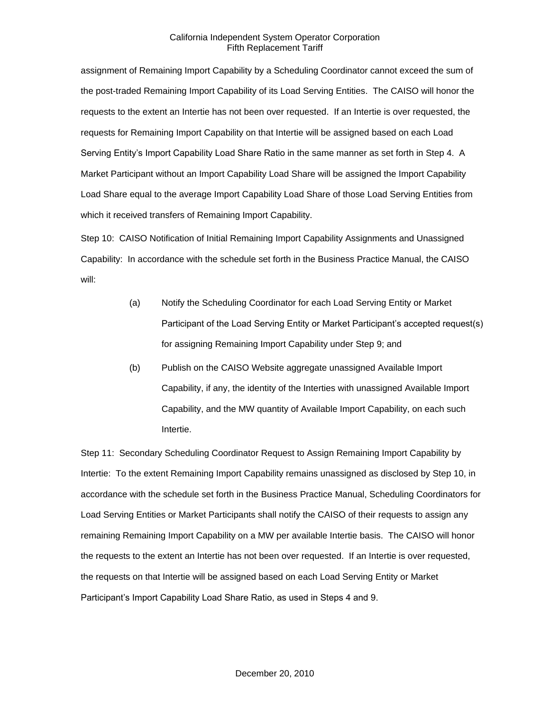assignment of Remaining Import Capability by a Scheduling Coordinator cannot exceed the sum of the post-traded Remaining Import Capability of its Load Serving Entities. The CAISO will honor the requests to the extent an Intertie has not been over requested. If an Intertie is over requested, the requests for Remaining Import Capability on that Intertie will be assigned based on each Load Serving Entity's Import Capability Load Share Ratio in the same manner as set forth in Step 4. A Market Participant without an Import Capability Load Share will be assigned the Import Capability Load Share equal to the average Import Capability Load Share of those Load Serving Entities from which it received transfers of Remaining Import Capability.

Step 10: CAISO Notification of Initial Remaining Import Capability Assignments and Unassigned Capability: In accordance with the schedule set forth in the Business Practice Manual, the CAISO will:

- (a) Notify the Scheduling Coordinator for each Load Serving Entity or Market Participant of the Load Serving Entity or Market Participant's accepted request(s) for assigning Remaining Import Capability under Step 9; and
- (b) Publish on the CAISO Website aggregate unassigned Available Import Capability, if any, the identity of the Interties with unassigned Available Import Capability, and the MW quantity of Available Import Capability, on each such Intertie.

Step 11: Secondary Scheduling Coordinator Request to Assign Remaining Import Capability by Intertie: To the extent Remaining Import Capability remains unassigned as disclosed by Step 10, in accordance with the schedule set forth in the Business Practice Manual, Scheduling Coordinators for Load Serving Entities or Market Participants shall notify the CAISO of their requests to assign any remaining Remaining Import Capability on a MW per available Intertie basis. The CAISO will honor the requests to the extent an Intertie has not been over requested. If an Intertie is over requested, the requests on that Intertie will be assigned based on each Load Serving Entity or Market Participant's Import Capability Load Share Ratio, as used in Steps 4 and 9.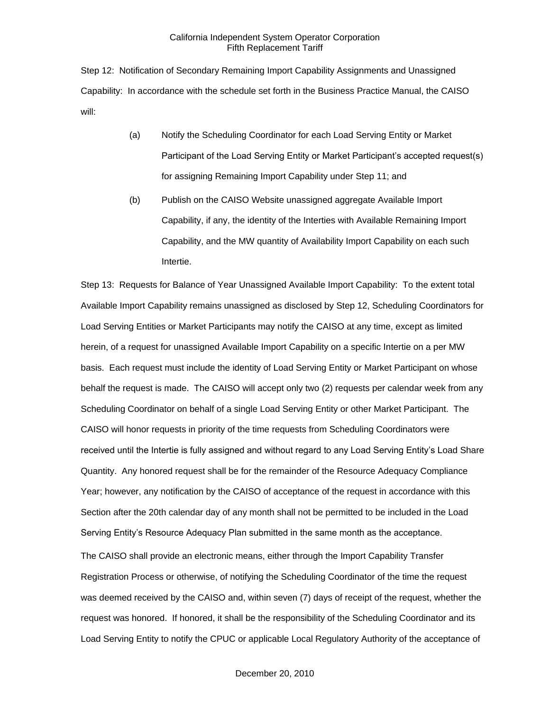Step 12: Notification of Secondary Remaining Import Capability Assignments and Unassigned Capability: In accordance with the schedule set forth in the Business Practice Manual, the CAISO will:

- (a) Notify the Scheduling Coordinator for each Load Serving Entity or Market Participant of the Load Serving Entity or Market Participant's accepted request(s) for assigning Remaining Import Capability under Step 11; and
- (b) Publish on the CAISO Website unassigned aggregate Available Import Capability, if any, the identity of the Interties with Available Remaining Import Capability, and the MW quantity of Availability Import Capability on each such Intertie.

Step 13: Requests for Balance of Year Unassigned Available Import Capability: To the extent total Available Import Capability remains unassigned as disclosed by Step 12, Scheduling Coordinators for Load Serving Entities or Market Participants may notify the CAISO at any time, except as limited herein, of a request for unassigned Available Import Capability on a specific Intertie on a per MW basis. Each request must include the identity of Load Serving Entity or Market Participant on whose behalf the request is made. The CAISO will accept only two (2) requests per calendar week from any Scheduling Coordinator on behalf of a single Load Serving Entity or other Market Participant. The CAISO will honor requests in priority of the time requests from Scheduling Coordinators were received until the Intertie is fully assigned and without regard to any Load Serving Entity's Load Share Quantity. Any honored request shall be for the remainder of the Resource Adequacy Compliance Year; however, any notification by the CAISO of acceptance of the request in accordance with this Section after the 20th calendar day of any month shall not be permitted to be included in the Load Serving Entity's Resource Adequacy Plan submitted in the same month as the acceptance. The CAISO shall provide an electronic means, either through the Import Capability Transfer Registration Process or otherwise, of notifying the Scheduling Coordinator of the time the request was deemed received by the CAISO and, within seven (7) days of receipt of the request, whether the request was honored. If honored, it shall be the responsibility of the Scheduling Coordinator and its Load Serving Entity to notify the CPUC or applicable Local Regulatory Authority of the acceptance of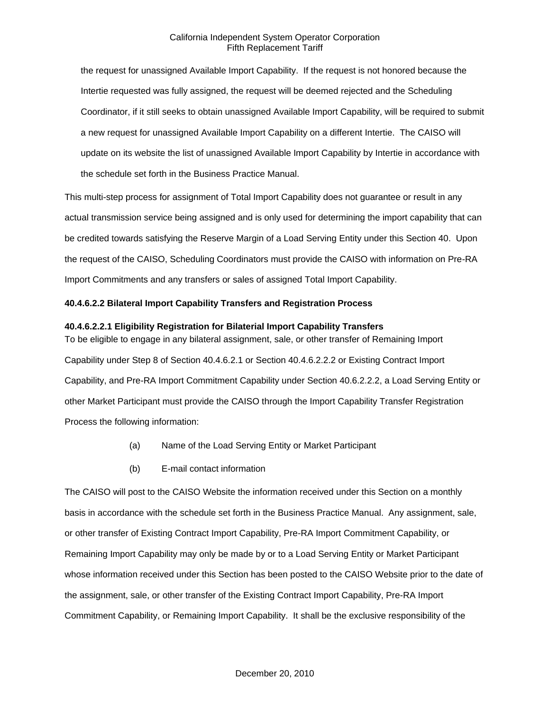the request for unassigned Available Import Capability. If the request is not honored because the Intertie requested was fully assigned, the request will be deemed rejected and the Scheduling Coordinator, if it still seeks to obtain unassigned Available Import Capability, will be required to submit a new request for unassigned Available Import Capability on a different Intertie. The CAISO will update on its website the list of unassigned Available Import Capability by Intertie in accordance with the schedule set forth in the Business Practice Manual.

This multi-step process for assignment of Total Import Capability does not guarantee or result in any actual transmission service being assigned and is only used for determining the import capability that can be credited towards satisfying the Reserve Margin of a Load Serving Entity under this Section 40. Upon the request of the CAISO, Scheduling Coordinators must provide the CAISO with information on Pre-RA Import Commitments and any transfers or sales of assigned Total Import Capability.

# **40.4.6.2.2 Bilateral Import Capability Transfers and Registration Process**

### **40.4.6.2.2.1 Eligibility Registration for Bilaterial Import Capability Transfers**

To be eligible to engage in any bilateral assignment, sale, or other transfer of Remaining Import Capability under Step 8 of Section 40.4.6.2.1 or Section 40.4.6.2.2.2 or Existing Contract Import Capability, and Pre-RA Import Commitment Capability under Section 40.6.2.2.2, a Load Serving Entity or other Market Participant must provide the CAISO through the Import Capability Transfer Registration Process the following information:

- (a) Name of the Load Serving Entity or Market Participant
- (b) E-mail contact information

The CAISO will post to the CAISO Website the information received under this Section on a monthly basis in accordance with the schedule set forth in the Business Practice Manual. Any assignment, sale, or other transfer of Existing Contract Import Capability, Pre-RA Import Commitment Capability, or Remaining Import Capability may only be made by or to a Load Serving Entity or Market Participant whose information received under this Section has been posted to the CAISO Website prior to the date of the assignment, sale, or other transfer of the Existing Contract Import Capability, Pre-RA Import Commitment Capability, or Remaining Import Capability. It shall be the exclusive responsibility of the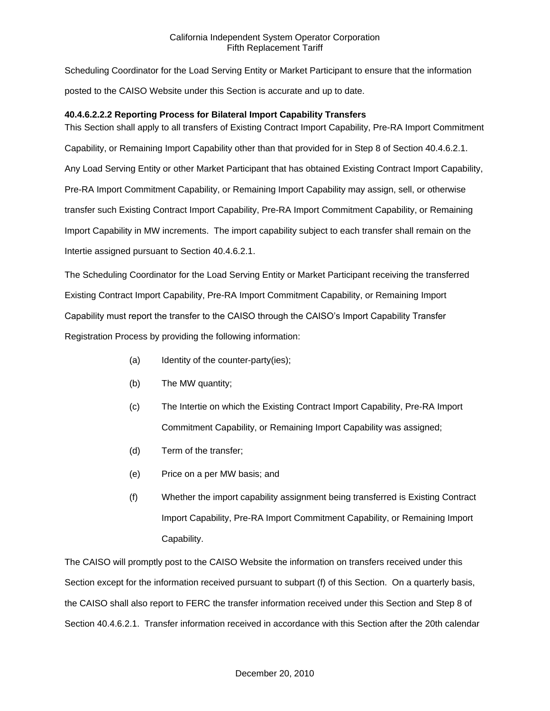Scheduling Coordinator for the Load Serving Entity or Market Participant to ensure that the information posted to the CAISO Website under this Section is accurate and up to date.

# **40.4.6.2.2.2 Reporting Process for Bilateral Import Capability Transfers**

This Section shall apply to all transfers of Existing Contract Import Capability, Pre-RA Import Commitment Capability, or Remaining Import Capability other than that provided for in Step 8 of Section 40.4.6.2.1. Any Load Serving Entity or other Market Participant that has obtained Existing Contract Import Capability, Pre-RA Import Commitment Capability, or Remaining Import Capability may assign, sell, or otherwise transfer such Existing Contract Import Capability, Pre-RA Import Commitment Capability, or Remaining Import Capability in MW increments. The import capability subject to each transfer shall remain on the Intertie assigned pursuant to Section 40.4.6.2.1.

The Scheduling Coordinator for the Load Serving Entity or Market Participant receiving the transferred Existing Contract Import Capability, Pre-RA Import Commitment Capability, or Remaining Import Capability must report the transfer to the CAISO through the CAISO's Import Capability Transfer Registration Process by providing the following information:

- (a) Identity of the counter-party(ies);
- (b) The MW quantity;
- (c) The Intertie on which the Existing Contract Import Capability, Pre-RA Import Commitment Capability, or Remaining Import Capability was assigned;
- (d) Term of the transfer;
- (e) Price on a per MW basis; and
- (f) Whether the import capability assignment being transferred is Existing Contract Import Capability, Pre-RA Import Commitment Capability, or Remaining Import Capability.

The CAISO will promptly post to the CAISO Website the information on transfers received under this Section except for the information received pursuant to subpart (f) of this Section. On a quarterly basis, the CAISO shall also report to FERC the transfer information received under this Section and Step 8 of Section 40.4.6.2.1. Transfer information received in accordance with this Section after the 20th calendar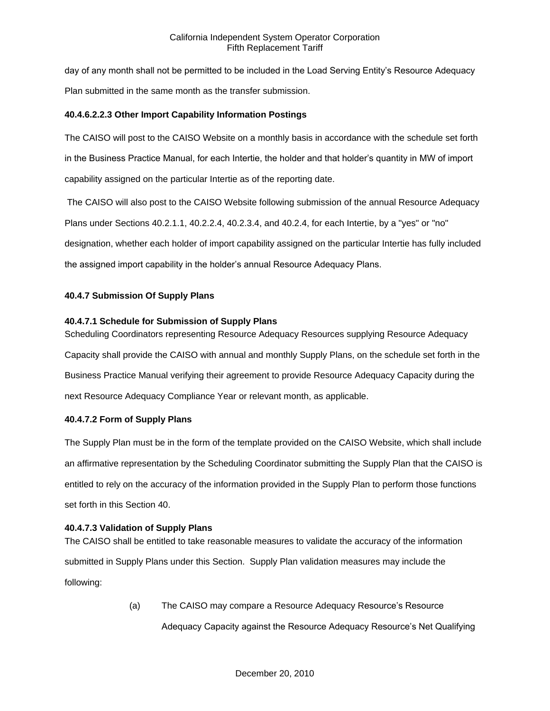day of any month shall not be permitted to be included in the Load Serving Entity's Resource Adequacy Plan submitted in the same month as the transfer submission.

# **40.4.6.2.2.3 Other Import Capability Information Postings**

The CAISO will post to the CAISO Website on a monthly basis in accordance with the schedule set forth in the Business Practice Manual, for each Intertie, the holder and that holder's quantity in MW of import capability assigned on the particular Intertie as of the reporting date.

The CAISO will also post to the CAISO Website following submission of the annual Resource Adequacy Plans under Sections 40.2.1.1, 40.2.2.4, 40.2.3.4, and 40.2.4, for each Intertie, by a "yes" or "no" designation, whether each holder of import capability assigned on the particular Intertie has fully included the assigned import capability in the holder's annual Resource Adequacy Plans.

# **40.4.7 Submission Of Supply Plans**

# **40.4.7.1 Schedule for Submission of Supply Plans**

Scheduling Coordinators representing Resource Adequacy Resources supplying Resource Adequacy Capacity shall provide the CAISO with annual and monthly Supply Plans, on the schedule set forth in the Business Practice Manual verifying their agreement to provide Resource Adequacy Capacity during the next Resource Adequacy Compliance Year or relevant month, as applicable.

## **40.4.7.2 Form of Supply Plans**

The Supply Plan must be in the form of the template provided on the CAISO Website, which shall include an affirmative representation by the Scheduling Coordinator submitting the Supply Plan that the CAISO is entitled to rely on the accuracy of the information provided in the Supply Plan to perform those functions set forth in this Section 40.

## **40.4.7.3 Validation of Supply Plans**

The CAISO shall be entitled to take reasonable measures to validate the accuracy of the information submitted in Supply Plans under this Section. Supply Plan validation measures may include the following:

> (a) The CAISO may compare a Resource Adequacy Resource's Resource Adequacy Capacity against the Resource Adequacy Resource's Net Qualifying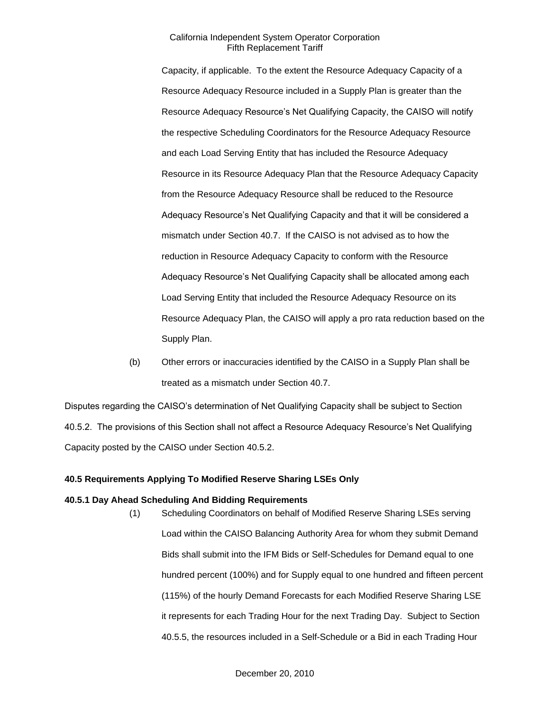Capacity, if applicable. To the extent the Resource Adequacy Capacity of a Resource Adequacy Resource included in a Supply Plan is greater than the Resource Adequacy Resource's Net Qualifying Capacity, the CAISO will notify the respective Scheduling Coordinators for the Resource Adequacy Resource and each Load Serving Entity that has included the Resource Adequacy Resource in its Resource Adequacy Plan that the Resource Adequacy Capacity from the Resource Adequacy Resource shall be reduced to the Resource Adequacy Resource's Net Qualifying Capacity and that it will be considered a mismatch under Section 40.7. If the CAISO is not advised as to how the reduction in Resource Adequacy Capacity to conform with the Resource Adequacy Resource's Net Qualifying Capacity shall be allocated among each Load Serving Entity that included the Resource Adequacy Resource on its Resource Adequacy Plan, the CAISO will apply a pro rata reduction based on the Supply Plan.

(b) Other errors or inaccuracies identified by the CAISO in a Supply Plan shall be treated as a mismatch under Section 40.7.

Disputes regarding the CAISO's determination of Net Qualifying Capacity shall be subject to Section 40.5.2. The provisions of this Section shall not affect a Resource Adequacy Resource's Net Qualifying Capacity posted by the CAISO under Section 40.5.2.

## **40.5 Requirements Applying To Modified Reserve Sharing LSEs Only**

#### **40.5.1 Day Ahead Scheduling And Bidding Requirements**

(1) Scheduling Coordinators on behalf of Modified Reserve Sharing LSEs serving Load within the CAISO Balancing Authority Area for whom they submit Demand Bids shall submit into the IFM Bids or Self-Schedules for Demand equal to one hundred percent (100%) and for Supply equal to one hundred and fifteen percent (115%) of the hourly Demand Forecasts for each Modified Reserve Sharing LSE it represents for each Trading Hour for the next Trading Day. Subject to Section 40.5.5, the resources included in a Self-Schedule or a Bid in each Trading Hour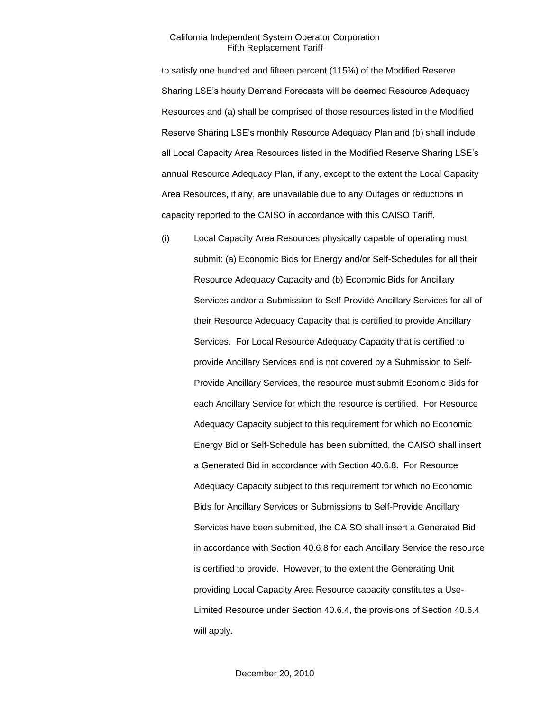to satisfy one hundred and fifteen percent (115%) of the Modified Reserve Sharing LSE's hourly Demand Forecasts will be deemed Resource Adequacy Resources and (a) shall be comprised of those resources listed in the Modified Reserve Sharing LSE's monthly Resource Adequacy Plan and (b) shall include all Local Capacity Area Resources listed in the Modified Reserve Sharing LSE's annual Resource Adequacy Plan, if any, except to the extent the Local Capacity Area Resources, if any, are unavailable due to any Outages or reductions in capacity reported to the CAISO in accordance with this CAISO Tariff.

(i) Local Capacity Area Resources physically capable of operating must submit: (a) Economic Bids for Energy and/or Self-Schedules for all their Resource Adequacy Capacity and (b) Economic Bids for Ancillary Services and/or a Submission to Self-Provide Ancillary Services for all of their Resource Adequacy Capacity that is certified to provide Ancillary Services. For Local Resource Adequacy Capacity that is certified to provide Ancillary Services and is not covered by a Submission to Self-Provide Ancillary Services, the resource must submit Economic Bids for each Ancillary Service for which the resource is certified. For Resource Adequacy Capacity subject to this requirement for which no Economic Energy Bid or Self-Schedule has been submitted, the CAISO shall insert a Generated Bid in accordance with Section 40.6.8. For Resource Adequacy Capacity subject to this requirement for which no Economic Bids for Ancillary Services or Submissions to Self-Provide Ancillary Services have been submitted, the CAISO shall insert a Generated Bid in accordance with Section 40.6.8 for each Ancillary Service the resource is certified to provide. However, to the extent the Generating Unit providing Local Capacity Area Resource capacity constitutes a Use-Limited Resource under Section 40.6.4, the provisions of Section 40.6.4 will apply.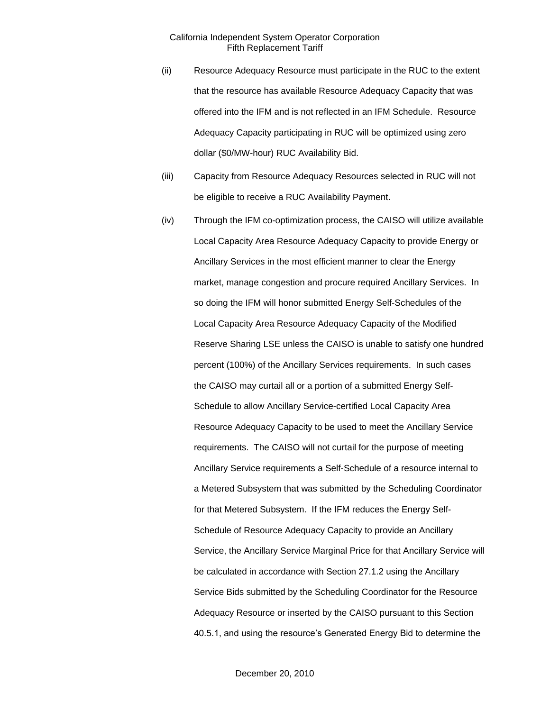- (ii) Resource Adequacy Resource must participate in the RUC to the extent that the resource has available Resource Adequacy Capacity that was offered into the IFM and is not reflected in an IFM Schedule. Resource Adequacy Capacity participating in RUC will be optimized using zero dollar (\$0/MW-hour) RUC Availability Bid.
- (iii) Capacity from Resource Adequacy Resources selected in RUC will not be eligible to receive a RUC Availability Payment.
- (iv) Through the IFM co-optimization process, the CAISO will utilize available Local Capacity Area Resource Adequacy Capacity to provide Energy or Ancillary Services in the most efficient manner to clear the Energy market, manage congestion and procure required Ancillary Services. In so doing the IFM will honor submitted Energy Self-Schedules of the Local Capacity Area Resource Adequacy Capacity of the Modified Reserve Sharing LSE unless the CAISO is unable to satisfy one hundred percent (100%) of the Ancillary Services requirements. In such cases the CAISO may curtail all or a portion of a submitted Energy Self-Schedule to allow Ancillary Service-certified Local Capacity Area Resource Adequacy Capacity to be used to meet the Ancillary Service requirements. The CAISO will not curtail for the purpose of meeting Ancillary Service requirements a Self-Schedule of a resource internal to a Metered Subsystem that was submitted by the Scheduling Coordinator for that Metered Subsystem. If the IFM reduces the Energy Self-Schedule of Resource Adequacy Capacity to provide an Ancillary Service, the Ancillary Service Marginal Price for that Ancillary Service will be calculated in accordance with Section 27.1.2 using the Ancillary Service Bids submitted by the Scheduling Coordinator for the Resource Adequacy Resource or inserted by the CAISO pursuant to this Section 40.5.1, and using the resource's Generated Energy Bid to determine the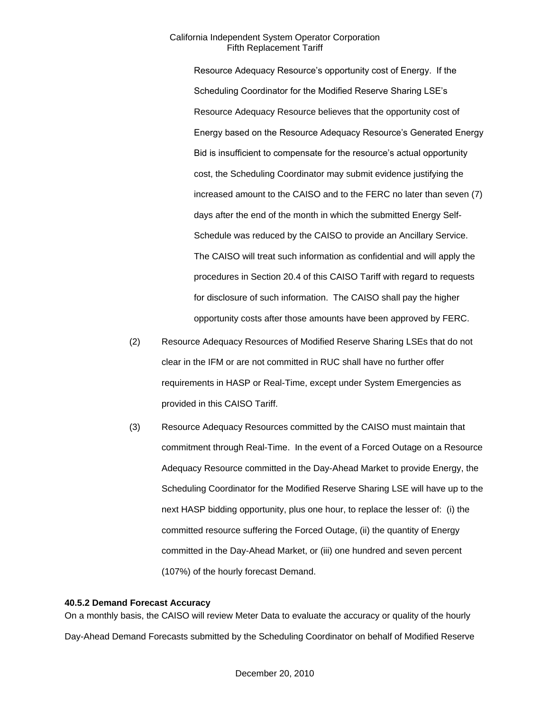Resource Adequacy Resource's opportunity cost of Energy. If the Scheduling Coordinator for the Modified Reserve Sharing LSE's Resource Adequacy Resource believes that the opportunity cost of Energy based on the Resource Adequacy Resource's Generated Energy Bid is insufficient to compensate for the resource's actual opportunity cost, the Scheduling Coordinator may submit evidence justifying the increased amount to the CAISO and to the FERC no later than seven (7) days after the end of the month in which the submitted Energy Self-Schedule was reduced by the CAISO to provide an Ancillary Service. The CAISO will treat such information as confidential and will apply the procedures in Section 20.4 of this CAISO Tariff with regard to requests for disclosure of such information. The CAISO shall pay the higher opportunity costs after those amounts have been approved by FERC.

- (2) Resource Adequacy Resources of Modified Reserve Sharing LSEs that do not clear in the IFM or are not committed in RUC shall have no further offer requirements in HASP or Real-Time, except under System Emergencies as provided in this CAISO Tariff.
- (3) Resource Adequacy Resources committed by the CAISO must maintain that commitment through Real-Time. In the event of a Forced Outage on a Resource Adequacy Resource committed in the Day-Ahead Market to provide Energy, the Scheduling Coordinator for the Modified Reserve Sharing LSE will have up to the next HASP bidding opportunity, plus one hour, to replace the lesser of: (i) the committed resource suffering the Forced Outage, (ii) the quantity of Energy committed in the Day-Ahead Market, or (iii) one hundred and seven percent (107%) of the hourly forecast Demand.

#### **40.5.2 Demand Forecast Accuracy**

On a monthly basis, the CAISO will review Meter Data to evaluate the accuracy or quality of the hourly Day-Ahead Demand Forecasts submitted by the Scheduling Coordinator on behalf of Modified Reserve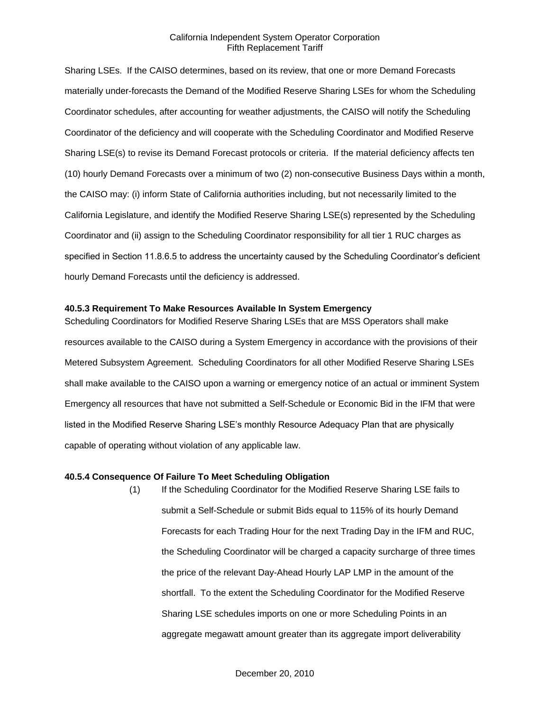Sharing LSEs. If the CAISO determines, based on its review, that one or more Demand Forecasts materially under-forecasts the Demand of the Modified Reserve Sharing LSEs for whom the Scheduling Coordinator schedules, after accounting for weather adjustments, the CAISO will notify the Scheduling Coordinator of the deficiency and will cooperate with the Scheduling Coordinator and Modified Reserve Sharing LSE(s) to revise its Demand Forecast protocols or criteria. If the material deficiency affects ten (10) hourly Demand Forecasts over a minimum of two (2) non-consecutive Business Days within a month, the CAISO may: (i) inform State of California authorities including, but not necessarily limited to the California Legislature, and identify the Modified Reserve Sharing LSE(s) represented by the Scheduling Coordinator and (ii) assign to the Scheduling Coordinator responsibility for all tier 1 RUC charges as specified in Section 11.8.6.5 to address the uncertainty caused by the Scheduling Coordinator's deficient hourly Demand Forecasts until the deficiency is addressed.

## **40.5.3 Requirement To Make Resources Available In System Emergency**

Scheduling Coordinators for Modified Reserve Sharing LSEs that are MSS Operators shall make resources available to the CAISO during a System Emergency in accordance with the provisions of their Metered Subsystem Agreement. Scheduling Coordinators for all other Modified Reserve Sharing LSEs shall make available to the CAISO upon a warning or emergency notice of an actual or imminent System Emergency all resources that have not submitted a Self-Schedule or Economic Bid in the IFM that were listed in the Modified Reserve Sharing LSE's monthly Resource Adequacy Plan that are physically capable of operating without violation of any applicable law.

#### **40.5.4 Consequence Of Failure To Meet Scheduling Obligation**

(1) If the Scheduling Coordinator for the Modified Reserve Sharing LSE fails to submit a Self-Schedule or submit Bids equal to 115% of its hourly Demand Forecasts for each Trading Hour for the next Trading Day in the IFM and RUC, the Scheduling Coordinator will be charged a capacity surcharge of three times the price of the relevant Day-Ahead Hourly LAP LMP in the amount of the shortfall. To the extent the Scheduling Coordinator for the Modified Reserve Sharing LSE schedules imports on one or more Scheduling Points in an aggregate megawatt amount greater than its aggregate import deliverability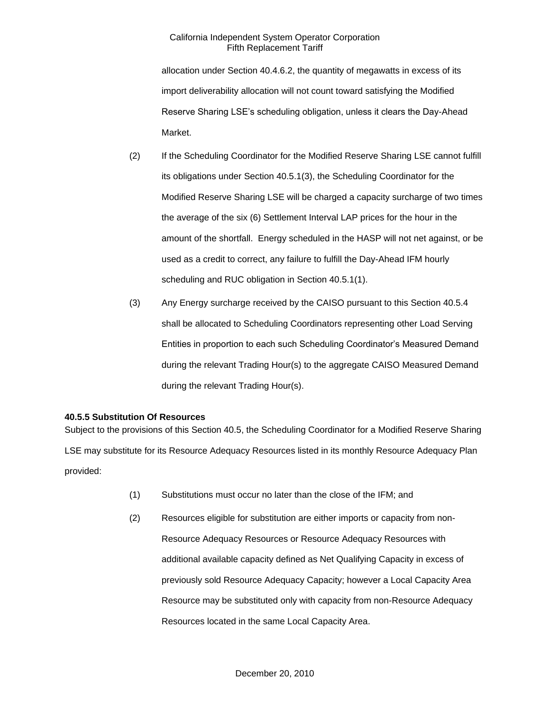allocation under Section 40.4.6.2, the quantity of megawatts in excess of its import deliverability allocation will not count toward satisfying the Modified Reserve Sharing LSE's scheduling obligation, unless it clears the Day-Ahead Market.

- (2) If the Scheduling Coordinator for the Modified Reserve Sharing LSE cannot fulfill its obligations under Section 40.5.1(3), the Scheduling Coordinator for the Modified Reserve Sharing LSE will be charged a capacity surcharge of two times the average of the six (6) Settlement Interval LAP prices for the hour in the amount of the shortfall. Energy scheduled in the HASP will not net against, or be used as a credit to correct, any failure to fulfill the Day-Ahead IFM hourly scheduling and RUC obligation in Section 40.5.1(1).
- (3) Any Energy surcharge received by the CAISO pursuant to this Section 40.5.4 shall be allocated to Scheduling Coordinators representing other Load Serving Entities in proportion to each such Scheduling Coordinator's Measured Demand during the relevant Trading Hour(s) to the aggregate CAISO Measured Demand during the relevant Trading Hour(s).

# **40.5.5 Substitution Of Resources**

Subject to the provisions of this Section 40.5, the Scheduling Coordinator for a Modified Reserve Sharing LSE may substitute for its Resource Adequacy Resources listed in its monthly Resource Adequacy Plan provided:

- (1) Substitutions must occur no later than the close of the IFM; and
- (2) Resources eligible for substitution are either imports or capacity from non-Resource Adequacy Resources or Resource Adequacy Resources with additional available capacity defined as Net Qualifying Capacity in excess of previously sold Resource Adequacy Capacity; however a Local Capacity Area Resource may be substituted only with capacity from non-Resource Adequacy Resources located in the same Local Capacity Area.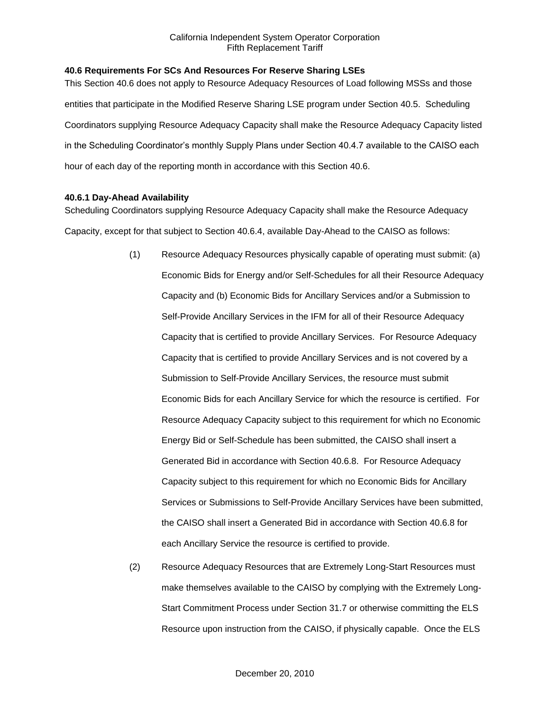# **40.6 Requirements For SCs And Resources For Reserve Sharing LSEs**

This Section 40.6 does not apply to Resource Adequacy Resources of Load following MSSs and those entities that participate in the Modified Reserve Sharing LSE program under Section 40.5. Scheduling Coordinators supplying Resource Adequacy Capacity shall make the Resource Adequacy Capacity listed in the Scheduling Coordinator's monthly Supply Plans under Section 40.4.7 available to the CAISO each hour of each day of the reporting month in accordance with this Section 40.6.

## **40.6.1 Day-Ahead Availability**

Scheduling Coordinators supplying Resource Adequacy Capacity shall make the Resource Adequacy Capacity, except for that subject to Section 40.6.4, available Day-Ahead to the CAISO as follows:

- (1) Resource Adequacy Resources physically capable of operating must submit: (a) Economic Bids for Energy and/or Self-Schedules for all their Resource Adequacy Capacity and (b) Economic Bids for Ancillary Services and/or a Submission to Self-Provide Ancillary Services in the IFM for all of their Resource Adequacy Capacity that is certified to provide Ancillary Services. For Resource Adequacy Capacity that is certified to provide Ancillary Services and is not covered by a Submission to Self-Provide Ancillary Services, the resource must submit Economic Bids for each Ancillary Service for which the resource is certified. For Resource Adequacy Capacity subject to this requirement for which no Economic Energy Bid or Self-Schedule has been submitted, the CAISO shall insert a Generated Bid in accordance with Section 40.6.8. For Resource Adequacy Capacity subject to this requirement for which no Economic Bids for Ancillary Services or Submissions to Self-Provide Ancillary Services have been submitted, the CAISO shall insert a Generated Bid in accordance with Section 40.6.8 for each Ancillary Service the resource is certified to provide.
- (2) Resource Adequacy Resources that are Extremely Long-Start Resources must make themselves available to the CAISO by complying with the Extremely Long-Start Commitment Process under Section 31.7 or otherwise committing the ELS Resource upon instruction from the CAISO, if physically capable. Once the ELS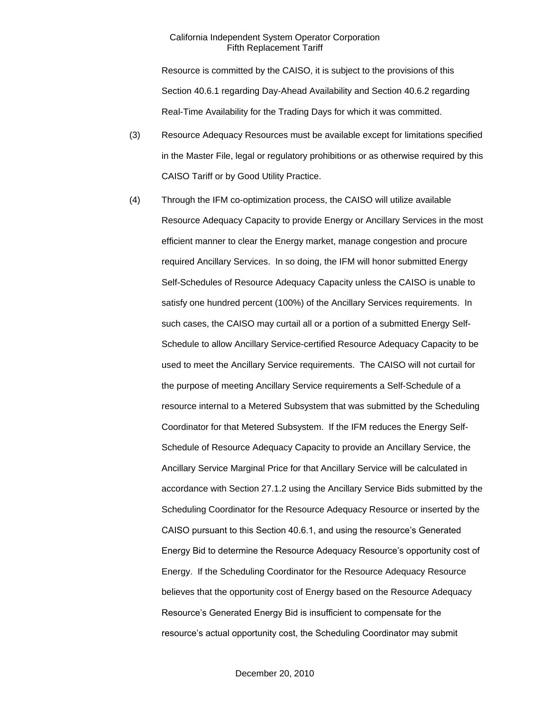Resource is committed by the CAISO, it is subject to the provisions of this Section 40.6.1 regarding Day-Ahead Availability and Section 40.6.2 regarding Real-Time Availability for the Trading Days for which it was committed.

- (3) Resource Adequacy Resources must be available except for limitations specified in the Master File, legal or regulatory prohibitions or as otherwise required by this CAISO Tariff or by Good Utility Practice.
- (4) Through the IFM co-optimization process, the CAISO will utilize available Resource Adequacy Capacity to provide Energy or Ancillary Services in the most efficient manner to clear the Energy market, manage congestion and procure required Ancillary Services. In so doing, the IFM will honor submitted Energy Self-Schedules of Resource Adequacy Capacity unless the CAISO is unable to satisfy one hundred percent (100%) of the Ancillary Services requirements. In such cases, the CAISO may curtail all or a portion of a submitted Energy Self-Schedule to allow Ancillary Service-certified Resource Adequacy Capacity to be used to meet the Ancillary Service requirements. The CAISO will not curtail for the purpose of meeting Ancillary Service requirements a Self-Schedule of a resource internal to a Metered Subsystem that was submitted by the Scheduling Coordinator for that Metered Subsystem. If the IFM reduces the Energy Self-Schedule of Resource Adequacy Capacity to provide an Ancillary Service, the Ancillary Service Marginal Price for that Ancillary Service will be calculated in accordance with Section 27.1.2 using the Ancillary Service Bids submitted by the Scheduling Coordinator for the Resource Adequacy Resource or inserted by the CAISO pursuant to this Section 40.6.1, and using the resource's Generated Energy Bid to determine the Resource Adequacy Resource's opportunity cost of Energy. If the Scheduling Coordinator for the Resource Adequacy Resource believes that the opportunity cost of Energy based on the Resource Adequacy Resource's Generated Energy Bid is insufficient to compensate for the resource's actual opportunity cost, the Scheduling Coordinator may submit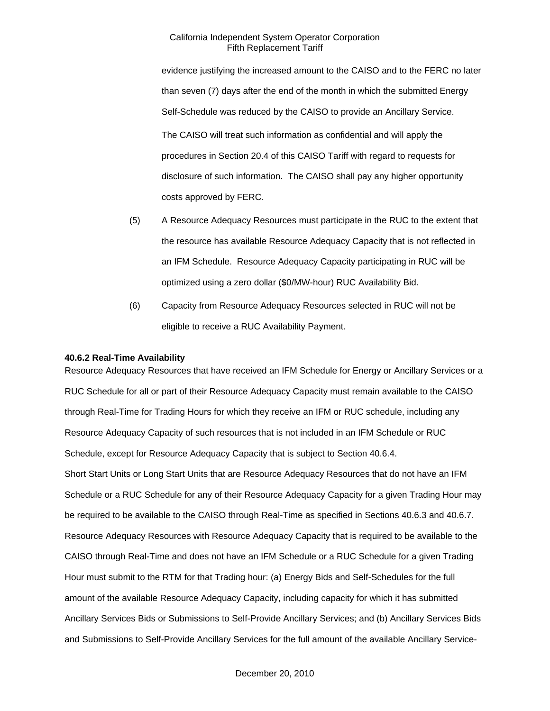evidence justifying the increased amount to the CAISO and to the FERC no later than seven (7) days after the end of the month in which the submitted Energy Self-Schedule was reduced by the CAISO to provide an Ancillary Service. The CAISO will treat such information as confidential and will apply the procedures in Section 20.4 of this CAISO Tariff with regard to requests for disclosure of such information. The CAISO shall pay any higher opportunity costs approved by FERC.

- (5) A Resource Adequacy Resources must participate in the RUC to the extent that the resource has available Resource Adequacy Capacity that is not reflected in an IFM Schedule. Resource Adequacy Capacity participating in RUC will be optimized using a zero dollar (\$0/MW-hour) RUC Availability Bid.
- (6) Capacity from Resource Adequacy Resources selected in RUC will not be eligible to receive a RUC Availability Payment.

#### **40.6.2 Real-Time Availability**

Resource Adequacy Resources that have received an IFM Schedule for Energy or Ancillary Services or a RUC Schedule for all or part of their Resource Adequacy Capacity must remain available to the CAISO through Real-Time for Trading Hours for which they receive an IFM or RUC schedule, including any Resource Adequacy Capacity of such resources that is not included in an IFM Schedule or RUC Schedule, except for Resource Adequacy Capacity that is subject to Section 40.6.4. Short Start Units or Long Start Units that are Resource Adequacy Resources that do not have an IFM Schedule or a RUC Schedule for any of their Resource Adequacy Capacity for a given Trading Hour may be required to be available to the CAISO through Real-Time as specified in Sections 40.6.3 and 40.6.7. Resource Adequacy Resources with Resource Adequacy Capacity that is required to be available to the CAISO through Real-Time and does not have an IFM Schedule or a RUC Schedule for a given Trading Hour must submit to the RTM for that Trading hour: (a) Energy Bids and Self-Schedules for the full amount of the available Resource Adequacy Capacity, including capacity for which it has submitted Ancillary Services Bids or Submissions to Self-Provide Ancillary Services; and (b) Ancillary Services Bids and Submissions to Self-Provide Ancillary Services for the full amount of the available Ancillary Service-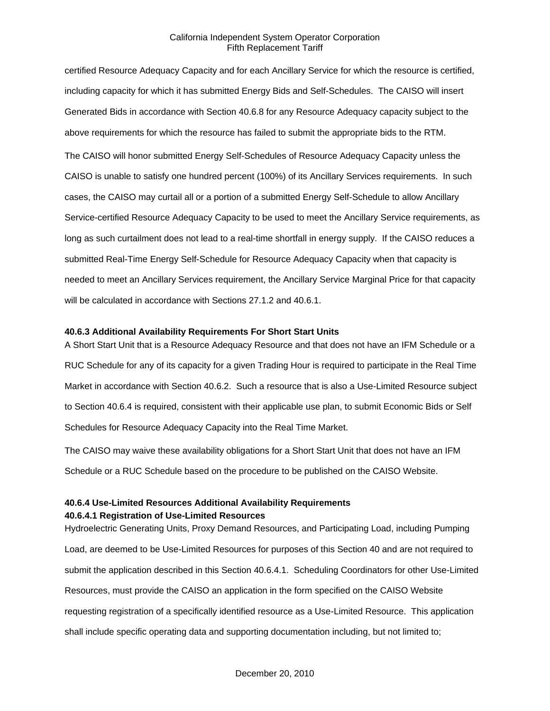certified Resource Adequacy Capacity and for each Ancillary Service for which the resource is certified, including capacity for which it has submitted Energy Bids and Self-Schedules. The CAISO will insert Generated Bids in accordance with Section 40.6.8 for any Resource Adequacy capacity subject to the above requirements for which the resource has failed to submit the appropriate bids to the RTM. The CAISO will honor submitted Energy Self-Schedules of Resource Adequacy Capacity unless the

CAISO is unable to satisfy one hundred percent (100%) of its Ancillary Services requirements. In such cases, the CAISO may curtail all or a portion of a submitted Energy Self-Schedule to allow Ancillary Service-certified Resource Adequacy Capacity to be used to meet the Ancillary Service requirements, as long as such curtailment does not lead to a real-time shortfall in energy supply. If the CAISO reduces a submitted Real-Time Energy Self-Schedule for Resource Adequacy Capacity when that capacity is needed to meet an Ancillary Services requirement, the Ancillary Service Marginal Price for that capacity will be calculated in accordance with Sections 27.1.2 and 40.6.1.

### **40.6.3 Additional Availability Requirements For Short Start Units**

A Short Start Unit that is a Resource Adequacy Resource and that does not have an IFM Schedule or a RUC Schedule for any of its capacity for a given Trading Hour is required to participate in the Real Time Market in accordance with Section 40.6.2. Such a resource that is also a Use-Limited Resource subject to Section 40.6.4 is required, consistent with their applicable use plan, to submit Economic Bids or Self Schedules for Resource Adequacy Capacity into the Real Time Market.

The CAISO may waive these availability obligations for a Short Start Unit that does not have an IFM Schedule or a RUC Schedule based on the procedure to be published on the CAISO Website.

# **40.6.4 Use-Limited Resources Additional Availability Requirements 40.6.4.1 Registration of Use-Limited Resources**

Hydroelectric Generating Units, Proxy Demand Resources, and Participating Load, including Pumping Load, are deemed to be Use-Limited Resources for purposes of this Section 40 and are not required to submit the application described in this Section 40.6.4.1. Scheduling Coordinators for other Use-Limited Resources, must provide the CAISO an application in the form specified on the CAISO Website requesting registration of a specifically identified resource as a Use-Limited Resource. This application shall include specific operating data and supporting documentation including, but not limited to;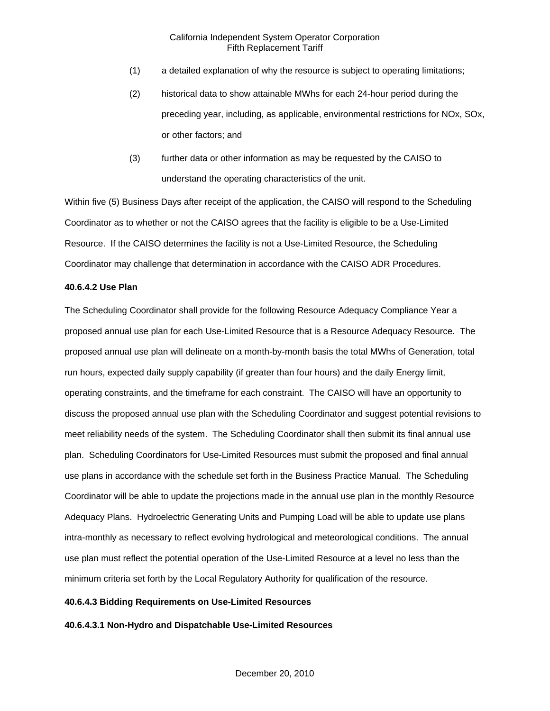- (1) a detailed explanation of why the resource is subject to operating limitations;
- (2) historical data to show attainable MWhs for each 24-hour period during the preceding year, including, as applicable, environmental restrictions for NOx, SOx, or other factors; and
- (3) further data or other information as may be requested by the CAISO to understand the operating characteristics of the unit.

Within five (5) Business Days after receipt of the application, the CAISO will respond to the Scheduling Coordinator as to whether or not the CAISO agrees that the facility is eligible to be a Use-Limited Resource. If the CAISO determines the facility is not a Use-Limited Resource, the Scheduling Coordinator may challenge that determination in accordance with the CAISO ADR Procedures.

### **40.6.4.2 Use Plan**

The Scheduling Coordinator shall provide for the following Resource Adequacy Compliance Year a proposed annual use plan for each Use-Limited Resource that is a Resource Adequacy Resource. The proposed annual use plan will delineate on a month-by-month basis the total MWhs of Generation, total run hours, expected daily supply capability (if greater than four hours) and the daily Energy limit, operating constraints, and the timeframe for each constraint. The CAISO will have an opportunity to discuss the proposed annual use plan with the Scheduling Coordinator and suggest potential revisions to meet reliability needs of the system. The Scheduling Coordinator shall then submit its final annual use plan. Scheduling Coordinators for Use-Limited Resources must submit the proposed and final annual use plans in accordance with the schedule set forth in the Business Practice Manual. The Scheduling Coordinator will be able to update the projections made in the annual use plan in the monthly Resource Adequacy Plans. Hydroelectric Generating Units and Pumping Load will be able to update use plans intra-monthly as necessary to reflect evolving hydrological and meteorological conditions. The annual use plan must reflect the potential operation of the Use-Limited Resource at a level no less than the minimum criteria set forth by the Local Regulatory Authority for qualification of the resource.

# **40.6.4.3 Bidding Requirements on Use-Limited Resources**

**40.6.4.3.1 Non-Hydro and Dispatchable Use-Limited Resources**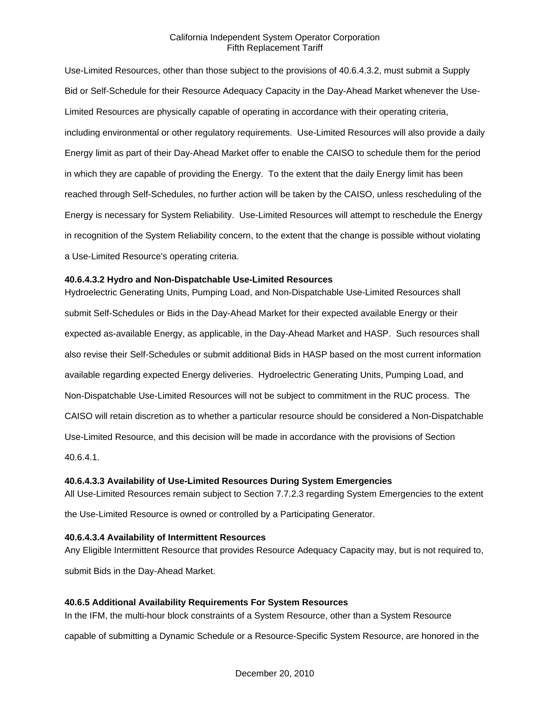Use-Limited Resources, other than those subject to the provisions of 40.6.4.3.2, must submit a Supply Bid or Self-Schedule for their Resource Adequacy Capacity in the Day-Ahead Market whenever the Use-Limited Resources are physically capable of operating in accordance with their operating criteria, including environmental or other regulatory requirements. Use-Limited Resources will also provide a daily Energy limit as part of their Day-Ahead Market offer to enable the CAISO to schedule them for the period in which they are capable of providing the Energy. To the extent that the daily Energy limit has been reached through Self-Schedules, no further action will be taken by the CAISO, unless rescheduling of the Energy is necessary for System Reliability. Use-Limited Resources will attempt to reschedule the Energy in recognition of the System Reliability concern, to the extent that the change is possible without violating a Use-Limited Resource's operating criteria.

### **40.6.4.3.2 Hydro and Non-Dispatchable Use-Limited Resources**

Hydroelectric Generating Units, Pumping Load, and Non-Dispatchable Use-Limited Resources shall submit Self-Schedules or Bids in the Day-Ahead Market for their expected available Energy or their expected as-available Energy, as applicable, in the Day-Ahead Market and HASP. Such resources shall also revise their Self-Schedules or submit additional Bids in HASP based on the most current information available regarding expected Energy deliveries. Hydroelectric Generating Units, Pumping Load, and Non-Dispatchable Use-Limited Resources will not be subject to commitment in the RUC process. The CAISO will retain discretion as to whether a particular resource should be considered a Non-Dispatchable Use-Limited Resource, and this decision will be made in accordance with the provisions of Section 40.6.4.1.

### **40.6.4.3.3 Availability of Use-Limited Resources During System Emergencies**

All Use-Limited Resources remain subject to Section 7.7.2.3 regarding System Emergencies to the extent

the Use-Limited Resource is owned or controlled by a Participating Generator.

### **40.6.4.3.4 Availability of Intermittent Resources**

Any Eligible Intermittent Resource that provides Resource Adequacy Capacity may, but is not required to, submit Bids in the Day-Ahead Market.

### **40.6.5 Additional Availability Requirements For System Resources**

In the IFM, the multi-hour block constraints of a System Resource, other than a System Resource

capable of submitting a Dynamic Schedule or a Resource-Specific System Resource, are honored in the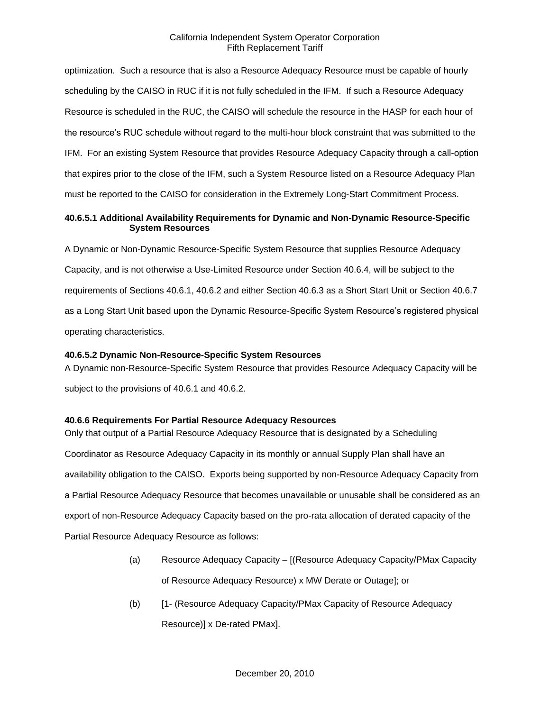optimization. Such a resource that is also a Resource Adequacy Resource must be capable of hourly scheduling by the CAISO in RUC if it is not fully scheduled in the IFM. If such a Resource Adequacy Resource is scheduled in the RUC, the CAISO will schedule the resource in the HASP for each hour of the resource's RUC schedule without regard to the multi-hour block constraint that was submitted to the IFM. For an existing System Resource that provides Resource Adequacy Capacity through a call-option that expires prior to the close of the IFM, such a System Resource listed on a Resource Adequacy Plan must be reported to the CAISO for consideration in the Extremely Long-Start Commitment Process.

# **40.6.5.1 Additional Availability Requirements for Dynamic and Non-Dynamic Resource-Specific System Resources**

A Dynamic or Non-Dynamic Resource-Specific System Resource that supplies Resource Adequacy Capacity, and is not otherwise a Use-Limited Resource under Section 40.6.4, will be subject to the requirements of Sections 40.6.1, 40.6.2 and either Section 40.6.3 as a Short Start Unit or Section 40.6.7 as a Long Start Unit based upon the Dynamic Resource-Specific System Resource's registered physical operating characteristics.

# **40.6.5.2 Dynamic Non-Resource-Specific System Resources**

A Dynamic non-Resource-Specific System Resource that provides Resource Adequacy Capacity will be subject to the provisions of 40.6.1 and 40.6.2.

# **40.6.6 Requirements For Partial Resource Adequacy Resources**

Only that output of a Partial Resource Adequacy Resource that is designated by a Scheduling Coordinator as Resource Adequacy Capacity in its monthly or annual Supply Plan shall have an availability obligation to the CAISO. Exports being supported by non-Resource Adequacy Capacity from a Partial Resource Adequacy Resource that becomes unavailable or unusable shall be considered as an export of non-Resource Adequacy Capacity based on the pro-rata allocation of derated capacity of the Partial Resource Adequacy Resource as follows:

- (a) Resource Adequacy Capacity [(Resource Adequacy Capacity/PMax Capacity of Resource Adequacy Resource) x MW Derate or Outage]; or
- (b) [1- (Resource Adequacy Capacity/PMax Capacity of Resource Adequacy Resource)] x De-rated PMax].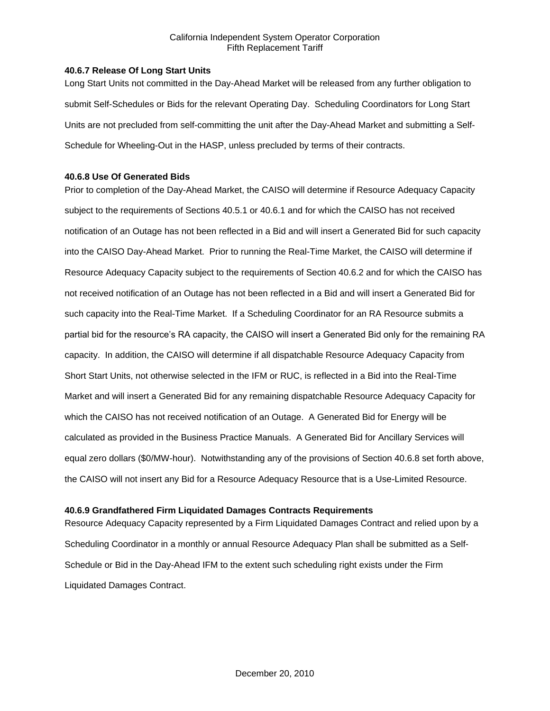#### **40.6.7 Release Of Long Start Units**

Long Start Units not committed in the Day-Ahead Market will be released from any further obligation to submit Self-Schedules or Bids for the relevant Operating Day. Scheduling Coordinators for Long Start Units are not precluded from self-committing the unit after the Day-Ahead Market and submitting a Self-Schedule for Wheeling-Out in the HASP, unless precluded by terms of their contracts.

#### **40.6.8 Use Of Generated Bids**

Prior to completion of the Day-Ahead Market, the CAISO will determine if Resource Adequacy Capacity subject to the requirements of Sections 40.5.1 or 40.6.1 and for which the CAISO has not received notification of an Outage has not been reflected in a Bid and will insert a Generated Bid for such capacity into the CAISO Day-Ahead Market. Prior to running the Real-Time Market, the CAISO will determine if Resource Adequacy Capacity subject to the requirements of Section 40.6.2 and for which the CAISO has not received notification of an Outage has not been reflected in a Bid and will insert a Generated Bid for such capacity into the Real-Time Market. If a Scheduling Coordinator for an RA Resource submits a partial bid for the resource's RA capacity, the CAISO will insert a Generated Bid only for the remaining RA capacity. In addition, the CAISO will determine if all dispatchable Resource Adequacy Capacity from Short Start Units, not otherwise selected in the IFM or RUC, is reflected in a Bid into the Real-Time Market and will insert a Generated Bid for any remaining dispatchable Resource Adequacy Capacity for which the CAISO has not received notification of an Outage. A Generated Bid for Energy will be calculated as provided in the Business Practice Manuals. A Generated Bid for Ancillary Services will equal zero dollars (\$0/MW-hour). Notwithstanding any of the provisions of Section 40.6.8 set forth above, the CAISO will not insert any Bid for a Resource Adequacy Resource that is a Use-Limited Resource.

### **40.6.9 Grandfathered Firm Liquidated Damages Contracts Requirements**

Resource Adequacy Capacity represented by a Firm Liquidated Damages Contract and relied upon by a Scheduling Coordinator in a monthly or annual Resource Adequacy Plan shall be submitted as a Self-Schedule or Bid in the Day-Ahead IFM to the extent such scheduling right exists under the Firm Liquidated Damages Contract.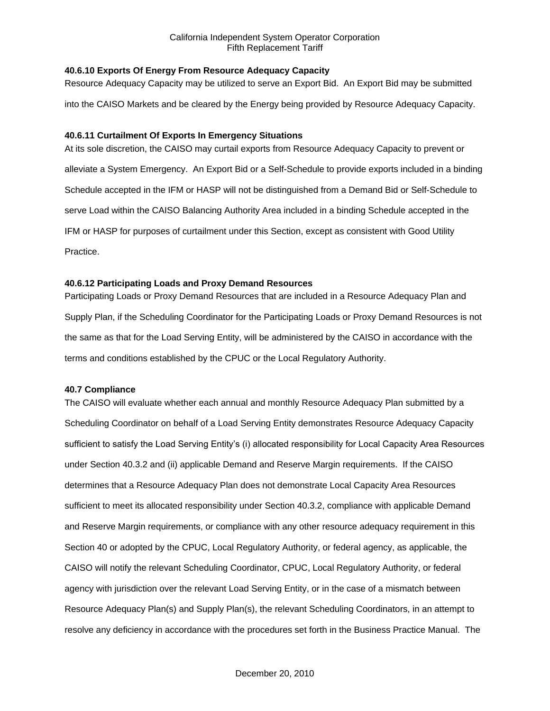## **40.6.10 Exports Of Energy From Resource Adequacy Capacity**

Resource Adequacy Capacity may be utilized to serve an Export Bid. An Export Bid may be submitted into the CAISO Markets and be cleared by the Energy being provided by Resource Adequacy Capacity.

## **40.6.11 Curtailment Of Exports In Emergency Situations**

At its sole discretion, the CAISO may curtail exports from Resource Adequacy Capacity to prevent or alleviate a System Emergency. An Export Bid or a Self-Schedule to provide exports included in a binding Schedule accepted in the IFM or HASP will not be distinguished from a Demand Bid or Self-Schedule to serve Load within the CAISO Balancing Authority Area included in a binding Schedule accepted in the IFM or HASP for purposes of curtailment under this Section, except as consistent with Good Utility Practice.

## **40.6.12 Participating Loads and Proxy Demand Resources**

Participating Loads or Proxy Demand Resources that are included in a Resource Adequacy Plan and Supply Plan, if the Scheduling Coordinator for the Participating Loads or Proxy Demand Resources is not the same as that for the Load Serving Entity, will be administered by the CAISO in accordance with the terms and conditions established by the CPUC or the Local Regulatory Authority.

# **40.7 Compliance**

The CAISO will evaluate whether each annual and monthly Resource Adequacy Plan submitted by a Scheduling Coordinator on behalf of a Load Serving Entity demonstrates Resource Adequacy Capacity sufficient to satisfy the Load Serving Entity's (i) allocated responsibility for Local Capacity Area Resources under Section 40.3.2 and (ii) applicable Demand and Reserve Margin requirements. If the CAISO determines that a Resource Adequacy Plan does not demonstrate Local Capacity Area Resources sufficient to meet its allocated responsibility under Section 40.3.2, compliance with applicable Demand and Reserve Margin requirements, or compliance with any other resource adequacy requirement in this Section 40 or adopted by the CPUC, Local Regulatory Authority, or federal agency, as applicable, the CAISO will notify the relevant Scheduling Coordinator, CPUC, Local Regulatory Authority, or federal agency with jurisdiction over the relevant Load Serving Entity, or in the case of a mismatch between Resource Adequacy Plan(s) and Supply Plan(s), the relevant Scheduling Coordinators, in an attempt to resolve any deficiency in accordance with the procedures set forth in the Business Practice Manual. The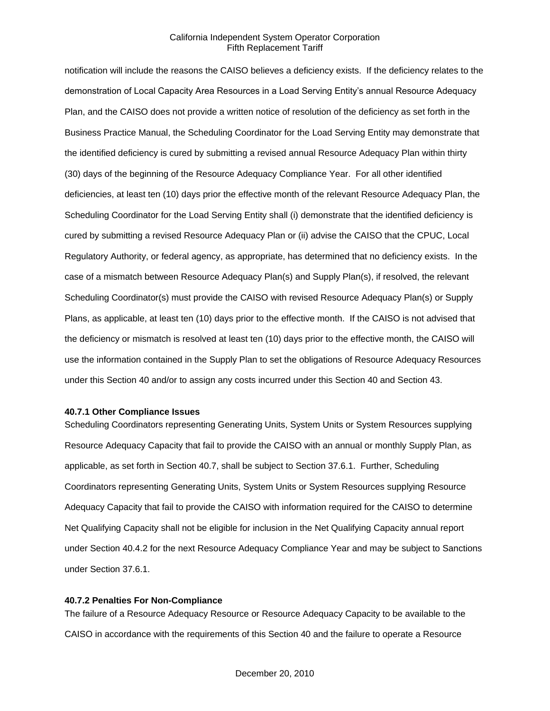notification will include the reasons the CAISO believes a deficiency exists. If the deficiency relates to the demonstration of Local Capacity Area Resources in a Load Serving Entity's annual Resource Adequacy Plan, and the CAISO does not provide a written notice of resolution of the deficiency as set forth in the Business Practice Manual, the Scheduling Coordinator for the Load Serving Entity may demonstrate that the identified deficiency is cured by submitting a revised annual Resource Adequacy Plan within thirty (30) days of the beginning of the Resource Adequacy Compliance Year. For all other identified deficiencies, at least ten (10) days prior the effective month of the relevant Resource Adequacy Plan, the Scheduling Coordinator for the Load Serving Entity shall (i) demonstrate that the identified deficiency is cured by submitting a revised Resource Adequacy Plan or (ii) advise the CAISO that the CPUC, Local Regulatory Authority, or federal agency, as appropriate, has determined that no deficiency exists. In the case of a mismatch between Resource Adequacy Plan(s) and Supply Plan(s), if resolved, the relevant Scheduling Coordinator(s) must provide the CAISO with revised Resource Adequacy Plan(s) or Supply Plans, as applicable, at least ten (10) days prior to the effective month. If the CAISO is not advised that the deficiency or mismatch is resolved at least ten (10) days prior to the effective month, the CAISO will use the information contained in the Supply Plan to set the obligations of Resource Adequacy Resources under this Section 40 and/or to assign any costs incurred under this Section 40 and Section 43.

#### **40.7.1 Other Compliance Issues**

Scheduling Coordinators representing Generating Units, System Units or System Resources supplying Resource Adequacy Capacity that fail to provide the CAISO with an annual or monthly Supply Plan, as applicable, as set forth in Section 40.7, shall be subject to Section 37.6.1. Further, Scheduling Coordinators representing Generating Units, System Units or System Resources supplying Resource Adequacy Capacity that fail to provide the CAISO with information required for the CAISO to determine Net Qualifying Capacity shall not be eligible for inclusion in the Net Qualifying Capacity annual report under Section 40.4.2 for the next Resource Adequacy Compliance Year and may be subject to Sanctions under Section 37.6.1.

#### **40.7.2 Penalties For Non-Compliance**

The failure of a Resource Adequacy Resource or Resource Adequacy Capacity to be available to the CAISO in accordance with the requirements of this Section 40 and the failure to operate a Resource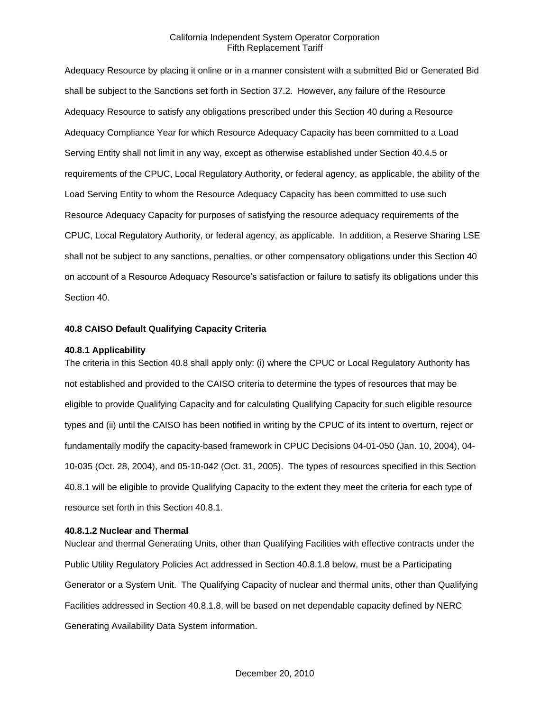Adequacy Resource by placing it online or in a manner consistent with a submitted Bid or Generated Bid shall be subject to the Sanctions set forth in Section 37.2. However, any failure of the Resource Adequacy Resource to satisfy any obligations prescribed under this Section 40 during a Resource Adequacy Compliance Year for which Resource Adequacy Capacity has been committed to a Load Serving Entity shall not limit in any way, except as otherwise established under Section 40.4.5 or requirements of the CPUC, Local Regulatory Authority, or federal agency, as applicable, the ability of the Load Serving Entity to whom the Resource Adequacy Capacity has been committed to use such Resource Adequacy Capacity for purposes of satisfying the resource adequacy requirements of the CPUC, Local Regulatory Authority, or federal agency, as applicable. In addition, a Reserve Sharing LSE shall not be subject to any sanctions, penalties, or other compensatory obligations under this Section 40 on account of a Resource Adequacy Resource's satisfaction or failure to satisfy its obligations under this Section 40.

### **40.8 CAISO Default Qualifying Capacity Criteria**

#### **40.8.1 Applicability**

The criteria in this Section 40.8 shall apply only: (i) where the CPUC or Local Regulatory Authority has not established and provided to the CAISO criteria to determine the types of resources that may be eligible to provide Qualifying Capacity and for calculating Qualifying Capacity for such eligible resource types and (ii) until the CAISO has been notified in writing by the CPUC of its intent to overturn, reject or fundamentally modify the capacity-based framework in CPUC Decisions 04-01-050 (Jan. 10, 2004), 04- 10-035 (Oct. 28, 2004), and 05-10-042 (Oct. 31, 2005). The types of resources specified in this Section 40.8.1 will be eligible to provide Qualifying Capacity to the extent they meet the criteria for each type of resource set forth in this Section 40.8.1.

#### **40.8.1.2 Nuclear and Thermal**

Nuclear and thermal Generating Units, other than Qualifying Facilities with effective contracts under the Public Utility Regulatory Policies Act addressed in Section 40.8.1.8 below, must be a Participating Generator or a System Unit. The Qualifying Capacity of nuclear and thermal units, other than Qualifying Facilities addressed in Section 40.8.1.8, will be based on net dependable capacity defined by NERC Generating Availability Data System information.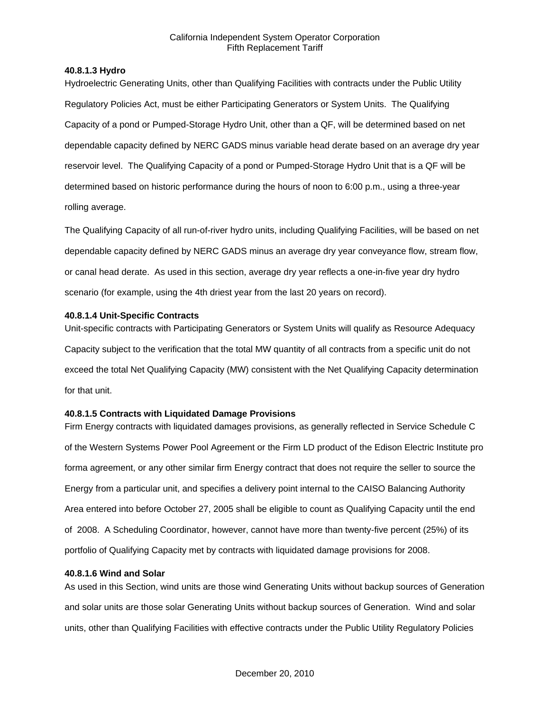#### **40.8.1.3 Hydro**

Hydroelectric Generating Units, other than Qualifying Facilities with contracts under the Public Utility Regulatory Policies Act, must be either Participating Generators or System Units. The Qualifying Capacity of a pond or Pumped-Storage Hydro Unit, other than a QF, will be determined based on net dependable capacity defined by NERC GADS minus variable head derate based on an average dry year reservoir level. The Qualifying Capacity of a pond or Pumped-Storage Hydro Unit that is a QF will be determined based on historic performance during the hours of noon to 6:00 p.m., using a three-year rolling average.

The Qualifying Capacity of all run-of-river hydro units, including Qualifying Facilities, will be based on net dependable capacity defined by NERC GADS minus an average dry year conveyance flow, stream flow, or canal head derate. As used in this section, average dry year reflects a one-in-five year dry hydro scenario (for example, using the 4th driest year from the last 20 years on record).

#### **40.8.1.4 Unit-Specific Contracts**

Unit-specific contracts with Participating Generators or System Units will qualify as Resource Adequacy Capacity subject to the verification that the total MW quantity of all contracts from a specific unit do not exceed the total Net Qualifying Capacity (MW) consistent with the Net Qualifying Capacity determination for that unit.

### **40.8.1.5 Contracts with Liquidated Damage Provisions**

Firm Energy contracts with liquidated damages provisions, as generally reflected in Service Schedule C of the Western Systems Power Pool Agreement or the Firm LD product of the Edison Electric Institute pro forma agreement, or any other similar firm Energy contract that does not require the seller to source the Energy from a particular unit, and specifies a delivery point internal to the CAISO Balancing Authority Area entered into before October 27, 2005 shall be eligible to count as Qualifying Capacity until the end of 2008. A Scheduling Coordinator, however, cannot have more than twenty-five percent (25%) of its portfolio of Qualifying Capacity met by contracts with liquidated damage provisions for 2008.

#### **40.8.1.6 Wind and Solar**

As used in this Section, wind units are those wind Generating Units without backup sources of Generation and solar units are those solar Generating Units without backup sources of Generation. Wind and solar units, other than Qualifying Facilities with effective contracts under the Public Utility Regulatory Policies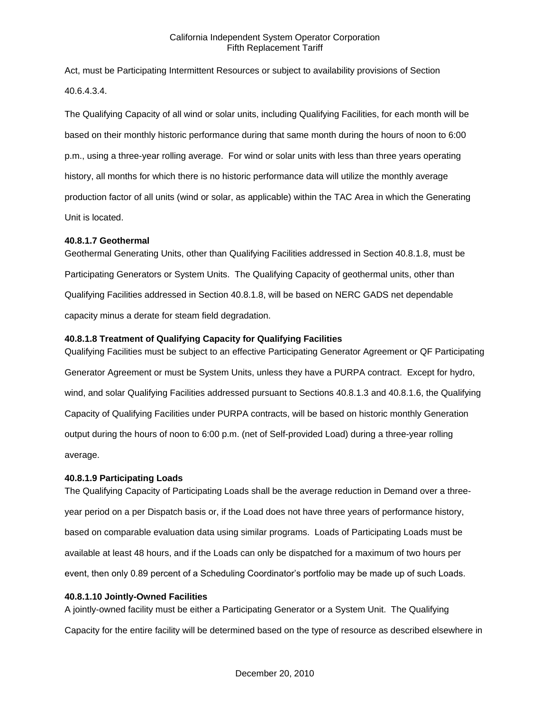Act, must be Participating Intermittent Resources or subject to availability provisions of Section 40.6.4.3.4.

The Qualifying Capacity of all wind or solar units, including Qualifying Facilities, for each month will be based on their monthly historic performance during that same month during the hours of noon to 6:00 p.m., using a three-year rolling average. For wind or solar units with less than three years operating history, all months for which there is no historic performance data will utilize the monthly average production factor of all units (wind or solar, as applicable) within the TAC Area in which the Generating Unit is located.

## **40.8.1.7 Geothermal**

Geothermal Generating Units, other than Qualifying Facilities addressed in Section 40.8.1.8, must be Participating Generators or System Units. The Qualifying Capacity of geothermal units, other than Qualifying Facilities addressed in Section 40.8.1.8, will be based on NERC GADS net dependable capacity minus a derate for steam field degradation.

# **40.8.1.8 Treatment of Qualifying Capacity for Qualifying Facilities**

Qualifying Facilities must be subject to an effective Participating Generator Agreement or QF Participating Generator Agreement or must be System Units, unless they have a PURPA contract. Except for hydro, wind, and solar Qualifying Facilities addressed pursuant to Sections 40.8.1.3 and 40.8.1.6, the Qualifying Capacity of Qualifying Facilities under PURPA contracts, will be based on historic monthly Generation output during the hours of noon to 6:00 p.m. (net of Self-provided Load) during a three-year rolling average.

# **40.8.1.9 Participating Loads**

The Qualifying Capacity of Participating Loads shall be the average reduction in Demand over a threeyear period on a per Dispatch basis or, if the Load does not have three years of performance history, based on comparable evaluation data using similar programs. Loads of Participating Loads must be available at least 48 hours, and if the Loads can only be dispatched for a maximum of two hours per event, then only 0.89 percent of a Scheduling Coordinator's portfolio may be made up of such Loads.

### **40.8.1.10 Jointly-Owned Facilities**

A jointly-owned facility must be either a Participating Generator or a System Unit. The Qualifying Capacity for the entire facility will be determined based on the type of resource as described elsewhere in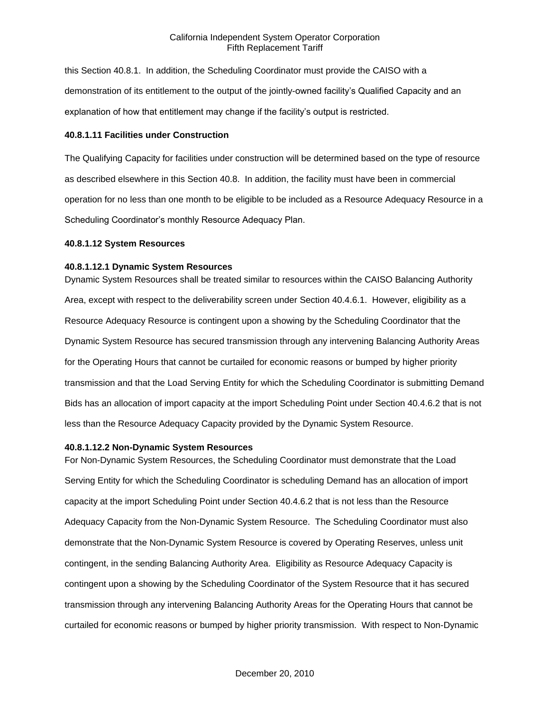this Section 40.8.1. In addition, the Scheduling Coordinator must provide the CAISO with a demonstration of its entitlement to the output of the jointly-owned facility's Qualified Capacity and an explanation of how that entitlement may change if the facility's output is restricted.

#### **40.8.1.11 Facilities under Construction**

The Qualifying Capacity for facilities under construction will be determined based on the type of resource as described elsewhere in this Section 40.8. In addition, the facility must have been in commercial operation for no less than one month to be eligible to be included as a Resource Adequacy Resource in a Scheduling Coordinator's monthly Resource Adequacy Plan.

#### **40.8.1.12 System Resources**

#### **40.8.1.12.1 Dynamic System Resources**

Dynamic System Resources shall be treated similar to resources within the CAISO Balancing Authority Area, except with respect to the deliverability screen under Section 40.4.6.1. However, eligibility as a Resource Adequacy Resource is contingent upon a showing by the Scheduling Coordinator that the Dynamic System Resource has secured transmission through any intervening Balancing Authority Areas for the Operating Hours that cannot be curtailed for economic reasons or bumped by higher priority transmission and that the Load Serving Entity for which the Scheduling Coordinator is submitting Demand Bids has an allocation of import capacity at the import Scheduling Point under Section 40.4.6.2 that is not less than the Resource Adequacy Capacity provided by the Dynamic System Resource.

### **40.8.1.12.2 Non-Dynamic System Resources**

For Non-Dynamic System Resources, the Scheduling Coordinator must demonstrate that the Load Serving Entity for which the Scheduling Coordinator is scheduling Demand has an allocation of import capacity at the import Scheduling Point under Section 40.4.6.2 that is not less than the Resource Adequacy Capacity from the Non-Dynamic System Resource. The Scheduling Coordinator must also demonstrate that the Non-Dynamic System Resource is covered by Operating Reserves, unless unit contingent, in the sending Balancing Authority Area. Eligibility as Resource Adequacy Capacity is contingent upon a showing by the Scheduling Coordinator of the System Resource that it has secured transmission through any intervening Balancing Authority Areas for the Operating Hours that cannot be curtailed for economic reasons or bumped by higher priority transmission. With respect to Non-Dynamic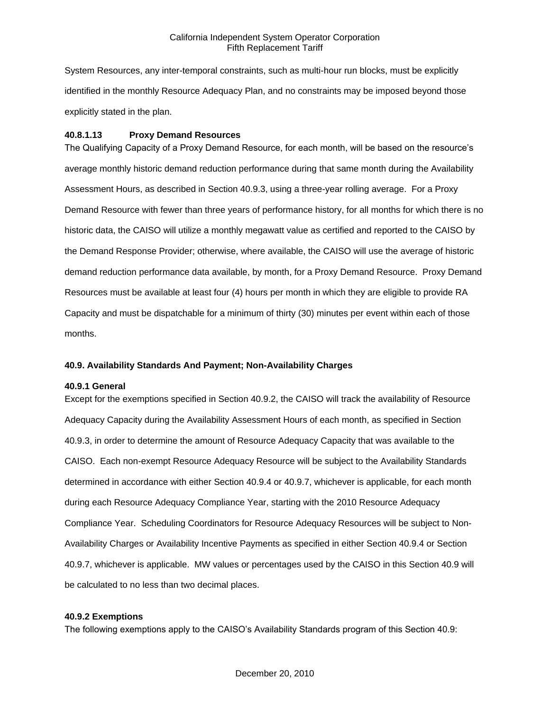System Resources, any inter-temporal constraints, such as multi-hour run blocks, must be explicitly identified in the monthly Resource Adequacy Plan, and no constraints may be imposed beyond those explicitly stated in the plan.

# **40.8.1.13 Proxy Demand Resources**

The Qualifying Capacity of a Proxy Demand Resource, for each month, will be based on the resource's average monthly historic demand reduction performance during that same month during the Availability Assessment Hours, as described in Section 40.9.3, using a three-year rolling average. For a Proxy Demand Resource with fewer than three years of performance history, for all months for which there is no historic data, the CAISO will utilize a monthly megawatt value as certified and reported to the CAISO by the Demand Response Provider; otherwise, where available, the CAISO will use the average of historic demand reduction performance data available, by month, for a Proxy Demand Resource. Proxy Demand Resources must be available at least four (4) hours per month in which they are eligible to provide RA Capacity and must be dispatchable for a minimum of thirty (30) minutes per event within each of those months.

# **40.9. Availability Standards And Payment; Non-Availability Charges**

### **40.9.1 General**

Except for the exemptions specified in Section 40.9.2, the CAISO will track the availability of Resource Adequacy Capacity during the Availability Assessment Hours of each month, as specified in Section 40.9.3, in order to determine the amount of Resource Adequacy Capacity that was available to the CAISO. Each non-exempt Resource Adequacy Resource will be subject to the Availability Standards determined in accordance with either Section 40.9.4 or 40.9.7, whichever is applicable, for each month during each Resource Adequacy Compliance Year, starting with the 2010 Resource Adequacy Compliance Year. Scheduling Coordinators for Resource Adequacy Resources will be subject to Non-Availability Charges or Availability Incentive Payments as specified in either Section 40.9.4 or Section 40.9.7, whichever is applicable. MW values or percentages used by the CAISO in this Section 40.9 will be calculated to no less than two decimal places.

### **40.9.2 Exemptions**

The following exemptions apply to the CAISO's Availability Standards program of this Section 40.9: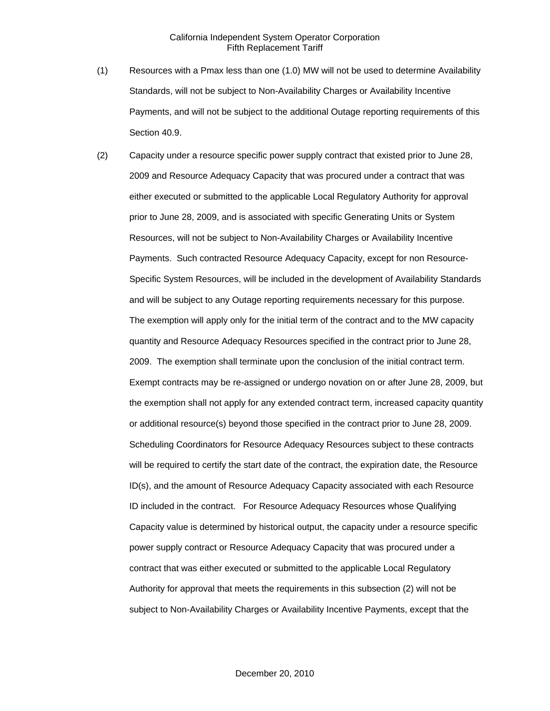- (1) Resources with a Pmax less than one (1.0) MW will not be used to determine Availability Standards, will not be subject to Non-Availability Charges or Availability Incentive Payments, and will not be subject to the additional Outage reporting requirements of this Section 40.9.
- (2) Capacity under a resource specific power supply contract that existed prior to June 28, 2009 and Resource Adequacy Capacity that was procured under a contract that was either executed or submitted to the applicable Local Regulatory Authority for approval prior to June 28, 2009, and is associated with specific Generating Units or System Resources, will not be subject to Non-Availability Charges or Availability Incentive Payments. Such contracted Resource Adequacy Capacity, except for non Resource-Specific System Resources, will be included in the development of Availability Standards and will be subject to any Outage reporting requirements necessary for this purpose. The exemption will apply only for the initial term of the contract and to the MW capacity quantity and Resource Adequacy Resources specified in the contract prior to June 28, 2009. The exemption shall terminate upon the conclusion of the initial contract term. Exempt contracts may be re-assigned or undergo novation on or after June 28, 2009, but the exemption shall not apply for any extended contract term, increased capacity quantity or additional resource(s) beyond those specified in the contract prior to June 28, 2009. Scheduling Coordinators for Resource Adequacy Resources subject to these contracts will be required to certify the start date of the contract, the expiration date, the Resource ID(s), and the amount of Resource Adequacy Capacity associated with each Resource ID included in the contract. For Resource Adequacy Resources whose Qualifying Capacity value is determined by historical output, the capacity under a resource specific power supply contract or Resource Adequacy Capacity that was procured under a contract that was either executed or submitted to the applicable Local Regulatory Authority for approval that meets the requirements in this subsection (2) will not be subject to Non-Availability Charges or Availability Incentive Payments, except that the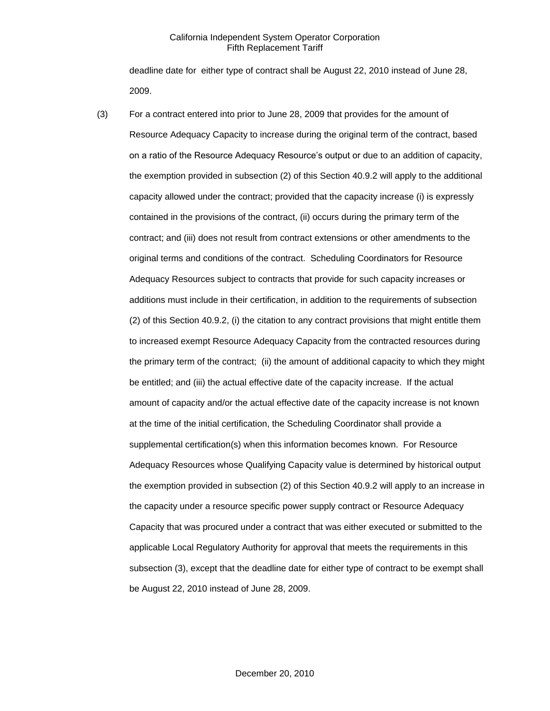deadline date for either type of contract shall be August 22, 2010 instead of June 28, 2009.

(3) For a contract entered into prior to June 28, 2009 that provides for the amount of Resource Adequacy Capacity to increase during the original term of the contract, based on a ratio of the Resource Adequacy Resource's output or due to an addition of capacity, the exemption provided in subsection (2) of this Section 40.9.2 will apply to the additional capacity allowed under the contract; provided that the capacity increase (i) is expressly contained in the provisions of the contract, (ii) occurs during the primary term of the contract; and (iii) does not result from contract extensions or other amendments to the original terms and conditions of the contract. Scheduling Coordinators for Resource Adequacy Resources subject to contracts that provide for such capacity increases or additions must include in their certification, in addition to the requirements of subsection (2) of this Section 40.9.2, (i) the citation to any contract provisions that might entitle them to increased exempt Resource Adequacy Capacity from the contracted resources during the primary term of the contract; (ii) the amount of additional capacity to which they might be entitled; and (iii) the actual effective date of the capacity increase. If the actual amount of capacity and/or the actual effective date of the capacity increase is not known at the time of the initial certification, the Scheduling Coordinator shall provide a supplemental certification(s) when this information becomes known. For Resource Adequacy Resources whose Qualifying Capacity value is determined by historical output the exemption provided in subsection (2) of this Section 40.9.2 will apply to an increase in the capacity under a resource specific power supply contract or Resource Adequacy Capacity that was procured under a contract that was either executed or submitted to the applicable Local Regulatory Authority for approval that meets the requirements in this subsection (3), except that the deadline date for either type of contract to be exempt shall be August 22, 2010 instead of June 28, 2009.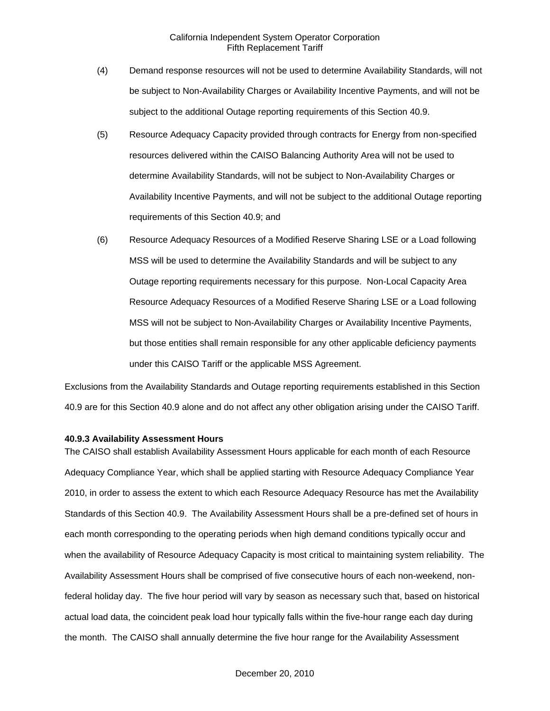- (4) Demand response resources will not be used to determine Availability Standards, will not be subject to Non-Availability Charges or Availability Incentive Payments, and will not be subject to the additional Outage reporting requirements of this Section 40.9.
- (5) Resource Adequacy Capacity provided through contracts for Energy from non-specified resources delivered within the CAISO Balancing Authority Area will not be used to determine Availability Standards, will not be subject to Non-Availability Charges or Availability Incentive Payments, and will not be subject to the additional Outage reporting requirements of this Section 40.9; and
- (6) Resource Adequacy Resources of a Modified Reserve Sharing LSE or a Load following MSS will be used to determine the Availability Standards and will be subject to any Outage reporting requirements necessary for this purpose. Non-Local Capacity Area Resource Adequacy Resources of a Modified Reserve Sharing LSE or a Load following MSS will not be subject to Non-Availability Charges or Availability Incentive Payments, but those entities shall remain responsible for any other applicable deficiency payments under this CAISO Tariff or the applicable MSS Agreement.

Exclusions from the Availability Standards and Outage reporting requirements established in this Section 40.9 are for this Section 40.9 alone and do not affect any other obligation arising under the CAISO Tariff.

#### **40.9.3 Availability Assessment Hours**

The CAISO shall establish Availability Assessment Hours applicable for each month of each Resource Adequacy Compliance Year, which shall be applied starting with Resource Adequacy Compliance Year 2010, in order to assess the extent to which each Resource Adequacy Resource has met the Availability Standards of this Section 40.9. The Availability Assessment Hours shall be a pre-defined set of hours in each month corresponding to the operating periods when high demand conditions typically occur and when the availability of Resource Adequacy Capacity is most critical to maintaining system reliability. The Availability Assessment Hours shall be comprised of five consecutive hours of each non-weekend, nonfederal holiday day. The five hour period will vary by season as necessary such that, based on historical actual load data, the coincident peak load hour typically falls within the five-hour range each day during the month. The CAISO shall annually determine the five hour range for the Availability Assessment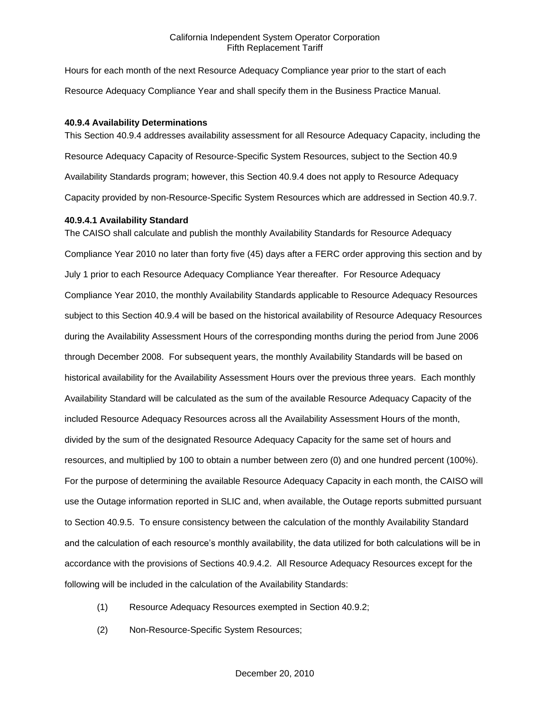Hours for each month of the next Resource Adequacy Compliance year prior to the start of each Resource Adequacy Compliance Year and shall specify them in the Business Practice Manual.

#### **40.9.4 Availability Determinations**

This Section 40.9.4 addresses availability assessment for all Resource Adequacy Capacity, including the Resource Adequacy Capacity of Resource-Specific System Resources, subject to the Section 40.9 Availability Standards program; however, this Section 40.9.4 does not apply to Resource Adequacy Capacity provided by non-Resource-Specific System Resources which are addressed in Section 40.9.7.

#### **40.9.4.1 Availability Standard**

The CAISO shall calculate and publish the monthly Availability Standards for Resource Adequacy Compliance Year 2010 no later than forty five (45) days after a FERC order approving this section and by July 1 prior to each Resource Adequacy Compliance Year thereafter. For Resource Adequacy Compliance Year 2010, the monthly Availability Standards applicable to Resource Adequacy Resources subject to this Section 40.9.4 will be based on the historical availability of Resource Adequacy Resources during the Availability Assessment Hours of the corresponding months during the period from June 2006 through December 2008. For subsequent years, the monthly Availability Standards will be based on historical availability for the Availability Assessment Hours over the previous three years. Each monthly Availability Standard will be calculated as the sum of the available Resource Adequacy Capacity of the included Resource Adequacy Resources across all the Availability Assessment Hours of the month, divided by the sum of the designated Resource Adequacy Capacity for the same set of hours and resources, and multiplied by 100 to obtain a number between zero (0) and one hundred percent (100%). For the purpose of determining the available Resource Adequacy Capacity in each month, the CAISO will use the Outage information reported in SLIC and, when available, the Outage reports submitted pursuant to Section 40.9.5. To ensure consistency between the calculation of the monthly Availability Standard and the calculation of each resource's monthly availability, the data utilized for both calculations will be in accordance with the provisions of Sections 40.9.4.2. All Resource Adequacy Resources except for the following will be included in the calculation of the Availability Standards:

- (1) Resource Adequacy Resources exempted in Section 40.9.2;
- (2) Non-Resource-Specific System Resources;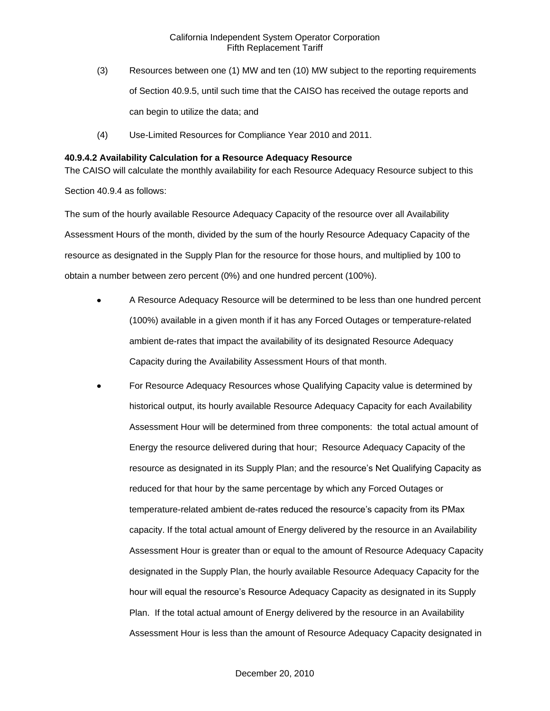- (3) Resources between one (1) MW and ten (10) MW subject to the reporting requirements of Section 40.9.5, until such time that the CAISO has received the outage reports and can begin to utilize the data; and
- (4) Use-Limited Resources for Compliance Year 2010 and 2011.

### **40.9.4.2 Availability Calculation for a Resource Adequacy Resource**

The CAISO will calculate the monthly availability for each Resource Adequacy Resource subject to this Section 40.9.4 as follows:

The sum of the hourly available Resource Adequacy Capacity of the resource over all Availability Assessment Hours of the month, divided by the sum of the hourly Resource Adequacy Capacity of the resource as designated in the Supply Plan for the resource for those hours, and multiplied by 100 to obtain a number between zero percent (0%) and one hundred percent (100%).

- A Resource Adequacy Resource will be determined to be less than one hundred percent (100%) available in a given month if it has any Forced Outages or temperature-related ambient de-rates that impact the availability of its designated Resource Adequacy Capacity during the Availability Assessment Hours of that month.
- For Resource Adequacy Resources whose Qualifying Capacity value is determined by historical output, its hourly available Resource Adequacy Capacity for each Availability Assessment Hour will be determined from three components: the total actual amount of Energy the resource delivered during that hour; Resource Adequacy Capacity of the resource as designated in its Supply Plan; and the resource's Net Qualifying Capacity as reduced for that hour by the same percentage by which any Forced Outages or temperature-related ambient de-rates reduced the resource's capacity from its PMax capacity. If the total actual amount of Energy delivered by the resource in an Availability Assessment Hour is greater than or equal to the amount of Resource Adequacy Capacity designated in the Supply Plan, the hourly available Resource Adequacy Capacity for the hour will equal the resource's Resource Adequacy Capacity as designated in its Supply Plan. If the total actual amount of Energy delivered by the resource in an Availability Assessment Hour is less than the amount of Resource Adequacy Capacity designated in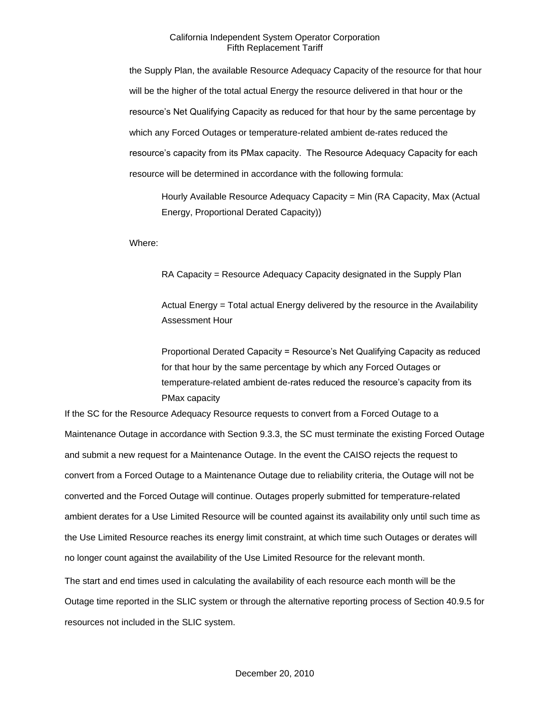the Supply Plan, the available Resource Adequacy Capacity of the resource for that hour will be the higher of the total actual Energy the resource delivered in that hour or the resource's Net Qualifying Capacity as reduced for that hour by the same percentage by which any Forced Outages or temperature-related ambient de-rates reduced the resource's capacity from its PMax capacity. The Resource Adequacy Capacity for each resource will be determined in accordance with the following formula:

Hourly Available Resource Adequacy Capacity = Min (RA Capacity, Max (Actual Energy, Proportional Derated Capacity))

Where:

RA Capacity = Resource Adequacy Capacity designated in the Supply Plan

Actual Energy = Total actual Energy delivered by the resource in the Availability Assessment Hour

Proportional Derated Capacity = Resource's Net Qualifying Capacity as reduced for that hour by the same percentage by which any Forced Outages or temperature-related ambient de-rates reduced the resource's capacity from its PMax capacity

If the SC for the Resource Adequacy Resource requests to convert from a Forced Outage to a Maintenance Outage in accordance with Section 9.3.3, the SC must terminate the existing Forced Outage and submit a new request for a Maintenance Outage. In the event the CAISO rejects the request to convert from a Forced Outage to a Maintenance Outage due to reliability criteria, the Outage will not be converted and the Forced Outage will continue. Outages properly submitted for temperature-related ambient derates for a Use Limited Resource will be counted against its availability only until such time as the Use Limited Resource reaches its energy limit constraint, at which time such Outages or derates will no longer count against the availability of the Use Limited Resource for the relevant month.

The start and end times used in calculating the availability of each resource each month will be the Outage time reported in the SLIC system or through the alternative reporting process of Section 40.9.5 for resources not included in the SLIC system.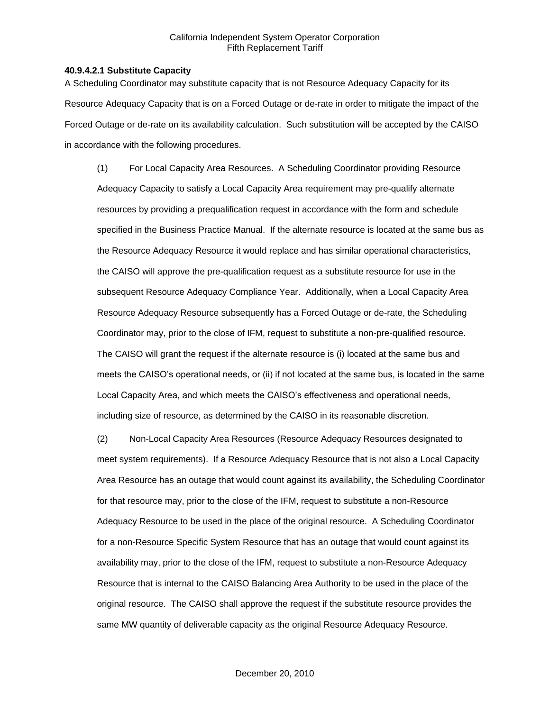#### **40.9.4.2.1 Substitute Capacity**

A Scheduling Coordinator may substitute capacity that is not Resource Adequacy Capacity for its Resource Adequacy Capacity that is on a Forced Outage or de-rate in order to mitigate the impact of the Forced Outage or de-rate on its availability calculation. Such substitution will be accepted by the CAISO in accordance with the following procedures.

(1) For Local Capacity Area Resources. A Scheduling Coordinator providing Resource Adequacy Capacity to satisfy a Local Capacity Area requirement may pre-qualify alternate resources by providing a prequalification request in accordance with the form and schedule specified in the Business Practice Manual. If the alternate resource is located at the same bus as the Resource Adequacy Resource it would replace and has similar operational characteristics, the CAISO will approve the pre-qualification request as a substitute resource for use in the subsequent Resource Adequacy Compliance Year. Additionally, when a Local Capacity Area Resource Adequacy Resource subsequently has a Forced Outage or de-rate, the Scheduling Coordinator may, prior to the close of IFM, request to substitute a non-pre-qualified resource. The CAISO will grant the request if the alternate resource is (i) located at the same bus and meets the CAISO's operational needs, or (ii) if not located at the same bus, is located in the same Local Capacity Area, and which meets the CAISO's effectiveness and operational needs, including size of resource, as determined by the CAISO in its reasonable discretion.

(2) Non-Local Capacity Area Resources (Resource Adequacy Resources designated to meet system requirements). If a Resource Adequacy Resource that is not also a Local Capacity Area Resource has an outage that would count against its availability, the Scheduling Coordinator for that resource may, prior to the close of the IFM, request to substitute a non-Resource Adequacy Resource to be used in the place of the original resource. A Scheduling Coordinator for a non-Resource Specific System Resource that has an outage that would count against its availability may, prior to the close of the IFM, request to substitute a non-Resource Adequacy Resource that is internal to the CAISO Balancing Area Authority to be used in the place of the original resource. The CAISO shall approve the request if the substitute resource provides the same MW quantity of deliverable capacity as the original Resource Adequacy Resource.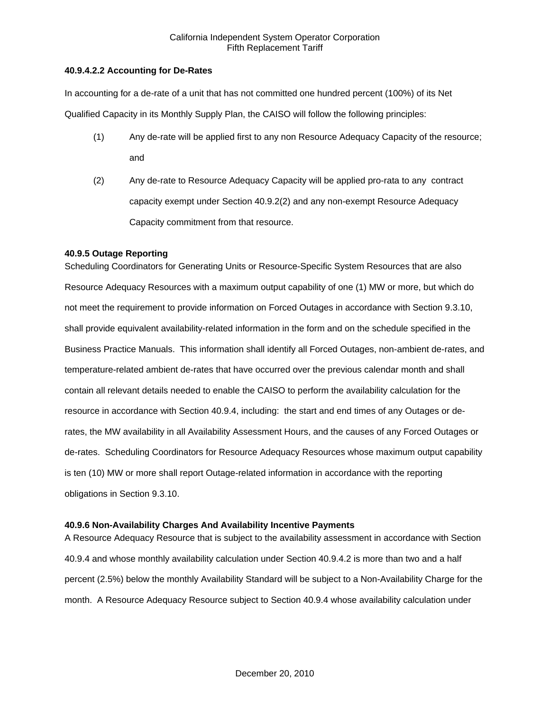## **40.9.4.2.2 Accounting for De-Rates**

In accounting for a de-rate of a unit that has not committed one hundred percent (100%) of its Net Qualified Capacity in its Monthly Supply Plan, the CAISO will follow the following principles:

- (1) Any de-rate will be applied first to any non Resource Adequacy Capacity of the resource; and
- (2) Any de-rate to Resource Adequacy Capacity will be applied pro-rata to any contract capacity exempt under Section 40.9.2(2) and any non-exempt Resource Adequacy Capacity commitment from that resource.

## **40.9.5 Outage Reporting**

Scheduling Coordinators for Generating Units or Resource-Specific System Resources that are also Resource Adequacy Resources with a maximum output capability of one (1) MW or more, but which do not meet the requirement to provide information on Forced Outages in accordance with Section 9.3.10, shall provide equivalent availability-related information in the form and on the schedule specified in the Business Practice Manuals. This information shall identify all Forced Outages, non-ambient de-rates, and temperature-related ambient de-rates that have occurred over the previous calendar month and shall contain all relevant details needed to enable the CAISO to perform the availability calculation for the resource in accordance with Section 40.9.4, including: the start and end times of any Outages or derates, the MW availability in all Availability Assessment Hours, and the causes of any Forced Outages or de-rates. Scheduling Coordinators for Resource Adequacy Resources whose maximum output capability is ten (10) MW or more shall report Outage-related information in accordance with the reporting obligations in Section 9.3.10.

# **40.9.6 Non-Availability Charges And Availability Incentive Payments**

A Resource Adequacy Resource that is subject to the availability assessment in accordance with Section 40.9.4 and whose monthly availability calculation under Section 40.9.4.2 is more than two and a half percent (2.5%) below the monthly Availability Standard will be subject to a Non-Availability Charge for the month. A Resource Adequacy Resource subject to Section 40.9.4 whose availability calculation under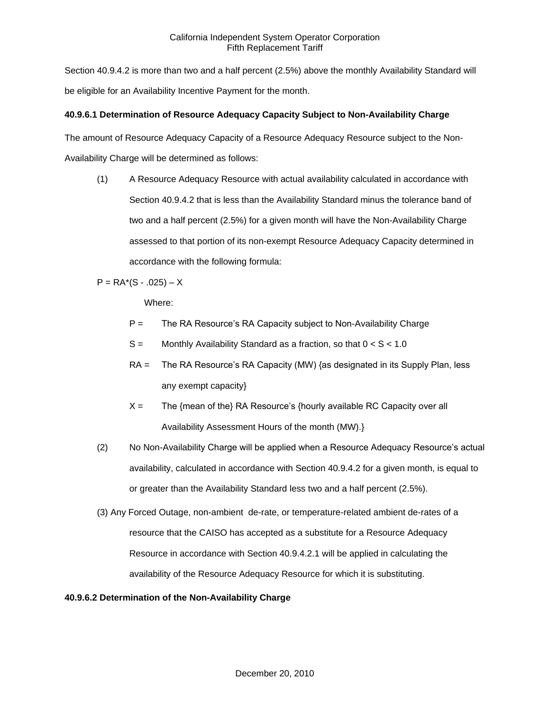Section 40.9.4.2 is more than two and a half percent (2.5%) above the monthly Availability Standard will be eligible for an Availability Incentive Payment for the month.

# **40.9.6.1 Determination of Resource Adequacy Capacity Subject to Non-Availability Charge**

The amount of Resource Adequacy Capacity of a Resource Adequacy Resource subject to the Non-

Availability Charge will be determined as follows:

(1) A Resource Adequacy Resource with actual availability calculated in accordance with Section 40.9.4.2 that is less than the Availability Standard minus the tolerance band of two and a half percent (2.5%) for a given month will have the Non-Availability Charge assessed to that portion of its non-exempt Resource Adequacy Capacity determined in accordance with the following formula:

 $P = RA*(S - .025) - X$ 

Where:

- $P =$  The RA Resource's RA Capacity subject to Non-Availability Charge
- $S =$  Monthly Availability Standard as a fraction, so that  $0 < S < 1.0$
- RA = The RA Resource's RA Capacity (MW) {as designated in its Supply Plan, less any exempt capacity}
- $X =$  The {mean of the} RA Resource's {hourly available RC Capacity over all Availability Assessment Hours of the month (MW).}
- (2) No Non-Availability Charge will be applied when a Resource Adequacy Resource's actual availability, calculated in accordance with Section 40.9.4.2 for a given month, is equal to or greater than the Availability Standard less two and a half percent (2.5%).
- (3) Any Forced Outage, non-ambient de-rate, or temperature-related ambient de-rates of a resource that the CAISO has accepted as a substitute for a Resource Adequacy Resource in accordance with Section 40.9.4.2.1 will be applied in calculating the availability of the Resource Adequacy Resource for which it is substituting.

### **40.9.6.2 Determination of the Non-Availability Charge**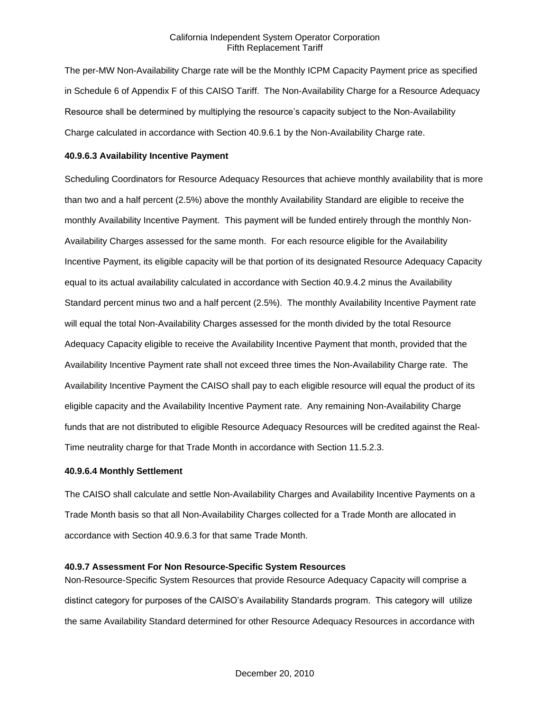The per-MW Non-Availability Charge rate will be the Monthly ICPM Capacity Payment price as specified in Schedule 6 of Appendix F of this CAISO Tariff. The Non-Availability Charge for a Resource Adequacy Resource shall be determined by multiplying the resource's capacity subject to the Non-Availability Charge calculated in accordance with Section 40.9.6.1 by the Non-Availability Charge rate.

#### **40.9.6.3 Availability Incentive Payment**

Scheduling Coordinators for Resource Adequacy Resources that achieve monthly availability that is more than two and a half percent (2.5%) above the monthly Availability Standard are eligible to receive the monthly Availability Incentive Payment. This payment will be funded entirely through the monthly Non-Availability Charges assessed for the same month. For each resource eligible for the Availability Incentive Payment, its eligible capacity will be that portion of its designated Resource Adequacy Capacity equal to its actual availability calculated in accordance with Section 40.9.4.2 minus the Availability Standard percent minus two and a half percent (2.5%). The monthly Availability Incentive Payment rate will equal the total Non-Availability Charges assessed for the month divided by the total Resource Adequacy Capacity eligible to receive the Availability Incentive Payment that month, provided that the Availability Incentive Payment rate shall not exceed three times the Non-Availability Charge rate. The Availability Incentive Payment the CAISO shall pay to each eligible resource will equal the product of its eligible capacity and the Availability Incentive Payment rate. Any remaining Non-Availability Charge funds that are not distributed to eligible Resource Adequacy Resources will be credited against the Real-Time neutrality charge for that Trade Month in accordance with Section 11.5.2.3.

#### **40.9.6.4 Monthly Settlement**

The CAISO shall calculate and settle Non-Availability Charges and Availability Incentive Payments on a Trade Month basis so that all Non-Availability Charges collected for a Trade Month are allocated in accordance with Section 40.9.6.3 for that same Trade Month.

#### **40.9.7 Assessment For Non Resource-Specific System Resources**

Non-Resource-Specific System Resources that provide Resource Adequacy Capacity will comprise a distinct category for purposes of the CAISO's Availability Standards program. This category will utilize the same Availability Standard determined for other Resource Adequacy Resources in accordance with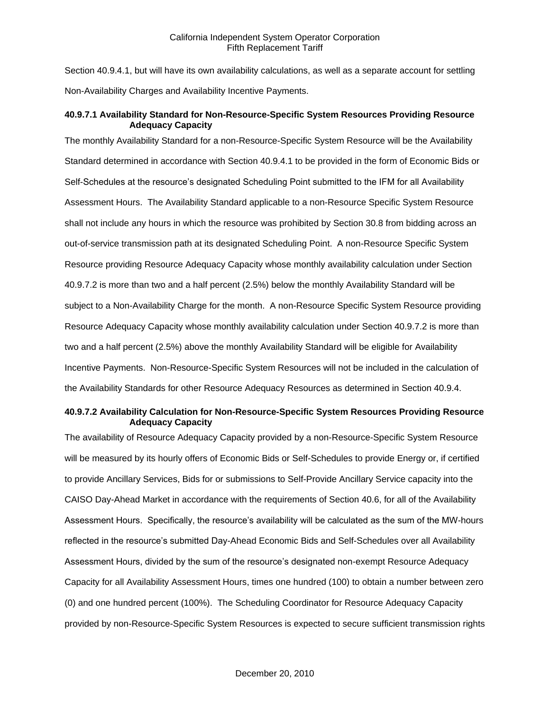Section 40.9.4.1, but will have its own availability calculations, as well as a separate account for settling Non-Availability Charges and Availability Incentive Payments.

# **40.9.7.1 Availability Standard for Non-Resource-Specific System Resources Providing Resource Adequacy Capacity**

The monthly Availability Standard for a non-Resource-Specific System Resource will be the Availability Standard determined in accordance with Section 40.9.4.1 to be provided in the form of Economic Bids or Self-Schedules at the resource's designated Scheduling Point submitted to the IFM for all Availability Assessment Hours. The Availability Standard applicable to a non-Resource Specific System Resource shall not include any hours in which the resource was prohibited by Section 30.8 from bidding across an out-of-service transmission path at its designated Scheduling Point. A non-Resource Specific System Resource providing Resource Adequacy Capacity whose monthly availability calculation under Section 40.9.7.2 is more than two and a half percent (2.5%) below the monthly Availability Standard will be subject to a Non-Availability Charge for the month. A non-Resource Specific System Resource providing Resource Adequacy Capacity whose monthly availability calculation under Section 40.9.7.2 is more than two and a half percent (2.5%) above the monthly Availability Standard will be eligible for Availability Incentive Payments. Non-Resource-Specific System Resources will not be included in the calculation of the Availability Standards for other Resource Adequacy Resources as determined in Section 40.9.4.

### **40.9.7.2 Availability Calculation for Non-Resource-Specific System Resources Providing Resource Adequacy Capacity**

The availability of Resource Adequacy Capacity provided by a non-Resource-Specific System Resource will be measured by its hourly offers of Economic Bids or Self-Schedules to provide Energy or, if certified to provide Ancillary Services, Bids for or submissions to Self-Provide Ancillary Service capacity into the CAISO Day-Ahead Market in accordance with the requirements of Section 40.6, for all of the Availability Assessment Hours. Specifically, the resource's availability will be calculated as the sum of the MW-hours reflected in the resource's submitted Day-Ahead Economic Bids and Self-Schedules over all Availability Assessment Hours, divided by the sum of the resource's designated non-exempt Resource Adequacy Capacity for all Availability Assessment Hours, times one hundred (100) to obtain a number between zero (0) and one hundred percent (100%). The Scheduling Coordinator for Resource Adequacy Capacity provided by non-Resource-Specific System Resources is expected to secure sufficient transmission rights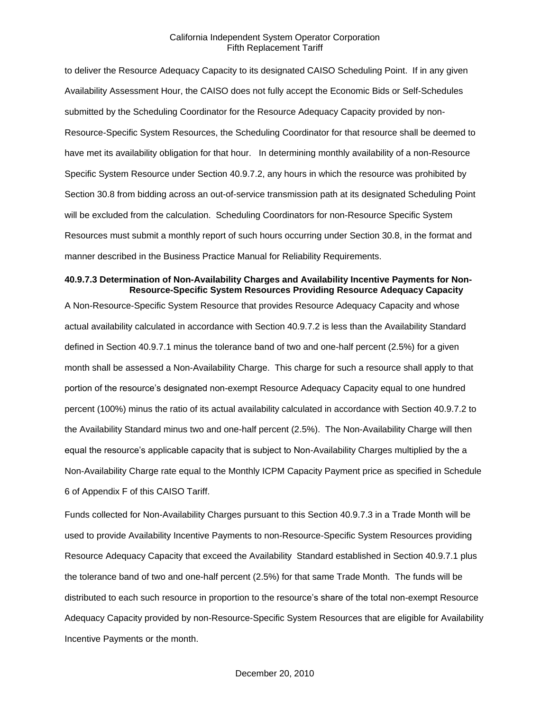to deliver the Resource Adequacy Capacity to its designated CAISO Scheduling Point. If in any given Availability Assessment Hour, the CAISO does not fully accept the Economic Bids or Self-Schedules submitted by the Scheduling Coordinator for the Resource Adequacy Capacity provided by non-Resource-Specific System Resources, the Scheduling Coordinator for that resource shall be deemed to have met its availability obligation for that hour. In determining monthly availability of a non-Resource Specific System Resource under Section 40.9.7.2, any hours in which the resource was prohibited by Section 30.8 from bidding across an out-of-service transmission path at its designated Scheduling Point will be excluded from the calculation. Scheduling Coordinators for non-Resource Specific System Resources must submit a monthly report of such hours occurring under Section 30.8, in the format and manner described in the Business Practice Manual for Reliability Requirements.

#### **40.9.7.3 Determination of Non-Availability Charges and Availability Incentive Payments for Non-Resource-Specific System Resources Providing Resource Adequacy Capacity**

A Non-Resource-Specific System Resource that provides Resource Adequacy Capacity and whose actual availability calculated in accordance with Section 40.9.7.2 is less than the Availability Standard defined in Section 40.9.7.1 minus the tolerance band of two and one-half percent (2.5%) for a given month shall be assessed a Non-Availability Charge. This charge for such a resource shall apply to that portion of the resource's designated non-exempt Resource Adequacy Capacity equal to one hundred percent (100%) minus the ratio of its actual availability calculated in accordance with Section 40.9.7.2 to the Availability Standard minus two and one-half percent (2.5%). The Non-Availability Charge will then equal the resource's applicable capacity that is subject to Non-Availability Charges multiplied by the a Non-Availability Charge rate equal to the Monthly ICPM Capacity Payment price as specified in Schedule 6 of Appendix F of this CAISO Tariff.

Funds collected for Non-Availability Charges pursuant to this Section 40.9.7.3 in a Trade Month will be used to provide Availability Incentive Payments to non-Resource-Specific System Resources providing Resource Adequacy Capacity that exceed the Availability Standard established in Section 40.9.7.1 plus the tolerance band of two and one-half percent (2.5%) for that same Trade Month. The funds will be distributed to each such resource in proportion to the resource's share of the total non-exempt Resource Adequacy Capacity provided by non-Resource-Specific System Resources that are eligible for Availability Incentive Payments or the month.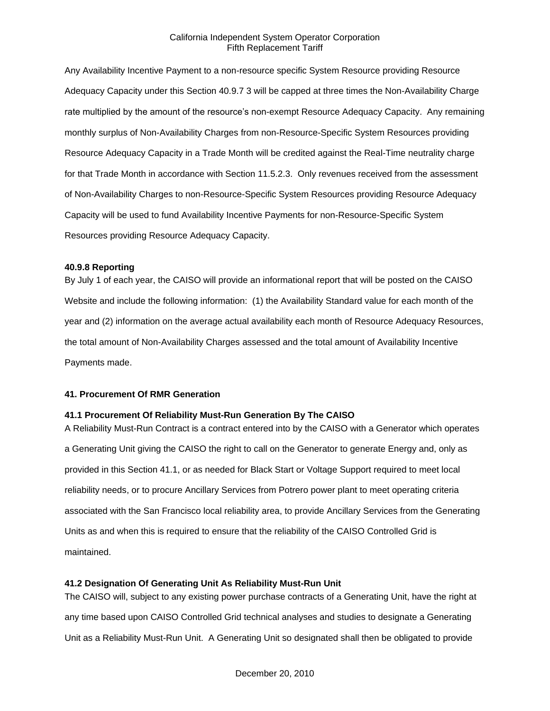Any Availability Incentive Payment to a non-resource specific System Resource providing Resource Adequacy Capacity under this Section 40.9.7 3 will be capped at three times the Non-Availability Charge rate multiplied by the amount of the resource's non-exempt Resource Adequacy Capacity. Any remaining monthly surplus of Non-Availability Charges from non-Resource-Specific System Resources providing Resource Adequacy Capacity in a Trade Month will be credited against the Real-Time neutrality charge for that Trade Month in accordance with Section 11.5.2.3. Only revenues received from the assessment of Non-Availability Charges to non-Resource-Specific System Resources providing Resource Adequacy Capacity will be used to fund Availability Incentive Payments for non-Resource-Specific System Resources providing Resource Adequacy Capacity.

#### **40.9.8 Reporting**

By July 1 of each year, the CAISO will provide an informational report that will be posted on the CAISO Website and include the following information: (1) the Availability Standard value for each month of the year and (2) information on the average actual availability each month of Resource Adequacy Resources, the total amount of Non-Availability Charges assessed and the total amount of Availability Incentive Payments made.

### **41. Procurement Of RMR Generation**

### **41.1 Procurement Of Reliability Must-Run Generation By The CAISO**

A Reliability Must-Run Contract is a contract entered into by the CAISO with a Generator which operates a Generating Unit giving the CAISO the right to call on the Generator to generate Energy and, only as provided in this Section 41.1, or as needed for Black Start or Voltage Support required to meet local reliability needs, or to procure Ancillary Services from Potrero power plant to meet operating criteria associated with the San Francisco local reliability area, to provide Ancillary Services from the Generating Units as and when this is required to ensure that the reliability of the CAISO Controlled Grid is maintained.

### **41.2 Designation Of Generating Unit As Reliability Must-Run Unit**

The CAISO will, subject to any existing power purchase contracts of a Generating Unit, have the right at any time based upon CAISO Controlled Grid technical analyses and studies to designate a Generating Unit as a Reliability Must-Run Unit. A Generating Unit so designated shall then be obligated to provide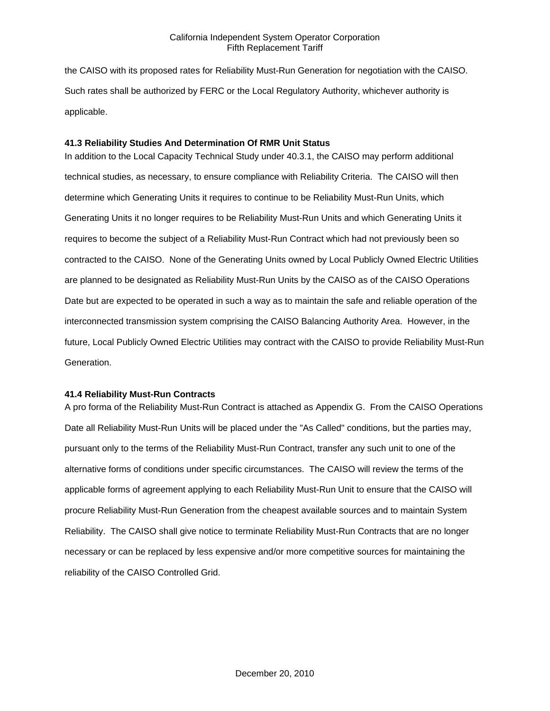the CAISO with its proposed rates for Reliability Must-Run Generation for negotiation with the CAISO. Such rates shall be authorized by FERC or the Local Regulatory Authority, whichever authority is applicable.

# **41.3 Reliability Studies And Determination Of RMR Unit Status**

In addition to the Local Capacity Technical Study under 40.3.1, the CAISO may perform additional technical studies, as necessary, to ensure compliance with Reliability Criteria. The CAISO will then determine which Generating Units it requires to continue to be Reliability Must-Run Units, which Generating Units it no longer requires to be Reliability Must-Run Units and which Generating Units it requires to become the subject of a Reliability Must-Run Contract which had not previously been so contracted to the CAISO. None of the Generating Units owned by Local Publicly Owned Electric Utilities are planned to be designated as Reliability Must-Run Units by the CAISO as of the CAISO Operations Date but are expected to be operated in such a way as to maintain the safe and reliable operation of the interconnected transmission system comprising the CAISO Balancing Authority Area. However, in the future, Local Publicly Owned Electric Utilities may contract with the CAISO to provide Reliability Must-Run Generation.

### **41.4 Reliability Must-Run Contracts**

A pro forma of the Reliability Must-Run Contract is attached as Appendix G. From the CAISO Operations Date all Reliability Must-Run Units will be placed under the "As Called" conditions, but the parties may, pursuant only to the terms of the Reliability Must-Run Contract, transfer any such unit to one of the alternative forms of conditions under specific circumstances. The CAISO will review the terms of the applicable forms of agreement applying to each Reliability Must-Run Unit to ensure that the CAISO will procure Reliability Must-Run Generation from the cheapest available sources and to maintain System Reliability. The CAISO shall give notice to terminate Reliability Must-Run Contracts that are no longer necessary or can be replaced by less expensive and/or more competitive sources for maintaining the reliability of the CAISO Controlled Grid.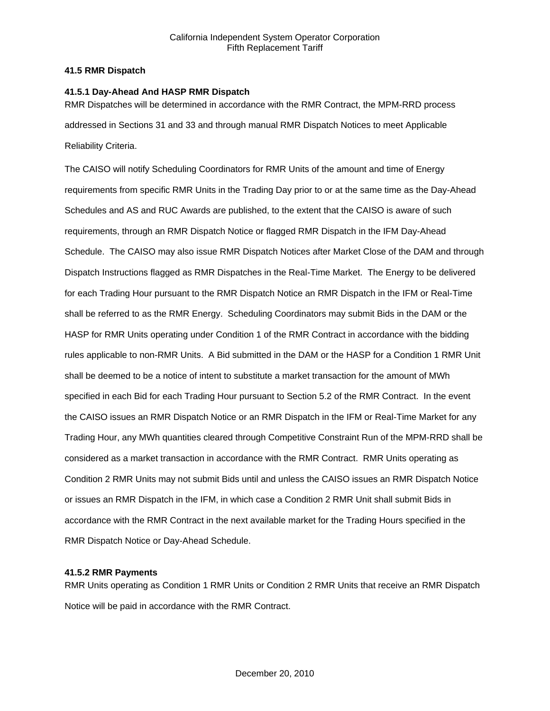## **41.5 RMR Dispatch**

## **41.5.1 Day-Ahead And HASP RMR Dispatch**

RMR Dispatches will be determined in accordance with the RMR Contract, the MPM-RRD process addressed in Sections 31 and 33 and through manual RMR Dispatch Notices to meet Applicable Reliability Criteria.

The CAISO will notify Scheduling Coordinators for RMR Units of the amount and time of Energy requirements from specific RMR Units in the Trading Day prior to or at the same time as the Day-Ahead Schedules and AS and RUC Awards are published, to the extent that the CAISO is aware of such requirements, through an RMR Dispatch Notice or flagged RMR Dispatch in the IFM Day-Ahead Schedule. The CAISO may also issue RMR Dispatch Notices after Market Close of the DAM and through Dispatch Instructions flagged as RMR Dispatches in the Real-Time Market. The Energy to be delivered for each Trading Hour pursuant to the RMR Dispatch Notice an RMR Dispatch in the IFM or Real-Time shall be referred to as the RMR Energy. Scheduling Coordinators may submit Bids in the DAM or the HASP for RMR Units operating under Condition 1 of the RMR Contract in accordance with the bidding rules applicable to non-RMR Units. A Bid submitted in the DAM or the HASP for a Condition 1 RMR Unit shall be deemed to be a notice of intent to substitute a market transaction for the amount of MWh specified in each Bid for each Trading Hour pursuant to Section 5.2 of the RMR Contract. In the event the CAISO issues an RMR Dispatch Notice or an RMR Dispatch in the IFM or Real-Time Market for any Trading Hour, any MWh quantities cleared through Competitive Constraint Run of the MPM-RRD shall be considered as a market transaction in accordance with the RMR Contract. RMR Units operating as Condition 2 RMR Units may not submit Bids until and unless the CAISO issues an RMR Dispatch Notice or issues an RMR Dispatch in the IFM, in which case a Condition 2 RMR Unit shall submit Bids in accordance with the RMR Contract in the next available market for the Trading Hours specified in the RMR Dispatch Notice or Day-Ahead Schedule.

# **41.5.2 RMR Payments**

RMR Units operating as Condition 1 RMR Units or Condition 2 RMR Units that receive an RMR Dispatch Notice will be paid in accordance with the RMR Contract.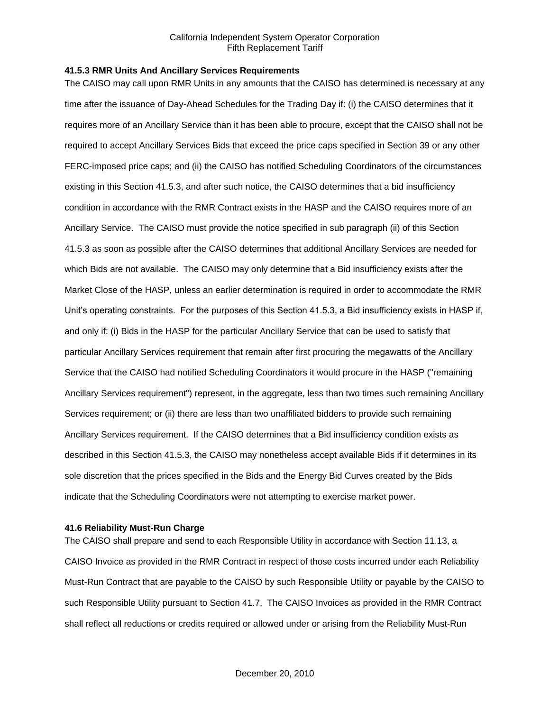#### **41.5.3 RMR Units And Ancillary Services Requirements**

The CAISO may call upon RMR Units in any amounts that the CAISO has determined is necessary at any time after the issuance of Day-Ahead Schedules for the Trading Day if: (i) the CAISO determines that it requires more of an Ancillary Service than it has been able to procure, except that the CAISO shall not be required to accept Ancillary Services Bids that exceed the price caps specified in Section 39 or any other FERC-imposed price caps; and (ii) the CAISO has notified Scheduling Coordinators of the circumstances existing in this Section 41.5.3, and after such notice, the CAISO determines that a bid insufficiency condition in accordance with the RMR Contract exists in the HASP and the CAISO requires more of an Ancillary Service. The CAISO must provide the notice specified in sub paragraph (ii) of this Section 41.5.3 as soon as possible after the CAISO determines that additional Ancillary Services are needed for which Bids are not available. The CAISO may only determine that a Bid insufficiency exists after the Market Close of the HASP, unless an earlier determination is required in order to accommodate the RMR Unit's operating constraints. For the purposes of this Section 41.5.3, a Bid insufficiency exists in HASP if, and only if: (i) Bids in the HASP for the particular Ancillary Service that can be used to satisfy that particular Ancillary Services requirement that remain after first procuring the megawatts of the Ancillary Service that the CAISO had notified Scheduling Coordinators it would procure in the HASP ("remaining Ancillary Services requirement") represent, in the aggregate, less than two times such remaining Ancillary Services requirement; or (ii) there are less than two unaffiliated bidders to provide such remaining Ancillary Services requirement. If the CAISO determines that a Bid insufficiency condition exists as described in this Section 41.5.3, the CAISO may nonetheless accept available Bids if it determines in its sole discretion that the prices specified in the Bids and the Energy Bid Curves created by the Bids indicate that the Scheduling Coordinators were not attempting to exercise market power.

### **41.6 Reliability Must-Run Charge**

The CAISO shall prepare and send to each Responsible Utility in accordance with Section 11.13, a CAISO Invoice as provided in the RMR Contract in respect of those costs incurred under each Reliability Must-Run Contract that are payable to the CAISO by such Responsible Utility or payable by the CAISO to such Responsible Utility pursuant to Section 41.7. The CAISO Invoices as provided in the RMR Contract shall reflect all reductions or credits required or allowed under or arising from the Reliability Must-Run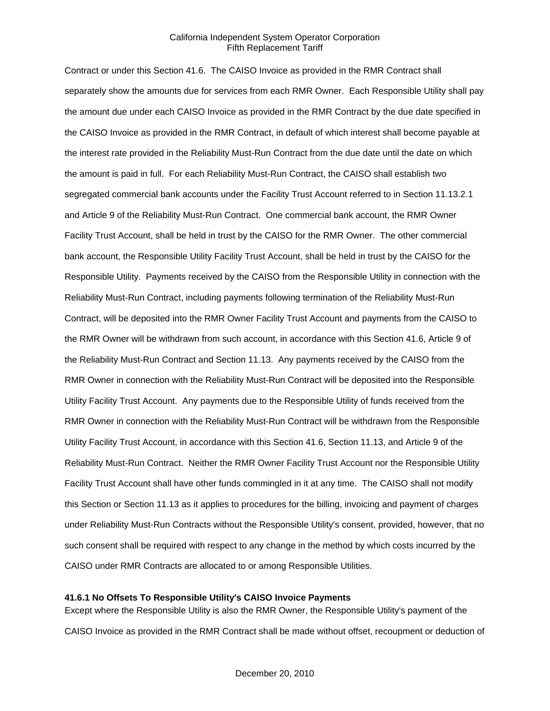Contract or under this Section 41.6. The CAISO Invoice as provided in the RMR Contract shall separately show the amounts due for services from each RMR Owner. Each Responsible Utility shall pay the amount due under each CAISO Invoice as provided in the RMR Contract by the due date specified in the CAISO Invoice as provided in the RMR Contract, in default of which interest shall become payable at the interest rate provided in the Reliability Must-Run Contract from the due date until the date on which the amount is paid in full. For each Reliability Must-Run Contract, the CAISO shall establish two segregated commercial bank accounts under the Facility Trust Account referred to in Section 11.13.2.1 and Article 9 of the Reliability Must-Run Contract. One commercial bank account, the RMR Owner Facility Trust Account, shall be held in trust by the CAISO for the RMR Owner. The other commercial bank account, the Responsible Utility Facility Trust Account, shall be held in trust by the CAISO for the Responsible Utility. Payments received by the CAISO from the Responsible Utility in connection with the Reliability Must-Run Contract, including payments following termination of the Reliability Must-Run Contract, will be deposited into the RMR Owner Facility Trust Account and payments from the CAISO to the RMR Owner will be withdrawn from such account, in accordance with this Section 41.6, Article 9 of the Reliability Must-Run Contract and Section 11.13. Any payments received by the CAISO from the RMR Owner in connection with the Reliability Must-Run Contract will be deposited into the Responsible Utility Facility Trust Account. Any payments due to the Responsible Utility of funds received from the RMR Owner in connection with the Reliability Must-Run Contract will be withdrawn from the Responsible Utility Facility Trust Account, in accordance with this Section 41.6, Section 11.13, and Article 9 of the Reliability Must-Run Contract. Neither the RMR Owner Facility Trust Account nor the Responsible Utility Facility Trust Account shall have other funds commingled in it at any time. The CAISO shall not modify this Section or Section 11.13 as it applies to procedures for the billing, invoicing and payment of charges under Reliability Must-Run Contracts without the Responsible Utility's consent, provided, however, that no such consent shall be required with respect to any change in the method by which costs incurred by the CAISO under RMR Contracts are allocated to or among Responsible Utilities.

### **41.6.1 No Offsets To Responsible Utility's CAISO Invoice Payments**

Except where the Responsible Utility is also the RMR Owner, the Responsible Utility's payment of the CAISO Invoice as provided in the RMR Contract shall be made without offset, recoupment or deduction of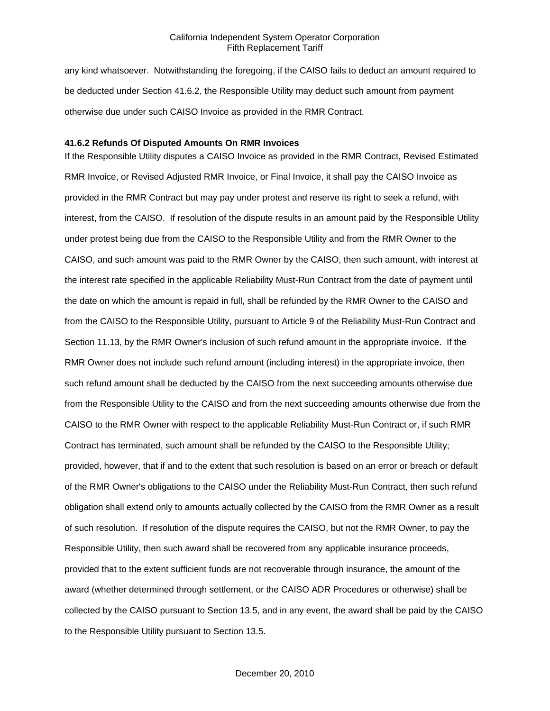any kind whatsoever. Notwithstanding the foregoing, if the CAISO fails to deduct an amount required to be deducted under Section 41.6.2, the Responsible Utility may deduct such amount from payment otherwise due under such CAISO Invoice as provided in the RMR Contract.

# **41.6.2 Refunds Of Disputed Amounts On RMR Invoices**

If the Responsible Utility disputes a CAISO Invoice as provided in the RMR Contract, Revised Estimated RMR Invoice, or Revised Adjusted RMR Invoice, or Final Invoice, it shall pay the CAISO Invoice as provided in the RMR Contract but may pay under protest and reserve its right to seek a refund, with interest, from the CAISO. If resolution of the dispute results in an amount paid by the Responsible Utility under protest being due from the CAISO to the Responsible Utility and from the RMR Owner to the CAISO, and such amount was paid to the RMR Owner by the CAISO, then such amount, with interest at the interest rate specified in the applicable Reliability Must-Run Contract from the date of payment until the date on which the amount is repaid in full, shall be refunded by the RMR Owner to the CAISO and from the CAISO to the Responsible Utility, pursuant to Article 9 of the Reliability Must-Run Contract and Section 11.13, by the RMR Owner's inclusion of such refund amount in the appropriate invoice. If the RMR Owner does not include such refund amount (including interest) in the appropriate invoice, then such refund amount shall be deducted by the CAISO from the next succeeding amounts otherwise due from the Responsible Utility to the CAISO and from the next succeeding amounts otherwise due from the CAISO to the RMR Owner with respect to the applicable Reliability Must-Run Contract or, if such RMR Contract has terminated, such amount shall be refunded by the CAISO to the Responsible Utility; provided, however, that if and to the extent that such resolution is based on an error or breach or default of the RMR Owner's obligations to the CAISO under the Reliability Must-Run Contract, then such refund obligation shall extend only to amounts actually collected by the CAISO from the RMR Owner as a result of such resolution. If resolution of the dispute requires the CAISO, but not the RMR Owner, to pay the Responsible Utility, then such award shall be recovered from any applicable insurance proceeds, provided that to the extent sufficient funds are not recoverable through insurance, the amount of the award (whether determined through settlement, or the CAISO ADR Procedures or otherwise) shall be collected by the CAISO pursuant to Section 13.5, and in any event, the award shall be paid by the CAISO to the Responsible Utility pursuant to Section 13.5.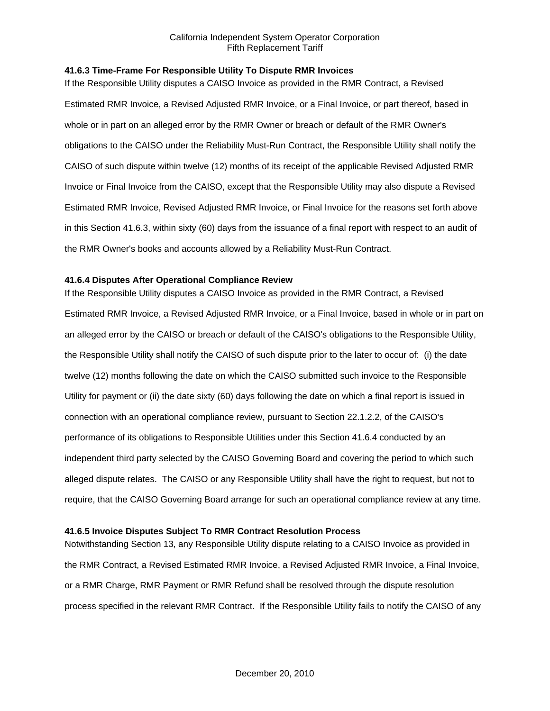## **41.6.3 Time-Frame For Responsible Utility To Dispute RMR Invoices**

If the Responsible Utility disputes a CAISO Invoice as provided in the RMR Contract, a Revised Estimated RMR Invoice, a Revised Adjusted RMR Invoice, or a Final Invoice, or part thereof, based in whole or in part on an alleged error by the RMR Owner or breach or default of the RMR Owner's obligations to the CAISO under the Reliability Must-Run Contract, the Responsible Utility shall notify the CAISO of such dispute within twelve (12) months of its receipt of the applicable Revised Adjusted RMR Invoice or Final Invoice from the CAISO, except that the Responsible Utility may also dispute a Revised Estimated RMR Invoice, Revised Adjusted RMR Invoice, or Final Invoice for the reasons set forth above in this Section 41.6.3, within sixty (60) days from the issuance of a final report with respect to an audit of the RMR Owner's books and accounts allowed by a Reliability Must-Run Contract.

### **41.6.4 Disputes After Operational Compliance Review**

If the Responsible Utility disputes a CAISO Invoice as provided in the RMR Contract, a Revised Estimated RMR Invoice, a Revised Adjusted RMR Invoice, or a Final Invoice, based in whole or in part on an alleged error by the CAISO or breach or default of the CAISO's obligations to the Responsible Utility, the Responsible Utility shall notify the CAISO of such dispute prior to the later to occur of: (i) the date twelve (12) months following the date on which the CAISO submitted such invoice to the Responsible Utility for payment or (ii) the date sixty (60) days following the date on which a final report is issued in connection with an operational compliance review, pursuant to Section 22.1.2.2, of the CAISO's performance of its obligations to Responsible Utilities under this Section 41.6.4 conducted by an independent third party selected by the CAISO Governing Board and covering the period to which such alleged dispute relates. The CAISO or any Responsible Utility shall have the right to request, but not to require, that the CAISO Governing Board arrange for such an operational compliance review at any time.

# **41.6.5 Invoice Disputes Subject To RMR Contract Resolution Process**

Notwithstanding Section 13, any Responsible Utility dispute relating to a CAISO Invoice as provided in the RMR Contract, a Revised Estimated RMR Invoice, a Revised Adjusted RMR Invoice, a Final Invoice, or a RMR Charge, RMR Payment or RMR Refund shall be resolved through the dispute resolution process specified in the relevant RMR Contract. If the Responsible Utility fails to notify the CAISO of any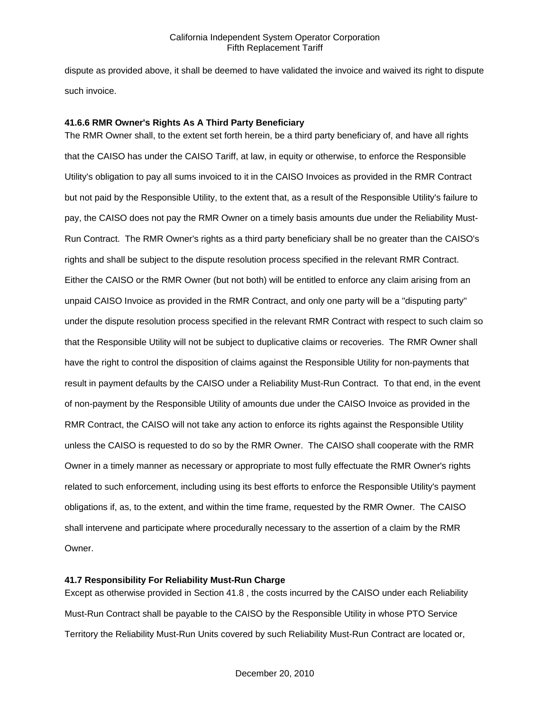dispute as provided above, it shall be deemed to have validated the invoice and waived its right to dispute such invoice.

### **41.6.6 RMR Owner's Rights As A Third Party Beneficiary**

The RMR Owner shall, to the extent set forth herein, be a third party beneficiary of, and have all rights that the CAISO has under the CAISO Tariff, at law, in equity or otherwise, to enforce the Responsible Utility's obligation to pay all sums invoiced to it in the CAISO Invoices as provided in the RMR Contract but not paid by the Responsible Utility, to the extent that, as a result of the Responsible Utility's failure to pay, the CAISO does not pay the RMR Owner on a timely basis amounts due under the Reliability Must-Run Contract. The RMR Owner's rights as a third party beneficiary shall be no greater than the CAISO's rights and shall be subject to the dispute resolution process specified in the relevant RMR Contract. Either the CAISO or the RMR Owner (but not both) will be entitled to enforce any claim arising from an unpaid CAISO Invoice as provided in the RMR Contract, and only one party will be a "disputing party" under the dispute resolution process specified in the relevant RMR Contract with respect to such claim so that the Responsible Utility will not be subject to duplicative claims or recoveries. The RMR Owner shall have the right to control the disposition of claims against the Responsible Utility for non-payments that result in payment defaults by the CAISO under a Reliability Must-Run Contract. To that end, in the event of non-payment by the Responsible Utility of amounts due under the CAISO Invoice as provided in the RMR Contract, the CAISO will not take any action to enforce its rights against the Responsible Utility unless the CAISO is requested to do so by the RMR Owner. The CAISO shall cooperate with the RMR Owner in a timely manner as necessary or appropriate to most fully effectuate the RMR Owner's rights related to such enforcement, including using its best efforts to enforce the Responsible Utility's payment obligations if, as, to the extent, and within the time frame, requested by the RMR Owner. The CAISO shall intervene and participate where procedurally necessary to the assertion of a claim by the RMR Owner.

### **41.7 Responsibility For Reliability Must-Run Charge**

Except as otherwise provided in Section 41.8 , the costs incurred by the CAISO under each Reliability Must-Run Contract shall be payable to the CAISO by the Responsible Utility in whose PTO Service Territory the Reliability Must-Run Units covered by such Reliability Must-Run Contract are located or,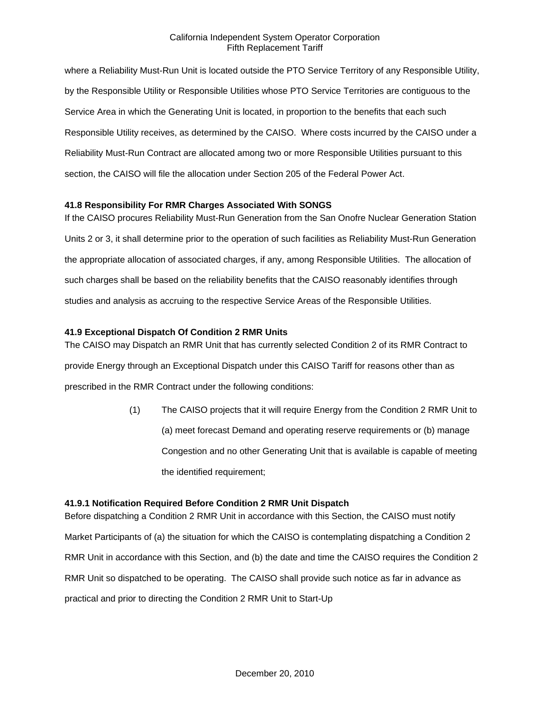where a Reliability Must-Run Unit is located outside the PTO Service Territory of any Responsible Utility, by the Responsible Utility or Responsible Utilities whose PTO Service Territories are contiguous to the Service Area in which the Generating Unit is located, in proportion to the benefits that each such Responsible Utility receives, as determined by the CAISO. Where costs incurred by the CAISO under a Reliability Must-Run Contract are allocated among two or more Responsible Utilities pursuant to this section, the CAISO will file the allocation under Section 205 of the Federal Power Act.

## **41.8 Responsibility For RMR Charges Associated With SONGS**

If the CAISO procures Reliability Must-Run Generation from the San Onofre Nuclear Generation Station Units 2 or 3, it shall determine prior to the operation of such facilities as Reliability Must-Run Generation the appropriate allocation of associated charges, if any, among Responsible Utilities. The allocation of such charges shall be based on the reliability benefits that the CAISO reasonably identifies through studies and analysis as accruing to the respective Service Areas of the Responsible Utilities.

### **41.9 Exceptional Dispatch Of Condition 2 RMR Units**

The CAISO may Dispatch an RMR Unit that has currently selected Condition 2 of its RMR Contract to provide Energy through an Exceptional Dispatch under this CAISO Tariff for reasons other than as prescribed in the RMR Contract under the following conditions:

> (1) The CAISO projects that it will require Energy from the Condition 2 RMR Unit to (a) meet forecast Demand and operating reserve requirements or (b) manage Congestion and no other Generating Unit that is available is capable of meeting the identified requirement;

### **41.9.1 Notification Required Before Condition 2 RMR Unit Dispatch**

Before dispatching a Condition 2 RMR Unit in accordance with this Section, the CAISO must notify Market Participants of (a) the situation for which the CAISO is contemplating dispatching a Condition 2 RMR Unit in accordance with this Section, and (b) the date and time the CAISO requires the Condition 2 RMR Unit so dispatched to be operating. The CAISO shall provide such notice as far in advance as practical and prior to directing the Condition 2 RMR Unit to Start-Up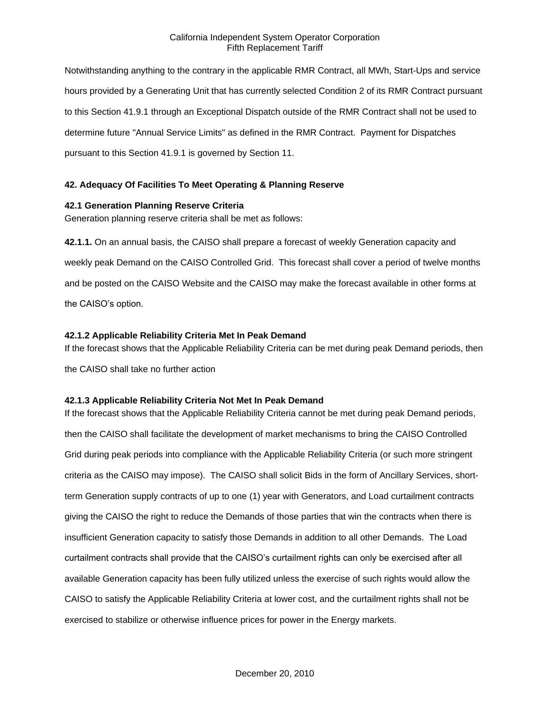Notwithstanding anything to the contrary in the applicable RMR Contract, all MWh, Start-Ups and service hours provided by a Generating Unit that has currently selected Condition 2 of its RMR Contract pursuant to this Section 41.9.1 through an Exceptional Dispatch outside of the RMR Contract shall not be used to determine future "Annual Service Limits" as defined in the RMR Contract. Payment for Dispatches pursuant to this Section 41.9.1 is governed by Section 11.

# **42. Adequacy Of Facilities To Meet Operating & Planning Reserve**

### **42.1 Generation Planning Reserve Criteria**

Generation planning reserve criteria shall be met as follows:

**42.1.1.** On an annual basis, the CAISO shall prepare a forecast of weekly Generation capacity and weekly peak Demand on the CAISO Controlled Grid. This forecast shall cover a period of twelve months and be posted on the CAISO Website and the CAISO may make the forecast available in other forms at the CAISO's option.

### **42.1.2 Applicable Reliability Criteria Met In Peak Demand**

If the forecast shows that the Applicable Reliability Criteria can be met during peak Demand periods, then the CAISO shall take no further action

### **42.1.3 Applicable Reliability Criteria Not Met In Peak Demand**

If the forecast shows that the Applicable Reliability Criteria cannot be met during peak Demand periods, then the CAISO shall facilitate the development of market mechanisms to bring the CAISO Controlled Grid during peak periods into compliance with the Applicable Reliability Criteria (or such more stringent criteria as the CAISO may impose). The CAISO shall solicit Bids in the form of Ancillary Services, shortterm Generation supply contracts of up to one (1) year with Generators, and Load curtailment contracts giving the CAISO the right to reduce the Demands of those parties that win the contracts when there is insufficient Generation capacity to satisfy those Demands in addition to all other Demands. The Load curtailment contracts shall provide that the CAISO's curtailment rights can only be exercised after all available Generation capacity has been fully utilized unless the exercise of such rights would allow the CAISO to satisfy the Applicable Reliability Criteria at lower cost, and the curtailment rights shall not be exercised to stabilize or otherwise influence prices for power in the Energy markets.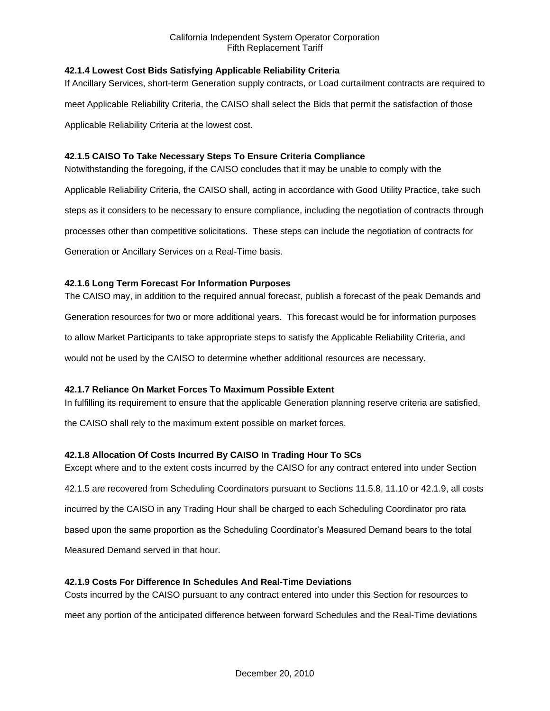# **42.1.4 Lowest Cost Bids Satisfying Applicable Reliability Criteria**

If Ancillary Services, short-term Generation supply contracts, or Load curtailment contracts are required to meet Applicable Reliability Criteria, the CAISO shall select the Bids that permit the satisfaction of those Applicable Reliability Criteria at the lowest cost.

# **42.1.5 CAISO To Take Necessary Steps To Ensure Criteria Compliance**

Notwithstanding the foregoing, if the CAISO concludes that it may be unable to comply with the

Applicable Reliability Criteria, the CAISO shall, acting in accordance with Good Utility Practice, take such steps as it considers to be necessary to ensure compliance, including the negotiation of contracts through processes other than competitive solicitations. These steps can include the negotiation of contracts for Generation or Ancillary Services on a Real-Time basis.

# **42.1.6 Long Term Forecast For Information Purposes**

The CAISO may, in addition to the required annual forecast, publish a forecast of the peak Demands and Generation resources for two or more additional years. This forecast would be for information purposes to allow Market Participants to take appropriate steps to satisfy the Applicable Reliability Criteria, and would not be used by the CAISO to determine whether additional resources are necessary.

# **42.1.7 Reliance On Market Forces To Maximum Possible Extent**

In fulfilling its requirement to ensure that the applicable Generation planning reserve criteria are satisfied,

the CAISO shall rely to the maximum extent possible on market forces.

# **42.1.8 Allocation Of Costs Incurred By CAISO In Trading Hour To SCs**

Except where and to the extent costs incurred by the CAISO for any contract entered into under Section 42.1.5 are recovered from Scheduling Coordinators pursuant to Sections 11.5.8, 11.10 or 42.1.9, all costs incurred by the CAISO in any Trading Hour shall be charged to each Scheduling Coordinator pro rata based upon the same proportion as the Scheduling Coordinator's Measured Demand bears to the total Measured Demand served in that hour.

# **42.1.9 Costs For Difference In Schedules And Real-Time Deviations**

Costs incurred by the CAISO pursuant to any contract entered into under this Section for resources to

meet any portion of the anticipated difference between forward Schedules and the Real-Time deviations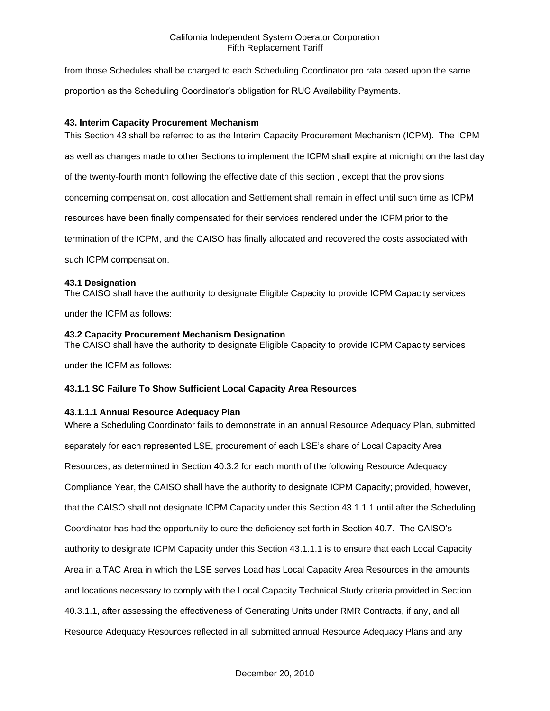from those Schedules shall be charged to each Scheduling Coordinator pro rata based upon the same proportion as the Scheduling Coordinator's obligation for RUC Availability Payments.

# **43. Interim Capacity Procurement Mechanism**

This Section 43 shall be referred to as the Interim Capacity Procurement Mechanism (ICPM). The ICPM as well as changes made to other Sections to implement the ICPM shall expire at midnight on the last day of the twenty-fourth month following the effective date of this section , except that the provisions concerning compensation, cost allocation and Settlement shall remain in effect until such time as ICPM resources have been finally compensated for their services rendered under the ICPM prior to the termination of the ICPM, and the CAISO has finally allocated and recovered the costs associated with such ICPM compensation.

## **43.1 Designation**

The CAISO shall have the authority to designate Eligible Capacity to provide ICPM Capacity services

under the ICPM as follows:

## **43.2 Capacity Procurement Mechanism Designation**

The CAISO shall have the authority to designate Eligible Capacity to provide ICPM Capacity services

under the ICPM as follows:

# **43.1.1 SC Failure To Show Sufficient Local Capacity Area Resources**

# **43.1.1.1 Annual Resource Adequacy Plan**

Where a Scheduling Coordinator fails to demonstrate in an annual Resource Adequacy Plan, submitted separately for each represented LSE, procurement of each LSE's share of Local Capacity Area Resources, as determined in Section 40.3.2 for each month of the following Resource Adequacy Compliance Year, the CAISO shall have the authority to designate ICPM Capacity; provided, however, that the CAISO shall not designate ICPM Capacity under this Section 43.1.1.1 until after the Scheduling Coordinator has had the opportunity to cure the deficiency set forth in Section 40.7. The CAISO's authority to designate ICPM Capacity under this Section 43.1.1.1 is to ensure that each Local Capacity Area in a TAC Area in which the LSE serves Load has Local Capacity Area Resources in the amounts and locations necessary to comply with the Local Capacity Technical Study criteria provided in Section 40.3.1.1, after assessing the effectiveness of Generating Units under RMR Contracts, if any, and all Resource Adequacy Resources reflected in all submitted annual Resource Adequacy Plans and any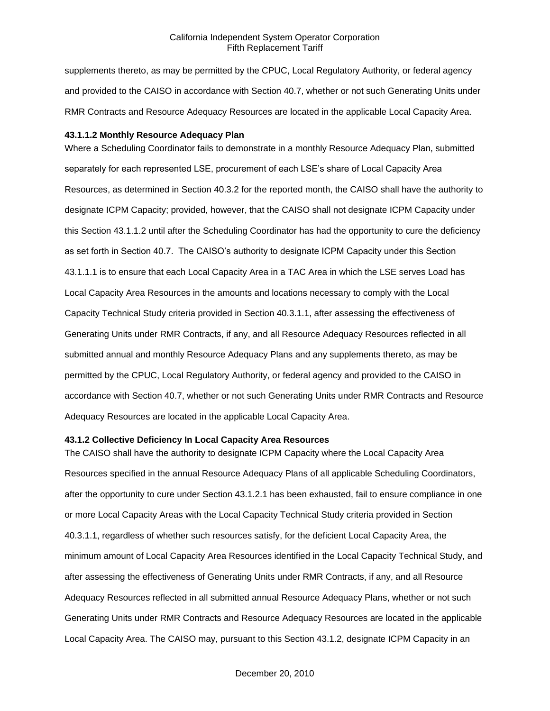supplements thereto, as may be permitted by the CPUC, Local Regulatory Authority, or federal agency and provided to the CAISO in accordance with Section 40.7, whether or not such Generating Units under RMR Contracts and Resource Adequacy Resources are located in the applicable Local Capacity Area.

#### **43.1.1.2 Monthly Resource Adequacy Plan**

Where a Scheduling Coordinator fails to demonstrate in a monthly Resource Adequacy Plan, submitted separately for each represented LSE, procurement of each LSE's share of Local Capacity Area Resources, as determined in Section 40.3.2 for the reported month, the CAISO shall have the authority to designate ICPM Capacity; provided, however, that the CAISO shall not designate ICPM Capacity under this Section 43.1.1.2 until after the Scheduling Coordinator has had the opportunity to cure the deficiency as set forth in Section 40.7. The CAISO's authority to designate ICPM Capacity under this Section 43.1.1.1 is to ensure that each Local Capacity Area in a TAC Area in which the LSE serves Load has Local Capacity Area Resources in the amounts and locations necessary to comply with the Local Capacity Technical Study criteria provided in Section 40.3.1.1, after assessing the effectiveness of Generating Units under RMR Contracts, if any, and all Resource Adequacy Resources reflected in all submitted annual and monthly Resource Adequacy Plans and any supplements thereto, as may be permitted by the CPUC, Local Regulatory Authority, or federal agency and provided to the CAISO in accordance with Section 40.7, whether or not such Generating Units under RMR Contracts and Resource Adequacy Resources are located in the applicable Local Capacity Area.

## **43.1.2 Collective Deficiency In Local Capacity Area Resources**

The CAISO shall have the authority to designate ICPM Capacity where the Local Capacity Area Resources specified in the annual Resource Adequacy Plans of all applicable Scheduling Coordinators, after the opportunity to cure under Section 43.1.2.1 has been exhausted, fail to ensure compliance in one or more Local Capacity Areas with the Local Capacity Technical Study criteria provided in Section 40.3.1.1, regardless of whether such resources satisfy, for the deficient Local Capacity Area, the minimum amount of Local Capacity Area Resources identified in the Local Capacity Technical Study, and after assessing the effectiveness of Generating Units under RMR Contracts, if any, and all Resource Adequacy Resources reflected in all submitted annual Resource Adequacy Plans, whether or not such Generating Units under RMR Contracts and Resource Adequacy Resources are located in the applicable Local Capacity Area. The CAISO may, pursuant to this Section 43.1.2, designate ICPM Capacity in an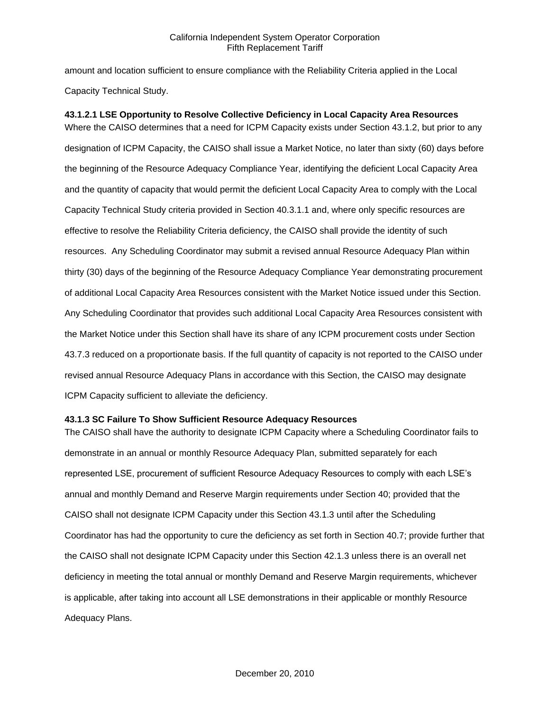amount and location sufficient to ensure compliance with the Reliability Criteria applied in the Local Capacity Technical Study.

**43.1.2.1 LSE Opportunity to Resolve Collective Deficiency in Local Capacity Area Resources** Where the CAISO determines that a need for ICPM Capacity exists under Section 43.1.2, but prior to any designation of ICPM Capacity, the CAISO shall issue a Market Notice, no later than sixty (60) days before the beginning of the Resource Adequacy Compliance Year, identifying the deficient Local Capacity Area and the quantity of capacity that would permit the deficient Local Capacity Area to comply with the Local Capacity Technical Study criteria provided in Section 40.3.1.1 and, where only specific resources are effective to resolve the Reliability Criteria deficiency, the CAISO shall provide the identity of such resources. Any Scheduling Coordinator may submit a revised annual Resource Adequacy Plan within thirty (30) days of the beginning of the Resource Adequacy Compliance Year demonstrating procurement of additional Local Capacity Area Resources consistent with the Market Notice issued under this Section. Any Scheduling Coordinator that provides such additional Local Capacity Area Resources consistent with the Market Notice under this Section shall have its share of any ICPM procurement costs under Section 43.7.3 reduced on a proportionate basis. If the full quantity of capacity is not reported to the CAISO under revised annual Resource Adequacy Plans in accordance with this Section, the CAISO may designate ICPM Capacity sufficient to alleviate the deficiency.

### **43.1.3 SC Failure To Show Sufficient Resource Adequacy Resources**

The CAISO shall have the authority to designate ICPM Capacity where a Scheduling Coordinator fails to demonstrate in an annual or monthly Resource Adequacy Plan, submitted separately for each represented LSE, procurement of sufficient Resource Adequacy Resources to comply with each LSE's annual and monthly Demand and Reserve Margin requirements under Section 40; provided that the CAISO shall not designate ICPM Capacity under this Section 43.1.3 until after the Scheduling Coordinator has had the opportunity to cure the deficiency as set forth in Section 40.7; provide further that the CAISO shall not designate ICPM Capacity under this Section 42.1.3 unless there is an overall net deficiency in meeting the total annual or monthly Demand and Reserve Margin requirements, whichever is applicable, after taking into account all LSE demonstrations in their applicable or monthly Resource Adequacy Plans.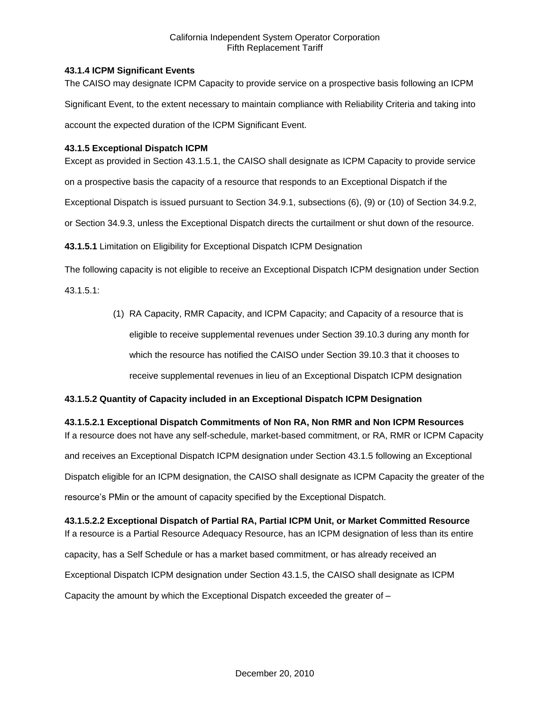# **43.1.4 ICPM Significant Events**

The CAISO may designate ICPM Capacity to provide service on a prospective basis following an ICPM Significant Event, to the extent necessary to maintain compliance with Reliability Criteria and taking into account the expected duration of the ICPM Significant Event.

## **43.1.5 Exceptional Dispatch ICPM**

Except as provided in Section 43.1.5.1, the CAISO shall designate as ICPM Capacity to provide service

on a prospective basis the capacity of a resource that responds to an Exceptional Dispatch if the

Exceptional Dispatch is issued pursuant to Section 34.9.1, subsections (6), (9) or (10) of Section 34.9.2,

or Section 34.9.3, unless the Exceptional Dispatch directs the curtailment or shut down of the resource.

**43.1.5.1** Limitation on Eligibility for Exceptional Dispatch ICPM Designation

The following capacity is not eligible to receive an Exceptional Dispatch ICPM designation under Section

43.1.5.1:

(1) RA Capacity, RMR Capacity, and ICPM Capacity; and Capacity of a resource that is eligible to receive supplemental revenues under Section 39.10.3 during any month for which the resource has notified the CAISO under Section 39.10.3 that it chooses to receive supplemental revenues in lieu of an Exceptional Dispatch ICPM designation

# **43.1.5.2 Quantity of Capacity included in an Exceptional Dispatch ICPM Designation**

**43.1.5.2.1 Exceptional Dispatch Commitments of Non RA, Non RMR and Non ICPM Resources** If a resource does not have any self-schedule, market-based commitment, or RA, RMR or ICPM Capacity and receives an Exceptional Dispatch ICPM designation under Section 43.1.5 following an Exceptional Dispatch eligible for an ICPM designation, the CAISO shall designate as ICPM Capacity the greater of the resource's PMin or the amount of capacity specified by the Exceptional Dispatch.

**43.1.5.2.2 Exceptional Dispatch of Partial RA, Partial ICPM Unit, or Market Committed Resource** If a resource is a Partial Resource Adequacy Resource, has an ICPM designation of less than its entire capacity, has a Self Schedule or has a market based commitment, or has already received an Exceptional Dispatch ICPM designation under Section 43.1.5, the CAISO shall designate as ICPM Capacity the amount by which the Exceptional Dispatch exceeded the greater of –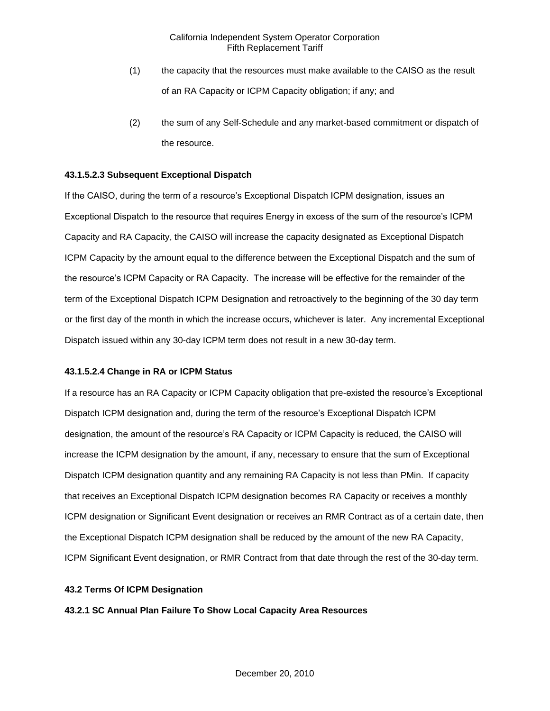- (1) the capacity that the resources must make available to the CAISO as the result of an RA Capacity or ICPM Capacity obligation; if any; and
- (2) the sum of any Self-Schedule and any market-based commitment or dispatch of the resource.

## **43.1.5.2.3 Subsequent Exceptional Dispatch**

If the CAISO, during the term of a resource's Exceptional Dispatch ICPM designation, issues an Exceptional Dispatch to the resource that requires Energy in excess of the sum of the resource's ICPM Capacity and RA Capacity, the CAISO will increase the capacity designated as Exceptional Dispatch ICPM Capacity by the amount equal to the difference between the Exceptional Dispatch and the sum of the resource's ICPM Capacity or RA Capacity. The increase will be effective for the remainder of the term of the Exceptional Dispatch ICPM Designation and retroactively to the beginning of the 30 day term or the first day of the month in which the increase occurs, whichever is later. Any incremental Exceptional Dispatch issued within any 30-day ICPM term does not result in a new 30-day term.

### **43.1.5.2.4 Change in RA or ICPM Status**

If a resource has an RA Capacity or ICPM Capacity obligation that pre-existed the resource's Exceptional Dispatch ICPM designation and, during the term of the resource's Exceptional Dispatch ICPM designation, the amount of the resource's RA Capacity or ICPM Capacity is reduced, the CAISO will increase the ICPM designation by the amount, if any, necessary to ensure that the sum of Exceptional Dispatch ICPM designation quantity and any remaining RA Capacity is not less than PMin. If capacity that receives an Exceptional Dispatch ICPM designation becomes RA Capacity or receives a monthly ICPM designation or Significant Event designation or receives an RMR Contract as of a certain date, then the Exceptional Dispatch ICPM designation shall be reduced by the amount of the new RA Capacity, ICPM Significant Event designation, or RMR Contract from that date through the rest of the 30-day term.

### **43.2 Terms Of ICPM Designation**

**43.2.1 SC Annual Plan Failure To Show Local Capacity Area Resources**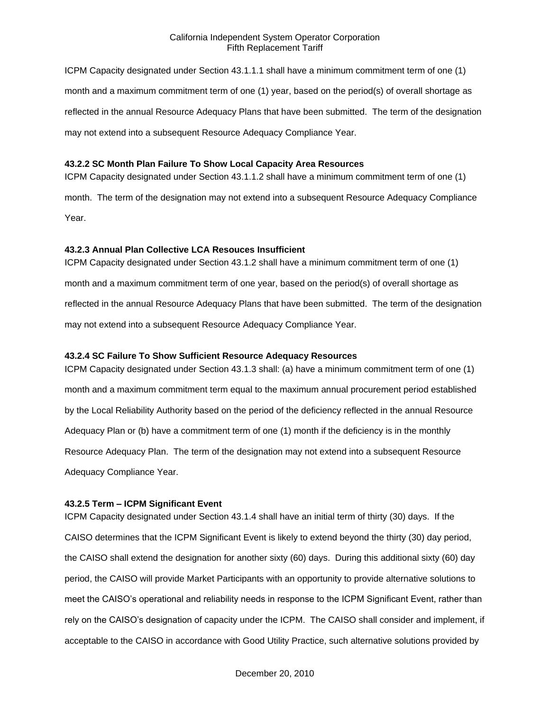ICPM Capacity designated under Section 43.1.1.1 shall have a minimum commitment term of one (1) month and a maximum commitment term of one (1) year, based on the period(s) of overall shortage as reflected in the annual Resource Adequacy Plans that have been submitted. The term of the designation may not extend into a subsequent Resource Adequacy Compliance Year.

### **43.2.2 SC Month Plan Failure To Show Local Capacity Area Resources**

month. The term of the designation may not extend into a subsequent Resource Adequacy Compliance Year.

ICPM Capacity designated under Section 43.1.1.2 shall have a minimum commitment term of one (1)

### **43.2.3 Annual Plan Collective LCA Resouces Insufficient**

ICPM Capacity designated under Section 43.1.2 shall have a minimum commitment term of one (1) month and a maximum commitment term of one year, based on the period(s) of overall shortage as reflected in the annual Resource Adequacy Plans that have been submitted. The term of the designation may not extend into a subsequent Resource Adequacy Compliance Year.

### **43.2.4 SC Failure To Show Sufficient Resource Adequacy Resources**

ICPM Capacity designated under Section 43.1.3 shall: (a) have a minimum commitment term of one (1) month and a maximum commitment term equal to the maximum annual procurement period established by the Local Reliability Authority based on the period of the deficiency reflected in the annual Resource Adequacy Plan or (b) have a commitment term of one (1) month if the deficiency is in the monthly Resource Adequacy Plan. The term of the designation may not extend into a subsequent Resource Adequacy Compliance Year.

#### **43.2.5 Term – ICPM Significant Event**

ICPM Capacity designated under Section 43.1.4 shall have an initial term of thirty (30) days. If the CAISO determines that the ICPM Significant Event is likely to extend beyond the thirty (30) day period, the CAISO shall extend the designation for another sixty (60) days. During this additional sixty (60) day period, the CAISO will provide Market Participants with an opportunity to provide alternative solutions to meet the CAISO's operational and reliability needs in response to the ICPM Significant Event, rather than rely on the CAISO's designation of capacity under the ICPM. The CAISO shall consider and implement, if acceptable to the CAISO in accordance with Good Utility Practice, such alternative solutions provided by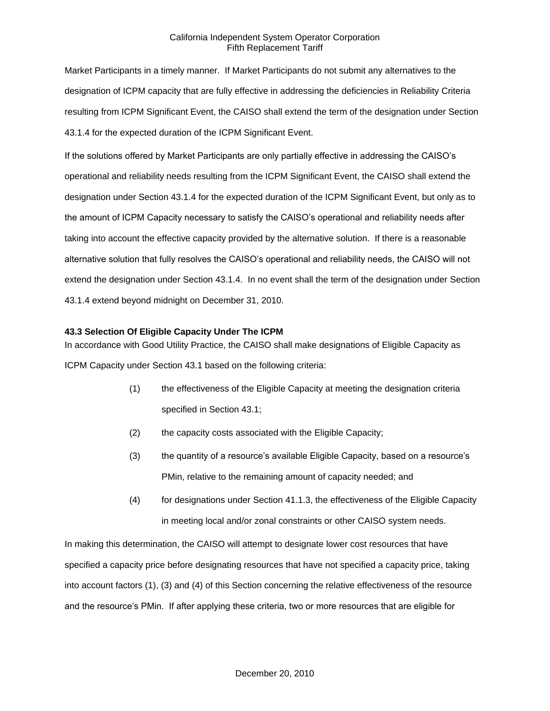Market Participants in a timely manner. If Market Participants do not submit any alternatives to the designation of ICPM capacity that are fully effective in addressing the deficiencies in Reliability Criteria resulting from ICPM Significant Event, the CAISO shall extend the term of the designation under Section 43.1.4 for the expected duration of the ICPM Significant Event.

If the solutions offered by Market Participants are only partially effective in addressing the CAISO's operational and reliability needs resulting from the ICPM Significant Event, the CAISO shall extend the designation under Section 43.1.4 for the expected duration of the ICPM Significant Event, but only as to the amount of ICPM Capacity necessary to satisfy the CAISO's operational and reliability needs after taking into account the effective capacity provided by the alternative solution. If there is a reasonable alternative solution that fully resolves the CAISO's operational and reliability needs, the CAISO will not extend the designation under Section 43.1.4. In no event shall the term of the designation under Section 43.1.4 extend beyond midnight on December 31, 2010.

## **43.3 Selection Of Eligible Capacity Under The ICPM**

In accordance with Good Utility Practice, the CAISO shall make designations of Eligible Capacity as ICPM Capacity under Section 43.1 based on the following criteria:

- (1) the effectiveness of the Eligible Capacity at meeting the designation criteria specified in Section 43.1;
- (2) the capacity costs associated with the Eligible Capacity;
- (3) the quantity of a resource's available Eligible Capacity, based on a resource's PMin, relative to the remaining amount of capacity needed; and
- (4) for designations under Section 41.1.3, the effectiveness of the Eligible Capacity in meeting local and/or zonal constraints or other CAISO system needs.

In making this determination, the CAISO will attempt to designate lower cost resources that have specified a capacity price before designating resources that have not specified a capacity price, taking into account factors (1), (3) and (4) of this Section concerning the relative effectiveness of the resource and the resource's PMin. If after applying these criteria, two or more resources that are eligible for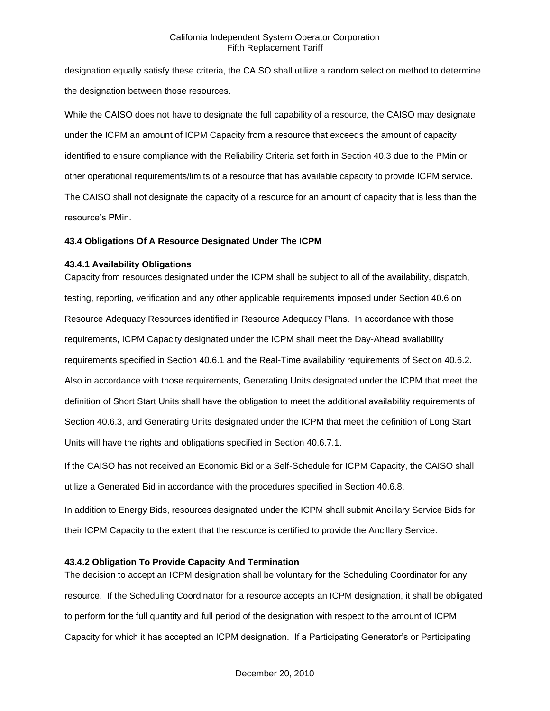designation equally satisfy these criteria, the CAISO shall utilize a random selection method to determine the designation between those resources.

While the CAISO does not have to designate the full capability of a resource, the CAISO may designate under the ICPM an amount of ICPM Capacity from a resource that exceeds the amount of capacity identified to ensure compliance with the Reliability Criteria set forth in Section 40.3 due to the PMin or other operational requirements/limits of a resource that has available capacity to provide ICPM service. The CAISO shall not designate the capacity of a resource for an amount of capacity that is less than the resource's PMin.

### **43.4 Obligations Of A Resource Designated Under The ICPM**

## **43.4.1 Availability Obligations**

Capacity from resources designated under the ICPM shall be subject to all of the availability, dispatch, testing, reporting, verification and any other applicable requirements imposed under Section 40.6 on Resource Adequacy Resources identified in Resource Adequacy Plans. In accordance with those requirements, ICPM Capacity designated under the ICPM shall meet the Day-Ahead availability requirements specified in Section 40.6.1 and the Real-Time availability requirements of Section 40.6.2. Also in accordance with those requirements, Generating Units designated under the ICPM that meet the definition of Short Start Units shall have the obligation to meet the additional availability requirements of Section 40.6.3, and Generating Units designated under the ICPM that meet the definition of Long Start Units will have the rights and obligations specified in Section 40.6.7.1.

If the CAISO has not received an Economic Bid or a Self-Schedule for ICPM Capacity, the CAISO shall utilize a Generated Bid in accordance with the procedures specified in Section 40.6.8.

In addition to Energy Bids, resources designated under the ICPM shall submit Ancillary Service Bids for their ICPM Capacity to the extent that the resource is certified to provide the Ancillary Service.

### **43.4.2 Obligation To Provide Capacity And Termination**

The decision to accept an ICPM designation shall be voluntary for the Scheduling Coordinator for any resource. If the Scheduling Coordinator for a resource accepts an ICPM designation, it shall be obligated to perform for the full quantity and full period of the designation with respect to the amount of ICPM Capacity for which it has accepted an ICPM designation. If a Participating Generator's or Participating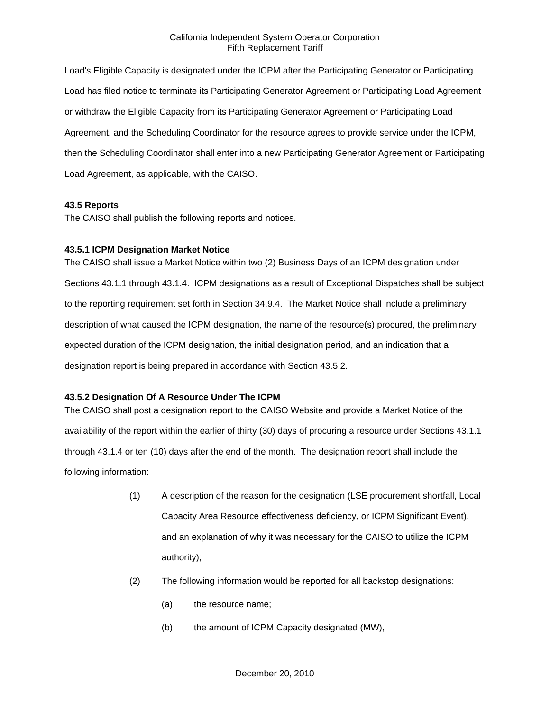Load's Eligible Capacity is designated under the ICPM after the Participating Generator or Participating Load has filed notice to terminate its Participating Generator Agreement or Participating Load Agreement or withdraw the Eligible Capacity from its Participating Generator Agreement or Participating Load Agreement, and the Scheduling Coordinator for the resource agrees to provide service under the ICPM, then the Scheduling Coordinator shall enter into a new Participating Generator Agreement or Participating Load Agreement, as applicable, with the CAISO.

## **43.5 Reports**

The CAISO shall publish the following reports and notices.

## **43.5.1 ICPM Designation Market Notice**

The CAISO shall issue a Market Notice within two (2) Business Days of an ICPM designation under Sections 43.1.1 through 43.1.4. ICPM designations as a result of Exceptional Dispatches shall be subject to the reporting requirement set forth in Section 34.9.4. The Market Notice shall include a preliminary description of what caused the ICPM designation, the name of the resource(s) procured, the preliminary expected duration of the ICPM designation, the initial designation period, and an indication that a designation report is being prepared in accordance with Section 43.5.2.

# **43.5.2 Designation Of A Resource Under The ICPM**

The CAISO shall post a designation report to the CAISO Website and provide a Market Notice of the availability of the report within the earlier of thirty (30) days of procuring a resource under Sections 43.1.1 through 43.1.4 or ten (10) days after the end of the month. The designation report shall include the following information:

- (1) A description of the reason for the designation (LSE procurement shortfall, Local Capacity Area Resource effectiveness deficiency, or ICPM Significant Event), and an explanation of why it was necessary for the CAISO to utilize the ICPM authority);
- (2) The following information would be reported for all backstop designations:
	- (a) the resource name;
	- (b) the amount of ICPM Capacity designated (MW),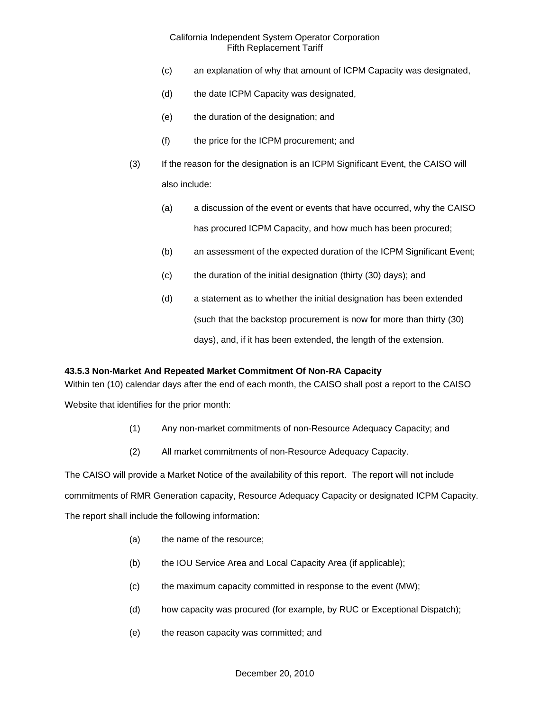- (c) an explanation of why that amount of ICPM Capacity was designated,
- (d) the date ICPM Capacity was designated,
- (e) the duration of the designation; and
- (f) the price for the ICPM procurement; and
- (3) If the reason for the designation is an ICPM Significant Event, the CAISO will also include:
	- (a) a discussion of the event or events that have occurred, why the CAISO has procured ICPM Capacity, and how much has been procured;
	- (b) an assessment of the expected duration of the ICPM Significant Event;
	- (c) the duration of the initial designation (thirty (30) days); and
	- (d) a statement as to whether the initial designation has been extended (such that the backstop procurement is now for more than thirty (30) days), and, if it has been extended, the length of the extension.

### **43.5.3 Non-Market And Repeated Market Commitment Of Non-RA Capacity**

Within ten (10) calendar days after the end of each month, the CAISO shall post a report to the CAISO

Website that identifies for the prior month:

- (1) Any non-market commitments of non-Resource Adequacy Capacity; and
- (2) All market commitments of non-Resource Adequacy Capacity.

The CAISO will provide a Market Notice of the availability of this report. The report will not include commitments of RMR Generation capacity, Resource Adequacy Capacity or designated ICPM Capacity. The report shall include the following information:

- (a) the name of the resource;
- (b) the IOU Service Area and Local Capacity Area (if applicable);
- (c) the maximum capacity committed in response to the event (MW);
- (d) how capacity was procured (for example, by RUC or Exceptional Dispatch);
- (e) the reason capacity was committed; and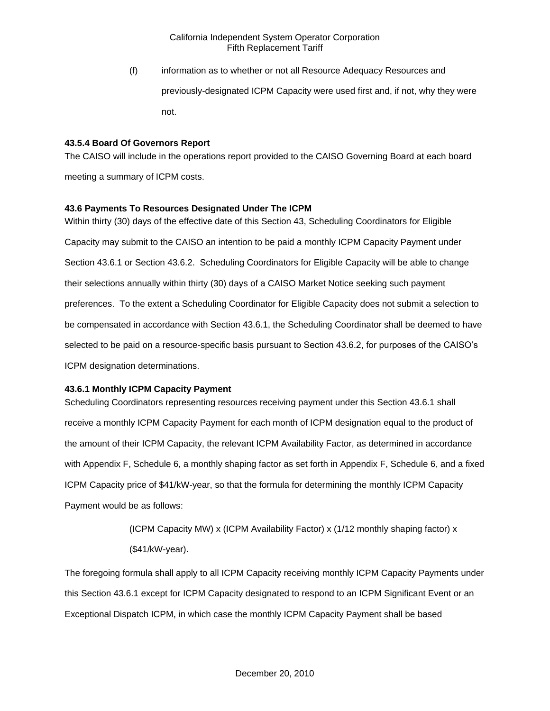(f) information as to whether or not all Resource Adequacy Resources and previously-designated ICPM Capacity were used first and, if not, why they were not.

# **43.5.4 Board Of Governors Report**

The CAISO will include in the operations report provided to the CAISO Governing Board at each board meeting a summary of ICPM costs.

## **43.6 Payments To Resources Designated Under The ICPM**

Within thirty (30) days of the effective date of this Section 43, Scheduling Coordinators for Eligible Capacity may submit to the CAISO an intention to be paid a monthly ICPM Capacity Payment under Section 43.6.1 or Section 43.6.2. Scheduling Coordinators for Eligible Capacity will be able to change their selections annually within thirty (30) days of a CAISO Market Notice seeking such payment preferences. To the extent a Scheduling Coordinator for Eligible Capacity does not submit a selection to be compensated in accordance with Section 43.6.1, the Scheduling Coordinator shall be deemed to have selected to be paid on a resource-specific basis pursuant to Section 43.6.2, for purposes of the CAISO's ICPM designation determinations.

# **43.6.1 Monthly ICPM Capacity Payment**

Scheduling Coordinators representing resources receiving payment under this Section 43.6.1 shall receive a monthly ICPM Capacity Payment for each month of ICPM designation equal to the product of the amount of their ICPM Capacity, the relevant ICPM Availability Factor, as determined in accordance with Appendix F, Schedule 6, a monthly shaping factor as set forth in Appendix F, Schedule 6, and a fixed ICPM Capacity price of \$41/kW-year, so that the formula for determining the monthly ICPM Capacity Payment would be as follows:

> (ICPM Capacity MW) x (ICPM Availability Factor) x (1/12 monthly shaping factor) x (\$41/kW-year).

The foregoing formula shall apply to all ICPM Capacity receiving monthly ICPM Capacity Payments under this Section 43.6.1 except for ICPM Capacity designated to respond to an ICPM Significant Event or an Exceptional Dispatch ICPM, in which case the monthly ICPM Capacity Payment shall be based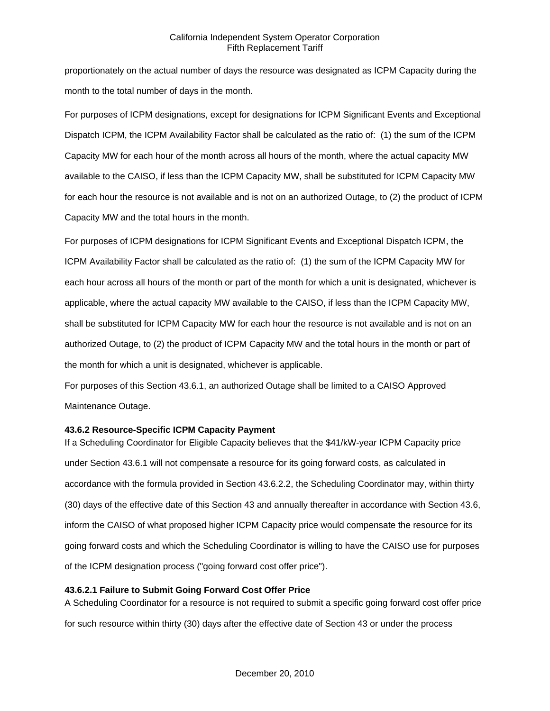proportionately on the actual number of days the resource was designated as ICPM Capacity during the month to the total number of days in the month.

For purposes of ICPM designations, except for designations for ICPM Significant Events and Exceptional Dispatch ICPM, the ICPM Availability Factor shall be calculated as the ratio of: (1) the sum of the ICPM Capacity MW for each hour of the month across all hours of the month, where the actual capacity MW available to the CAISO, if less than the ICPM Capacity MW, shall be substituted for ICPM Capacity MW for each hour the resource is not available and is not on an authorized Outage, to (2) the product of ICPM Capacity MW and the total hours in the month.

For purposes of ICPM designations for ICPM Significant Events and Exceptional Dispatch ICPM, the ICPM Availability Factor shall be calculated as the ratio of: (1) the sum of the ICPM Capacity MW for each hour across all hours of the month or part of the month for which a unit is designated, whichever is applicable, where the actual capacity MW available to the CAISO, if less than the ICPM Capacity MW, shall be substituted for ICPM Capacity MW for each hour the resource is not available and is not on an authorized Outage, to (2) the product of ICPM Capacity MW and the total hours in the month or part of the month for which a unit is designated, whichever is applicable.

For purposes of this Section 43.6.1, an authorized Outage shall be limited to a CAISO Approved Maintenance Outage.

### **43.6.2 Resource-Specific ICPM Capacity Payment**

If a Scheduling Coordinator for Eligible Capacity believes that the \$41/kW-year ICPM Capacity price under Section 43.6.1 will not compensate a resource for its going forward costs, as calculated in accordance with the formula provided in Section 43.6.2.2, the Scheduling Coordinator may, within thirty (30) days of the effective date of this Section 43 and annually thereafter in accordance with Section 43.6, inform the CAISO of what proposed higher ICPM Capacity price would compensate the resource for its going forward costs and which the Scheduling Coordinator is willing to have the CAISO use for purposes of the ICPM designation process ("going forward cost offer price").

# **43.6.2.1 Failure to Submit Going Forward Cost Offer Price**

A Scheduling Coordinator for a resource is not required to submit a specific going forward cost offer price for such resource within thirty (30) days after the effective date of Section 43 or under the process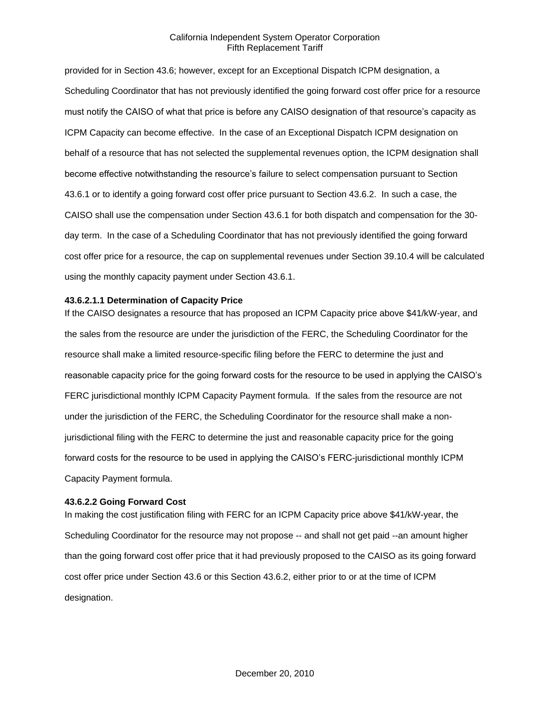provided for in Section 43.6; however, except for an Exceptional Dispatch ICPM designation, a Scheduling Coordinator that has not previously identified the going forward cost offer price for a resource must notify the CAISO of what that price is before any CAISO designation of that resource's capacity as ICPM Capacity can become effective. In the case of an Exceptional Dispatch ICPM designation on behalf of a resource that has not selected the supplemental revenues option, the ICPM designation shall become effective notwithstanding the resource's failure to select compensation pursuant to Section 43.6.1 or to identify a going forward cost offer price pursuant to Section 43.6.2. In such a case, the CAISO shall use the compensation under Section 43.6.1 for both dispatch and compensation for the 30 day term. In the case of a Scheduling Coordinator that has not previously identified the going forward cost offer price for a resource, the cap on supplemental revenues under Section 39.10.4 will be calculated using the monthly capacity payment under Section 43.6.1.

#### **43.6.2.1.1 Determination of Capacity Price**

If the CAISO designates a resource that has proposed an ICPM Capacity price above \$41/kW-year, and the sales from the resource are under the jurisdiction of the FERC, the Scheduling Coordinator for the resource shall make a limited resource-specific filing before the FERC to determine the just and reasonable capacity price for the going forward costs for the resource to be used in applying the CAISO's FERC jurisdictional monthly ICPM Capacity Payment formula. If the sales from the resource are not under the jurisdiction of the FERC, the Scheduling Coordinator for the resource shall make a nonjurisdictional filing with the FERC to determine the just and reasonable capacity price for the going forward costs for the resource to be used in applying the CAISO's FERC-jurisdictional monthly ICPM Capacity Payment formula.

#### **43.6.2.2 Going Forward Cost**

In making the cost justification filing with FERC for an ICPM Capacity price above \$41/kW-year, the Scheduling Coordinator for the resource may not propose -- and shall not get paid --an amount higher than the going forward cost offer price that it had previously proposed to the CAISO as its going forward cost offer price under Section 43.6 or this Section 43.6.2, either prior to or at the time of ICPM designation.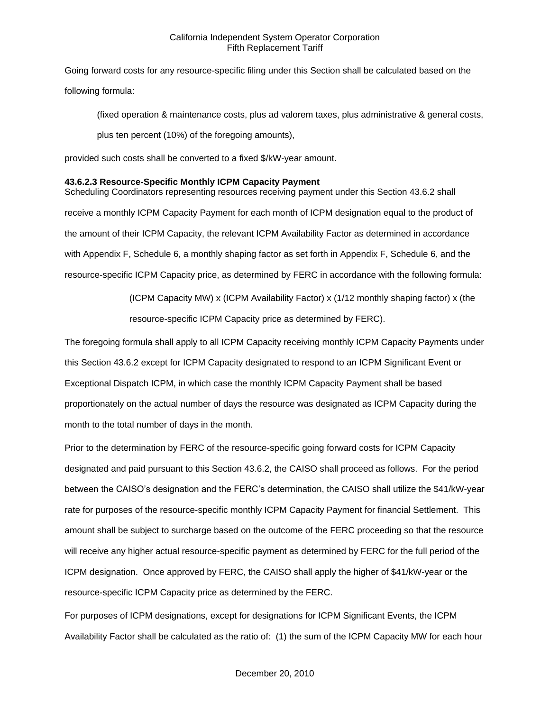Going forward costs for any resource-specific filing under this Section shall be calculated based on the following formula:

(fixed operation & maintenance costs, plus ad valorem taxes, plus administrative & general costs, plus ten percent (10%) of the foregoing amounts),

provided such costs shall be converted to a fixed \$/kW-year amount.

## **43.6.2.3 Resource-Specific Monthly ICPM Capacity Payment**

Scheduling Coordinators representing resources receiving payment under this Section 43.6.2 shall receive a monthly ICPM Capacity Payment for each month of ICPM designation equal to the product of the amount of their ICPM Capacity, the relevant ICPM Availability Factor as determined in accordance with Appendix F, Schedule 6, a monthly shaping factor as set forth in Appendix F, Schedule 6, and the resource-specific ICPM Capacity price, as determined by FERC in accordance with the following formula:

> (ICPM Capacity MW) x (ICPM Availability Factor) x (1/12 monthly shaping factor) x (the resource-specific ICPM Capacity price as determined by FERC).

The foregoing formula shall apply to all ICPM Capacity receiving monthly ICPM Capacity Payments under this Section 43.6.2 except for ICPM Capacity designated to respond to an ICPM Significant Event or Exceptional Dispatch ICPM, in which case the monthly ICPM Capacity Payment shall be based proportionately on the actual number of days the resource was designated as ICPM Capacity during the month to the total number of days in the month.

Prior to the determination by FERC of the resource-specific going forward costs for ICPM Capacity designated and paid pursuant to this Section 43.6.2, the CAISO shall proceed as follows. For the period between the CAISO's designation and the FERC's determination, the CAISO shall utilize the \$41/kW-year rate for purposes of the resource-specific monthly ICPM Capacity Payment for financial Settlement. This amount shall be subject to surcharge based on the outcome of the FERC proceeding so that the resource will receive any higher actual resource-specific payment as determined by FERC for the full period of the ICPM designation. Once approved by FERC, the CAISO shall apply the higher of \$41/kW-year or the resource-specific ICPM Capacity price as determined by the FERC.

For purposes of ICPM designations, except for designations for ICPM Significant Events, the ICPM Availability Factor shall be calculated as the ratio of: (1) the sum of the ICPM Capacity MW for each hour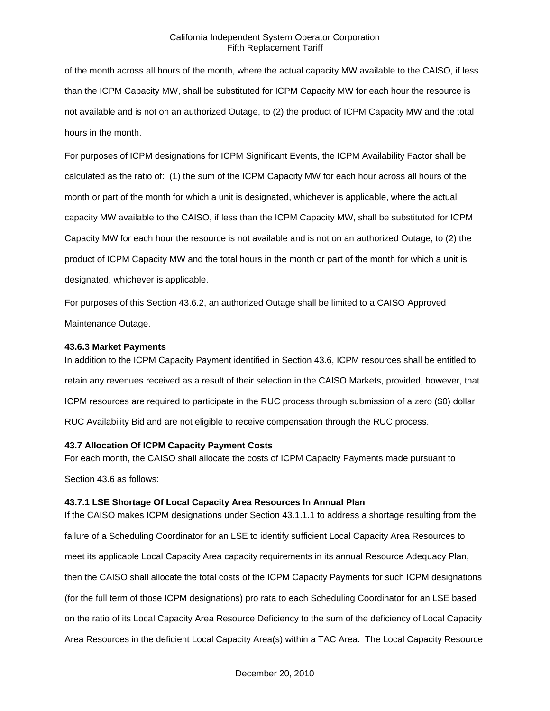of the month across all hours of the month, where the actual capacity MW available to the CAISO, if less than the ICPM Capacity MW, shall be substituted for ICPM Capacity MW for each hour the resource is not available and is not on an authorized Outage, to (2) the product of ICPM Capacity MW and the total hours in the month.

For purposes of ICPM designations for ICPM Significant Events, the ICPM Availability Factor shall be calculated as the ratio of: (1) the sum of the ICPM Capacity MW for each hour across all hours of the month or part of the month for which a unit is designated, whichever is applicable, where the actual capacity MW available to the CAISO, if less than the ICPM Capacity MW, shall be substituted for ICPM Capacity MW for each hour the resource is not available and is not on an authorized Outage, to (2) the product of ICPM Capacity MW and the total hours in the month or part of the month for which a unit is designated, whichever is applicable.

For purposes of this Section 43.6.2, an authorized Outage shall be limited to a CAISO Approved Maintenance Outage.

### **43.6.3 Market Payments**

In addition to the ICPM Capacity Payment identified in Section 43.6, ICPM resources shall be entitled to retain any revenues received as a result of their selection in the CAISO Markets, provided, however, that ICPM resources are required to participate in the RUC process through submission of a zero (\$0) dollar RUC Availability Bid and are not eligible to receive compensation through the RUC process.

### **43.7 Allocation Of ICPM Capacity Payment Costs**

For each month, the CAISO shall allocate the costs of ICPM Capacity Payments made pursuant to Section 43.6 as follows:

# **43.7.1 LSE Shortage Of Local Capacity Area Resources In Annual Plan**

If the CAISO makes ICPM designations under Section 43.1.1.1 to address a shortage resulting from the failure of a Scheduling Coordinator for an LSE to identify sufficient Local Capacity Area Resources to meet its applicable Local Capacity Area capacity requirements in its annual Resource Adequacy Plan, then the CAISO shall allocate the total costs of the ICPM Capacity Payments for such ICPM designations (for the full term of those ICPM designations) pro rata to each Scheduling Coordinator for an LSE based on the ratio of its Local Capacity Area Resource Deficiency to the sum of the deficiency of Local Capacity Area Resources in the deficient Local Capacity Area(s) within a TAC Area. The Local Capacity Resource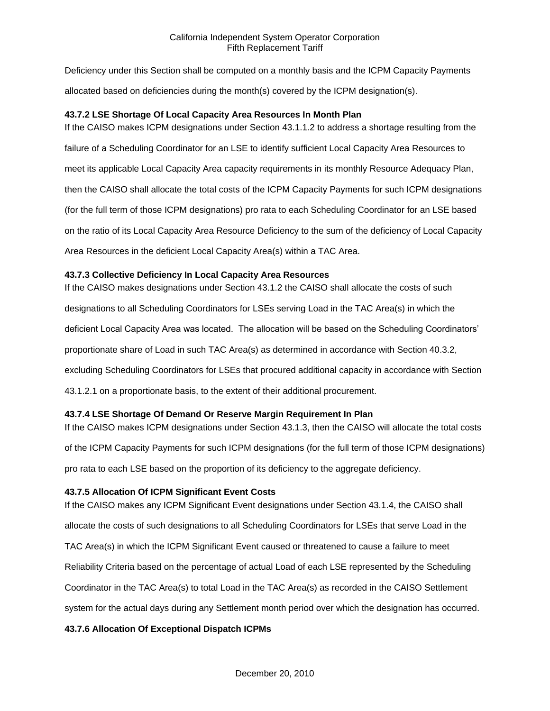Deficiency under this Section shall be computed on a monthly basis and the ICPM Capacity Payments allocated based on deficiencies during the month(s) covered by the ICPM designation(s).

# **43.7.2 LSE Shortage Of Local Capacity Area Resources In Month Plan**

If the CAISO makes ICPM designations under Section 43.1.1.2 to address a shortage resulting from the failure of a Scheduling Coordinator for an LSE to identify sufficient Local Capacity Area Resources to meet its applicable Local Capacity Area capacity requirements in its monthly Resource Adequacy Plan, then the CAISO shall allocate the total costs of the ICPM Capacity Payments for such ICPM designations (for the full term of those ICPM designations) pro rata to each Scheduling Coordinator for an LSE based on the ratio of its Local Capacity Area Resource Deficiency to the sum of the deficiency of Local Capacity Area Resources in the deficient Local Capacity Area(s) within a TAC Area.

## **43.7.3 Collective Deficiency In Local Capacity Area Resources**

If the CAISO makes designations under Section 43.1.2 the CAISO shall allocate the costs of such designations to all Scheduling Coordinators for LSEs serving Load in the TAC Area(s) in which the deficient Local Capacity Area was located. The allocation will be based on the Scheduling Coordinators' proportionate share of Load in such TAC Area(s) as determined in accordance with Section 40.3.2, excluding Scheduling Coordinators for LSEs that procured additional capacity in accordance with Section 43.1.2.1 on a proportionate basis, to the extent of their additional procurement.

# **43.7.4 LSE Shortage Of Demand Or Reserve Margin Requirement In Plan**

If the CAISO makes ICPM designations under Section 43.1.3, then the CAISO will allocate the total costs of the ICPM Capacity Payments for such ICPM designations (for the full term of those ICPM designations) pro rata to each LSE based on the proportion of its deficiency to the aggregate deficiency.

### **43.7.5 Allocation Of ICPM Significant Event Costs**

If the CAISO makes any ICPM Significant Event designations under Section 43.1.4, the CAISO shall allocate the costs of such designations to all Scheduling Coordinators for LSEs that serve Load in the TAC Area(s) in which the ICPM Significant Event caused or threatened to cause a failure to meet Reliability Criteria based on the percentage of actual Load of each LSE represented by the Scheduling Coordinator in the TAC Area(s) to total Load in the TAC Area(s) as recorded in the CAISO Settlement system for the actual days during any Settlement month period over which the designation has occurred.

# **43.7.6 Allocation Of Exceptional Dispatch ICPMs**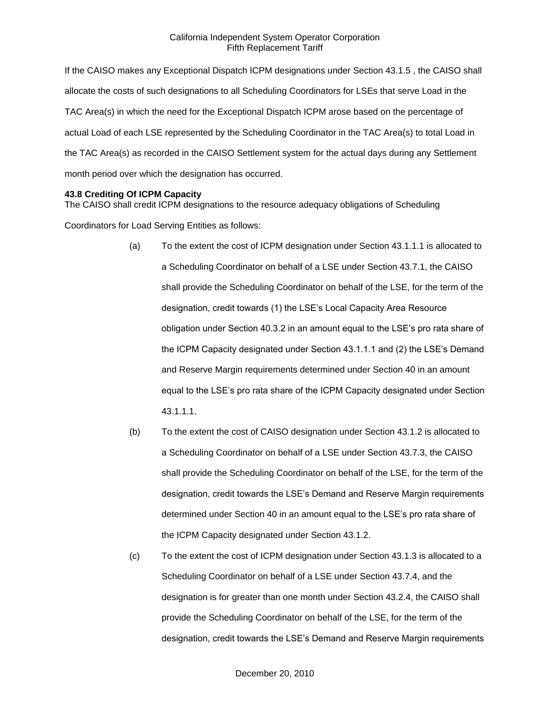If the CAISO makes any Exceptional Dispatch ICPM designations under Section 43.1.5 , the CAISO shall allocate the costs of such designations to all Scheduling Coordinators for LSEs that serve Load in the TAC Area(s) in which the need for the Exceptional Dispatch ICPM arose based on the percentage of actual Load of each LSE represented by the Scheduling Coordinator in the TAC Area(s) to total Load in the TAC Area(s) as recorded in the CAISO Settlement system for the actual days during any Settlement month period over which the designation has occurred.

### **43.8 Crediting Of ICPM Capacity**

The CAISO shall credit ICPM designations to the resource adequacy obligations of Scheduling

Coordinators for Load Serving Entities as follows:

- (a) To the extent the cost of ICPM designation under Section 43.1.1.1 is allocated to a Scheduling Coordinator on behalf of a LSE under Section 43.7.1, the CAISO shall provide the Scheduling Coordinator on behalf of the LSE, for the term of the designation, credit towards (1) the LSE's Local Capacity Area Resource obligation under Section 40.3.2 in an amount equal to the LSE's pro rata share of the ICPM Capacity designated under Section 43.1.1.1 and (2) the LSE's Demand and Reserve Margin requirements determined under Section 40 in an amount equal to the LSE's pro rata share of the ICPM Capacity designated under Section 43.1.1.1.
- (b) To the extent the cost of CAISO designation under Section 43.1.2 is allocated to a Scheduling Coordinator on behalf of a LSE under Section 43.7.3, the CAISO shall provide the Scheduling Coordinator on behalf of the LSE, for the term of the designation, credit towards the LSE's Demand and Reserve Margin requirements determined under Section 40 in an amount equal to the LSE's pro rata share of the ICPM Capacity designated under Section 43.1.2.
- (c) To the extent the cost of ICPM designation under Section 43.1.3 is allocated to a Scheduling Coordinator on behalf of a LSE under Section 43.7.4, and the designation is for greater than one month under Section 43.2.4, the CAISO shall provide the Scheduling Coordinator on behalf of the LSE, for the term of the designation, credit towards the LSE's Demand and Reserve Margin requirements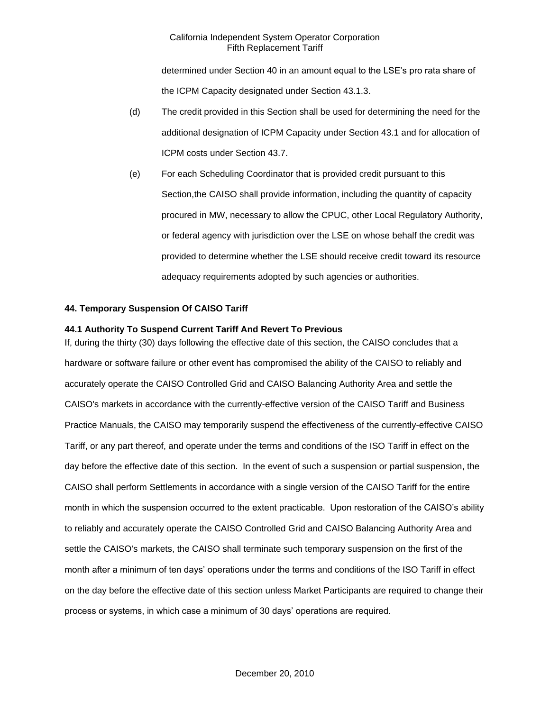determined under Section 40 in an amount equal to the LSE's pro rata share of the ICPM Capacity designated under Section 43.1.3.

- (d) The credit provided in this Section shall be used for determining the need for the additional designation of ICPM Capacity under Section 43.1 and for allocation of ICPM costs under Section 43.7.
- (e) For each Scheduling Coordinator that is provided credit pursuant to this Section,the CAISO shall provide information, including the quantity of capacity procured in MW, necessary to allow the CPUC, other Local Regulatory Authority, or federal agency with jurisdiction over the LSE on whose behalf the credit was provided to determine whether the LSE should receive credit toward its resource adequacy requirements adopted by such agencies or authorities.

## **44. Temporary Suspension Of CAISO Tariff**

### **44.1 Authority To Suspend Current Tariff And Revert To Previous**

If, during the thirty (30) days following the effective date of this section, the CAISO concludes that a hardware or software failure or other event has compromised the ability of the CAISO to reliably and accurately operate the CAISO Controlled Grid and CAISO Balancing Authority Area and settle the CAISO's markets in accordance with the currently-effective version of the CAISO Tariff and Business Practice Manuals, the CAISO may temporarily suspend the effectiveness of the currently-effective CAISO Tariff, or any part thereof, and operate under the terms and conditions of the ISO Tariff in effect on the day before the effective date of this section. In the event of such a suspension or partial suspension, the CAISO shall perform Settlements in accordance with a single version of the CAISO Tariff for the entire month in which the suspension occurred to the extent practicable. Upon restoration of the CAISO's ability to reliably and accurately operate the CAISO Controlled Grid and CAISO Balancing Authority Area and settle the CAISO's markets, the CAISO shall terminate such temporary suspension on the first of the month after a minimum of ten days' operations under the terms and conditions of the ISO Tariff in effect on the day before the effective date of this section unless Market Participants are required to change their process or systems, in which case a minimum of 30 days' operations are required.